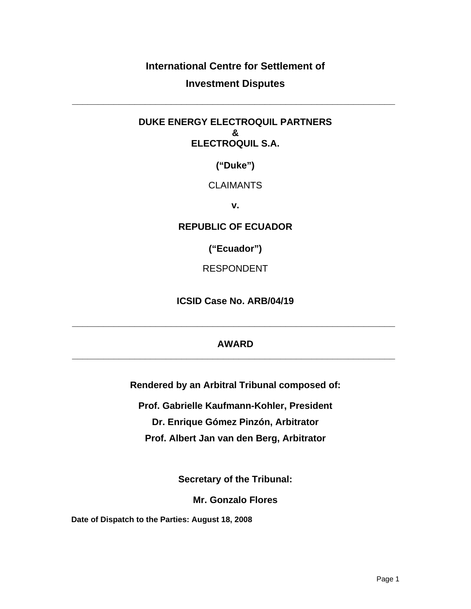## **International Centre for Settlement of**

# **Investment Disputes**

**\_\_\_\_\_\_\_\_\_\_\_\_\_\_\_\_\_\_\_\_\_\_\_\_\_\_\_\_\_\_\_\_\_\_\_\_\_\_\_\_\_\_\_\_\_\_\_\_\_\_\_\_\_\_\_\_\_\_\_\_\_\_** 

## **DUKE ENERGY ELECTROQUIL PARTNERS & ELECTROQUIL S.A.**

**("Duke")** 

# CLAIMANTS

**v.** 

## **REPUBLIC OF ECUADOR**

**("Ecuador")** 

RESPONDENT

**ICSID Case No. ARB/04/19** 

# **AWARD \_\_\_\_\_\_\_\_\_\_\_\_\_\_\_\_\_\_\_\_\_\_\_\_\_\_\_\_\_\_\_\_\_\_\_\_\_\_\_\_\_\_\_\_\_\_\_\_\_\_\_\_\_\_\_\_\_\_\_\_\_\_**

**\_\_\_\_\_\_\_\_\_\_\_\_\_\_\_\_\_\_\_\_\_\_\_\_\_\_\_\_\_\_\_\_\_\_\_\_\_\_\_\_\_\_\_\_\_\_\_\_\_\_\_\_\_\_\_\_\_\_\_\_\_\_** 

**Rendered by an Arbitral Tribunal composed of:** 

**Prof. Gabrielle Kaufmann-Kohler, President** 

**Dr. Enrique Gómez Pinzón, Arbitrator** 

**Prof. Albert Jan van den Berg, Arbitrator** 

**Secretary of the Tribunal:** 

**Mr. Gonzalo Flores** 

**Date of Dispatch to the Parties: August 18, 2008**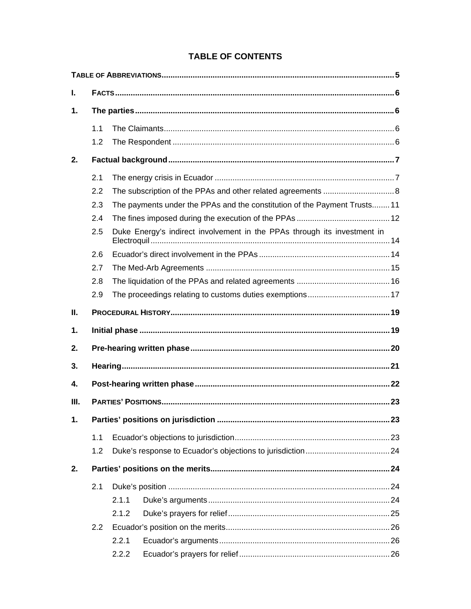| Ι.            |     |       |                                                                           |  |  |  |  |  |
|---------------|-----|-------|---------------------------------------------------------------------------|--|--|--|--|--|
| $\mathbf 1$ . |     |       |                                                                           |  |  |  |  |  |
|               | 1.1 |       |                                                                           |  |  |  |  |  |
|               | 1.2 |       |                                                                           |  |  |  |  |  |
| 2.            |     |       |                                                                           |  |  |  |  |  |
|               | 2.1 |       |                                                                           |  |  |  |  |  |
|               | 2.2 |       |                                                                           |  |  |  |  |  |
|               | 2.3 |       | The payments under the PPAs and the constitution of the Payment Trusts 11 |  |  |  |  |  |
|               | 2.4 |       |                                                                           |  |  |  |  |  |
|               | 2.5 |       | Duke Energy's indirect involvement in the PPAs through its investment in  |  |  |  |  |  |
|               | 2.6 |       |                                                                           |  |  |  |  |  |
|               | 2.7 |       |                                                                           |  |  |  |  |  |
|               | 2.8 |       |                                                                           |  |  |  |  |  |
|               | 2.9 |       |                                                                           |  |  |  |  |  |
| Ш.            |     |       |                                                                           |  |  |  |  |  |
| 1.            |     |       |                                                                           |  |  |  |  |  |
| 2.            |     |       |                                                                           |  |  |  |  |  |
| 3.            |     |       |                                                                           |  |  |  |  |  |
| 4.            |     |       |                                                                           |  |  |  |  |  |
| III.          |     |       |                                                                           |  |  |  |  |  |
| 1.            |     |       |                                                                           |  |  |  |  |  |
|               | 1.1 |       |                                                                           |  |  |  |  |  |
|               | 1.2 |       |                                                                           |  |  |  |  |  |
| 2.            |     |       |                                                                           |  |  |  |  |  |
|               | 2.1 |       |                                                                           |  |  |  |  |  |
|               |     | 2.1.1 |                                                                           |  |  |  |  |  |
|               |     | 2.1.2 |                                                                           |  |  |  |  |  |
|               | 2.2 |       |                                                                           |  |  |  |  |  |
|               |     | 2.2.1 |                                                                           |  |  |  |  |  |
|               |     | 2.2.2 |                                                                           |  |  |  |  |  |

# **TABLE OF CONTENTS**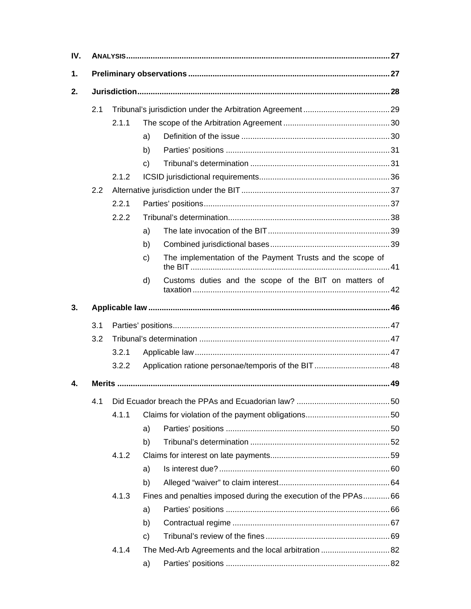| IV.   |               |       |              |                                                                 |  |  |
|-------|---------------|-------|--------------|-----------------------------------------------------------------|--|--|
| 1.    |               |       |              |                                                                 |  |  |
| 2.    |               |       |              |                                                                 |  |  |
|       | 2.1           | 2.1.1 |              |                                                                 |  |  |
|       |               |       | a)           |                                                                 |  |  |
|       |               |       | b)           |                                                                 |  |  |
|       |               |       | $\mathsf{C}$ |                                                                 |  |  |
|       |               | 2.1.2 |              |                                                                 |  |  |
|       | $2.2^{\circ}$ |       |              |                                                                 |  |  |
|       |               | 2.2.1 |              |                                                                 |  |  |
|       |               | 2.2.2 |              |                                                                 |  |  |
|       |               |       | a)           |                                                                 |  |  |
|       |               |       | b)           |                                                                 |  |  |
|       |               |       | C)           | The implementation of the Payment Trusts and the scope of       |  |  |
|       |               |       | d)           | Customs duties and the scope of the BIT on matters of           |  |  |
| 3.    |               |       |              |                                                                 |  |  |
|       | 3.1           |       |              |                                                                 |  |  |
|       | 3.2           |       |              |                                                                 |  |  |
|       |               | 3.2.1 |              |                                                                 |  |  |
|       |               | 3.2.2 |              |                                                                 |  |  |
| 4.    |               |       |              |                                                                 |  |  |
|       | 4.1           |       |              |                                                                 |  |  |
|       |               | 4.1.1 |              |                                                                 |  |  |
|       |               |       | a)           |                                                                 |  |  |
|       |               |       | b)           |                                                                 |  |  |
|       |               | 4.1.2 |              |                                                                 |  |  |
|       |               |       | a)           |                                                                 |  |  |
|       |               |       | b)           |                                                                 |  |  |
|       |               | 4.1.3 |              | Fines and penalties imposed during the execution of the PPAs 66 |  |  |
|       |               |       | a)           |                                                                 |  |  |
|       |               |       | b)           |                                                                 |  |  |
|       |               |       | $\mathsf{c}$ |                                                                 |  |  |
| 4.1.4 |               |       |              |                                                                 |  |  |
|       |               |       | a)           |                                                                 |  |  |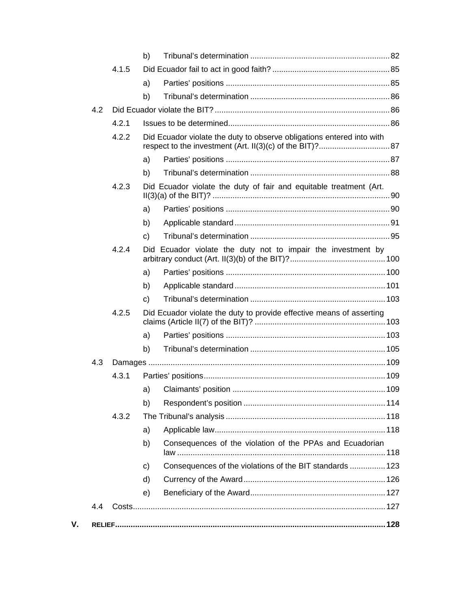| 4.1.5 |    |                                                                                                                                                                                                                                                                                                                                                                                                             |
|-------|----|-------------------------------------------------------------------------------------------------------------------------------------------------------------------------------------------------------------------------------------------------------------------------------------------------------------------------------------------------------------------------------------------------------------|
|       |    |                                                                                                                                                                                                                                                                                                                                                                                                             |
|       | a) |                                                                                                                                                                                                                                                                                                                                                                                                             |
|       | b) |                                                                                                                                                                                                                                                                                                                                                                                                             |
|       |    |                                                                                                                                                                                                                                                                                                                                                                                                             |
| 4.2.1 |    |                                                                                                                                                                                                                                                                                                                                                                                                             |
| 4.2.2 |    |                                                                                                                                                                                                                                                                                                                                                                                                             |
|       | a) |                                                                                                                                                                                                                                                                                                                                                                                                             |
|       | b) |                                                                                                                                                                                                                                                                                                                                                                                                             |
| 4.2.3 |    |                                                                                                                                                                                                                                                                                                                                                                                                             |
|       | a) |                                                                                                                                                                                                                                                                                                                                                                                                             |
|       | b) |                                                                                                                                                                                                                                                                                                                                                                                                             |
|       | C) |                                                                                                                                                                                                                                                                                                                                                                                                             |
| 4.2.4 |    |                                                                                                                                                                                                                                                                                                                                                                                                             |
|       | a) |                                                                                                                                                                                                                                                                                                                                                                                                             |
|       | b) |                                                                                                                                                                                                                                                                                                                                                                                                             |
|       | C) |                                                                                                                                                                                                                                                                                                                                                                                                             |
| 4.2.5 |    |                                                                                                                                                                                                                                                                                                                                                                                                             |
|       | a) |                                                                                                                                                                                                                                                                                                                                                                                                             |
|       | b) |                                                                                                                                                                                                                                                                                                                                                                                                             |
|       |    |                                                                                                                                                                                                                                                                                                                                                                                                             |
| 4.3.1 |    |                                                                                                                                                                                                                                                                                                                                                                                                             |
|       | a) |                                                                                                                                                                                                                                                                                                                                                                                                             |
|       | b) |                                                                                                                                                                                                                                                                                                                                                                                                             |
| 4.3.2 |    |                                                                                                                                                                                                                                                                                                                                                                                                             |
|       | a) |                                                                                                                                                                                                                                                                                                                                                                                                             |
|       | b) |                                                                                                                                                                                                                                                                                                                                                                                                             |
|       | C) |                                                                                                                                                                                                                                                                                                                                                                                                             |
|       | d) |                                                                                                                                                                                                                                                                                                                                                                                                             |
|       | e) |                                                                                                                                                                                                                                                                                                                                                                                                             |
|       |    |                                                                                                                                                                                                                                                                                                                                                                                                             |
|       |    | Did Ecuador violate the duty to observe obligations entered into with<br>Did Ecuador violate the duty of fair and equitable treatment (Art.<br>Did Ecuador violate the duty not to impair the investment by<br>Did Ecuador violate the duty to provide effective means of asserting<br>Consequences of the violation of the PPAs and Ecuadorian<br>Consequences of the violations of the BIT standards  123 |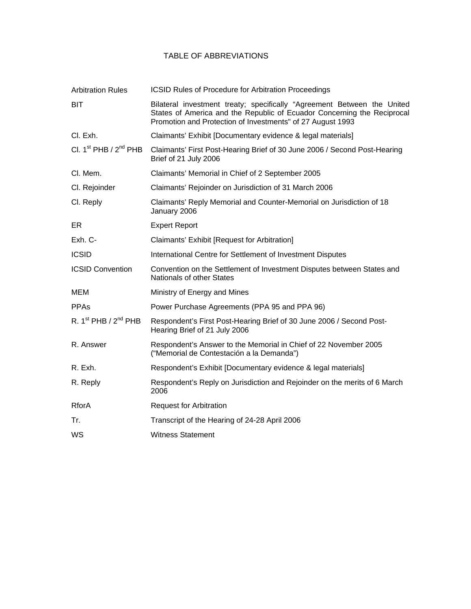## TABLE OF ABBREVIATIONS

| <b>Arbitration Rules</b>  | <b>ICSID Rules of Procedure for Arbitration Proceedings</b>                                                                                                                                                      |  |  |
|---------------------------|------------------------------------------------------------------------------------------------------------------------------------------------------------------------------------------------------------------|--|--|
| <b>BIT</b>                | Bilateral investment treaty; specifically "Agreement Between the United<br>States of America and the Republic of Ecuador Concerning the Reciprocal<br>Promotion and Protection of Investments" of 27 August 1993 |  |  |
| Cl. Exh.                  | Claimants' Exhibit [Documentary evidence & legal materials]                                                                                                                                                      |  |  |
| CI. $1st$ PHB / $2nd$ PHB | Claimants' First Post-Hearing Brief of 30 June 2006 / Second Post-Hearing<br>Brief of 21 July 2006                                                                                                               |  |  |
| CI. Mem.                  | Claimants' Memorial in Chief of 2 September 2005                                                                                                                                                                 |  |  |
| Cl. Rejoinder             | Claimants' Rejoinder on Jurisdiction of 31 March 2006                                                                                                                                                            |  |  |
| CI. Reply                 | Claimants' Reply Memorial and Counter-Memorial on Jurisdiction of 18<br>January 2006                                                                                                                             |  |  |
| ER.                       | <b>Expert Report</b>                                                                                                                                                                                             |  |  |
| Exh. C-                   | Claimants' Exhibit [Request for Arbitration]                                                                                                                                                                     |  |  |
| <b>ICSID</b>              | International Centre for Settlement of Investment Disputes                                                                                                                                                       |  |  |
| <b>ICSID Convention</b>   | Convention on the Settlement of Investment Disputes between States and<br>Nationals of other States                                                                                                              |  |  |
| MEM                       | Ministry of Energy and Mines                                                                                                                                                                                     |  |  |
| <b>PPAs</b>               | Power Purchase Agreements (PPA 95 and PPA 96)                                                                                                                                                                    |  |  |
| R. $1st$ PHB / $2nd$ PHB  | Respondent's First Post-Hearing Brief of 30 June 2006 / Second Post-<br>Hearing Brief of 21 July 2006                                                                                                            |  |  |
| R. Answer                 | Respondent's Answer to the Memorial in Chief of 22 November 2005<br>("Memorial de Contestación a la Demanda")                                                                                                    |  |  |
| R. Exh.                   | Respondent's Exhibit [Documentary evidence & legal materials]                                                                                                                                                    |  |  |
| R. Reply                  | Respondent's Reply on Jurisdiction and Rejoinder on the merits of 6 March<br>2006                                                                                                                                |  |  |
| RforA                     | <b>Request for Arbitration</b>                                                                                                                                                                                   |  |  |
| Tr.                       | Transcript of the Hearing of 24-28 April 2006                                                                                                                                                                    |  |  |
| WS                        | <b>Witness Statement</b>                                                                                                                                                                                         |  |  |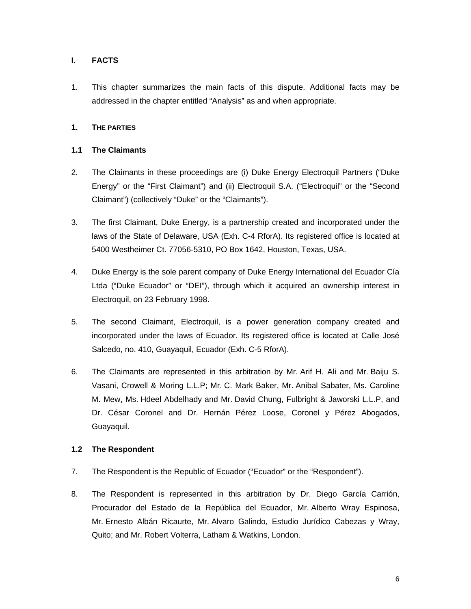## **I. FACTS**

1. This chapter summarizes the main facts of this dispute. Additional facts may be addressed in the chapter entitled "Analysis" as and when appropriate.

## **1. THE PARTIES**

## **1.1 The Claimants**

- 2. The Claimants in these proceedings are (i) Duke Energy Electroquil Partners ("Duke Energy" or the "First Claimant") and (ii) Electroquil S.A. ("Electroquil" or the "Second Claimant") (collectively "Duke" or the "Claimants").
- 3. The first Claimant, Duke Energy, is a partnership created and incorporated under the laws of the State of Delaware, USA (Exh. C-4 RforA). Its registered office is located at 5400 Westheimer Ct. 77056-5310, PO Box 1642, Houston, Texas, USA.
- 4. Duke Energy is the sole parent company of Duke Energy International del Ecuador Cía Ltda ("Duke Ecuador" or "DEI"), through which it acquired an ownership interest in Electroquil, on 23 February 1998.
- 5. The second Claimant, Electroquil, is a power generation company created and incorporated under the laws of Ecuador. Its registered office is located at Calle José Salcedo, no. 410, Guayaquil, Ecuador (Exh. C-5 RforA).
- 6. The Claimants are represented in this arbitration by Mr. Arif H. Ali and Mr. Baiju S. Vasani, Crowell & Moring L.L.P; Mr. C. Mark Baker, Mr. Anibal Sabater, Ms. Caroline M. Mew, Ms. Hdeel Abdelhady and Mr. David Chung, Fulbright & Jaworski L.L.P, and Dr. César Coronel and Dr. Hernán Pérez Loose, Coronel y Pérez Abogados, Guayaquil.

### **1.2 The Respondent**

- 7. The Respondent is the Republic of Ecuador ("Ecuador" or the "Respondent").
- 8. The Respondent is represented in this arbitration by Dr. Diego García Carrión, Procurador del Estado de la República del Ecuador, Mr. Alberto Wray Espinosa, Mr. Ernesto Albán Ricaurte, Mr. Alvaro Galindo, Estudio Jurídico Cabezas y Wray, Quito; and Mr. Robert Volterra, Latham & Watkins, London.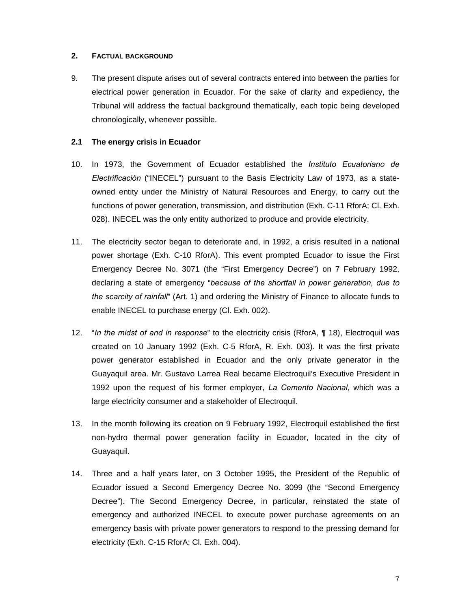#### **2. FACTUAL BACKGROUND**

9. The present dispute arises out of several contracts entered into between the parties for electrical power generation in Ecuador. For the sake of clarity and expediency, the Tribunal will address the factual background thematically, each topic being developed chronologically, whenever possible.

#### **2.1 The energy crisis in Ecuador**

- 10. In 1973, the Government of Ecuador established the *Instituto Ecuatoriano de Electrificación* ("INECEL") pursuant to the Basis Electricity Law of 1973, as a stateowned entity under the Ministry of Natural Resources and Energy, to carry out the functions of power generation, transmission, and distribution (Exh. C-11 RforA; Cl. Exh. 028). INECEL was the only entity authorized to produce and provide electricity.
- 11. The electricity sector began to deteriorate and, in 1992, a crisis resulted in a national power shortage (Exh. C-10 RforA). This event prompted Ecuador to issue the First Emergency Decree No. 3071 (the "First Emergency Decree") on 7 February 1992, declaring a state of emergency "*because of the shortfall in power generation, due to the scarcity of rainfall*" (Art. 1) and ordering the Ministry of Finance to allocate funds to enable INECEL to purchase energy (Cl. Exh. 002).
- 12. "*In the midst of and in response*" to the electricity crisis (RforA, ¶ 18), Electroquil was created on 10 January 1992 (Exh. C-5 RforA, R. Exh. 003). It was the first private power generator established in Ecuador and the only private generator in the Guayaquil area. Mr. Gustavo Larrea Real became Electroquil's Executive President in 1992 upon the request of his former employer, *La Cemento Nacional*, which was a large electricity consumer and a stakeholder of Electroquil.
- 13. In the month following its creation on 9 February 1992, Electroquil established the first non-hydro thermal power generation facility in Ecuador, located in the city of Guayaquil.
- 14. Three and a half years later, on 3 October 1995, the President of the Republic of Ecuador issued a Second Emergency Decree No. 3099 (the "Second Emergency Decree"). The Second Emergency Decree, in particular, reinstated the state of emergency and authorized INECEL to execute power purchase agreements on an emergency basis with private power generators to respond to the pressing demand for electricity (Exh. C-15 RforA; Cl. Exh. 004).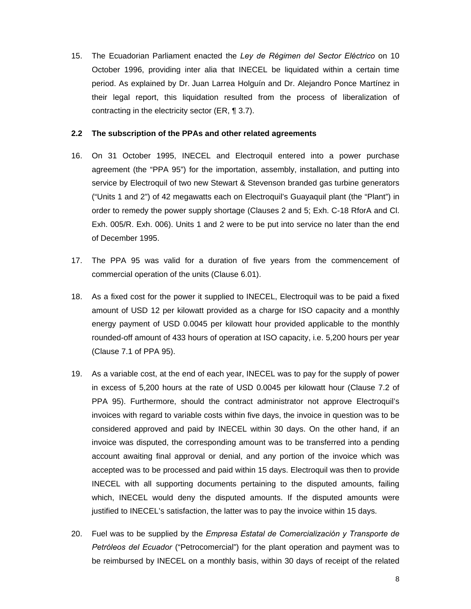15. The Ecuadorian Parliament enacted the *Ley de Régimen del Sector Eléctrico* on 10 October 1996, providing inter alia that INECEL be liquidated within a certain time period. As explained by Dr. Juan Larrea Holguín and Dr. Alejandro Ponce Martínez in their legal report, this liquidation resulted from the process of liberalization of contracting in the electricity sector (ER, ¶ 3.7).

#### **2.2 The subscription of the PPAs and other related agreements**

- 16. On 31 October 1995, INECEL and Electroquil entered into a power purchase agreement (the "PPA 95") for the importation, assembly, installation, and putting into service by Electroquil of two new Stewart & Stevenson branded gas turbine generators ("Units 1 and 2") of 42 megawatts each on Electroquil's Guayaquil plant (the "Plant") in order to remedy the power supply shortage (Clauses 2 and 5; Exh. C-18 RforA and Cl. Exh. 005/R. Exh. 006). Units 1 and 2 were to be put into service no later than the end of December 1995.
- 17. The PPA 95 was valid for a duration of five years from the commencement of commercial operation of the units (Clause 6.01).
- 18. As a fixed cost for the power it supplied to INECEL, Electroquil was to be paid a fixed amount of USD 12 per kilowatt provided as a charge for ISO capacity and a monthly energy payment of USD 0.0045 per kilowatt hour provided applicable to the monthly rounded-off amount of 433 hours of operation at ISO capacity, i.e. 5,200 hours per year (Clause 7.1 of PPA 95).
- 19. As a variable cost, at the end of each year, INECEL was to pay for the supply of power in excess of 5,200 hours at the rate of USD 0.0045 per kilowatt hour (Clause 7.2 of PPA 95). Furthermore, should the contract administrator not approve Electroquil's invoices with regard to variable costs within five days, the invoice in question was to be considered approved and paid by INECEL within 30 days. On the other hand, if an invoice was disputed, the corresponding amount was to be transferred into a pending account awaiting final approval or denial, and any portion of the invoice which was accepted was to be processed and paid within 15 days. Electroquil was then to provide INECEL with all supporting documents pertaining to the disputed amounts, failing which, INECEL would deny the disputed amounts. If the disputed amounts were justified to INECEL's satisfaction, the latter was to pay the invoice within 15 days.
- 20. Fuel was to be supplied by the *Empresa Estatal de Comercialización y Transporte de Petróleos del Ecuador* ("Petrocomercial") for the plant operation and payment was to be reimbursed by INECEL on a monthly basis, within 30 days of receipt of the related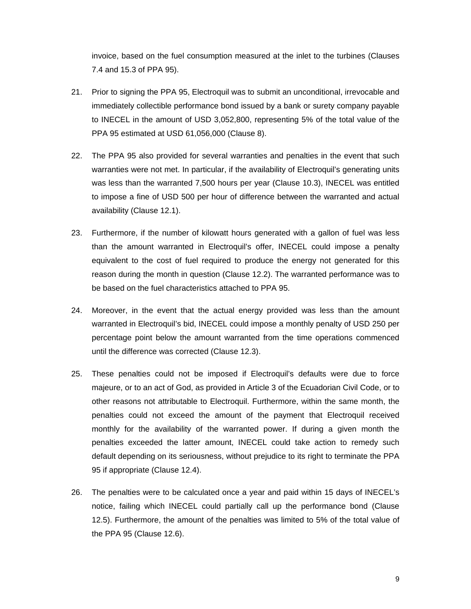invoice, based on the fuel consumption measured at the inlet to the turbines (Clauses 7.4 and 15.3 of PPA 95).

- 21. Prior to signing the PPA 95, Electroquil was to submit an unconditional, irrevocable and immediately collectible performance bond issued by a bank or surety company payable to INECEL in the amount of USD 3,052,800, representing 5% of the total value of the PPA 95 estimated at USD 61,056,000 (Clause 8).
- 22. The PPA 95 also provided for several warranties and penalties in the event that such warranties were not met. In particular, if the availability of Electroquil's generating units was less than the warranted 7,500 hours per year (Clause 10.3), INECEL was entitled to impose a fine of USD 500 per hour of difference between the warranted and actual availability (Clause 12.1).
- 23. Furthermore, if the number of kilowatt hours generated with a gallon of fuel was less than the amount warranted in Electroquil's offer, INECEL could impose a penalty equivalent to the cost of fuel required to produce the energy not generated for this reason during the month in question (Clause 12.2). The warranted performance was to be based on the fuel characteristics attached to PPA 95.
- 24. Moreover, in the event that the actual energy provided was less than the amount warranted in Electroquil's bid, INECEL could impose a monthly penalty of USD 250 per percentage point below the amount warranted from the time operations commenced until the difference was corrected (Clause 12.3).
- 25. These penalties could not be imposed if Electroquil's defaults were due to force majeure, or to an act of God, as provided in Article 3 of the Ecuadorian Civil Code, or to other reasons not attributable to Electroquil. Furthermore, within the same month, the penalties could not exceed the amount of the payment that Electroquil received monthly for the availability of the warranted power. If during a given month the penalties exceeded the latter amount, INECEL could take action to remedy such default depending on its seriousness, without prejudice to its right to terminate the PPA 95 if appropriate (Clause 12.4).
- 26. The penalties were to be calculated once a year and paid within 15 days of INECEL's notice, failing which INECEL could partially call up the performance bond (Clause 12.5). Furthermore, the amount of the penalties was limited to 5% of the total value of the PPA 95 (Clause 12.6).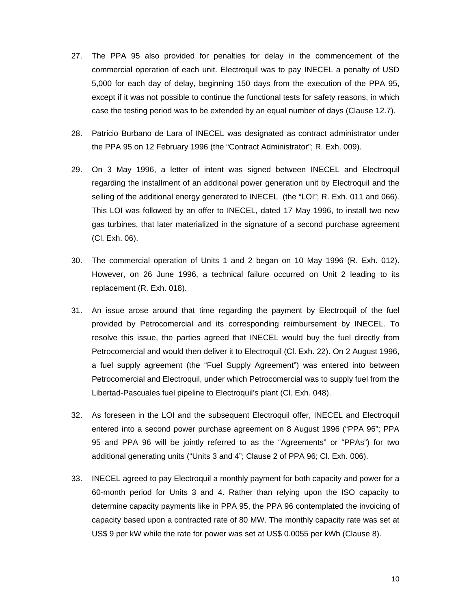- 27. The PPA 95 also provided for penalties for delay in the commencement of the commercial operation of each unit. Electroquil was to pay INECEL a penalty of USD 5,000 for each day of delay, beginning 150 days from the execution of the PPA 95, except if it was not possible to continue the functional tests for safety reasons, in which case the testing period was to be extended by an equal number of days (Clause 12.7).
- 28. Patricio Burbano de Lara of INECEL was designated as contract administrator under the PPA 95 on 12 February 1996 (the "Contract Administrator"; R. Exh. 009).
- 29. On 3 May 1996, a letter of intent was signed between INECEL and Electroquil regarding the installment of an additional power generation unit by Electroquil and the selling of the additional energy generated to INECEL (the "LOI"; R. Exh. 011 and 066). This LOI was followed by an offer to INECEL, dated 17 May 1996, to install two new gas turbines, that later materialized in the signature of a second purchase agreement (Cl. Exh. 06).
- 30. The commercial operation of Units 1 and 2 began on 10 May 1996 (R. Exh. 012). However, on 26 June 1996, a technical failure occurred on Unit 2 leading to its replacement (R. Exh. 018).
- 31. An issue arose around that time regarding the payment by Electroquil of the fuel provided by Petrocomercial and its corresponding reimbursement by INECEL. To resolve this issue, the parties agreed that INECEL would buy the fuel directly from Petrocomercial and would then deliver it to Electroquil (Cl. Exh. 22). On 2 August 1996, a fuel supply agreement (the "Fuel Supply Agreement") was entered into between Petrocomercial and Electroquil, under which Petrocomercial was to supply fuel from the Libertad-Pascuales fuel pipeline to Electroquil's plant (Cl. Exh. 048).
- 32. As foreseen in the LOI and the subsequent Electroquil offer, INECEL and Electroquil entered into a second power purchase agreement on 8 August 1996 ("PPA 96"; PPA 95 and PPA 96 will be jointly referred to as the "Agreements" or "PPAs") for two additional generating units ("Units 3 and 4"; Clause 2 of PPA 96; Cl. Exh. 006).
- 33. INECEL agreed to pay Electroquil a monthly payment for both capacity and power for a 60-month period for Units 3 and 4. Rather than relying upon the ISO capacity to determine capacity payments like in PPA 95, the PPA 96 contemplated the invoicing of capacity based upon a contracted rate of 80 MW. The monthly capacity rate was set at US\$ 9 per kW while the rate for power was set at US\$ 0.0055 per kWh (Clause 8).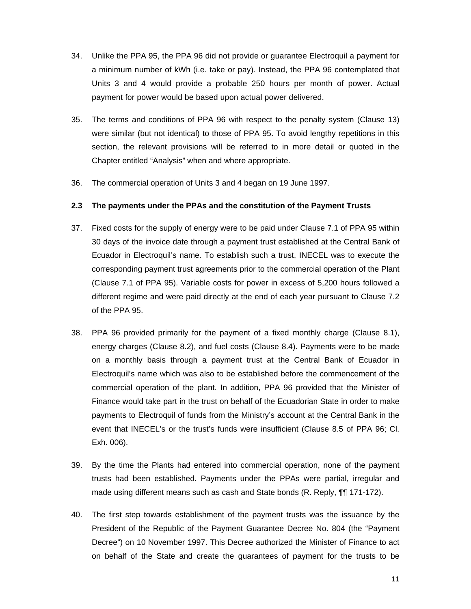- 34. Unlike the PPA 95, the PPA 96 did not provide or guarantee Electroquil a payment for a minimum number of kWh (i.e. take or pay). Instead, the PPA 96 contemplated that Units 3 and 4 would provide a probable 250 hours per month of power. Actual payment for power would be based upon actual power delivered.
- 35. The terms and conditions of PPA 96 with respect to the penalty system (Clause 13) were similar (but not identical) to those of PPA 95. To avoid lengthy repetitions in this section, the relevant provisions will be referred to in more detail or quoted in the Chapter entitled "Analysis" when and where appropriate.
- 36. The commercial operation of Units 3 and 4 began on 19 June 1997.

#### **2.3 The payments under the PPAs and the constitution of the Payment Trusts**

- 37. Fixed costs for the supply of energy were to be paid under Clause 7.1 of PPA 95 within 30 days of the invoice date through a payment trust established at the Central Bank of Ecuador in Electroquil's name. To establish such a trust, INECEL was to execute the corresponding payment trust agreements prior to the commercial operation of the Plant (Clause 7.1 of PPA 95). Variable costs for power in excess of 5,200 hours followed a different regime and were paid directly at the end of each year pursuant to Clause 7.2 of the PPA 95.
- 38. PPA 96 provided primarily for the payment of a fixed monthly charge (Clause 8.1), energy charges (Clause 8.2), and fuel costs (Clause 8.4). Payments were to be made on a monthly basis through a payment trust at the Central Bank of Ecuador in Electroquil's name which was also to be established before the commencement of the commercial operation of the plant. In addition, PPA 96 provided that the Minister of Finance would take part in the trust on behalf of the Ecuadorian State in order to make payments to Electroquil of funds from the Ministry's account at the Central Bank in the event that INECEL's or the trust's funds were insufficient (Clause 8.5 of PPA 96; Cl. Exh. 006).
- 39. By the time the Plants had entered into commercial operation, none of the payment trusts had been established. Payments under the PPAs were partial, irregular and made using different means such as cash and State bonds (R. Reply, ¶¶ 171-172).
- 40. The first step towards establishment of the payment trusts was the issuance by the President of the Republic of the Payment Guarantee Decree No. 804 (the "Payment Decree") on 10 November 1997. This Decree authorized the Minister of Finance to act on behalf of the State and create the guarantees of payment for the trusts to be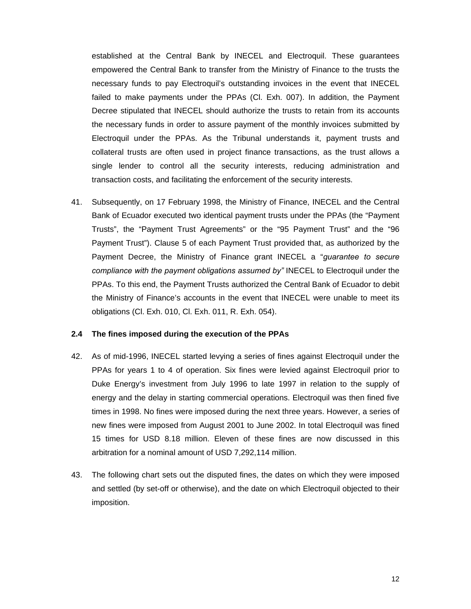established at the Central Bank by INECEL and Electroquil. These guarantees empowered the Central Bank to transfer from the Ministry of Finance to the trusts the necessary funds to pay Electroquil's outstanding invoices in the event that INECEL failed to make payments under the PPAs (Cl. Exh. 007). In addition, the Payment Decree stipulated that INECEL should authorize the trusts to retain from its accounts the necessary funds in order to assure payment of the monthly invoices submitted by Electroquil under the PPAs. As the Tribunal understands it, payment trusts and collateral trusts are often used in project finance transactions, as the trust allows a single lender to control all the security interests, reducing administration and transaction costs, and facilitating the enforcement of the security interests.

41. Subsequently, on 17 February 1998, the Ministry of Finance, INECEL and the Central Bank of Ecuador executed two identical payment trusts under the PPAs (the "Payment Trusts", the "Payment Trust Agreements" or the "95 Payment Trust" and the "96 Payment Trust"). Clause 5 of each Payment Trust provided that, as authorized by the Payment Decree, the Ministry of Finance grant INECEL a "*guarantee to secure compliance with the payment obligations assumed by"* INECEL to Electroquil under the PPAs. To this end, the Payment Trusts authorized the Central Bank of Ecuador to debit the Ministry of Finance's accounts in the event that INECEL were unable to meet its obligations (Cl. Exh. 010, Cl. Exh. 011, R. Exh. 054).

#### **2.4 The fines imposed during the execution of the PPAs**

- 42. As of mid-1996, INECEL started levying a series of fines against Electroquil under the PPAs for years 1 to 4 of operation. Six fines were levied against Electroquil prior to Duke Energy's investment from July 1996 to late 1997 in relation to the supply of energy and the delay in starting commercial operations. Electroquil was then fined five times in 1998. No fines were imposed during the next three years. However, a series of new fines were imposed from August 2001 to June 2002. In total Electroquil was fined 15 times for USD 8.18 million. Eleven of these fines are now discussed in this arbitration for a nominal amount of USD 7,292,114 million.
- 43. The following chart sets out the disputed fines, the dates on which they were imposed and settled (by set-off or otherwise), and the date on which Electroquil objected to their imposition.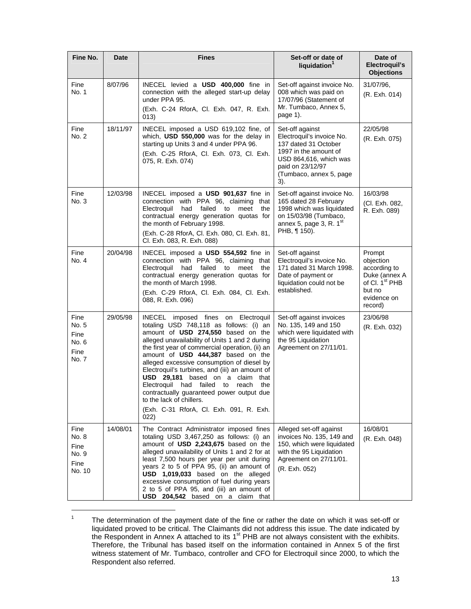| Fine No.                                         | Date     | <b>Fines</b>                                                                                                                                                                                                                                                                                                                                                                                                                                                                                                                                                                 | Set-off or date of<br>liquidation                                                                                                                                                | Date of<br>Electroquil's<br><b>Objections</b>                                                                          |
|--------------------------------------------------|----------|------------------------------------------------------------------------------------------------------------------------------------------------------------------------------------------------------------------------------------------------------------------------------------------------------------------------------------------------------------------------------------------------------------------------------------------------------------------------------------------------------------------------------------------------------------------------------|----------------------------------------------------------------------------------------------------------------------------------------------------------------------------------|------------------------------------------------------------------------------------------------------------------------|
| Fine<br>No. 1                                    | 8/07/96  | INECEL levied a USD 400,000 fine in<br>connection with the alleged start-up delay<br>under PPA 95.<br>(Exh. C-24 RforA, Cl. Exh. 047, R. Exh.<br>013)                                                                                                                                                                                                                                                                                                                                                                                                                        | Set-off against invoice No.<br>008 which was paid on<br>17/07/96 (Statement of<br>Mr. Tumbaco, Annex 5,<br>page 1).                                                              | 31/07/96,<br>(R. Exh. 014)                                                                                             |
| Fine<br>No. 2                                    | 18/11/97 | INECEL imposed a USD 619,102 fine, of<br>which, USD 550,000 was for the delay in<br>starting up Units 3 and 4 under PPA 96.<br>(Exh. C-25 RforA, Cl. Exh. 073, Cl. Exh.<br>075, R. Exh. 074)                                                                                                                                                                                                                                                                                                                                                                                 | Set-off against<br>Electroquil's invoice No.<br>137 dated 31 October<br>1997 in the amount of<br>USD 864,616, which was<br>paid on 23/12/97<br>(Tumbaco, annex 5, page<br>$3)$ . | 22/05/98<br>(R. Exh. 075)                                                                                              |
| Fine<br>No. 3                                    | 12/03/98 | INECEL imposed a USD 901,637 fine in<br>connection with PPA 96, claiming that<br>Electroquil<br>failed<br>had<br>to<br>meet<br>the<br>contractual energy generation quotas for<br>the month of February 1998.<br>(Exh. C-28 RforA, Cl. Exh. 080, Cl. Exh. 81,<br>CI. Exh. 083, R. Exh. 088)                                                                                                                                                                                                                                                                                  | Set-off against invoice No.<br>165 dated 28 February<br>1998 which was liquidated<br>on 15/03/98 (Tumbaco,<br>annex 5, page 3, R. 1st<br>PHB, ¶ 150).                            | 16/03/98<br>(Cl. Exh. 082,<br>R. Exh. 089)                                                                             |
| Fine<br>No. 4                                    | 20/04/98 | INECEL imposed a USD 554,592 fine in<br>connection with PPA 96, claiming that<br>Electroquil<br>had<br>failed<br>meet<br>to<br>the<br>contractual energy generation quotas for<br>the month of March 1998.<br>(Exh. C-29 RforA, Cl. Exh. 084, Cl. Exh.<br>088, R. Exh. 096)                                                                                                                                                                                                                                                                                                  | Set-off against<br>Electroquil's invoice No.<br>171 dated 31 March 1998.<br>Date of payment or<br>liquidation could not be<br>established.                                       | Prompt<br>objection<br>according to<br>Duke (annex A<br>of Cl. 1 <sup>st</sup> PHB<br>but no<br>evidence on<br>record) |
| Fine<br>No. 5<br>Fine<br>No. 6<br>Fine<br>No. 7  | 29/05/98 | INECEL imposed fines on Electroquil<br>totaling USD 748,118 as follows: (i) an<br>amount of USD 274,550 based on the<br>alleged unavailability of Units 1 and 2 during<br>the first year of commercial operation, (ii) an<br>amount of USD 444,387 based on the<br>alleged excessive consumption of diesel by<br>Electroquil's turbines, and (iii) an amount of<br>USD 29,181 based on a claim that<br>Electroquil had failed to<br>reach<br>the<br>contractually guaranteed power output due<br>to the lack of chillers.<br>(Exh. C-31 RforA, Cl. Exh. 091, R. Exh.<br>022) | Set-off against invoices<br>No. 135, 149 and 150<br>which were liquidated with<br>the 95 Liquidation<br>Agreement on 27/11/01.                                                   | 23/06/98<br>(R. Exh. 032)                                                                                              |
| Fine<br>No. 8<br>Fine<br>No. 9<br>Fine<br>No. 10 | 14/08/01 | The Contract Administrator imposed fines<br>totaling USD 3,467,250 as follows: (i) an<br>amount of USD 2,243,675 based on the<br>alleged unavailability of Units 1 and 2 for at<br>least 7,500 hours per year per unit during<br>years 2 to 5 of PPA 95, (ii) an amount of<br>USD 1,019,033 based on the alleged<br>excessive consumption of fuel during years<br>2 to 5 of PPA 95, and (iii) an amount of<br>USD 204,542 based on a claim that                                                                                                                              | Alleged set-off against<br>invoices No. 135, 149 and<br>150, which were liquidated<br>with the 95 Liquidation<br>Agreement on 27/11/01.<br>(R. Exh. 052)                         | 16/08/01<br>(R. Exh. 048)                                                                                              |

<sup>1</sup> The determination of the payment date of the fine or rather the date on which it was set-off or liquidated proved to be critical. The Claimants did not address this issue. The date indicated by the Respondent in Annex A attached to its  $1<sup>st</sup>$  PHB are not always consistent with the exhibits. Therefore, the Tribunal has based itself on the information contained in Annex 5 of the first witness statement of Mr. Tumbaco, controller and CFO for Electroquil since 2000, to which the Respondent also referred.

 $\overline{a}$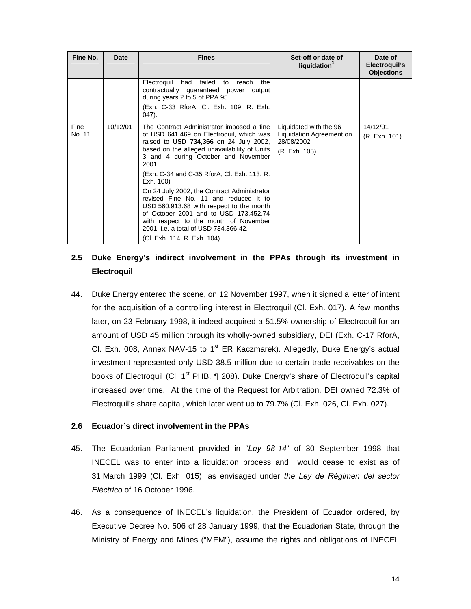| Fine No.       | Date     | <b>Fines</b>                                                                                                                                                                                                                                                                                                                                                                                                                                                                                                                                                                                      | Set-off or date of<br>liquidation                                                 | Date of<br>Electroquil's<br><b>Objections</b> |
|----------------|----------|---------------------------------------------------------------------------------------------------------------------------------------------------------------------------------------------------------------------------------------------------------------------------------------------------------------------------------------------------------------------------------------------------------------------------------------------------------------------------------------------------------------------------------------------------------------------------------------------------|-----------------------------------------------------------------------------------|-----------------------------------------------|
|                |          | Electroquil<br>failed<br>had<br>the<br>to<br>reach<br>contractually guaranteed power output<br>during years 2 to 5 of PPA 95.<br>(Exh. C-33 RforA, Cl. Exh. 109, R. Exh.<br>047).                                                                                                                                                                                                                                                                                                                                                                                                                 |                                                                                   |                                               |
| Fine<br>No. 11 | 10/12/01 | The Contract Administrator imposed a fine<br>of USD 641,469 on Electroquil, which was<br>raised to <b>USD 734,366</b> on 24 July 2002,<br>based on the alleged unavailability of Units<br>3 and 4 during October and November<br>2001.<br>(Exh. C-34 and C-35 RforA, Cl. Exh. 113, R.<br>Exh. 100)<br>On 24 July 2002, the Contract Administrator<br>revised Fine No. 11 and reduced it to<br>USD 560,913.68 with respect to the month<br>of October 2001 and to USD 173,452.74<br>with respect to the month of November<br>2001, i.e. a total of USD 734,366.42.<br>(Cl. Exh. 114, R. Exh. 104). | Liquidated with the 96<br>Liquidation Agreement on<br>28/08/2002<br>(R. Exh. 105) | 14/12/01<br>(R. Exh. 101)                     |

# **2.5 Duke Energy's indirect involvement in the PPAs through its investment in Electroquil**

44. Duke Energy entered the scene, on 12 November 1997, when it signed a letter of intent for the acquisition of a controlling interest in Electroquil (Cl. Exh. 017). A few months later, on 23 February 1998, it indeed acquired a 51.5% ownership of Electroquil for an amount of USD 45 million through its wholly-owned subsidiary, DEI (Exh. C-17 RforA, Cl. Exh. 008, Annex NAV-15 to  $1<sup>st</sup>$  ER Kaczmarek). Allegedly, Duke Energy's actual investment represented only USD 38.5 million due to certain trade receivables on the books of Electroquil (Cl. 1<sup>st</sup> PHB,  $\P$  208). Duke Energy's share of Electroquil's capital increased over time. At the time of the Request for Arbitration, DEI owned 72.3% of Electroquil's share capital, which later went up to 79.7% (Cl. Exh. 026, Cl. Exh. 027).

#### **2.6 Ecuador's direct involvement in the PPAs**

- 45. The Ecuadorian Parliament provided in "*Ley 98-14*" of 30 September 1998 that INECEL was to enter into a liquidation process and would cease to exist as of 31 March 1999 (Cl. Exh. 015), as envisaged under *the Ley de Régimen del sector Eléctrico* of 16 October 1996.
- 46. As a consequence of INECEL's liquidation, the President of Ecuador ordered, by Executive Decree No. 506 of 28 January 1999, that the Ecuadorian State, through the Ministry of Energy and Mines ("MEM"), assume the rights and obligations of INECEL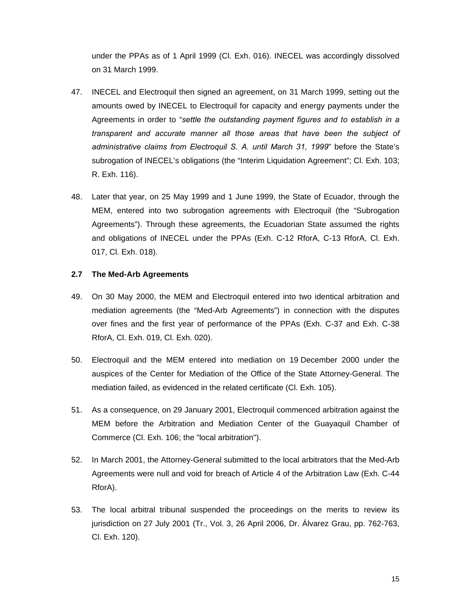under the PPAs as of 1 April 1999 (Cl. Exh. 016). INECEL was accordingly dissolved on 31 March 1999.

- 47. INECEL and Electroquil then signed an agreement, on 31 March 1999, setting out the amounts owed by INECEL to Electroquil for capacity and energy payments under the Agreements in order to "*settle the outstanding payment figures and to establish in a transparent and accurate manner all those areas that have been the subject of administrative claims from Electroquil S. A. until March 31, 1999*" before the State's subrogation of INECEL's obligations (the "Interim Liquidation Agreement"; Cl. Exh. 103; R. Exh. 116).
- 48. Later that year, on 25 May 1999 and 1 June 1999, the State of Ecuador, through the MEM, entered into two subrogation agreements with Electroquil (the "Subrogation Agreements"). Through these agreements, the Ecuadorian State assumed the rights and obligations of INECEL under the PPAs (Exh. C-12 RforA, C-13 RforA, Cl. Exh. 017, Cl. Exh. 018).

#### **2.7 The Med-Arb Agreements**

- 49. On 30 May 2000, the MEM and Electroquil entered into two identical arbitration and mediation agreements (the "Med-Arb Agreements") in connection with the disputes over fines and the first year of performance of the PPAs (Exh. C-37 and Exh. C-38 RforA, Cl. Exh. 019, Cl. Exh. 020).
- 50. Electroquil and the MEM entered into mediation on 19 December 2000 under the auspices of the Center for Mediation of the Office of the State Attorney-General. The mediation failed, as evidenced in the related certificate (Cl. Exh. 105).
- 51. As a consequence, on 29 January 2001, Electroquil commenced arbitration against the MEM before the Arbitration and Mediation Center of the Guayaquil Chamber of Commerce (Cl. Exh. 106; the "local arbitration").
- 52. In March 2001, the Attorney-General submitted to the local arbitrators that the Med-Arb Agreements were null and void for breach of Article 4 of the Arbitration Law (Exh. C-44 RforA).
- 53. The local arbitral tribunal suspended the proceedings on the merits to review its jurisdiction on 27 July 2001 (Tr., Vol. 3, 26 April 2006, Dr. Álvarez Grau, pp. 762-763, Cl. Exh. 120).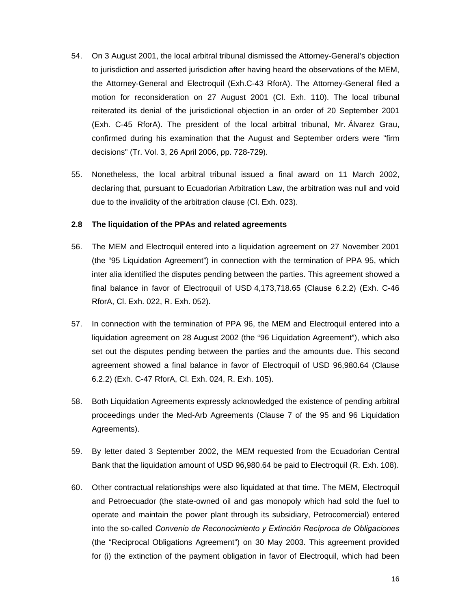- 54. On 3 August 2001, the local arbitral tribunal dismissed the Attorney-General's objection to jurisdiction and asserted jurisdiction after having heard the observations of the MEM, the Attorney-General and Electroquil (Exh.C-43 RforA). The Attorney-General filed a motion for reconsideration on 27 August 2001 (Cl. Exh. 110). The local tribunal reiterated its denial of the jurisdictional objection in an order of 20 September 2001 (Exh. C-45 RforA). The president of the local arbitral tribunal, Mr. Álvarez Grau, confirmed during his examination that the August and September orders were "firm decisions" (Tr. Vol. 3, 26 April 2006, pp. 728-729).
- 55. Nonetheless, the local arbitral tribunal issued a final award on 11 March 2002, declaring that, pursuant to Ecuadorian Arbitration Law, the arbitration was null and void due to the invalidity of the arbitration clause (Cl. Exh. 023).

#### **2.8 The liquidation of the PPAs and related agreements**

- 56. The MEM and Electroquil entered into a liquidation agreement on 27 November 2001 (the "95 Liquidation Agreement") in connection with the termination of PPA 95, which inter alia identified the disputes pending between the parties. This agreement showed a final balance in favor of Electroquil of USD 4,173,718.65 (Clause 6.2.2) (Exh. C-46 RforA, Cl. Exh. 022, R. Exh. 052).
- 57. In connection with the termination of PPA 96, the MEM and Electroquil entered into a liquidation agreement on 28 August 2002 (the "96 Liquidation Agreement"), which also set out the disputes pending between the parties and the amounts due. This second agreement showed a final balance in favor of Electroquil of USD 96,980.64 (Clause 6.2.2) (Exh. C-47 RforA, Cl. Exh. 024, R. Exh. 105).
- 58. Both Liquidation Agreements expressly acknowledged the existence of pending arbitral proceedings under the Med-Arb Agreements (Clause 7 of the 95 and 96 Liquidation Agreements).
- 59. By letter dated 3 September 2002, the MEM requested from the Ecuadorian Central Bank that the liquidation amount of USD 96,980.64 be paid to Electroquil (R. Exh. 108).
- 60. Other contractual relationships were also liquidated at that time. The MEM, Electroquil and Petroecuador (the state-owned oil and gas monopoly which had sold the fuel to operate and maintain the power plant through its subsidiary, Petrocomercial) entered into the so-called *Convenio de Reconocimiento y Extinción Recíproca de Obligaciones* (the "Reciprocal Obligations Agreement") on 30 May 2003. This agreement provided for (i) the extinction of the payment obligation in favor of Electroquil, which had been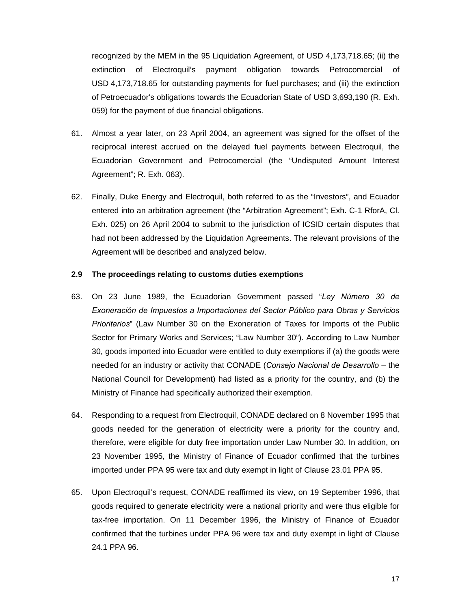recognized by the MEM in the 95 Liquidation Agreement, of USD 4,173,718.65; (ii) the extinction of Electroquil's payment obligation towards Petrocomercial of USD 4,173,718.65 for outstanding payments for fuel purchases; and (iii) the extinction of Petroecuador's obligations towards the Ecuadorian State of USD 3,693,190 (R. Exh. 059) for the payment of due financial obligations.

- 61. Almost a year later, on 23 April 2004, an agreement was signed for the offset of the reciprocal interest accrued on the delayed fuel payments between Electroquil, the Ecuadorian Government and Petrocomercial (the "Undisputed Amount Interest Agreement"; R. Exh. 063).
- 62. Finally, Duke Energy and Electroquil, both referred to as the "Investors", and Ecuador entered into an arbitration agreement (the "Arbitration Agreement"; Exh. C-1 RforA, Cl. Exh. 025) on 26 April 2004 to submit to the jurisdiction of ICSID certain disputes that had not been addressed by the Liquidation Agreements. The relevant provisions of the Agreement will be described and analyzed below.

#### **2.9 The proceedings relating to customs duties exemptions**

- 63. On 23 June 1989, the Ecuadorian Government passed "*Ley Número 30 de Exoneración de Impuestos a Importaciones del Sector Público para Obras y Servicios Prioritarios*" (Law Number 30 on the Exoneration of Taxes for Imports of the Public Sector for Primary Works and Services; "Law Number 30"). According to Law Number 30, goods imported into Ecuador were entitled to duty exemptions if (a) the goods were needed for an industry or activity that CONADE (*Consejo Nacional de Desarrollo* – the National Council for Development) had listed as a priority for the country, and (b) the Ministry of Finance had specifically authorized their exemption.
- 64. Responding to a request from Electroquil, CONADE declared on 8 November 1995 that goods needed for the generation of electricity were a priority for the country and, therefore, were eligible for duty free importation under Law Number 30. In addition, on 23 November 1995, the Ministry of Finance of Ecuador confirmed that the turbines imported under PPA 95 were tax and duty exempt in light of Clause 23.01 PPA 95.
- 65. Upon Electroquil's request, CONADE reaffirmed its view, on 19 September 1996, that goods required to generate electricity were a national priority and were thus eligible for tax-free importation. On 11 December 1996, the Ministry of Finance of Ecuador confirmed that the turbines under PPA 96 were tax and duty exempt in light of Clause 24.1 PPA 96.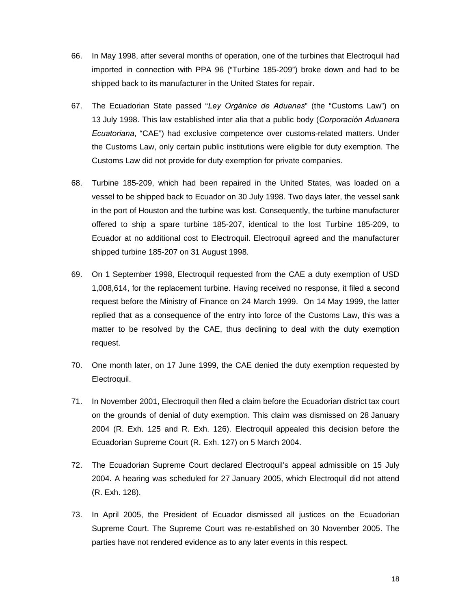- 66. In May 1998, after several months of operation, one of the turbines that Electroquil had imported in connection with PPA 96 ("Turbine 185-209") broke down and had to be shipped back to its manufacturer in the United States for repair.
- 67. The Ecuadorian State passed "*Ley Orgánica de Aduanas*" (the "Customs Law") on 13 July 1998. This law established inter alia that a public body (*Corporación Aduanera Ecuatoriana*, "CAE") had exclusive competence over customs-related matters. Under the Customs Law, only certain public institutions were eligible for duty exemption. The Customs Law did not provide for duty exemption for private companies.
- 68. Turbine 185-209, which had been repaired in the United States, was loaded on a vessel to be shipped back to Ecuador on 30 July 1998. Two days later, the vessel sank in the port of Houston and the turbine was lost. Consequently, the turbine manufacturer offered to ship a spare turbine 185-207, identical to the lost Turbine 185-209, to Ecuador at no additional cost to Electroquil. Electroquil agreed and the manufacturer shipped turbine 185-207 on 31 August 1998.
- 69. On 1 September 1998, Electroquil requested from the CAE a duty exemption of USD 1,008,614, for the replacement turbine. Having received no response, it filed a second request before the Ministry of Finance on 24 March 1999. On 14 May 1999, the latter replied that as a consequence of the entry into force of the Customs Law, this was a matter to be resolved by the CAE, thus declining to deal with the duty exemption request.
- 70. One month later, on 17 June 1999, the CAE denied the duty exemption requested by Electroquil.
- 71. In November 2001, Electroquil then filed a claim before the Ecuadorian district tax court on the grounds of denial of duty exemption. This claim was dismissed on 28 January 2004 (R. Exh. 125 and R. Exh. 126). Electroquil appealed this decision before the Ecuadorian Supreme Court (R. Exh. 127) on 5 March 2004.
- 72. The Ecuadorian Supreme Court declared Electroquil's appeal admissible on 15 July 2004. A hearing was scheduled for 27 January 2005, which Electroquil did not attend (R. Exh. 128).
- 73. In April 2005, the President of Ecuador dismissed all justices on the Ecuadorian Supreme Court. The Supreme Court was re-established on 30 November 2005. The parties have not rendered evidence as to any later events in this respect.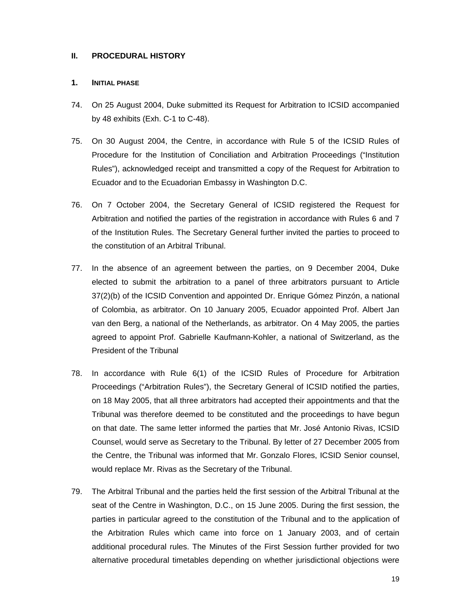#### **II. PROCEDURAL HISTORY**

#### **1. INITIAL PHASE**

- 74. On 25 August 2004, Duke submitted its Request for Arbitration to ICSID accompanied by 48 exhibits (Exh. C-1 to C-48).
- 75. On 30 August 2004, the Centre, in accordance with Rule 5 of the ICSID Rules of Procedure for the Institution of Conciliation and Arbitration Proceedings ("Institution Rules"), acknowledged receipt and transmitted a copy of the Request for Arbitration to Ecuador and to the Ecuadorian Embassy in Washington D.C.
- 76. On 7 October 2004, the Secretary General of ICSID registered the Request for Arbitration and notified the parties of the registration in accordance with Rules 6 and 7 of the Institution Rules. The Secretary General further invited the parties to proceed to the constitution of an Arbitral Tribunal.
- 77. In the absence of an agreement between the parties, on 9 December 2004, Duke elected to submit the arbitration to a panel of three arbitrators pursuant to Article 37(2)(b) of the ICSID Convention and appointed Dr. Enrique Gómez Pinzón, a national of Colombia, as arbitrator. On 10 January 2005, Ecuador appointed Prof. Albert Jan van den Berg, a national of the Netherlands, as arbitrator. On 4 May 2005, the parties agreed to appoint Prof. Gabrielle Kaufmann-Kohler, a national of Switzerland, as the President of the Tribunal
- 78. In accordance with Rule 6(1) of the ICSID Rules of Procedure for Arbitration Proceedings ("Arbitration Rules"), the Secretary General of ICSID notified the parties, on 18 May 2005, that all three arbitrators had accepted their appointments and that the Tribunal was therefore deemed to be constituted and the proceedings to have begun on that date. The same letter informed the parties that Mr. José Antonio Rivas, ICSID Counsel, would serve as Secretary to the Tribunal. By letter of 27 December 2005 from the Centre, the Tribunal was informed that Mr. Gonzalo Flores, ICSID Senior counsel, would replace Mr. Rivas as the Secretary of the Tribunal.
- 79. The Arbitral Tribunal and the parties held the first session of the Arbitral Tribunal at the seat of the Centre in Washington, D.C., on 15 June 2005. During the first session, the parties in particular agreed to the constitution of the Tribunal and to the application of the Arbitration Rules which came into force on 1 January 2003, and of certain additional procedural rules. The Minutes of the First Session further provided for two alternative procedural timetables depending on whether jurisdictional objections were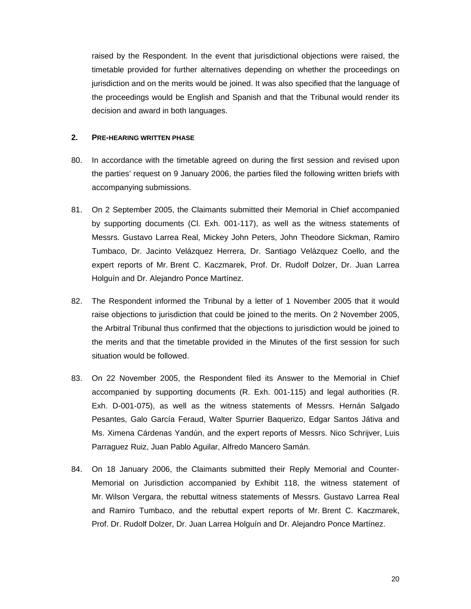raised by the Respondent. In the event that jurisdictional objections were raised, the timetable provided for further alternatives depending on whether the proceedings on jurisdiction and on the merits would be joined. It was also specified that the language of the proceedings would be English and Spanish and that the Tribunal would render its decision and award in both languages.

#### **2. PRE-HEARING WRITTEN PHASE**

- 80. In accordance with the timetable agreed on during the first session and revised upon the parties' request on 9 January 2006, the parties filed the following written briefs with accompanying submissions.
- 81. On 2 September 2005, the Claimants submitted their Memorial in Chief accompanied by supporting documents (Cl. Exh. 001-117), as well as the witness statements of Messrs. Gustavo Larrea Real, Mickey John Peters, John Theodore Sickman, Ramiro Tumbaco, Dr. Jacinto Velázquez Herrera, Dr. Santiago Velázquez Coello, and the expert reports of Mr. Brent C. Kaczmarek, Prof. Dr. Rudolf Dolzer, Dr. Juan Larrea Holguín and Dr. Alejandro Ponce Martínez.
- 82. The Respondent informed the Tribunal by a letter of 1 November 2005 that it would raise objections to jurisdiction that could be joined to the merits. On 2 November 2005, the Arbitral Tribunal thus confirmed that the objections to jurisdiction would be joined to the merits and that the timetable provided in the Minutes of the first session for such situation would be followed.
- 83. On 22 November 2005, the Respondent filed its Answer to the Memorial in Chief accompanied by supporting documents (R. Exh. 001-115) and legal authorities (R. Exh. D-001-075), as well as the witness statements of Messrs. Hernán Salgado Pesantes, Galo García Feraud, Walter Spurrier Baquerizo, Edgar Santos Játiva and Ms. Ximena Cárdenas Yandún, and the expert reports of Messrs. Nico Schrijver, Luis Parraguez Ruiz, Juan Pablo Aguilar, Alfredo Mancero Samán.
- 84. On 18 January 2006, the Claimants submitted their Reply Memorial and Counter-Memorial on Jurisdiction accompanied by Exhibit 118, the witness statement of Mr. Wilson Vergara, the rebuttal witness statements of Messrs. Gustavo Larrea Real and Ramiro Tumbaco, and the rebuttal expert reports of Mr. Brent C. Kaczmarek, Prof. Dr. Rudolf Dolzer, Dr. Juan Larrea Holguín and Dr. Alejandro Ponce Martínez.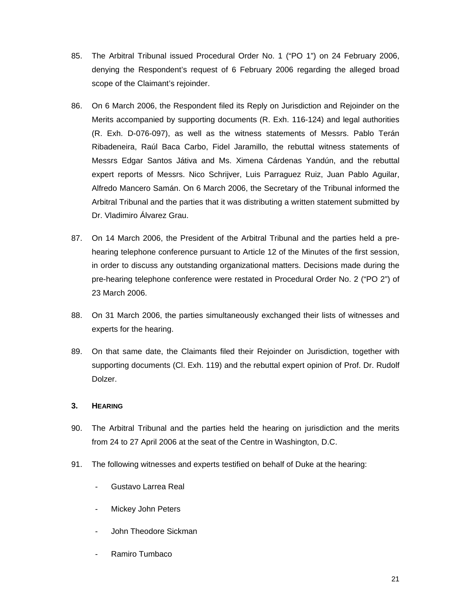- 85. The Arbitral Tribunal issued Procedural Order No. 1 ("PO 1") on 24 February 2006, denying the Respondent's request of 6 February 2006 regarding the alleged broad scope of the Claimant's rejoinder.
- 86. On 6 March 2006, the Respondent filed its Reply on Jurisdiction and Rejoinder on the Merits accompanied by supporting documents (R. Exh. 116-124) and legal authorities (R. Exh. D-076-097), as well as the witness statements of Messrs. Pablo Terán Ribadeneira, Raúl Baca Carbo, Fidel Jaramillo, the rebuttal witness statements of Messrs Edgar Santos Játiva and Ms. Ximena Cárdenas Yandún, and the rebuttal expert reports of Messrs. Nico Schrijver, Luis Parraguez Ruiz, Juan Pablo Aguilar, Alfredo Mancero Samán. On 6 March 2006, the Secretary of the Tribunal informed the Arbitral Tribunal and the parties that it was distributing a written statement submitted by Dr. Vladimiro Álvarez Grau.
- 87. On 14 March 2006, the President of the Arbitral Tribunal and the parties held a prehearing telephone conference pursuant to Article 12 of the Minutes of the first session, in order to discuss any outstanding organizational matters. Decisions made during the pre-hearing telephone conference were restated in Procedural Order No. 2 ("PO 2") of 23 March 2006.
- 88. On 31 March 2006, the parties simultaneously exchanged their lists of witnesses and experts for the hearing.
- 89. On that same date, the Claimants filed their Rejoinder on Jurisdiction, together with supporting documents (Cl. Exh. 119) and the rebuttal expert opinion of Prof. Dr. Rudolf Dolzer.

### **3. HEARING**

- 90. The Arbitral Tribunal and the parties held the hearing on jurisdiction and the merits from 24 to 27 April 2006 at the seat of the Centre in Washington, D.C.
- 91. The following witnesses and experts testified on behalf of Duke at the hearing:
	- Gustavo Larrea Real
	- Mickey John Peters
	- John Theodore Sickman
	- Ramiro Tumbaco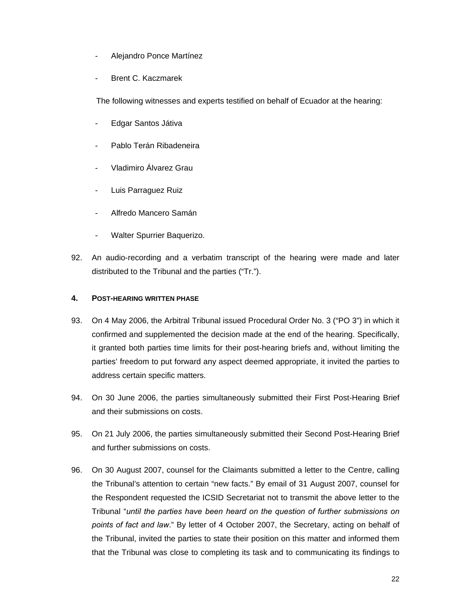- Alejandro Ponce Martínez
- Brent C. Kaczmarek

The following witnesses and experts testified on behalf of Ecuador at the hearing:

- Edgar Santos Játiva
- Pablo Terán Ribadeneira
- Vladimiro Álvarez Grau
- Luis Parraguez Ruiz
- Alfredo Mancero Samán
- Walter Spurrier Baquerizo.
- 92. An audio-recording and a verbatim transcript of the hearing were made and later distributed to the Tribunal and the parties ("Tr.").

### **4. POST-HEARING WRITTEN PHASE**

- 93. On 4 May 2006, the Arbitral Tribunal issued Procedural Order No. 3 ("PO 3") in which it confirmed and supplemented the decision made at the end of the hearing. Specifically, it granted both parties time limits for their post-hearing briefs and, without limiting the parties' freedom to put forward any aspect deemed appropriate, it invited the parties to address certain specific matters.
- 94. On 30 June 2006, the parties simultaneously submitted their First Post-Hearing Brief and their submissions on costs.
- 95. On 21 July 2006, the parties simultaneously submitted their Second Post-Hearing Brief and further submissions on costs.
- 96. On 30 August 2007, counsel for the Claimants submitted a letter to the Centre, calling the Tribunal's attention to certain "new facts." By email of 31 August 2007, counsel for the Respondent requested the ICSID Secretariat not to transmit the above letter to the Tribunal "*until the parties have been heard on the question of further submissions on points of fact and law*." By letter of 4 October 2007, the Secretary, acting on behalf of the Tribunal, invited the parties to state their position on this matter and informed them that the Tribunal was close to completing its task and to communicating its findings to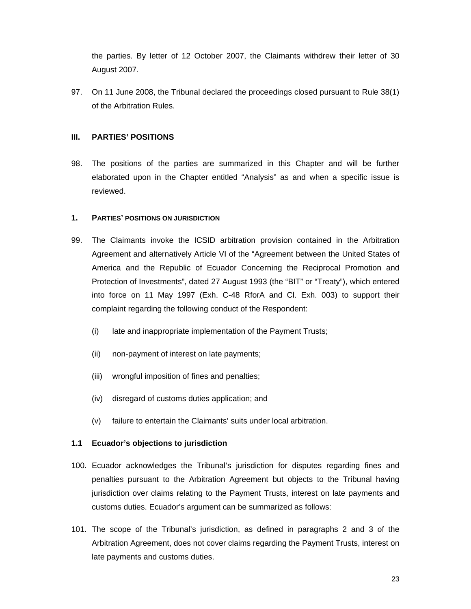the parties. By letter of 12 October 2007, the Claimants withdrew their letter of 30 August 2007.

97. On 11 June 2008, the Tribunal declared the proceedings closed pursuant to Rule 38(1) of the Arbitration Rules.

## **III. PARTIES' POSITIONS**

98. The positions of the parties are summarized in this Chapter and will be further elaborated upon in the Chapter entitled "Analysis" as and when a specific issue is reviewed.

### **1. PARTIES' POSITIONS ON JURISDICTION**

- 99. The Claimants invoke the ICSID arbitration provision contained in the Arbitration Agreement and alternatively Article VI of the "Agreement between the United States of America and the Republic of Ecuador Concerning the Reciprocal Promotion and Protection of Investments", dated 27 August 1993 (the "BIT" or "Treaty"), which entered into force on 11 May 1997 (Exh. C-48 RforA and Cl. Exh. 003) to support their complaint regarding the following conduct of the Respondent:
	- (i) late and inappropriate implementation of the Payment Trusts;
	- (ii) non-payment of interest on late payments;
	- (iii) wrongful imposition of fines and penalties;
	- (iv) disregard of customs duties application; and
	- (v) failure to entertain the Claimants' suits under local arbitration.

### **1.1 Ecuador's objections to jurisdiction**

- 100. Ecuador acknowledges the Tribunal's jurisdiction for disputes regarding fines and penalties pursuant to the Arbitration Agreement but objects to the Tribunal having jurisdiction over claims relating to the Payment Trusts, interest on late payments and customs duties. Ecuador's argument can be summarized as follows:
- 101. The scope of the Tribunal's jurisdiction, as defined in paragraphs 2 and 3 of the Arbitration Agreement, does not cover claims regarding the Payment Trusts, interest on late payments and customs duties.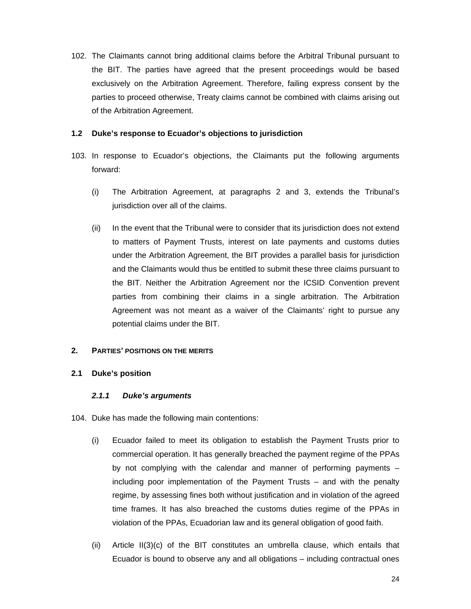102. The Claimants cannot bring additional claims before the Arbitral Tribunal pursuant to the BIT. The parties have agreed that the present proceedings would be based exclusively on the Arbitration Agreement. Therefore, failing express consent by the parties to proceed otherwise, Treaty claims cannot be combined with claims arising out of the Arbitration Agreement.

#### **1.2 Duke's response to Ecuador's objections to jurisdiction**

- 103. In response to Ecuador's objections, the Claimants put the following arguments forward:
	- (i) The Arbitration Agreement, at paragraphs 2 and 3, extends the Tribunal's jurisdiction over all of the claims.
	- (ii) In the event that the Tribunal were to consider that its jurisdiction does not extend to matters of Payment Trusts, interest on late payments and customs duties under the Arbitration Agreement, the BIT provides a parallel basis for jurisdiction and the Claimants would thus be entitled to submit these three claims pursuant to the BIT. Neither the Arbitration Agreement nor the ICSID Convention prevent parties from combining their claims in a single arbitration. The Arbitration Agreement was not meant as a waiver of the Claimants' right to pursue any potential claims under the BIT.

### **2. PARTIES' POSITIONS ON THE MERITS**

#### **2.1 Duke's position**

### *2.1.1 Duke's arguments*

- 104. Duke has made the following main contentions:
	- (i) Ecuador failed to meet its obligation to establish the Payment Trusts prior to commercial operation. It has generally breached the payment regime of the PPAs by not complying with the calendar and manner of performing payments – including poor implementation of the Payment Trusts – and with the penalty regime, by assessing fines both without justification and in violation of the agreed time frames. It has also breached the customs duties regime of the PPAs in violation of the PPAs, Ecuadorian law and its general obligation of good faith.
	- (ii) Article II(3)(c) of the BIT constitutes an umbrella clause, which entails that Ecuador is bound to observe any and all obligations – including contractual ones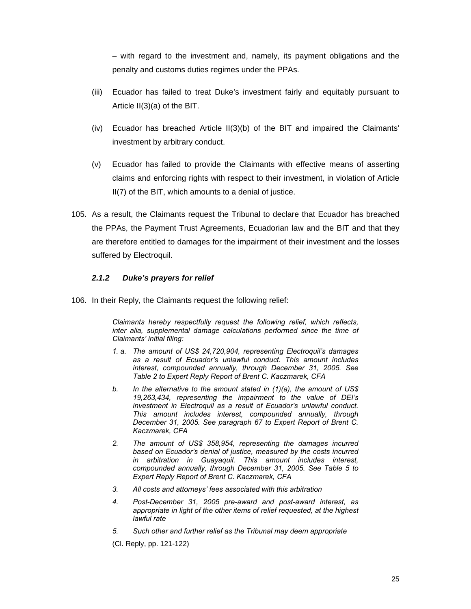– with regard to the investment and, namely, its payment obligations and the penalty and customs duties regimes under the PPAs.

- (iii) Ecuador has failed to treat Duke's investment fairly and equitably pursuant to Article II(3)(a) of the BIT.
- (iv) Ecuador has breached Article II(3)(b) of the BIT and impaired the Claimants' investment by arbitrary conduct.
- (v) Ecuador has failed to provide the Claimants with effective means of asserting claims and enforcing rights with respect to their investment, in violation of Article II(7) of the BIT, which amounts to a denial of justice.
- 105. As a result, the Claimants request the Tribunal to declare that Ecuador has breached the PPAs, the Payment Trust Agreements, Ecuadorian law and the BIT and that they are therefore entitled to damages for the impairment of their investment and the losses suffered by Electroquil.

#### *2.1.2 Duke's prayers for relief*

106. In their Reply, the Claimants request the following relief:

*Claimants hereby respectfully request the following relief, which reflects, inter alia, supplemental damage calculations performed since the time of Claimants' initial filing:* 

- *1. a. The amount of US\$ 24,720,904, representing Electroquil's damages as a result of Ecuador's unlawful conduct. This amount includes interest, compounded annually, through December 31, 2005. See Table 2 to Expert Reply Report of Brent C. Kaczmarek, CFA*
- *b. In the alternative to the amount stated in (1)(a), the amount of US\$ 19,263,434, representing the impairment to the value of DEI's investment in Electroquil as a result of Ecuador's unlawful conduct. This amount includes interest, compounded annually, through December 31, 2005. See paragraph 67 to Expert Report of Brent C. Kaczmarek, CFA*
- *2. The amount of US\$ 358,954, representing the damages incurred based on Ecuador's denial of justice, measured by the costs incurred in arbitration in Guayaquil. This amount includes interest, compounded annually, through December 31, 2005. See Table 5 to Expert Reply Report of Brent C. Kaczmarek, CFA*
- *3. All costs and attorneys' fees associated with this arbitration*
- *4. Post-December 31, 2005 pre-award and post-award interest, as appropriate in light of the other items of relief requested, at the highest lawful rate*
- *5. Such other and further relief as the Tribunal may deem appropriate*

(Cl. Reply, pp. 121-122)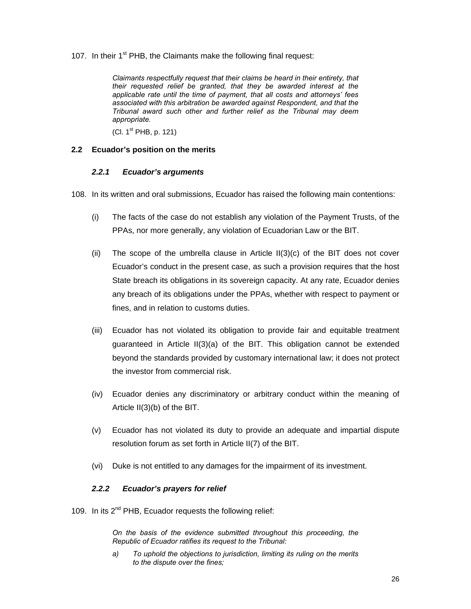107. In their 1<sup>st</sup> PHB, the Claimants make the following final request:

*Claimants respectfully request that their claims be heard in their entirety, that their requested relief be granted, that they be awarded interest at the applicable rate until the time of payment, that all costs and attorneys' fees associated with this arbitration be awarded against Respondent, and that the Tribunal award such other and further relief as the Tribunal may deem appropriate.* 

(Cl.  $1^{\text{st}}$  PHB, p. 121)

### **2.2 Ecuador's position on the merits**

#### *2.2.1 Ecuador's arguments*

- 108. In its written and oral submissions, Ecuador has raised the following main contentions:
	- (i) The facts of the case do not establish any violation of the Payment Trusts, of the PPAs, nor more generally, any violation of Ecuadorian Law or the BIT.
	- (ii) The scope of the umbrella clause in Article II(3)(c) of the BIT does not cover Ecuador's conduct in the present case, as such a provision requires that the host State breach its obligations in its sovereign capacity. At any rate, Ecuador denies any breach of its obligations under the PPAs, whether with respect to payment or fines, and in relation to customs duties.
	- (iii) Ecuador has not violated its obligation to provide fair and equitable treatment guaranteed in Article II(3)(a) of the BIT. This obligation cannot be extended beyond the standards provided by customary international law; it does not protect the investor from commercial risk.
	- (iv) Ecuador denies any discriminatory or arbitrary conduct within the meaning of Article II(3)(b) of the BIT.
	- (v) Ecuador has not violated its duty to provide an adequate and impartial dispute resolution forum as set forth in Article II(7) of the BIT.
	- (vi) Duke is not entitled to any damages for the impairment of its investment.

### *2.2.2 Ecuador's prayers for relief*

109. In its  $2^{nd}$  PHB, Ecuador requests the following relief:

*On the basis of the evidence submitted throughout this proceeding, the Republic of Ecuador ratifies its request to the Tribunal:* 

*a) To uphold the objections to jurisdiction, limiting its ruling on the merits to the dispute over the fines;*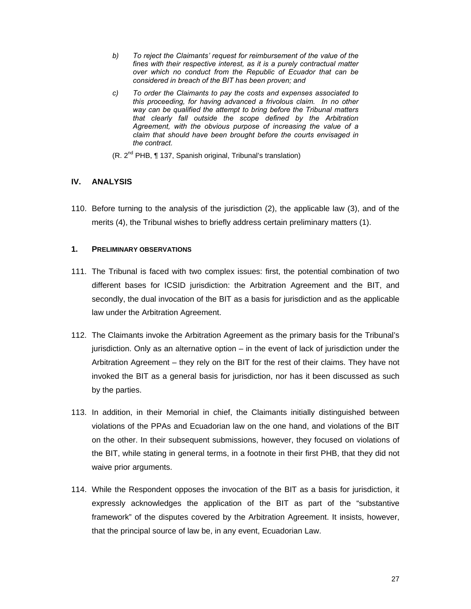- *b) To reject the Claimants' request for reimbursement of the value of the fines with their respective interest, as it is a purely contractual matter over which no conduct from the Republic of Ecuador that can be considered in breach of the BIT has been proven; and*
- *c) To order the Claimants to pay the costs and expenses associated to this proceeding, for having advanced a frivolous claim. In no other way can be qualified the attempt to bring before the Tribunal matters that clearly fall outside the scope defined by the Arbitration Agreement, with the obvious purpose of increasing the value of a claim that should have been brought before the courts envisaged in the contract.*

 $(R. 2<sup>nd</sup> PHB, 137, Spanish original, Tribunal's translation)$ 

## **IV. ANALYSIS**

110. Before turning to the analysis of the jurisdiction (2), the applicable law (3), and of the merits (4), the Tribunal wishes to briefly address certain preliminary matters (1).

## **1. PRELIMINARY OBSERVATIONS**

- 111. The Tribunal is faced with two complex issues: first, the potential combination of two different bases for ICSID jurisdiction: the Arbitration Agreement and the BIT, and secondly, the dual invocation of the BIT as a basis for jurisdiction and as the applicable law under the Arbitration Agreement.
- 112. The Claimants invoke the Arbitration Agreement as the primary basis for the Tribunal's jurisdiction. Only as an alternative option – in the event of lack of jurisdiction under the Arbitration Agreement – they rely on the BIT for the rest of their claims. They have not invoked the BIT as a general basis for jurisdiction, nor has it been discussed as such by the parties.
- 113. In addition, in their Memorial in chief, the Claimants initially distinguished between violations of the PPAs and Ecuadorian law on the one hand, and violations of the BIT on the other. In their subsequent submissions, however, they focused on violations of the BIT, while stating in general terms, in a footnote in their first PHB, that they did not waive prior arguments.
- 114. While the Respondent opposes the invocation of the BIT as a basis for jurisdiction, it expressly acknowledges the application of the BIT as part of the "substantive framework" of the disputes covered by the Arbitration Agreement. It insists, however, that the principal source of law be, in any event, Ecuadorian Law.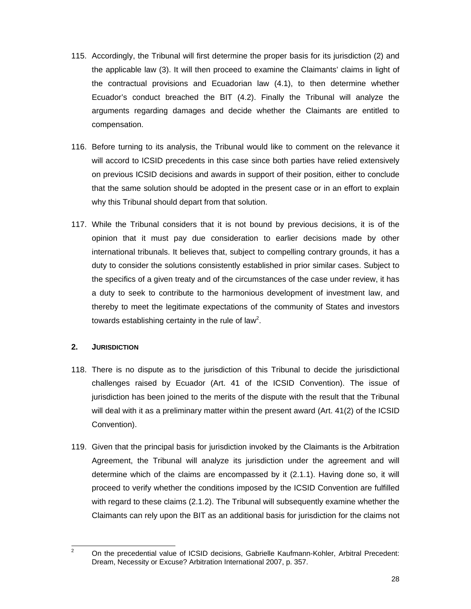- 115. Accordingly, the Tribunal will first determine the proper basis for its jurisdiction (2) and the applicable law (3). It will then proceed to examine the Claimants' claims in light of the contractual provisions and Ecuadorian law (4.1), to then determine whether Ecuador's conduct breached the BIT (4.2). Finally the Tribunal will analyze the arguments regarding damages and decide whether the Claimants are entitled to compensation.
- 116. Before turning to its analysis, the Tribunal would like to comment on the relevance it will accord to ICSID precedents in this case since both parties have relied extensively on previous ICSID decisions and awards in support of their position, either to conclude that the same solution should be adopted in the present case or in an effort to explain why this Tribunal should depart from that solution.
- 117. While the Tribunal considers that it is not bound by previous decisions, it is of the opinion that it must pay due consideration to earlier decisions made by other international tribunals. It believes that, subject to compelling contrary grounds, it has a duty to consider the solutions consistently established in prior similar cases. Subject to the specifics of a given treaty and of the circumstances of the case under review, it has a duty to seek to contribute to the harmonious development of investment law, and thereby to meet the legitimate expectations of the community of States and investors towards establishing certainty in the rule of law<sup>2</sup>.

## **2. JURISDICTION**

- 118. There is no dispute as to the jurisdiction of this Tribunal to decide the jurisdictional challenges raised by Ecuador (Art. 41 of the ICSID Convention). The issue of jurisdiction has been joined to the merits of the dispute with the result that the Tribunal will deal with it as a preliminary matter within the present award (Art. 41(2) of the ICSID Convention).
- 119. Given that the principal basis for jurisdiction invoked by the Claimants is the Arbitration Agreement, the Tribunal will analyze its jurisdiction under the agreement and will determine which of the claims are encompassed by it (2.1.1). Having done so, it will proceed to verify whether the conditions imposed by the ICSID Convention are fulfilled with regard to these claims (2.1.2). The Tribunal will subsequently examine whether the Claimants can rely upon the BIT as an additional basis for jurisdiction for the claims not

 $\frac{1}{2}$  On the precedential value of ICSID decisions, Gabrielle Kaufmann-Kohler, Arbitral Precedent: Dream, Necessity or Excuse? Arbitration International 2007, p. 357.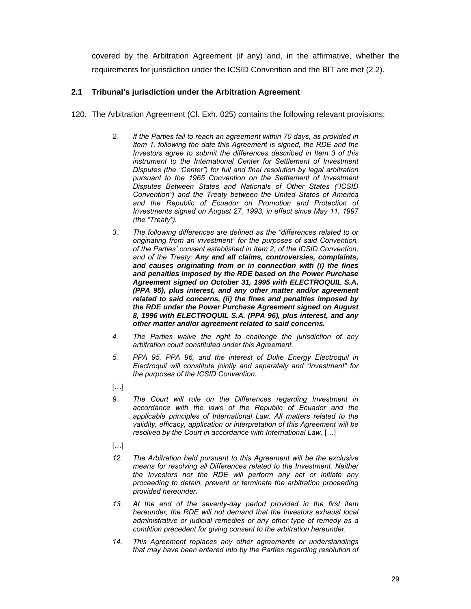covered by the Arbitration Agreement (if any) and, in the affirmative, whether the requirements for jurisdiction under the ICSID Convention and the BIT are met (2.2).

### **2.1 Tribunal's jurisdiction under the Arbitration Agreement**

- 120. The Arbitration Agreement (Cl. Exh. 025) contains the following relevant provisions:
	- *2. If the Parties fail to reach an agreement within 70 days, as provided in Item 1, following the date this Agreement is signed, the RDE and the Investors agree to submit the differences described in Item 3 of this instrument to the International Center for Settlement of Investment Disputes (the "Center") for full and final resolution by legal arbitration pursuant to the 1965 Convention on the Settlement of Investment Disputes Between States and Nationals of Other States ("ICSID Convention") and the Treaty between the United States of America and the Republic of Ecuador on Promotion and Protection of Investments signed on August 27, 1993, in effect since May 11, 1997 (the "Treaty").*
	- *3. The following differences are defined as the "differences related to or originating from an investment" for the purposes of said Convention, of the Parties' consent established in Item 2, of the ICSID Convention, and of the Treaty: Any and all claims, controversies, complaints, and causes originating from or in connection with (i) the fines and penalties imposed by the RDE based on the Power Purchase Agreement signed on October 31, 1995 with ELECTROQUIL S.A. (PPA 95), plus interest, and any other matter and/or agreement related to said concerns, (ii) the fines and penalties imposed by the RDE under the Power Purchase Agreement signed on August 8, 1996 with ELECTROQUIL S.A. (PPA 96), plus interest, and any other matter and/or agreement related to said concerns.*
	- *4. The Parties waive the right to challenge the jurisdiction of any arbitration court constituted under this Agreement.*
	- *5. PPA 95, PPA 96, and the interest of Duke Energy Electroquil in Electroquil will constitute jointly and separately and "investment" for the purposes of the ICSID Convention.*
	- […]
	- *9. The Court will rule on the Differences regarding Investment in accordance with the laws of the Republic of Ecuador and the applicable principles of International Law. All matters related to the validity, efficacy, application or interpretation of this Agreement will be resolved by the Court in accordance with International Law.* […]
	- […]
	- *12. The Arbitration held pursuant to this Agreement will be the exclusive means for resolving all Differences related to the Investment. Neither the Investors nor the RDE will perform any act or initiate any proceeding to detain, prevent or terminate the arbitration proceeding provided hereunder.*
	- *13. At the end of the seventy-day period provided in the first item hereunder, the RDE will not demand that the Investors exhaust local administrative or judicial remedies or any other type of remedy as a condition precedent for giving consent to the arbitration hereunder.*
	- *14. This Agreement replaces any other agreements or understandings that may have been entered into by the Parties regarding resolution of*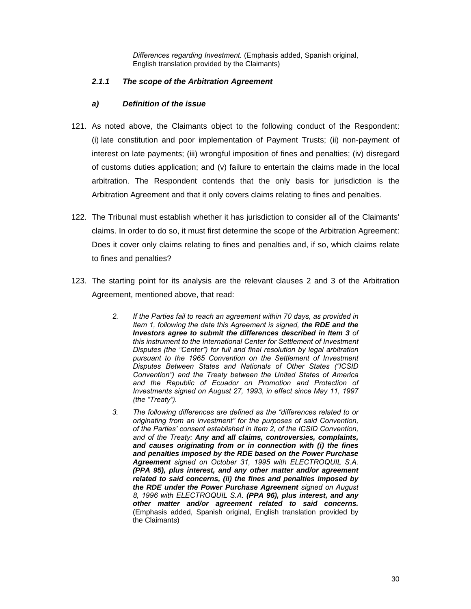*Differences regarding Investment.* (Emphasis added, Spanish original, English translation provided by the Claimants)

## *2.1.1 The scope of the Arbitration Agreement*

## *a) Definition of the issue*

- 121. As noted above, the Claimants object to the following conduct of the Respondent: (i) late constitution and poor implementation of Payment Trusts; (ii) non-payment of interest on late payments; (iii) wrongful imposition of fines and penalties; (iv) disregard of customs duties application; and (v) failure to entertain the claims made in the local arbitration. The Respondent contends that the only basis for jurisdiction is the Arbitration Agreement and that it only covers claims relating to fines and penalties.
- 122. The Tribunal must establish whether it has jurisdiction to consider all of the Claimants' claims. In order to do so, it must first determine the scope of the Arbitration Agreement: Does it cover only claims relating to fines and penalties and, if so, which claims relate to fines and penalties?
- 123. The starting point for its analysis are the relevant clauses 2 and 3 of the Arbitration Agreement, mentioned above, that read:
	- *2. If the Parties fail to reach an agreement within 70 days, as provided in Item 1, following the date this Agreement is signed, the RDE and the Investors agree to submit the differences described in Item 3 of this instrument to the International Center for Settlement of Investment Disputes (the "Center") for full and final resolution by legal arbitration pursuant to the 1965 Convention on the Settlement of Investment Disputes Between States and Nationals of Other States ("ICSID Convention") and the Treaty between the United States of America and the Republic of Ecuador on Promotion and Protection of Investments signed on August 27, 1993, in effect since May 11, 1997 (the "Treaty").*
	- *3. The following differences are defined as the "differences related to or originating from an investment" for the purposes of said Convention, of the Parties' consent established in Item 2, of the ICSID Convention, and of the Treaty: Any and all claims, controversies, complaints, and causes originating from or in connection with (i) the fines and penalties imposed by the RDE based on the Power Purchase Agreement signed on October 31, 1995 with ELECTROQUIL S.A. (PPA 95), plus interest, and any other matter and/or agreement related to said concerns, (ii) the fines and penalties imposed by the RDE under the Power Purchase Agreement signed on August 8, 1996 with ELECTROQUIL S.A. (PPA 96), plus interest, and any other matter and/or agreement related to said concerns.* (Emphasis added, Spanish original, English translation provided by the Claimant*s*)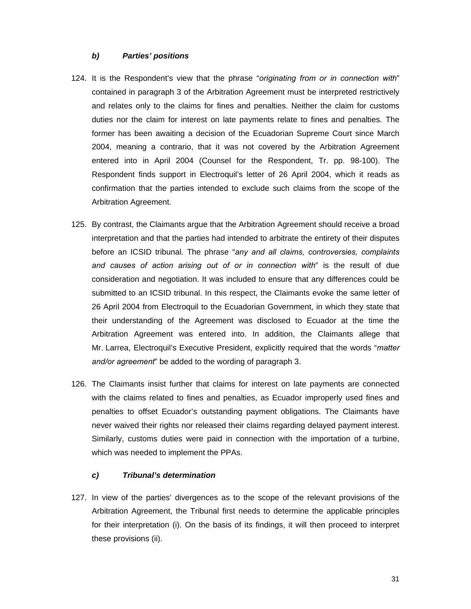#### *b) Parties' positions*

- 124. It is the Respondent's view that the phrase "*originating from or in connection with*" contained in paragraph 3 of the Arbitration Agreement must be interpreted restrictively and relates only to the claims for fines and penalties. Neither the claim for customs duties nor the claim for interest on late payments relate to fines and penalties. The former has been awaiting a decision of the Ecuadorian Supreme Court since March 2004, meaning a contrario, that it was not covered by the Arbitration Agreement entered into in April 2004 (Counsel for the Respondent, Tr. pp. 98-100). The Respondent finds support in Electroquil's letter of 26 April 2004, which it reads as confirmation that the parties intended to exclude such claims from the scope of the Arbitration Agreement.
- 125. By contrast, the Claimants argue that the Arbitration Agreement should receive a broad interpretation and that the parties had intended to arbitrate the entirety of their disputes before an ICSID tribunal. The phrase "*any and all claims, controversies, complaints and causes of action arising out of or in connection with*" is the result of due consideration and negotiation. It was included to ensure that any differences could be submitted to an ICSID tribunal. In this respect, the Claimants evoke the same letter of 26 April 2004 from Electroquil to the Ecuadorian Government, in which they state that their understanding of the Agreement was disclosed to Ecuador at the time the Arbitration Agreement was entered into. In addition, the Claimants allege that Mr. Larrea, Electroquil's Executive President, explicitly required that the words "*matter and/or agreement*" be added to the wording of paragraph 3.
- 126. The Claimants insist further that claims for interest on late payments are connected with the claims related to fines and penalties, as Ecuador improperly used fines and penalties to offset Ecuador's outstanding payment obligations. The Claimants have never waived their rights nor released their claims regarding delayed payment interest. Similarly, customs duties were paid in connection with the importation of a turbine, which was needed to implement the PPAs.

#### *c) Tribunal's determination*

127. In view of the parties' divergences as to the scope of the relevant provisions of the Arbitration Agreement, the Tribunal first needs to determine the applicable principles for their interpretation (i). On the basis of its findings, it will then proceed to interpret these provisions (ii).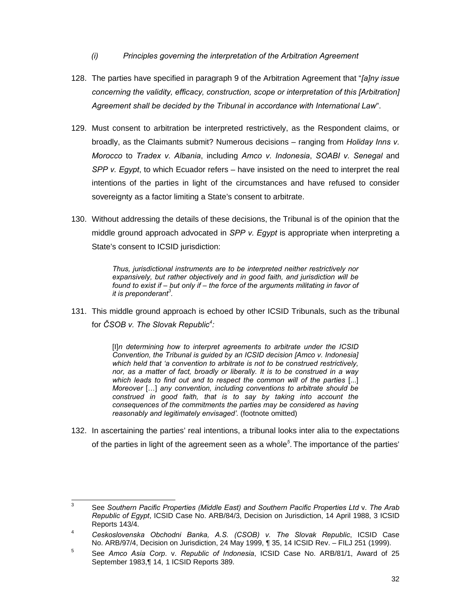- *(i) Principles governing the interpretation of the Arbitration Agreement*
- 128. The parties have specified in paragraph 9 of the Arbitration Agreement that "*[a]ny issue concerning the validity, efficacy, construction, scope or interpretation of this [Arbitration] Agreement shall be decided by the Tribunal in accordance with International Law*".
- 129. Must consent to arbitration be interpreted restrictively, as the Respondent claims, or broadly, as the Claimants submit? Numerous decisions – ranging from *Holiday Inns v. Morocco* to *Tradex v. Albania*, including *Amco v. Indonesia*, *SOABI v. Senegal* and *SPP v. Egypt*, to which Ecuador refers – have insisted on the need to interpret the real intentions of the parties in light of the circumstances and have refused to consider sovereignty as a factor limiting a State's consent to arbitrate.
- 130. Without addressing the details of these decisions, the Tribunal is of the opinion that the middle ground approach advocated in *SPP v. Egypt* is appropriate when interpreting a State's consent to ICSID jurisdiction:

*Thus, jurisdictional instruments are to be interpreted neither restrictively nor expansively, but rather objectively and in good faith, and jurisdiction will be found to exist if – but only if – the force of the arguments militating in favor of it is preponderant<sup>3</sup> .* 

131. This middle ground approach is echoed by other ICSID Tribunals, such as the tribunal for *ČSOB v. The Slovak Republic<sup>4</sup> :*

> [I]*n determining how to interpret agreements to arbitrate under the ICSID Convention, the Tribunal is guided by an ICSID decision [Amco v. Indonesia] which held that 'a convention to arbitrate is not to be construed restrictively, nor, as a matter of fact, broadly or liberally. It is to be construed in a way*  which leads to find out and to respect the common will of the parties [...] *Moreover* […] *any convention, including conventions to arbitrate should be construed in good faith, that is to say by taking into account the consequences of the commitments the parties may be considered as having reasonably and legitimately envisaged'.* (footnote omitted)

132. In ascertaining the parties' real intentions, a tribunal looks inter alia to the expectations of the parties in light of the agreement seen as a whole*<sup>5</sup>* . The importance of the parties'

<sup>-&</sup>lt;br>3 See *Southern Pacific Properties (Middle East) and Southern Pacific Properties Ltd* v. *The Arab Republic of Egypt*, ICSID Case No. ARB/84/3, Decision on Jurisdiction, 14 April 1988, 3 ICSID Reports 143/4.

*Ceskoslovenska Obchodni Banka, A.S. (CSOB) v. The Slovak Republic*, ICSID Case No. ARB/97/4, Decision on Jurisdiction, 24 May 1999, ¶ 35, 14 ICSID Rev. – FILJ 251 (1999).

See *Amco Asia Corp*. v. *Republic of Indonesia*, ICSID Case No. ARB/81/1, Award of 25 September 1983,¶ 14, 1 ICSID Reports 389.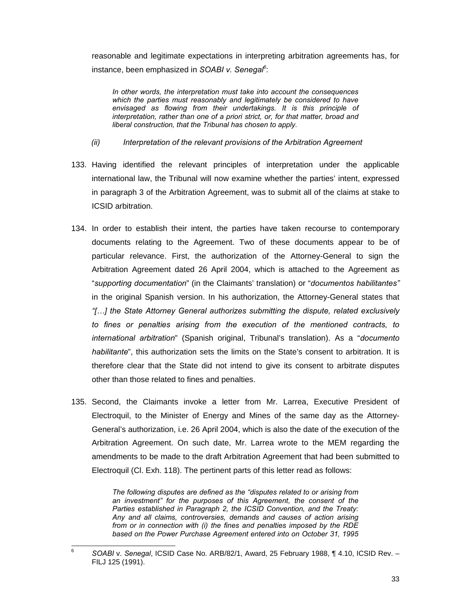reasonable and legitimate expectations in interpreting arbitration agreements has, for instance, been emphasized in *SOABI v. Senegal<sup>6</sup>:* 

*In other words, the interpretation must take into account the consequences which the parties must reasonably and legitimately be considered to have envisaged as flowing from their undertakings. It is this principle of interpretation, rather than one of a priori strict, or, for that matter, broad and liberal construction, that the Tribunal has chosen to apply.* 

- *(ii) Interpretation of the relevant provisions of the Arbitration Agreement*
- 133. Having identified the relevant principles of interpretation under the applicable international law, the Tribunal will now examine whether the parties' intent, expressed in paragraph 3 of the Arbitration Agreement, was to submit all of the claims at stake to ICSID arbitration.
- 134. In order to establish their intent, the parties have taken recourse to contemporary documents relating to the Agreement. Two of these documents appear to be of particular relevance. First, the authorization of the Attorney-General to sign the Arbitration Agreement dated 26 April 2004, which is attached to the Agreement as "*supporting documentation*" (in the Claimants' translation) or "*documentos habilitantes"* in the original Spanish version. In his authorization, the Attorney-General states that *"[…] the State Attorney General authorizes submitting the dispute, related exclusively to fines or penalties arising from the execution of the mentioned contracts, to international arbitration*" (Spanish original, Tribunal's translation). As a "*documento habilitante*", this authorization sets the limits on the State's consent to arbitration. It is therefore clear that the State did not intend to give its consent to arbitrate disputes other than those related to fines and penalties.
- 135. Second, the Claimants invoke a letter from Mr. Larrea, Executive President of Electroquil, to the Minister of Energy and Mines of the same day as the Attorney-General's authorization, i.e. 26 April 2004, which is also the date of the execution of the Arbitration Agreement. On such date, Mr. Larrea wrote to the MEM regarding the amendments to be made to the draft Arbitration Agreement that had been submitted to Electroquil (Cl. Exh. 118). The pertinent parts of this letter read as follows:

*The following disputes are defined as the "disputes related to or arising from an investment" for the purposes of this Agreement, the consent of the Parties established in Paragraph 2, the ICSID Convention, and the Treaty: Any and all claims, controversies, demands and causes of action arising from or in connection with (i) the fines and penalties imposed by the RDE based on the Power Purchase Agreement entered into on October 31, 1995* 

<sup>—&</sup>lt;br>6  *SOABI* v. *Senegal*, ICSID Case No. ARB/82/1, Award, 25 February 1988, ¶ 4.10, ICSID Rev. – FILJ 125 (1991).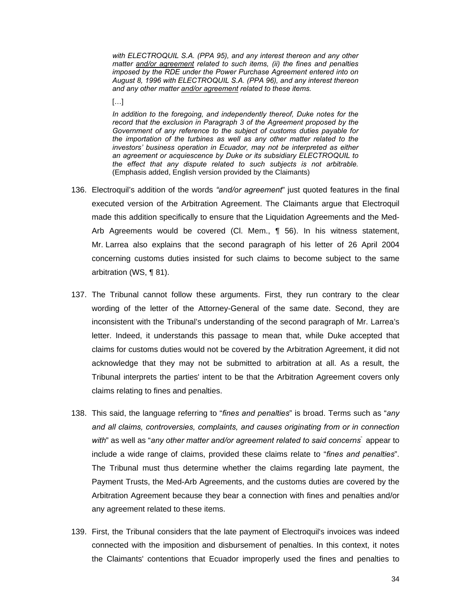*with ELECTROQUIL S.A. (PPA 95), and any interest thereon and any other matter and/or agreement related to such items, (ii) the fines and penalties imposed by the RDE under the Power Purchase Agreement entered into on August 8, 1996 with ELECTROQUIL S.A. (PPA 96), and any interest thereon and any other matter and/or agreement related to these items.* 

[…]

*In addition to the foregoing, and independently thereof, Duke notes for the record that the exclusion in Paragraph 3 of the Agreement proposed by the Government of any reference to the subject of customs duties payable for the importation of the turbines as well as any other matter related to the investors' business operation in Ecuador, may not be interpreted as either an agreement or acquiescence by Duke or its subsidiary ELECTROQUIL to the effect that any dispute related to such subjects is not arbitrable.*  (Emphasis added, English version provided by the Claimants)

- 136. Electroquil's addition of the words *"and/or agreement*" just quoted features in the final executed version of the Arbitration Agreement. The Claimants argue that Electroquil made this addition specifically to ensure that the Liquidation Agreements and the Med-Arb Agreements would be covered (Cl. Mem., ¶ 56). In his witness statement, Mr. Larrea also explains that the second paragraph of his letter of 26 April 2004 concerning customs duties insisted for such claims to become subject to the same arbitration (WS, ¶ 81).
- 137. The Tribunal cannot follow these arguments. First, they run contrary to the clear wording of the letter of the Attorney-General of the same date. Second, they are inconsistent with the Tribunal's understanding of the second paragraph of Mr. Larrea's letter. Indeed, it understands this passage to mean that, while Duke accepted that claims for customs duties would not be covered by the Arbitration Agreement, it did not acknowledge that they may not be submitted to arbitration at all. As a result, the Tribunal interprets the parties' intent to be that the Arbitration Agreement covers only claims relating to fines and penalties.
- 138. This said, the language referring to "*fines and penalties*" is broad. Terms such as "*any and all claims, controversies, complaints, and causes originating from or in connection with*" as well as "*any other matter and/or agreement related to said concerns*" appear to include a wide range of claims, provided these claims relate to "*fines and penalties*". The Tribunal must thus determine whether the claims regarding late payment, the Payment Trusts, the Med-Arb Agreements, and the customs duties are covered by the Arbitration Agreement because they bear a connection with fines and penalties and/or any agreement related to these items.
- 139. First, the Tribunal considers that the late payment of Electroquil's invoices was indeed connected with the imposition and disbursement of penalties. In this context, it notes the Claimants' contentions that Ecuador improperly used the fines and penalties to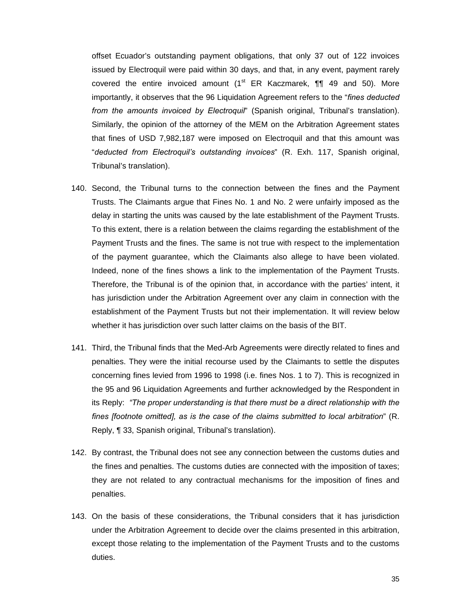offset Ecuador's outstanding payment obligations, that only 37 out of 122 invoices issued by Electroquil were paid within 30 days, and that, in any event, payment rarely covered the entire invoiced amount  $(1<sup>st</sup> ER Kaczmarek,  $\P\P$  49 and 50). More$ importantly, it observes that the 96 Liquidation Agreement refers to the "*fines deducted from the amounts invoiced by Electroquil*" (Spanish original, Tribunal's translation). Similarly, the opinion of the attorney of the MEM on the Arbitration Agreement states that fines of USD 7,982,187 were imposed on Electroquil and that this amount was "*deducted from Electroquil's outstanding invoices*" (R. Exh. 117, Spanish original, Tribunal's translation).

- 140. Second, the Tribunal turns to the connection between the fines and the Payment Trusts. The Claimants argue that Fines No. 1 and No. 2 were unfairly imposed as the delay in starting the units was caused by the late establishment of the Payment Trusts. To this extent, there is a relation between the claims regarding the establishment of the Payment Trusts and the fines. The same is not true with respect to the implementation of the payment guarantee, which the Claimants also allege to have been violated. Indeed, none of the fines shows a link to the implementation of the Payment Trusts. Therefore, the Tribunal is of the opinion that, in accordance with the parties' intent, it has jurisdiction under the Arbitration Agreement over any claim in connection with the establishment of the Payment Trusts but not their implementation. It will review below whether it has jurisdiction over such latter claims on the basis of the BIT.
- 141. Third, the Tribunal finds that the Med-Arb Agreements were directly related to fines and penalties. They were the initial recourse used by the Claimants to settle the disputes concerning fines levied from 1996 to 1998 (i.e. fines Nos. 1 to 7). This is recognized in the 95 and 96 Liquidation Agreements and further acknowledged by the Respondent in its Reply: *"The proper understanding is that there must be a direct relationship with the fines [footnote omitted], as is the case of the claims submitted to local arbitration*" (R. Reply, ¶ 33, Spanish original, Tribunal's translation).
- 142. By contrast, the Tribunal does not see any connection between the customs duties and the fines and penalties. The customs duties are connected with the imposition of taxes; they are not related to any contractual mechanisms for the imposition of fines and penalties.
- 143. On the basis of these considerations, the Tribunal considers that it has jurisdiction under the Arbitration Agreement to decide over the claims presented in this arbitration, except those relating to the implementation of the Payment Trusts and to the customs duties.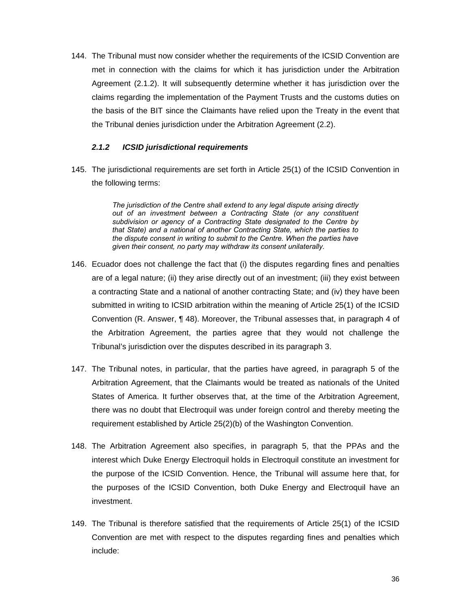144. The Tribunal must now consider whether the requirements of the ICSID Convention are met in connection with the claims for which it has jurisdiction under the Arbitration Agreement (2.1.2). It will subsequently determine whether it has jurisdiction over the claims regarding the implementation of the Payment Trusts and the customs duties on the basis of the BIT since the Claimants have relied upon the Treaty in the event that the Tribunal denies jurisdiction under the Arbitration Agreement (2.2).

#### *2.1.2 ICSID jurisdictional requirements*

145. The jurisdictional requirements are set forth in Article 25(1) of the ICSID Convention in the following terms:

> *The jurisdiction of the Centre shall extend to any legal dispute arising directly out of an investment between a Contracting State (or any constituent subdivision or agency of a Contracting State designated to the Centre by that State) and a national of another Contracting State, which the parties to the dispute consent in writing to submit to the Centre. When the parties have given their consent, no party may withdraw its consent unilaterally.*

- 146. Ecuador does not challenge the fact that (i) the disputes regarding fines and penalties are of a legal nature; (ii) they arise directly out of an investment; (iii) they exist between a contracting State and a national of another contracting State; and (iv) they have been submitted in writing to ICSID arbitration within the meaning of Article 25(1) of the ICSID Convention (R. Answer, ¶ 48). Moreover, the Tribunal assesses that, in paragraph 4 of the Arbitration Agreement, the parties agree that they would not challenge the Tribunal's jurisdiction over the disputes described in its paragraph 3.
- 147. The Tribunal notes, in particular, that the parties have agreed, in paragraph 5 of the Arbitration Agreement, that the Claimants would be treated as nationals of the United States of America. It further observes that, at the time of the Arbitration Agreement, there was no doubt that Electroquil was under foreign control and thereby meeting the requirement established by Article 25(2)(b) of the Washington Convention.
- 148. The Arbitration Agreement also specifies, in paragraph 5, that the PPAs and the interest which Duke Energy Electroquil holds in Electroquil constitute an investment for the purpose of the ICSID Convention. Hence, the Tribunal will assume here that, for the purposes of the ICSID Convention, both Duke Energy and Electroquil have an investment.
- 149. The Tribunal is therefore satisfied that the requirements of Article 25(1) of the ICSID Convention are met with respect to the disputes regarding fines and penalties which include: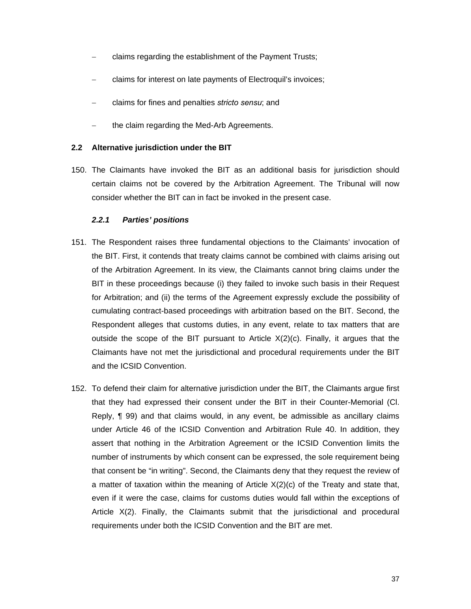- − claims regarding the establishment of the Payment Trusts;
- claims for interest on late payments of Electroquil's invoices;
- − claims for fines and penalties *stricto sensu*; and
- − the claim regarding the Med-Arb Agreements.

#### **2.2 Alternative jurisdiction under the BIT**

150. The Claimants have invoked the BIT as an additional basis for jurisdiction should certain claims not be covered by the Arbitration Agreement. The Tribunal will now consider whether the BIT can in fact be invoked in the present case.

### *2.2.1 Parties' positions*

- 151. The Respondent raises three fundamental objections to the Claimants' invocation of the BIT. First, it contends that treaty claims cannot be combined with claims arising out of the Arbitration Agreement. In its view, the Claimants cannot bring claims under the BIT in these proceedings because (i) they failed to invoke such basis in their Request for Arbitration; and (ii) the terms of the Agreement expressly exclude the possibility of cumulating contract-based proceedings with arbitration based on the BIT. Second, the Respondent alleges that customs duties, in any event, relate to tax matters that are outside the scope of the BIT pursuant to Article  $X(2)(c)$ . Finally, it argues that the Claimants have not met the jurisdictional and procedural requirements under the BIT and the ICSID Convention.
- 152. To defend their claim for alternative jurisdiction under the BIT, the Claimants argue first that they had expressed their consent under the BIT in their Counter-Memorial (Cl. Reply, ¶ 99) and that claims would, in any event, be admissible as ancillary claims under Article 46 of the ICSID Convention and Arbitration Rule 40. In addition, they assert that nothing in the Arbitration Agreement or the ICSID Convention limits the number of instruments by which consent can be expressed, the sole requirement being that consent be "in writing". Second, the Claimants deny that they request the review of a matter of taxation within the meaning of Article  $X(2)(c)$  of the Treaty and state that, even if it were the case, claims for customs duties would fall within the exceptions of Article X(2). Finally, the Claimants submit that the jurisdictional and procedural requirements under both the ICSID Convention and the BIT are met.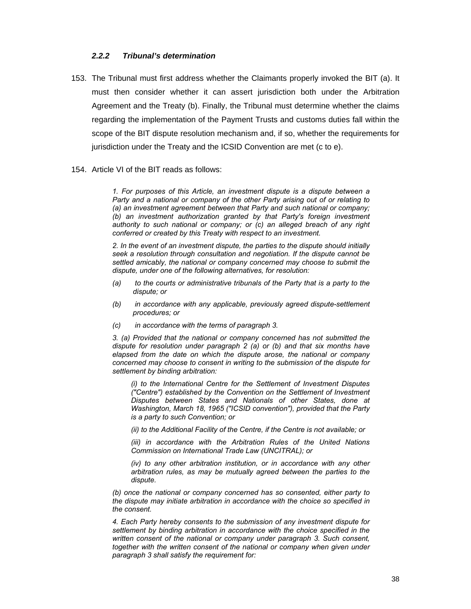#### *2.2.2 Tribunal's determination*

- 153. The Tribunal must first address whether the Claimants properly invoked the BIT (a). It must then consider whether it can assert jurisdiction both under the Arbitration Agreement and the Treaty (b). Finally, the Tribunal must determine whether the claims regarding the implementation of the Payment Trusts and customs duties fall within the scope of the BIT dispute resolution mechanism and, if so, whether the requirements for jurisdiction under the Treaty and the ICSID Convention are met (c to e).
- 154. Article VI of the BIT reads as follows:

*1. For purposes of this Article, an investment dispute is a dispute between a Party and a national or company of the other Party arising out of or relating to (a) an investment agreement between that Party and such national or company; (b) an investment authorization granted by that Party's foreign investment authority to such national or company; or (c) an alleged breach of any right conferred or created by this Treaty with respect to an investment.* 

*2. In the event of an investment dispute, the parties to the dispute should initially seek a resolution through consultation and negotiation. If the dispute cannot be settled amicably, the national or company concerned may choose to submit the dispute, under one of the following alternatives, for resolution:* 

- *(a) to the courts or administrative tribunals of the Party that is a party to the dispute; or*
- *(b) in accordance with any applicable, previously agreed dispute-settlement procedures; or*
- *(c) in accordance with the terms of paragraph 3.*

*3. (a) Provided that the national or company concerned has not submitted the dispute for resolution under paragraph 2 (a) or (b) and that six months have elapsed from the date on which the dispute arose, the national or company concerned may choose to consent in writing to the submission of the dispute for settlement by binding arbitration:* 

*(i) to the International Centre for the Settlement of Investment Disputes ("Centre") established by the Convention on the Settlement of Investment Disputes between States and Nationals of other States, done at Washington, March 18, 1965 ("ICSID convention"), provided that the Party is a party to such Convention; or* 

*(ii) to the Additional Facility of the Centre, if the Centre is not available; or* 

*(iii) in accordance with the Arbitration Rules of the United Nations Commission on International Trade Law (UNCITRAL); or* 

*(iv) to any other arbitration institution, or in accordance with any other arbitration rules, as may be mutually agreed between the parties to the dispute.* 

*(b) once the national or company concerned has so consented, either party to the dispute may initiate arbitration in accordance with the choice so specified in the consent.* 

*4. Each Party hereby consents to the submission of any investment dispute for settlement by binding arbitration in accordance with the choice specified in the written consent of the national or company under paragraph 3. Such consent, together with the written consent of the national or company when given under paragraph 3 shall satisfy the requirement for:*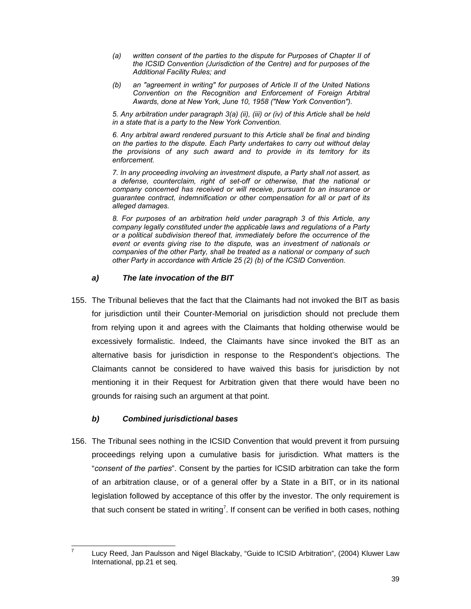- *(a) written consent of the parties to the dispute for Purposes of Chapter II of the ICSID Convention (Jurisdiction of the Centre) and for purposes of the Additional Facility Rules; and*
- *(b) an "agreement in writing" for purposes of Article II of the United Nations Convention on the Recognition and Enforcement of Foreign Arbitral Awards, done at New York, June 10, 1958 ("New York Convention").*

*5. Any arbitration under paragraph 3(a) (ii), (iii) or (iv) of this Article shall be held in a state that is a party to the New York Convention.* 

*6. Any arbitral award rendered pursuant to this Article shall be final and binding on the parties to the dispute. Each Party undertakes to carry out without delay the provisions of any such award and to provide in its territory for its enforcement.* 

*7. In any proceeding involving an investment dispute, a Party shall not assert, as a defense, counterclaim, right of set-off or otherwise, that the national or company concerned has received or will receive, pursuant to an insurance or guarantee contract, indemnification or other compensation for all or part of its alleged damages.* 

*8. For purposes of an arbitration held under paragraph 3 of this Article, any company legally constituted under the applicable laws and regulations of a Party or a political subdivision thereof that, immediately before the occurrence of the event or events giving rise to the dispute, was an investment of nationals or companies of the other Party, shall be treated as a national or company of such other Party in accordance with Article 25 (2) (b) of the ICSID Convention.* 

### *a) The late invocation of the BIT*

155. The Tribunal believes that the fact that the Claimants had not invoked the BIT as basis for jurisdiction until their Counter-Memorial on jurisdiction should not preclude them from relying upon it and agrees with the Claimants that holding otherwise would be excessively formalistic. Indeed, the Claimants have since invoked the BIT as an alternative basis for jurisdiction in response to the Respondent's objections. The Claimants cannot be considered to have waived this basis for jurisdiction by not mentioning it in their Request for Arbitration given that there would have been no grounds for raising such an argument at that point.

### *b) Combined jurisdictional bases*

156. The Tribunal sees nothing in the ICSID Convention that would prevent it from pursuing proceedings relying upon a cumulative basis for jurisdiction. What matters is the "*consent of the parties*". Consent by the parties for ICSID arbitration can take the form of an arbitration clause, or of a general offer by a State in a BIT, or in its national legislation followed by acceptance of this offer by the investor. The only requirement is that such consent be stated in writing<sup>7</sup>. If consent can be verified in both cases, nothing

<sup>—&</sup>lt;br>7 Lucy Reed, Jan Paulsson and Nigel Blackaby, "Guide to ICSID Arbitration", (2004) Kluwer Law International, pp.21 et seq.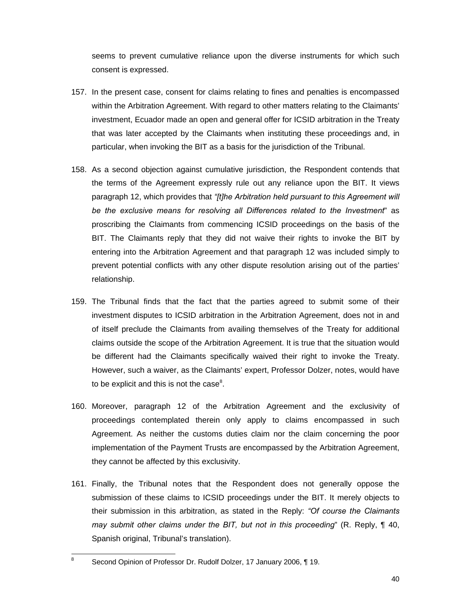seems to prevent cumulative reliance upon the diverse instruments for which such consent is expressed.

- 157. In the present case, consent for claims relating to fines and penalties is encompassed within the Arbitration Agreement. With regard to other matters relating to the Claimants' investment, Ecuador made an open and general offer for ICSID arbitration in the Treaty that was later accepted by the Claimants when instituting these proceedings and, in particular, when invoking the BIT as a basis for the jurisdiction of the Tribunal.
- 158. As a second objection against cumulative jurisdiction, the Respondent contends that the terms of the Agreement expressly rule out any reliance upon the BIT. It views paragraph 12, which provides that *"[t]he Arbitration held pursuant to this Agreement will be the exclusive means for resolving all Differences related to the Investment*" as proscribing the Claimants from commencing ICSID proceedings on the basis of the BIT. The Claimants reply that they did not waive their rights to invoke the BIT by entering into the Arbitration Agreement and that paragraph 12 was included simply to prevent potential conflicts with any other dispute resolution arising out of the parties' relationship.
- 159. The Tribunal finds that the fact that the parties agreed to submit some of their investment disputes to ICSID arbitration in the Arbitration Agreement, does not in and of itself preclude the Claimants from availing themselves of the Treaty for additional claims outside the scope of the Arbitration Agreement. It is true that the situation would be different had the Claimants specifically waived their right to invoke the Treaty. However, such a waiver, as the Claimants' expert, Professor Dolzer, notes, would have to be explicit and this is not the case $8$ .
- 160. Moreover, paragraph 12 of the Arbitration Agreement and the exclusivity of proceedings contemplated therein only apply to claims encompassed in such Agreement. As neither the customs duties claim nor the claim concerning the poor implementation of the Payment Trusts are encompassed by the Arbitration Agreement, they cannot be affected by this exclusivity.
- 161. Finally, the Tribunal notes that the Respondent does not generally oppose the submission of these claims to ICSID proceedings under the BIT. It merely objects to their submission in this arbitration, as stated in the Reply: *"Of course the Claimants may submit other claims under the BIT, but not in this proceeding*" (R. Reply, ¶ 40, Spanish original, Tribunal's translation).

<sup>-&</sup>lt;br>8 Second Opinion of Professor Dr. Rudolf Dolzer, 17 January 2006, ¶ 19.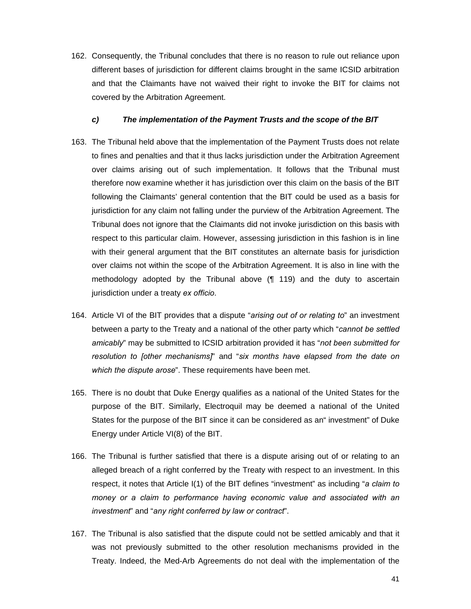162. Consequently, the Tribunal concludes that there is no reason to rule out reliance upon different bases of jurisdiction for different claims brought in the same ICSID arbitration and that the Claimants have not waived their right to invoke the BIT for claims not covered by the Arbitration Agreement.

#### *c) The implementation of the Payment Trusts and the scope of the BIT*

- 163. The Tribunal held above that the implementation of the Payment Trusts does not relate to fines and penalties and that it thus lacks jurisdiction under the Arbitration Agreement over claims arising out of such implementation. It follows that the Tribunal must therefore now examine whether it has jurisdiction over this claim on the basis of the BIT following the Claimants' general contention that the BIT could be used as a basis for jurisdiction for any claim not falling under the purview of the Arbitration Agreement. The Tribunal does not ignore that the Claimants did not invoke jurisdiction on this basis with respect to this particular claim. However, assessing jurisdiction in this fashion is in line with their general argument that the BIT constitutes an alternate basis for jurisdiction over claims not within the scope of the Arbitration Agreement. It is also in line with the methodology adopted by the Tribunal above (¶ 119) and the duty to ascertain jurisdiction under a treaty *ex officio*.
- 164. Article VI of the BIT provides that a dispute "*arising out of or relating to*" an investment between a party to the Treaty and a national of the other party which "*cannot be settled amicably*" may be submitted to ICSID arbitration provided it has "*not been submitted for resolution to [other mechanisms]*" and "*six months have elapsed from the date on which the dispute arose*". These requirements have been met.
- 165. There is no doubt that Duke Energy qualifies as a national of the United States for the purpose of the BIT. Similarly, Electroquil may be deemed a national of the United States for the purpose of the BIT since it can be considered as an" investment" of Duke Energy under Article VI(8) of the BIT.
- 166. The Tribunal is further satisfied that there is a dispute arising out of or relating to an alleged breach of a right conferred by the Treaty with respect to an investment. In this respect, it notes that Article I(1) of the BIT defines "investment" as including "*a claim to money or a claim to performance having economic value and associated with an investment*" and "*any right conferred by law or contract*".
- 167. The Tribunal is also satisfied that the dispute could not be settled amicably and that it was not previously submitted to the other resolution mechanisms provided in the Treaty. Indeed, the Med-Arb Agreements do not deal with the implementation of the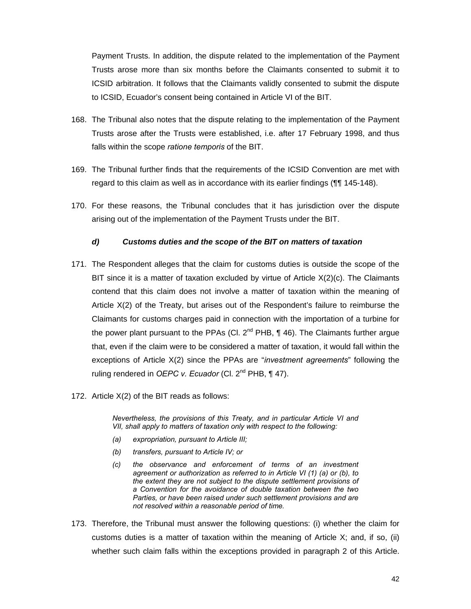Payment Trusts. In addition, the dispute related to the implementation of the Payment Trusts arose more than six months before the Claimants consented to submit it to ICSID arbitration. It follows that the Claimants validly consented to submit the dispute to ICSID, Ecuador's consent being contained in Article VI of the BIT.

- 168. The Tribunal also notes that the dispute relating to the implementation of the Payment Trusts arose after the Trusts were established, i.e. after 17 February 1998, and thus falls within the scope *ratione temporis* of the BIT.
- 169. The Tribunal further finds that the requirements of the ICSID Convention are met with regard to this claim as well as in accordance with its earlier findings (¶¶ 145-148).
- 170. For these reasons, the Tribunal concludes that it has jurisdiction over the dispute arising out of the implementation of the Payment Trusts under the BIT.

### *d) Customs duties and the scope of the BIT on matters of taxation*

- 171. The Respondent alleges that the claim for customs duties is outside the scope of the BIT since it is a matter of taxation excluded by virtue of Article  $X(2)(c)$ . The Claimants contend that this claim does not involve a matter of taxation within the meaning of Article X(2) of the Treaty, but arises out of the Respondent's failure to reimburse the Claimants for customs charges paid in connection with the importation of a turbine for the power plant pursuant to the PPAs (Cl.  $2^{nd}$  PHB,  $\P$  46). The Claimants further argue that, even if the claim were to be considered a matter of taxation, it would fall within the exceptions of Article X(2) since the PPAs are "*investment agreements*" following the ruling rendered in *OEPC v. Ecuador* (Cl. 2nd PHB, ¶ 47).
- 172. Article X(2) of the BIT reads as follows:

*Nevertheless, the provisions of this Treaty, and in particular Article VI and VII, shall apply to matters of taxation only with respect to the following:* 

- *(a) expropriation, pursuant to Article III;*
- *(b) transfers, pursuant to Article IV; or*
- *(c) the observance and enforcement of terms of an investment agreement or authorization as referred to in Article VI (1) (a) or (b), to the extent they are not subject to the dispute settlement provisions of a Convention for the avoidance of double taxation between the two Parties, or have been raised under such settlement provisions and are not resolved within a reasonable period of time.*
- 173. Therefore, the Tribunal must answer the following questions: (i) whether the claim for customs duties is a matter of taxation within the meaning of Article X; and, if so, (ii) whether such claim falls within the exceptions provided in paragraph 2 of this Article.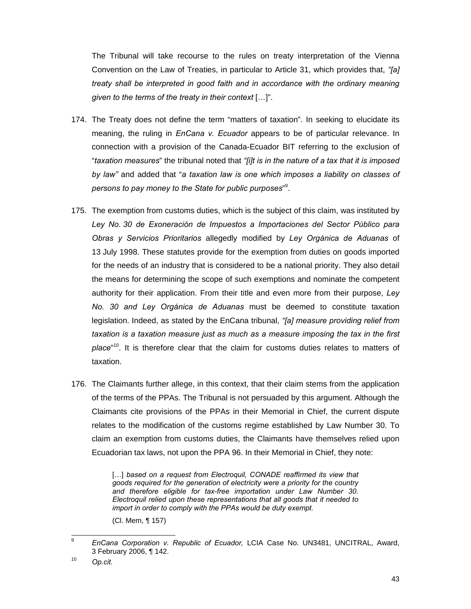The Tribunal will take recourse to the rules on treaty interpretation of the Vienna Convention on the Law of Treaties, in particular to Article 31, which provides that, *"[a] treaty shall be interpreted in good faith and in accordance with the ordinary meaning given to the terms of the treaty in their context* […]".

- 174. The Treaty does not define the term "matters of taxation". In seeking to elucidate its meaning, the ruling in *EnCana v. Ecuador* appears to be of particular relevance. In connection with a provision of the Canada-Ecuador BIT referring to the exclusion of "*taxation measures*" the tribunal noted that *"[i]t is in the nature of a tax that it is imposed by law"* and added that "*a taxation law is one which imposes a liability on classes of persons to pay money to the State for public purposes*" 9 .
- 175. The exemption from customs duties, which is the subject of this claim, was instituted by *Ley No. 30 de Exoneración de Impuestos a Importaciones del Sector Público para Obras y Servicios Prioritarios* allegedly modified by *Ley Orgánica de Aduanas* of 13 July 1998. These statutes provide for the exemption from duties on goods imported for the needs of an industry that is considered to be a national priority. They also detail the means for determining the scope of such exemptions and nominate the competent authority for their application. From their title and even more from their purpose, *Ley No. 30 and Ley Orgánica de Aduanas* must be deemed to constitute taxation legislation. Indeed, as stated by the EnCana tribunal, *"[a] measure providing relief from taxation is a taxation measure just as much as a measure imposing the tax in the first place*" 10. It is therefore clear that the claim for customs duties relates to matters of taxation.
- 176. The Claimants further allege, in this context, that their claim stems from the application of the terms of the PPAs. The Tribunal is not persuaded by this argument. Although the Claimants cite provisions of the PPAs in their Memorial in Chief, the current dispute relates to the modification of the customs regime established by Law Number 30. To claim an exemption from customs duties, the Claimants have themselves relied upon Ecuadorian tax laws, not upon the PPA 96. In their Memorial in Chief, they note:

[...] based on a request from Electroquil, CONADE reaffirmed its view that *goods required for the generation of electricity were a priority for the country and therefore eligible for tax-free importation under Law Number 30. Electroquil relied upon these representations that all goods that it needed to import in order to comply with the PPAs would be duty exempt.* 

(Cl. Mem, ¶ 157)

<sup>-&</sup>lt;br>9 *EnCana Corporation v. Republic of Ecuador,* LCIA Case No. UN3481, UNCITRAL, Award, 3 February 2006, ¶ 142. 10 *Op.cit.*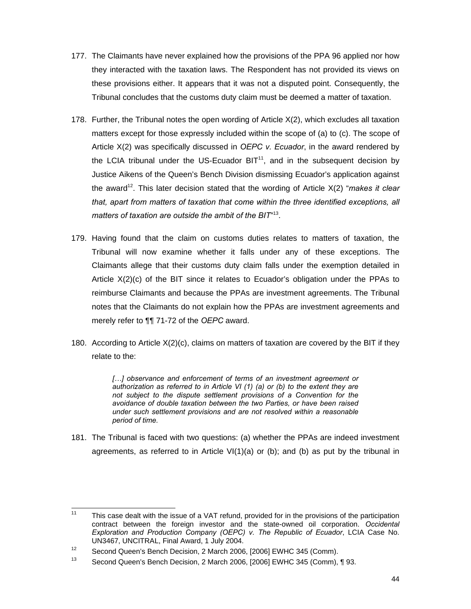- 177. The Claimants have never explained how the provisions of the PPA 96 applied nor how they interacted with the taxation laws. The Respondent has not provided its views on these provisions either. It appears that it was not a disputed point. Consequently, the Tribunal concludes that the customs duty claim must be deemed a matter of taxation.
- 178. Further, the Tribunal notes the open wording of Article X(2), which excludes all taxation matters except for those expressly included within the scope of (a) to (c). The scope of Article X(2) was specifically discussed in *OEPC v. Ecuador*, in the award rendered by the LCIA tribunal under the US-Ecuador  $BIT<sup>11</sup>$ , and in the subsequent decision by Justice Aikens of the Queen's Bench Division dismissing Ecuador's application against the award<sup>12</sup>. This later decision stated that the wording of Article X(2) "*makes it clear that, apart from matters of taxation that come within the three identified exceptions, all matters of taxation are outside the ambit of the BIT*" 13.
- 179. Having found that the claim on customs duties relates to matters of taxation, the Tribunal will now examine whether it falls under any of these exceptions. The Claimants allege that their customs duty claim falls under the exemption detailed in Article X(2)(c) of the BIT since it relates to Ecuador's obligation under the PPAs to reimburse Claimants and because the PPAs are investment agreements. The Tribunal notes that the Claimants do not explain how the PPAs are investment agreements and merely refer to ¶¶ 71-72 of the *OEPC* award.
- 180. According to Article  $X(2)(c)$ , claims on matters of taxation are covered by the BIT if they relate to the:

[...] observance and enforcement of terms of an investment agreement or *authorization as referred to in Article VI (1) (a) or (b) to the extent they are not subject to the dispute settlement provisions of a Convention for the avoidance of double taxation between the two Parties, or have been raised under such settlement provisions and are not resolved within a reasonable period of time.* 

181. The Tribunal is faced with two questions: (a) whether the PPAs are indeed investment agreements, as referred to in Article VI(1)(a) or (b); and (b) as put by the tribunal in

 $11$ This case dealt with the issue of a VAT refund, provided for in the provisions of the participation contract between the foreign investor and the state-owned oil corporation. *Occidental Exploration and Production Company (OEPC) v. The Republic of Ecuador*, LCIA Case No.

 $U<sup>12</sup>$  Second Queen's Bench Decision, 2 March 2006, [2006] EWHC 345 (Comm).

<sup>13</sup> Second Queen's Bench Decision, 2 March 2006, [2006] EWHC 345 (Comm), ¶ 93.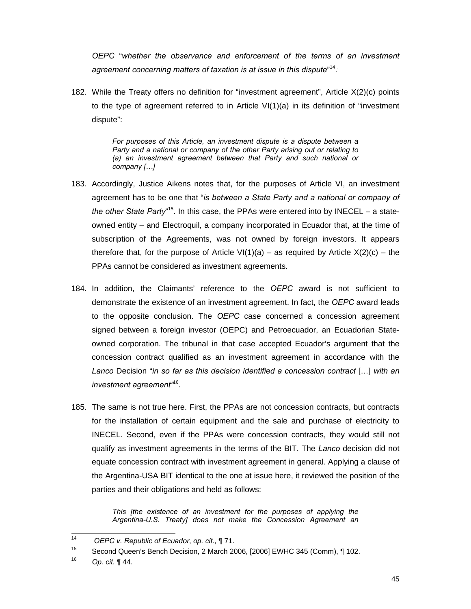*OEPC* "*whether the observance and enforcement of the terms of an investment*  agreement concerning matters of taxation is at issue in this dispute"<sup>14</sup>.

182. While the Treaty offers no definition for "investment agreement", Article X(2)(c) points to the type of agreement referred to in Article  $V(1)(a)$  in its definition of "investment" dispute":

> *For purposes of this Article, an investment dispute is a dispute between a Party and a national or company of the other Party arising out or relating to (a) an investment agreement between that Party and such national or company […]*

- 183. Accordingly, Justice Aikens notes that, for the purposes of Article VI, an investment agreement has to be one that "*is between a State Party and a national or company of*  the other State Party"<sup>15</sup>. In this case, the PPAs were entered into by INECEL – a stateowned entity – and Electroquil, a company incorporated in Ecuador that, at the time of subscription of the Agreements, was not owned by foreign investors. It appears therefore that, for the purpose of Article VI(1)(a) – as required by Article  $X(2)(c)$  – the PPAs cannot be considered as investment agreements.
- 184. In addition, the Claimants' reference to the *OEPC* award is not sufficient to demonstrate the existence of an investment agreement. In fact, the *OEPC* award leads to the opposite conclusion. The *OEPC* case concerned a concession agreement signed between a foreign investor (OEPC) and Petroecuador, an Ecuadorian Stateowned corporation. The tribunal in that case accepted Ecuador's argument that the concession contract qualified as an investment agreement in accordance with the *Lanco* Decision "*in so far as this decision identified a concession contract* […] *with an investment agreement"*<sup>16</sup>*.*
- 185. The same is not true here. First, the PPAs are not concession contracts, but contracts for the installation of certain equipment and the sale and purchase of electricity to INECEL. Second, even if the PPAs were concession contracts, they would still not qualify as investment agreements in the terms of the BIT. The *Lanco* decision did not equate concession contract with investment agreement in general. Applying a clause of the Argentina-USA BIT identical to the one at issue here, it reviewed the position of the parties and their obligations and held as follows:

*This [the existence of an investment for the purposes of applying the Argentina-U.S. Treaty] does not make the Concession Agreement an* 

 $14$ 

<sup>&</sup>lt;sup>14</sup> OEPC v. Republic of Ecuador, op. cit., ¶ 71.<br><sup>15</sup> Second Queen's Bench Decision, 2 March 2006, [2006] EWHC 345 (Comm), ¶ 102.

<sup>16</sup> *Op. cit.* ¶ 44.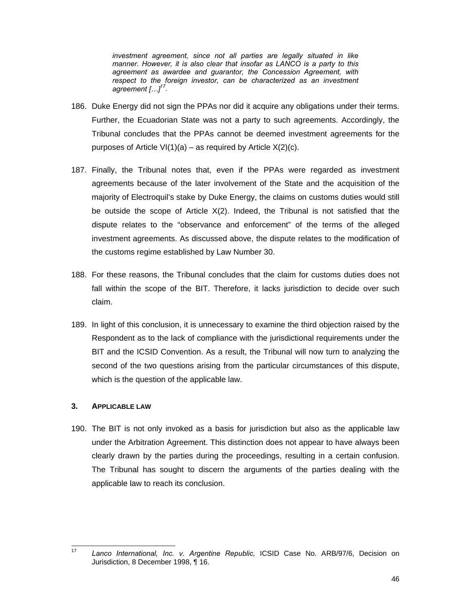*investment agreement, since not all parties are legally situated in like manner. However, it is also clear that insofar as LANCO is a party to this agreement as awardee and guarantor, the Concession Agreement, with respect to the foreign investor, can be characterized as an investment agreement […]17.* 

- 186. Duke Energy did not sign the PPAs nor did it acquire any obligations under their terms. Further, the Ecuadorian State was not a party to such agreements. Accordingly, the Tribunal concludes that the PPAs cannot be deemed investment agreements for the purposes of Article VI(1)(a) – as required by Article  $X(2)(c)$ .
- 187. Finally, the Tribunal notes that, even if the PPAs were regarded as investment agreements because of the later involvement of the State and the acquisition of the majority of Electroquil's stake by Duke Energy, the claims on customs duties would still be outside the scope of Article X(2). Indeed, the Tribunal is not satisfied that the dispute relates to the "observance and enforcement" of the terms of the alleged investment agreements. As discussed above, the dispute relates to the modification of the customs regime established by Law Number 30.
- 188. For these reasons, the Tribunal concludes that the claim for customs duties does not fall within the scope of the BIT. Therefore, it lacks jurisdiction to decide over such claim.
- 189. In light of this conclusion, it is unnecessary to examine the third objection raised by the Respondent as to the lack of compliance with the jurisdictional requirements under the BIT and the ICSID Convention. As a result, the Tribunal will now turn to analyzing the second of the two questions arising from the particular circumstances of this dispute, which is the question of the applicable law.

### **3. APPLICABLE LAW**

190. The BIT is not only invoked as a basis for jurisdiction but also as the applicable law under the Arbitration Agreement. This distinction does not appear to have always been clearly drawn by the parties during the proceedings, resulting in a certain confusion. The Tribunal has sought to discern the arguments of the parties dealing with the applicable law to reach its conclusion.

 $17$ Lanco International, Inc. v. Argentine Republic, ICSID Case No. ARB/97/6, Decision on Jurisdiction, 8 December 1998, ¶ 16.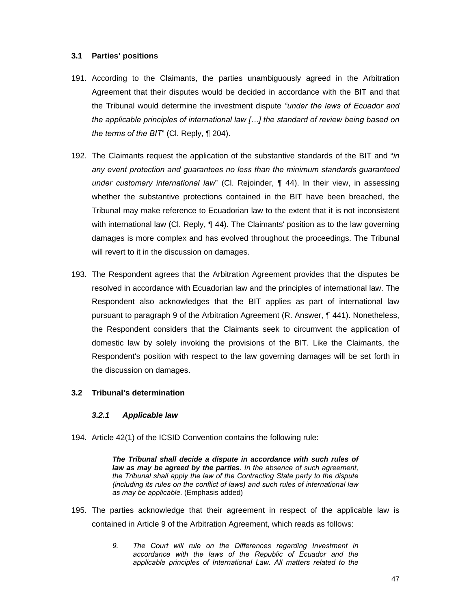### **3.1 Parties' positions**

- 191. According to the Claimants, the parties unambiguously agreed in the Arbitration Agreement that their disputes would be decided in accordance with the BIT and that the Tribunal would determine the investment dispute *"under the laws of Ecuador and the applicable principles of international law […] the standard of review being based on the terms of the BIT*" (Cl. Reply, ¶ 204).
- 192. The Claimants request the application of the substantive standards of the BIT and "*in any event protection and guarantees no less than the minimum standards guaranteed under customary international law*" (Cl. Rejoinder, ¶ 44). In their view, in assessing whether the substantive protections contained in the BIT have been breached, the Tribunal may make reference to Ecuadorian law to the extent that it is not inconsistent with international law (Cl. Reply, ¶ 44). The Claimants' position as to the law governing damages is more complex and has evolved throughout the proceedings. The Tribunal will revert to it in the discussion on damages.
- 193. The Respondent agrees that the Arbitration Agreement provides that the disputes be resolved in accordance with Ecuadorian law and the principles of international law. The Respondent also acknowledges that the BIT applies as part of international law pursuant to paragraph 9 of the Arbitration Agreement (R. Answer, ¶ 441). Nonetheless, the Respondent considers that the Claimants seek to circumvent the application of domestic law by solely invoking the provisions of the BIT. Like the Claimants, the Respondent's position with respect to the law governing damages will be set forth in the discussion on damages.

### **3.2 Tribunal's determination**

#### *3.2.1 Applicable law*

194. Article 42(1) of the ICSID Convention contains the following rule:

*The Tribunal shall decide a dispute in accordance with such rules of law as may be agreed by the parties. In the absence of such agreement, the Tribunal shall apply the law of the Contracting State party to the dispute (including its rules on the conflict of laws) and such rules of international law as may be applicable.* (Emphasis added)

- 195. The parties acknowledge that their agreement in respect of the applicable law is contained in Article 9 of the Arbitration Agreement, which reads as follows:
	- *9. The Court will rule on the Differences regarding Investment in accordance with the laws of the Republic of Ecuador and the applicable principles of International Law. All matters related to the*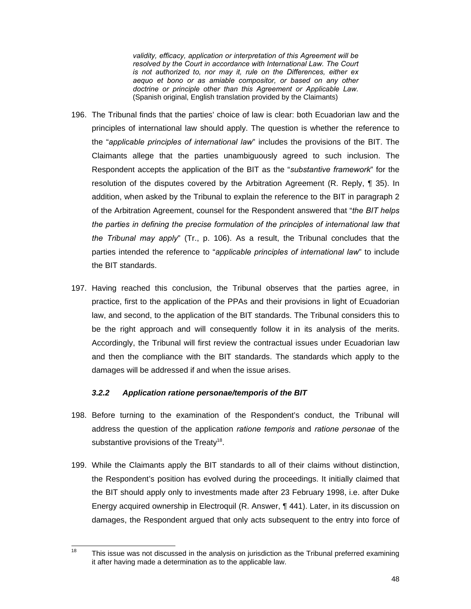*validity, efficacy, application or interpretation of this Agreement will be resolved by the Court in accordance with International Law. The Court is not authorized to, nor may it, rule on the Differences, either ex aequo et bono or as amiable compositor, or based on any other doctrine or principle other than this Agreement or Applicable Law.*  (Spanish original, English translation provided by the Claimants)

- 196. The Tribunal finds that the parties' choice of law is clear: both Ecuadorian law and the principles of international law should apply. The question is whether the reference to the "*applicable principles of international law*" includes the provisions of the BIT. The Claimants allege that the parties unambiguously agreed to such inclusion. The Respondent accepts the application of the BIT as the "*substantive framework*" for the resolution of the disputes covered by the Arbitration Agreement (R. Reply, ¶ 35). In addition, when asked by the Tribunal to explain the reference to the BIT in paragraph 2 of the Arbitration Agreement, counsel for the Respondent answered that "*the BIT helps the parties in defining the precise formulation of the principles of international law that the Tribunal may apply*" (Tr., p. 106). As a result, the Tribunal concludes that the parties intended the reference to "*applicable principles of international law*" to include the BIT standards.
- 197. Having reached this conclusion, the Tribunal observes that the parties agree, in practice, first to the application of the PPAs and their provisions in light of Ecuadorian law, and second, to the application of the BIT standards. The Tribunal considers this to be the right approach and will consequently follow it in its analysis of the merits. Accordingly, the Tribunal will first review the contractual issues under Ecuadorian law and then the compliance with the BIT standards. The standards which apply to the damages will be addressed if and when the issue arises.

### *3.2.2 Application ratione personae/temporis of the BIT*

- 198. Before turning to the examination of the Respondent's conduct, the Tribunal will address the question of the application *ratione temporis* and *ratione personae* of the substantive provisions of the Treaty<sup>18</sup>.
- 199. While the Claimants apply the BIT standards to all of their claims without distinction, the Respondent's position has evolved during the proceedings. It initially claimed that the BIT should apply only to investments made after 23 February 1998, i.e. after Duke Energy acquired ownership in Electroquil (R. Answer, ¶ 441). Later, in its discussion on damages, the Respondent argued that only acts subsequent to the entry into force of

<sup>18</sup> This issue was not discussed in the analysis on jurisdiction as the Tribunal preferred examining it after having made a determination as to the applicable law.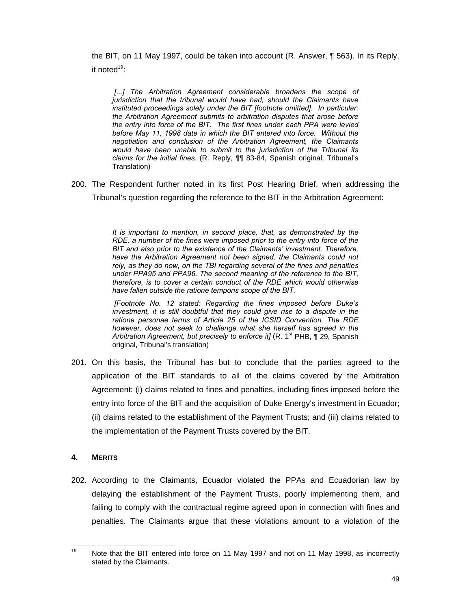the BIT, on 11 May 1997, could be taken into account (R. Answer, ¶ 563). In its Reply, it noted<sup>19.</sup>

[...] The Arbitration Agreement considerable broadens the scope of *jurisdiction that the tribunal would have had, should the Claimants have instituted proceedings solely under the BIT [footnote omitted]. In particular: the Arbitration Agreement submits to arbitration disputes that arose before the entry into force of the BIT. The first fines under each PPA were levied before May 11, 1998 date in which the BIT entered into force. Without the negotiation and conclusion of the Arbitration Agreement, the Claimants would have been unable to submit to the jurisdiction of the Tribunal its claims for the initial fines.* (R. Reply, ¶¶ 83-84, Spanish original, Tribunal's Translation)

200. The Respondent further noted in its first Post Hearing Brief, when addressing the Tribunal's question regarding the reference to the BIT in the Arbitration Agreement:

> *It is important to mention, in second place, that, as demonstrated by the RDE, a number of the fines were imposed prior to the entry into force of the BIT and also prior to the existence of the Claimants' investment. Therefore,*  have the Arbitration Agreement not been signed, the Claimants could not *rely, as they do now, on the TBI regarding several of the fines and penalties under PPA95 and PPA96. The second meaning of the reference to the BIT, therefore, is to cover a certain conduct of the RDE which would otherwise have fallen outside the ratione temporis scope of the BIT.*

> *[Footnote No. 12 stated: Regarding the fines imposed before Duke's investment, it is still doubtful that they could give rise to a dispute in the ratione personae terms of Article 25 of the ICSID Convention. The RDE however, does not seek to challenge what she herself has agreed in the Arbitration Agreement, but precisely to enforce it]* (R. 1<sup>st</sup> PHB, ¶ 29, Spanish original, Tribunal's translation)

201. On this basis, the Tribunal has but to conclude that the parties agreed to the application of the BIT standards to all of the claims covered by the Arbitration Agreement: (i) claims related to fines and penalties, including fines imposed before the entry into force of the BIT and the acquisition of Duke Energy's investment in Ecuador; (ii) claims related to the establishment of the Payment Trusts; and (iii) claims related to the implementation of the Payment Trusts covered by the BIT.

### **4. MERITS**

202. According to the Claimants, Ecuador violated the PPAs and Ecuadorian law by delaying the establishment of the Payment Trusts, poorly implementing them, and failing to comply with the contractual regime agreed upon in connection with fines and penalties. The Claimants argue that these violations amount to a violation of the

<sup>19</sup> Note that the BIT entered into force on 11 May 1997 and not on 11 May 1998, as incorrectly stated by the Claimants.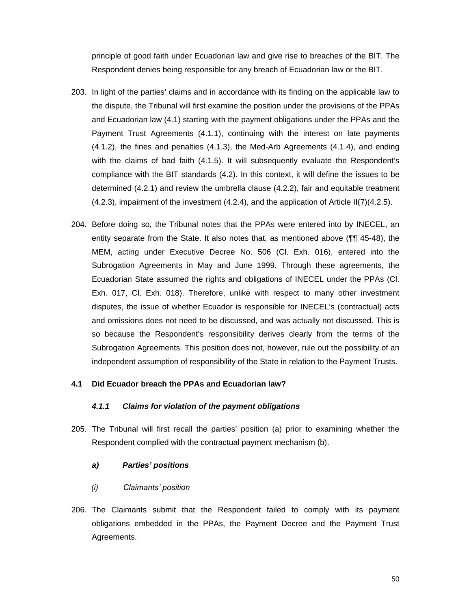principle of good faith under Ecuadorian law and give rise to breaches of the BIT. The Respondent denies being responsible for any breach of Ecuadorian law or the BIT.

- 203. In light of the parties' claims and in accordance with its finding on the applicable law to the dispute, the Tribunal will first examine the position under the provisions of the PPAs and Ecuadorian law (4.1) starting with the payment obligations under the PPAs and the Payment Trust Agreements (4.1.1), continuing with the interest on late payments (4.1.2), the fines and penalties (4.1.3), the Med-Arb Agreements (4.1.4), and ending with the claims of bad faith (4.1.5). It will subsequently evaluate the Respondent's compliance with the BIT standards (4.2). In this context, it will define the issues to be determined (4.2.1) and review the umbrella clause (4.2.2), fair and equitable treatment  $(4.2.3)$ , impairment of the investment  $(4.2.4)$ , and the application of Article II(7) $(4.2.5)$ .
- 204. Before doing so, the Tribunal notes that the PPAs were entered into by INECEL, an entity separate from the State. It also notes that, as mentioned above (¶¶ 45-48), the MEM, acting under Executive Decree No. 506 (Cl. Exh. 016), entered into the Subrogation Agreements in May and June 1999. Through these agreements, the Ecuadorian State assumed the rights and obligations of INECEL under the PPAs (Cl. Exh. 017, Cl. Exh. 018). Therefore, unlike with respect to many other investment disputes, the issue of whether Ecuador is responsible for INECEL's (contractual) acts and omissions does not need to be discussed, and was actually not discussed. This is so because the Respondent's responsibility derives clearly from the terms of the Subrogation Agreements. This position does not, however, rule out the possibility of an independent assumption of responsibility of the State in relation to the Payment Trusts.

## **4.1 Did Ecuador breach the PPAs and Ecuadorian law?**

#### *4.1.1 Claims for violation of the payment obligations*

205. The Tribunal will first recall the parties' position (a) prior to examining whether the Respondent complied with the contractual payment mechanism (b).

### *a) Parties' positions*

- *(i) Claimants' position*
- 206. The Claimants submit that the Respondent failed to comply with its payment obligations embedded in the PPAs, the Payment Decree and the Payment Trust Agreements.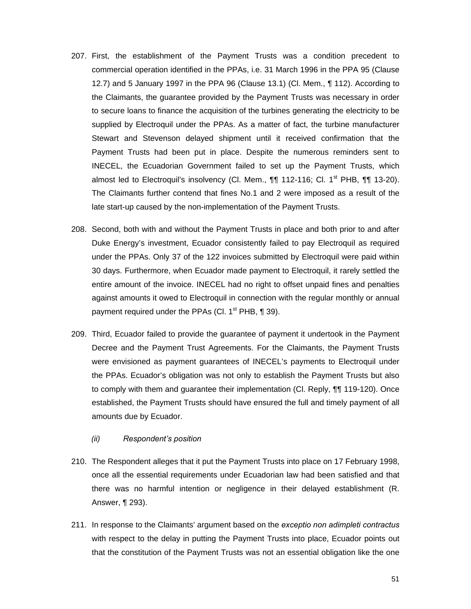- 207. First, the establishment of the Payment Trusts was a condition precedent to commercial operation identified in the PPAs, i.e. 31 March 1996 in the PPA 95 (Clause 12.7) and 5 January 1997 in the PPA 96 (Clause 13.1) (Cl. Mem., ¶ 112). According to the Claimants, the guarantee provided by the Payment Trusts was necessary in order to secure loans to finance the acquisition of the turbines generating the electricity to be supplied by Electroquil under the PPAs. As a matter of fact, the turbine manufacturer Stewart and Stevenson delayed shipment until it received confirmation that the Payment Trusts had been put in place. Despite the numerous reminders sent to INECEL, the Ecuadorian Government failed to set up the Payment Trusts, which almost led to Electroquil's insolvency (Cl. Mem.,  $\P\P$  112-116; Cl. 1<sup>st</sup> PHB,  $\P\P$  13-20). The Claimants further contend that fines No.1 and 2 were imposed as a result of the late start-up caused by the non-implementation of the Payment Trusts.
- 208. Second, both with and without the Payment Trusts in place and both prior to and after Duke Energy's investment, Ecuador consistently failed to pay Electroquil as required under the PPAs. Only 37 of the 122 invoices submitted by Electroquil were paid within 30 days. Furthermore, when Ecuador made payment to Electroquil, it rarely settled the entire amount of the invoice. INECEL had no right to offset unpaid fines and penalties against amounts it owed to Electroquil in connection with the regular monthly or annual payment required under the PPAs (Cl.  $1<sup>st</sup>$  PHB,  $\P$  39).
- 209. Third, Ecuador failed to provide the guarantee of payment it undertook in the Payment Decree and the Payment Trust Agreements. For the Claimants, the Payment Trusts were envisioned as payment guarantees of INECEL's payments to Electroquil under the PPAs. Ecuador's obligation was not only to establish the Payment Trusts but also to comply with them and guarantee their implementation (Cl. Reply, ¶¶ 119-120). Once established, the Payment Trusts should have ensured the full and timely payment of all amounts due by Ecuador.
	- *(ii) Respondent's position*
- 210. The Respondent alleges that it put the Payment Trusts into place on 17 February 1998, once all the essential requirements under Ecuadorian law had been satisfied and that there was no harmful intention or negligence in their delayed establishment (R. Answer, ¶ 293).
- 211. In response to the Claimants' argument based on the *exceptio non adimpleti contractus* with respect to the delay in putting the Payment Trusts into place, Ecuador points out that the constitution of the Payment Trusts was not an essential obligation like the one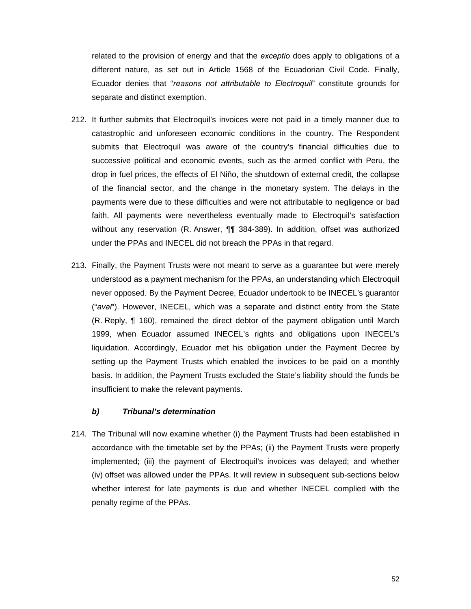related to the provision of energy and that the *exceptio* does apply to obligations of a different nature, as set out in Article 1568 of the Ecuadorian Civil Code. Finally, Ecuador denies that "*reasons not attributable to Electroquil*" constitute grounds for separate and distinct exemption.

- 212. It further submits that Electroquil's invoices were not paid in a timely manner due to catastrophic and unforeseen economic conditions in the country. The Respondent submits that Electroquil was aware of the country's financial difficulties due to successive political and economic events, such as the armed conflict with Peru, the drop in fuel prices, the effects of El Niño, the shutdown of external credit, the collapse of the financial sector, and the change in the monetary system. The delays in the payments were due to these difficulties and were not attributable to negligence or bad faith. All payments were nevertheless eventually made to Electroquil's satisfaction without any reservation (R. Answer, ¶¶ 384-389). In addition, offset was authorized under the PPAs and INECEL did not breach the PPAs in that regard.
- 213. Finally, the Payment Trusts were not meant to serve as a guarantee but were merely understood as a payment mechanism for the PPAs, an understanding which Electroquil never opposed. By the Payment Decree, Ecuador undertook to be INECEL's guarantor ("*aval*"). However, INECEL, which was a separate and distinct entity from the State (R. Reply, ¶ 160), remained the direct debtor of the payment obligation until March 1999, when Ecuador assumed INECEL's rights and obligations upon INECEL's liquidation. Accordingly, Ecuador met his obligation under the Payment Decree by setting up the Payment Trusts which enabled the invoices to be paid on a monthly basis. In addition, the Payment Trusts excluded the State's liability should the funds be insufficient to make the relevant payments.

### *b) Tribunal's determination*

214. The Tribunal will now examine whether (i) the Payment Trusts had been established in accordance with the timetable set by the PPAs; (ii) the Payment Trusts were properly implemented; (iii) the payment of Electroquil's invoices was delayed; and whether (iv) offset was allowed under the PPAs. It will review in subsequent sub-sections below whether interest for late payments is due and whether INECEL complied with the penalty regime of the PPAs.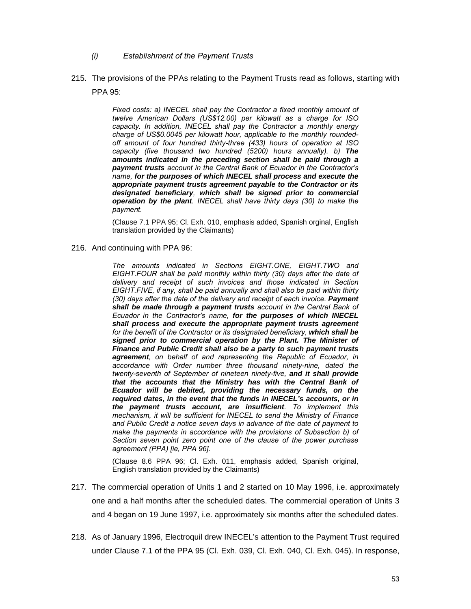- *(i) Establishment of the Payment Trusts*
- 215. The provisions of the PPAs relating to the Payment Trusts read as follows, starting with PPA 95:

*Fixed costs: a) INECEL shall pay the Contractor a fixed monthly amount of twelve American Dollars (US\$12.00) per kilowatt as a charge for ISO capacity. In addition, INECEL shall pay the Contractor a monthly energy charge of US\$0.0045 per kilowatt hour, applicable to the monthly roundedoff amount of four hundred thirty-three (433) hours of operation at ISO capacity (five thousand two hundred (5200) hours annually). b) The amounts indicated in the preceding section shall be paid through a payment trusts account in the Central Bank of Ecuador in the Contractor's name, for the purposes of which INECEL shall process and execute the appropriate payment trusts agreement payable to the Contractor or its designated beneficiary, which shall be signed prior to commercial operation by the plant. INECEL shall have thirty days (30) to make the payment.* 

(Clause 7.1 PPA 95; Cl. Exh. 010, emphasis added, Spanish orginal, English translation provided by the Claimants)

216. And continuing with PPA 96:

*The amounts indicated in Sections EIGHT.ONE, EIGHT.TWO and EIGHT.FOUR shall be paid monthly within thirty (30) days after the date of delivery and receipt of such invoices and those indicated in Section EIGHT.FIVE, if any, shall be paid annually and shall also be paid within thirty (30) days after the date of the delivery and receipt of each invoice. Payment shall be made through a payment trusts account in the Central Bank of Ecuador in the Contractor's name, for the purposes of which INECEL shall process and execute the appropriate payment trusts agreement for the benefit of the Contractor or its designated beneficiary, which shall be signed prior to commercial operation by the Plant. The Minister of Finance and Public Credit shall also be a party to such payment trusts agreement, on behalf of and representing the Republic of Ecuador, in accordance with Order number three thousand ninety-nine, dated the twenty-seventh of September of nineteen ninety-five, and it shall provide that the accounts that the Ministry has with the Central Bank of Ecuador will be debited, providing the necessary funds, on the required dates, in the event that the funds in INECEL's accounts, or in the payment trusts account, are insufficient. To implement this mechanism, it will be sufficient for INECEL to send the Ministry of Finance and Public Credit a notice seven days in advance of the date of payment to make the payments in accordance with the provisions of Subsection b) of Section seven point zero point one of the clause of the power purchase agreement (PPA) [ie, PPA 96].* 

(Clause 8.6 PPA 96; Cl. Exh. 011, emphasis added, Spanish original, English translation provided by the Claimants)

- 217. The commercial operation of Units 1 and 2 started on 10 May 1996, i.e. approximately one and a half months after the scheduled dates. The commercial operation of Units 3 and 4 began on 19 June 1997, i.e. approximately six months after the scheduled dates.
- 218. As of January 1996, Electroquil drew INECEL's attention to the Payment Trust required under Clause 7.1 of the PPA 95 (Cl. Exh. 039, Cl. Exh. 040, Cl. Exh. 045). In response,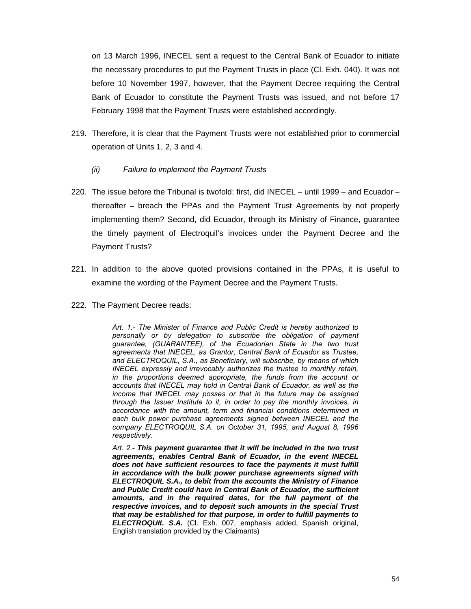on 13 March 1996, INECEL sent a request to the Central Bank of Ecuador to initiate the necessary procedures to put the Payment Trusts in place (Cl. Exh. 040). It was not before 10 November 1997, however, that the Payment Decree requiring the Central Bank of Ecuador to constitute the Payment Trusts was issued, and not before 17 February 1998 that the Payment Trusts were established accordingly.

- 219. Therefore, it is clear that the Payment Trusts were not established prior to commercial operation of Units 1, 2, 3 and 4.
	- *(ii) Failure to implement the Payment Trusts*
- 220. The issue before the Tribunal is twofold: first, did INECEL until 1999 and Ecuador thereafter – breach the PPAs and the Payment Trust Agreements by not properly implementing them? Second, did Ecuador, through its Ministry of Finance, guarantee the timely payment of Electroquil's invoices under the Payment Decree and the Payment Trusts?
- 221. In addition to the above quoted provisions contained in the PPAs, it is useful to examine the wording of the Payment Decree and the Payment Trusts.
- 222. The Payment Decree reads:

*Art. 1.- The Minister of Finance and Public Credit is hereby authorized to personally or by delegation to subscribe the obligation of payment guarantee, (GUARANTEE), of the Ecuadorian State in the two trust agreements that INECEL, as Grantor, Central Bank of Ecuador as Trustee, and ELECTROQUIL, S.A., as Beneficiary, will subscribe, by means of which INECEL expressly and irrevocably authorizes the trustee to monthly retain, in the proportions deemed appropriate, the funds from the account or accounts that INECEL may hold in Central Bank of Ecuador, as well as the income that INECEL may posses or that in the future may be assigned through the Issuer Institute to it, in order to pay the monthly invoices, in accordance with the amount, term and financial conditions determined in each bulk power purchase agreements signed between INECEL and the company ELECTROQUIL S.A. on October 31, 1995, and August 8, 1996 respectively.* 

*Art. 2.- This payment guarantee that it will be included in the two trust agreements, enables Central Bank of Ecuador, in the event INECEL does not have sufficient resources to face the payments it must fulfill in accordance with the bulk power purchase agreements signed with ELECTROQUIL S.A., to debit from the accounts the Ministry of Finance and Public Credit could have in Central Bank of Ecuador, the sufficient amounts, and in the required dates, for the full payment of the respective invoices, and to deposit such amounts in the special Trust that may be established for that purpose, in order to fulfill payments to ELECTROQUIL S.A.* (Cl. Exh. 007, emphasis added, Spanish original, English translation provided by the Claimants)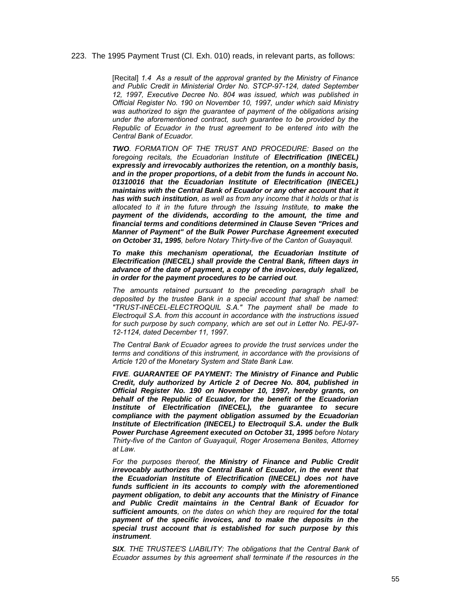#### 223. The 1995 Payment Trust (Cl. Exh. 010) reads, in relevant parts, as follows:

[Recital] *1.4 As a result of the approval granted by the Ministry of Finance and Public Credit in Ministerial Order No. STCP-97-124, dated September 12, 1997, Executive Decree No. 804 was issued, which was published in Official Register No. 190 on November 10, 1997, under which said Ministry was authorized to sign the guarantee of payment of the obligations arising under the aforementioned contract, such guarantee to be provided by the Republic of Ecuador in the trust agreement to be entered into with the Central Bank of Ecuador.* 

*TWO. FORMATION OF THE TRUST AND PROCEDURE: Based on the foregoing recitals, the Ecuadorian Institute of Electrification (INECEL) expressly and irrevocably authorizes the retention, on a monthly basis, and in the proper proportions, of a debit from the funds in account No. 01310016 that the Ecuadorian Institute of Electrification (INECEL)*  maintains with the Central Bank of Ecuador or any other account that it *has with such institution, as well as from any income that it holds or that is allocated to it in the future through the Issuing Institute, to make the payment of the dividends, according to the amount, the time and financial terms and conditions determined in Clause Seven "Prices and Manner of Payment" of the Bulk Power Purchase Agreement executed on October 31, 1995, before Notary Thirty-five of the Canton of Guayaquil.* 

*To make this mechanism operational, the Ecuadorian Institute of Electrification (INECEL) shall provide the Central Bank, fifteen days in advance of the date of payment, a copy of the invoices, duly legalized, in order for the payment procedures to be carried out.* 

*The amounts retained pursuant to the preceding paragraph shall be deposited by the trustee Bank in a special account that shall be named: "TRUST-INECEL-ELECTROQUIL S.A." The payment shall be made to Electroquil S.A. from this account in accordance with the instructions issued for such purpose by such company, which are set out in Letter No. PEJ-97- 12-1124, dated December 11, 1997.* 

*The Central Bank of Ecuador agrees to provide the trust services under the terms and conditions of this instrument, in accordance with the provisions of Article 120 of the Monetary System and State Bank Law.* 

*FIVE. GUARANTEE OF PAYMENT: The Ministry of Finance and Public Credit, duly authorized by Article 2 of Decree No. 804, published in Official Register No. 190 on November 10, 1997, hereby grants, on behalf of the Republic of Ecuador, for the benefit of the Ecuadorian Institute of Electrification (INECEL), the guarantee to secure compliance with the payment obligation assumed by the Ecuadorian Institute of Electrification (INECEL) to Electroquil S.A. under the Bulk Power Purchase Agreement executed on October 31, 1995 before Notary Thirty-five of the Canton of Guayaquil, Roger Arosemena Benites, Attorney at Law.* 

*For the purposes thereof, the Ministry of Finance and Public Credit irrevocably authorizes the Central Bank of Ecuador, in the event that the Ecuadorian Institute of Electrification (INECEL) does not have funds sufficient in its accounts to comply with the aforementioned payment obligation, to debit any accounts that the Ministry of Finance and Public Credit maintains in the Central Bank of Ecuador for sufficient amounts, on the dates on which they are required for the total payment of the specific invoices, and to make the deposits in the special trust account that is established for such purpose by this instrument.* 

*SIX. THE TRUSTEE'S LIABILITY: The obligations that the Central Bank of Ecuador assumes by this agreement shall terminate if the resources in the*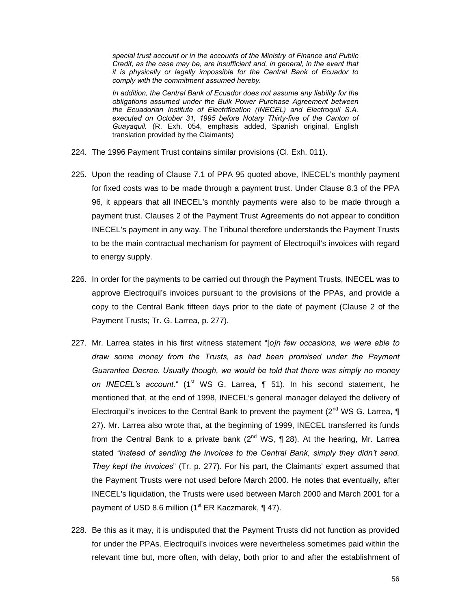*special trust account or in the accounts of the Ministry of Finance and Public Credit, as the case may be, are insufficient and, in general, in the event that it is physically or legally impossible for the Central Bank of Ecuador to comply with the commitment assumed hereby.* 

*In addition, the Central Bank of Ecuador does not assume any liability for the obligations assumed under the Bulk Power Purchase Agreement between the Ecuadorian Institute of Electrification (INECEL) and Electroquil S.A. executed on October 31, 1995 before Notary Thirty-five of the Canton of Guayaquil.* (R. Exh. 054, emphasis added, Spanish original, English translation provided by the Claimants)

- 224. The 1996 Payment Trust contains similar provisions (Cl. Exh. 011).
- 225. Upon the reading of Clause 7.1 of PPA 95 quoted above, INECEL's monthly payment for fixed costs was to be made through a payment trust. Under Clause 8.3 of the PPA 96, it appears that all INECEL's monthly payments were also to be made through a payment trust. Clauses 2 of the Payment Trust Agreements do not appear to condition INECEL's payment in any way. The Tribunal therefore understands the Payment Trusts to be the main contractual mechanism for payment of Electroquil's invoices with regard to energy supply.
- 226. In order for the payments to be carried out through the Payment Trusts, INECEL was to approve Electroquil's invoices pursuant to the provisions of the PPAs, and provide a copy to the Central Bank fifteen days prior to the date of payment (Clause 2 of the Payment Trusts; Tr. G. Larrea, p. 277).
- 227. Mr. Larrea states in his first witness statement "[*o]n few occasions, we were able to draw some money from the Trusts, as had been promised under the Payment Guarantee Decree. Usually though, we would be told that there was simply no money on INECEL's account.*" (1<sup>st</sup> WS G. Larrea, ¶ 51). In his second statement, he mentioned that, at the end of 1998, INECEL's general manager delayed the delivery of Electroquil's invoices to the Central Bank to prevent the payment ( $2^{nd}$  WS G. Larrea,  $\P$ 27). Mr. Larrea also wrote that, at the beginning of 1999, INECEL transferred its funds from the Central Bank to a private bank ( $2^{nd}$  WS,  $\P$  28). At the hearing, Mr. Larrea stated *"instead of sending the invoices to the Central Bank, simply they didn't send. They kept the invoices*" (Tr. p. 277). For his part, the Claimants' expert assumed that the Payment Trusts were not used before March 2000. He notes that eventually, after INECEL's liquidation, the Trusts were used between March 2000 and March 2001 for a payment of USD 8.6 million ( $1<sup>st</sup> ER Kaczmarek, \P 47$ ).
- 228. Be this as it may, it is undisputed that the Payment Trusts did not function as provided for under the PPAs. Electroquil's invoices were nevertheless sometimes paid within the relevant time but, more often, with delay, both prior to and after the establishment of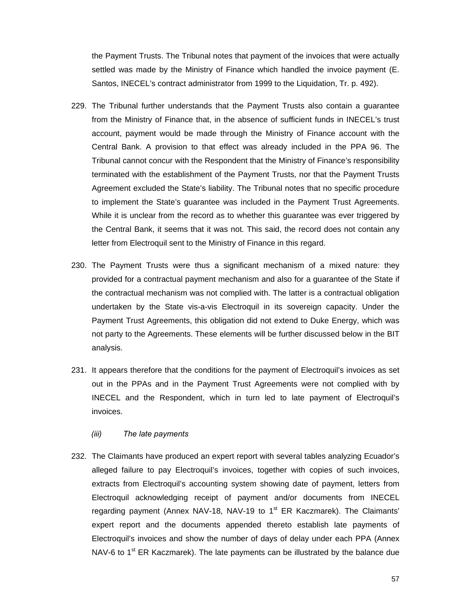the Payment Trusts. The Tribunal notes that payment of the invoices that were actually settled was made by the Ministry of Finance which handled the invoice payment (E. Santos, INECEL's contract administrator from 1999 to the Liquidation, Tr. p. 492).

- 229. The Tribunal further understands that the Payment Trusts also contain a guarantee from the Ministry of Finance that, in the absence of sufficient funds in INECEL's trust account, payment would be made through the Ministry of Finance account with the Central Bank. A provision to that effect was already included in the PPA 96. The Tribunal cannot concur with the Respondent that the Ministry of Finance's responsibility terminated with the establishment of the Payment Trusts, nor that the Payment Trusts Agreement excluded the State's liability. The Tribunal notes that no specific procedure to implement the State's guarantee was included in the Payment Trust Agreements. While it is unclear from the record as to whether this guarantee was ever triggered by the Central Bank, it seems that it was not. This said, the record does not contain any letter from Electroquil sent to the Ministry of Finance in this regard.
- 230. The Payment Trusts were thus a significant mechanism of a mixed nature: they provided for a contractual payment mechanism and also for a guarantee of the State if the contractual mechanism was not complied with. The latter is a contractual obligation undertaken by the State vis-a-vis Electroquil in its sovereign capacity. Under the Payment Trust Agreements, this obligation did not extend to Duke Energy, which was not party to the Agreements. These elements will be further discussed below in the BIT analysis.
- 231. It appears therefore that the conditions for the payment of Electroquil's invoices as set out in the PPAs and in the Payment Trust Agreements were not complied with by INECEL and the Respondent, which in turn led to late payment of Electroquil's invoices.
	- *(iii) The late payments*
- 232. The Claimants have produced an expert report with several tables analyzing Ecuador's alleged failure to pay Electroquil's invoices, together with copies of such invoices, extracts from Electroquil's accounting system showing date of payment, letters from Electroquil acknowledging receipt of payment and/or documents from INECEL regarding payment (Annex NAV-18, NAV-19 to  $1<sup>st</sup>$  ER Kaczmarek). The Claimants' expert report and the documents appended thereto establish late payments of Electroquil's invoices and show the number of days of delay under each PPA (Annex NAV-6 to 1<sup>st</sup> ER Kaczmarek). The late payments can be illustrated by the balance due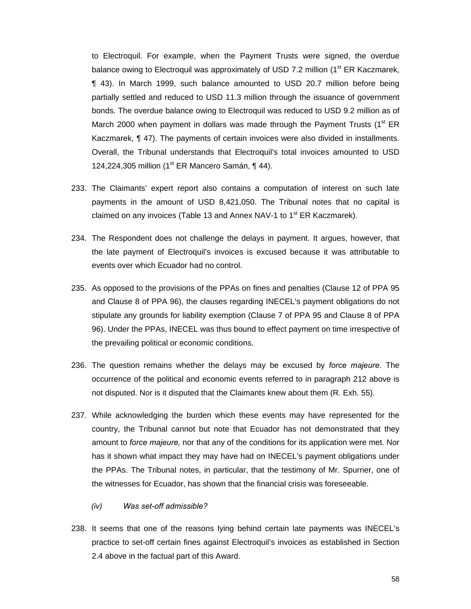to Electroquil. For example, when the Payment Trusts were signed, the overdue balance owing to Electroquil was approximately of USD 7.2 million ( $1<sup>st</sup> ER Kaczmarek$ , ¶ 43). In March 1999, such balance amounted to USD 20.7 million before being partially settled and reduced to USD 11.3 million through the issuance of government bonds. The overdue balance owing to Electroquil was reduced to USD 9.2 million as of March 2000 when payment in dollars was made through the Payment Trusts ( $1<sup>st</sup> ER$ Kaczmarek, ¶ 47). The payments of certain invoices were also divided in installments. Overall, the Tribunal understands that Electroquil's total invoices amounted to USD 124,224,305 million (1st ER Mancero Samán,  $\P$  44).

- 233. The Claimants' expert report also contains a computation of interest on such late payments in the amount of USD 8,421,050. The Tribunal notes that no capital is claimed on any invoices (Table 13 and Annex NAV-1 to 1<sup>st</sup> ER Kaczmarek).
- 234. The Respondent does not challenge the delays in payment. It argues, however, that the late payment of Electroquil's invoices is excused because it was attributable to events over which Ecuador had no control.
- 235. As opposed to the provisions of the PPAs on fines and penalties (Clause 12 of PPA 95 and Clause 8 of PPA 96), the clauses regarding INECEL's payment obligations do not stipulate any grounds for liability exemption (Clause 7 of PPA 95 and Clause 8 of PPA 96). Under the PPAs, INECEL was thus bound to effect payment on time irrespective of the prevailing political or economic conditions.
- 236. The question remains whether the delays may be excused by *force majeure*. The occurrence of the political and economic events referred to in paragraph 212 above is not disputed. Nor is it disputed that the Claimants knew about them (R. Exh. 55).
- 237. While acknowledging the burden which these events may have represented for the country, the Tribunal cannot but note that Ecuador has not demonstrated that they amount to *force majeure,* nor that any of the conditions for its application were met. Nor has it shown what impact they may have had on INECEL's payment obligations under the PPAs. The Tribunal notes, in particular, that the testimony of Mr. Spurrier, one of the witnesses for Ecuador, has shown that the financial crisis was foreseeable.
	- *(iv) Was set-off admissible?*
- 238. It seems that one of the reasons lying behind certain late payments was INECEL's practice to set-off certain fines against Electroquil's invoices as established in Section 2.4 above in the factual part of this Award.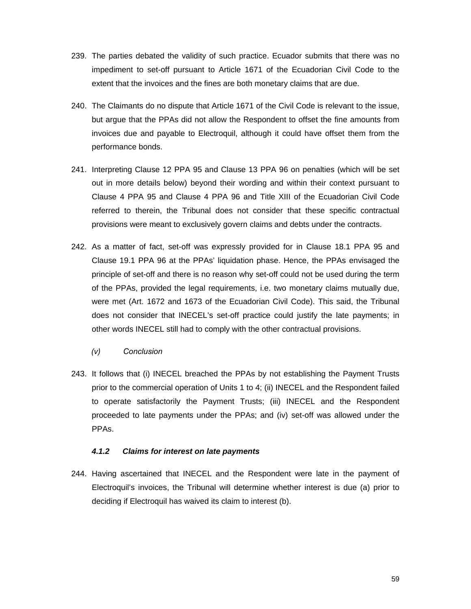- 239. The parties debated the validity of such practice. Ecuador submits that there was no impediment to set-off pursuant to Article 1671 of the Ecuadorian Civil Code to the extent that the invoices and the fines are both monetary claims that are due.
- 240. The Claimants do no dispute that Article 1671 of the Civil Code is relevant to the issue, but argue that the PPAs did not allow the Respondent to offset the fine amounts from invoices due and payable to Electroquil, although it could have offset them from the performance bonds.
- 241. Interpreting Clause 12 PPA 95 and Clause 13 PPA 96 on penalties (which will be set out in more details below) beyond their wording and within their context pursuant to Clause 4 PPA 95 and Clause 4 PPA 96 and Title XIII of the Ecuadorian Civil Code referred to therein, the Tribunal does not consider that these specific contractual provisions were meant to exclusively govern claims and debts under the contracts.
- 242. As a matter of fact, set-off was expressly provided for in Clause 18.1 PPA 95 and Clause 19.1 PPA 96 at the PPAs' liquidation phase. Hence, the PPAs envisaged the principle of set-off and there is no reason why set-off could not be used during the term of the PPAs, provided the legal requirements, i.e. two monetary claims mutually due, were met (Art. 1672 and 1673 of the Ecuadorian Civil Code). This said, the Tribunal does not consider that INECEL's set-off practice could justify the late payments; in other words INECEL still had to comply with the other contractual provisions.
	- *(v) Conclusion*
- 243. It follows that (i) INECEL breached the PPAs by not establishing the Payment Trusts prior to the commercial operation of Units 1 to 4; (ii) INECEL and the Respondent failed to operate satisfactorily the Payment Trusts; (iii) INECEL and the Respondent proceeded to late payments under the PPAs; and (iv) set-off was allowed under the PPAs.

#### *4.1.2 Claims for interest on late payments*

244. Having ascertained that INECEL and the Respondent were late in the payment of Electroquil's invoices, the Tribunal will determine whether interest is due (a) prior to deciding if Electroquil has waived its claim to interest (b).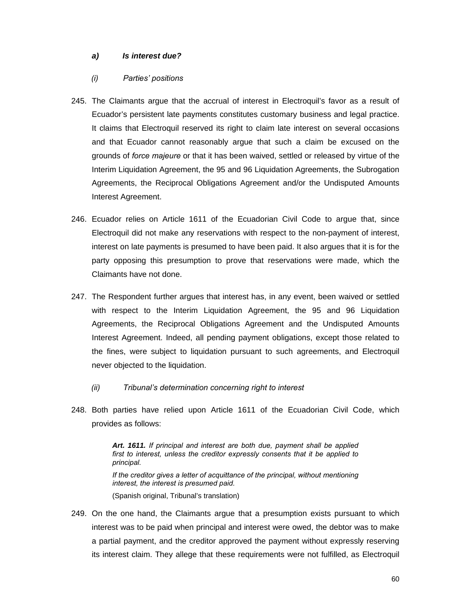#### *a) Is interest due?*

### *(i) Parties' positions*

- 245. The Claimants argue that the accrual of interest in Electroquil's favor as a result of Ecuador's persistent late payments constitutes customary business and legal practice. It claims that Electroquil reserved its right to claim late interest on several occasions and that Ecuador cannot reasonably argue that such a claim be excused on the grounds of *force majeure* or that it has been waived, settled or released by virtue of the Interim Liquidation Agreement, the 95 and 96 Liquidation Agreements, the Subrogation Agreements, the Reciprocal Obligations Agreement and/or the Undisputed Amounts Interest Agreement.
- 246. Ecuador relies on Article 1611 of the Ecuadorian Civil Code to argue that, since Electroquil did not make any reservations with respect to the non-payment of interest, interest on late payments is presumed to have been paid. It also argues that it is for the party opposing this presumption to prove that reservations were made, which the Claimants have not done.
- 247. The Respondent further argues that interest has, in any event, been waived or settled with respect to the Interim Liquidation Agreement, the 95 and 96 Liquidation Agreements, the Reciprocal Obligations Agreement and the Undisputed Amounts Interest Agreement. Indeed, all pending payment obligations, except those related to the fines, were subject to liquidation pursuant to such agreements, and Electroquil never objected to the liquidation.
	- *(ii) Tribunal's determination concerning right to interest*
- 248. Both parties have relied upon Article 1611 of the Ecuadorian Civil Code, which provides as follows:

*Art. 1611. If principal and interest are both due, payment shall be applied first to interest, unless the creditor expressly consents that it be applied to principal. If the creditor gives a letter of acquittance of the principal, without mentioning interest, the interest is presumed paid.*  (Spanish original, Tribunal's translation)

249. On the one hand, the Claimants argue that a presumption exists pursuant to which interest was to be paid when principal and interest were owed, the debtor was to make a partial payment, and the creditor approved the payment without expressly reserving its interest claim. They allege that these requirements were not fulfilled, as Electroquil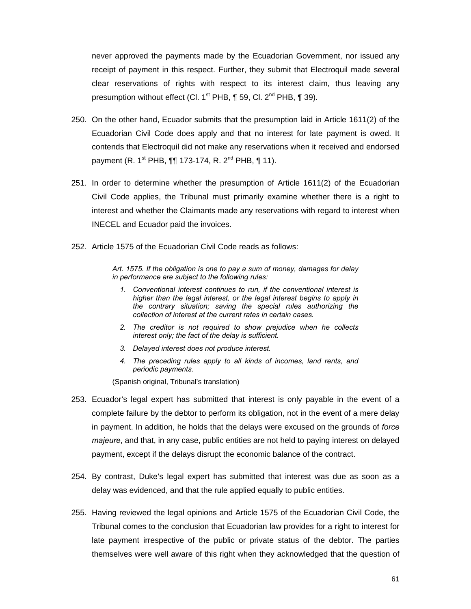never approved the payments made by the Ecuadorian Government, nor issued any receipt of payment in this respect. Further, they submit that Electroquil made several clear reservations of rights with respect to its interest claim, thus leaving any presumption without effect (Cl. 1<sup>st</sup> PHB,  $\P$  59, Cl. 2<sup>nd</sup> PHB,  $\P$  39).

- 250. On the other hand, Ecuador submits that the presumption laid in Article 1611(2) of the Ecuadorian Civil Code does apply and that no interest for late payment is owed. It contends that Electroquil did not make any reservations when it received and endorsed payment (R. 1st PHB, ¶¶ 173-174, R. 2nd PHB, ¶ 11).
- 251. In order to determine whether the presumption of Article 1611(2) of the Ecuadorian Civil Code applies, the Tribunal must primarily examine whether there is a right to interest and whether the Claimants made any reservations with regard to interest when INECEL and Ecuador paid the invoices.
- 252. Article 1575 of the Ecuadorian Civil Code reads as follows:

*Art. 1575. If the obligation is one to pay a sum of money, damages for delay in performance are subject to the following rules:* 

- *1. Conventional interest continues to run, if the conventional interest is higher than the legal interest, or the legal interest begins to apply in the contrary situation; saving the special rules authorizing the collection of interest at the current rates in certain cases.*
- *2. The creditor is not required to show prejudice when he collects interest only; the fact of the delay is sufficient.*
- *3. Delayed interest does not produce interest.*
- *4. The preceding rules apply to all kinds of incomes, land rents, and periodic payments.*

(Spanish original, Tribunal's translation)

- 253. Ecuador's legal expert has submitted that interest is only payable in the event of a complete failure by the debtor to perform its obligation, not in the event of a mere delay in payment. In addition, he holds that the delays were excused on the grounds of *force majeure*, and that, in any case, public entities are not held to paying interest on delayed payment, except if the delays disrupt the economic balance of the contract.
- 254. By contrast, Duke's legal expert has submitted that interest was due as soon as a delay was evidenced, and that the rule applied equally to public entities.
- 255. Having reviewed the legal opinions and Article 1575 of the Ecuadorian Civil Code, the Tribunal comes to the conclusion that Ecuadorian law provides for a right to interest for late payment irrespective of the public or private status of the debtor. The parties themselves were well aware of this right when they acknowledged that the question of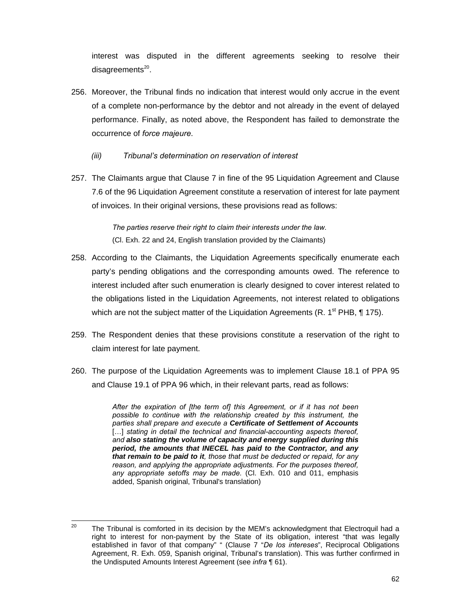interest was disputed in the different agreements seeking to resolve their disagreements $20$ .

- 256. Moreover, the Tribunal finds no indication that interest would only accrue in the event of a complete non-performance by the debtor and not already in the event of delayed performance. Finally, as noted above, the Respondent has failed to demonstrate the occurrence of *force majeure*.
	- *(iii) Tribunal's determination on reservation of interest*
- 257. The Claimants argue that Clause 7 in fine of the 95 Liquidation Agreement and Clause 7.6 of the 96 Liquidation Agreement constitute a reservation of interest for late payment of invoices. In their original versions, these provisions read as follows:

*The parties reserve their right to claim their interests under the law.*  (Cl. Exh. 22 and 24, English translation provided by the Claimants)

- 258. According to the Claimants, the Liquidation Agreements specifically enumerate each party's pending obligations and the corresponding amounts owed. The reference to interest included after such enumeration is clearly designed to cover interest related to the obligations listed in the Liquidation Agreements, not interest related to obligations which are not the subject matter of the Liquidation Agreements (R.  $1<sup>st</sup>$  PHB,  $\P$  175).
- 259. The Respondent denies that these provisions constitute a reservation of the right to claim interest for late payment.
- 260. The purpose of the Liquidation Agreements was to implement Clause 18.1 of PPA 95 and Clause 19.1 of PPA 96 which, in their relevant parts, read as follows:

*After the expiration of [the term of] this Agreement, or if it has not been possible to continue with the relationship created by this instrument, the parties shall prepare and execute a Certificate of Settlement of Accounts* [...] stating in detail the technical and financial-accounting aspects thereof, *and also stating the volume of capacity and energy supplied during this period, the amounts that INECEL has paid to the Contractor, and any that remain to be paid to it, those that must be deducted or repaid, for any reason, and applying the appropriate adjustments. For the purposes thereof, any appropriate setoffs may be made.* (Cl. Exh. 010 and 011, emphasis added, Spanish original, Tribunal's translation)

<sup>20</sup> The Tribunal is comforted in its decision by the MEM's acknowledgment that Electroquil had a right to interest for non-payment by the State of its obligation, interest "that was legally established in favor of that company" " (Clause 7 "*De los intereses*", Reciprocal Obligations Agreement, R. Exh. 059, Spanish original, Tribunal's translation). This was further confirmed in the Undisputed Amounts Interest Agreement (see *infra* ¶ 61).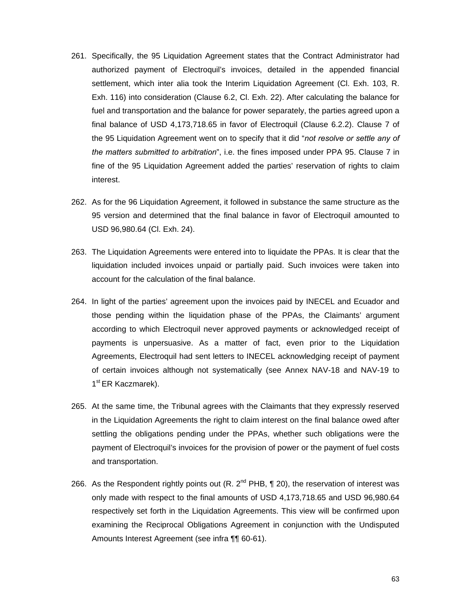- 261. Specifically, the 95 Liquidation Agreement states that the Contract Administrator had authorized payment of Electroquil's invoices, detailed in the appended financial settlement, which inter alia took the Interim Liquidation Agreement (Cl. Exh. 103, R. Exh. 116) into consideration (Clause 6.2, Cl. Exh. 22). After calculating the balance for fuel and transportation and the balance for power separately, the parties agreed upon a final balance of USD 4,173,718.65 in favor of Electroquil (Clause 6.2.2). Clause 7 of the 95 Liquidation Agreement went on to specify that it did "*not resolve or settle any of the matters submitted to arbitration*", i.e. the fines imposed under PPA 95. Clause 7 in fine of the 95 Liquidation Agreement added the parties' reservation of rights to claim interest.
- 262. As for the 96 Liquidation Agreement, it followed in substance the same structure as the 95 version and determined that the final balance in favor of Electroquil amounted to USD 96,980.64 (Cl. Exh. 24).
- 263. The Liquidation Agreements were entered into to liquidate the PPAs. It is clear that the liquidation included invoices unpaid or partially paid. Such invoices were taken into account for the calculation of the final balance.
- 264. In light of the parties' agreement upon the invoices paid by INECEL and Ecuador and those pending within the liquidation phase of the PPAs, the Claimants' argument according to which Electroquil never approved payments or acknowledged receipt of payments is unpersuasive. As a matter of fact, even prior to the Liquidation Agreements, Electroquil had sent letters to INECEL acknowledging receipt of payment of certain invoices although not systematically (see Annex NAV-18 and NAV-19 to 1<sup>st</sup> ER Kaczmarek).
- 265. At the same time, the Tribunal agrees with the Claimants that they expressly reserved in the Liquidation Agreements the right to claim interest on the final balance owed after settling the obligations pending under the PPAs, whether such obligations were the payment of Electroquil's invoices for the provision of power or the payment of fuel costs and transportation.
- 266. As the Respondent rightly points out (R.  $2^{nd}$  PHB,  $\P$  20), the reservation of interest was only made with respect to the final amounts of USD 4,173,718.65 and USD 96,980.64 respectively set forth in the Liquidation Agreements. This view will be confirmed upon examining the Reciprocal Obligations Agreement in conjunction with the Undisputed Amounts Interest Agreement (see infra ¶¶ 60-61).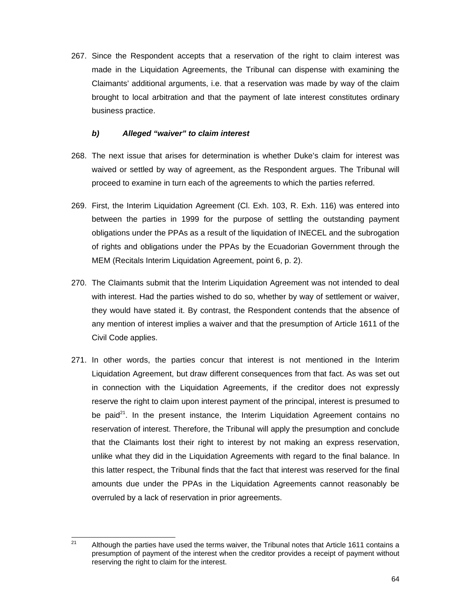267. Since the Respondent accepts that a reservation of the right to claim interest was made in the Liquidation Agreements, the Tribunal can dispense with examining the Claimants' additional arguments, i.e. that a reservation was made by way of the claim brought to local arbitration and that the payment of late interest constitutes ordinary business practice.

### *b) Alleged "waiver" to claim interest*

- 268. The next issue that arises for determination is whether Duke's claim for interest was waived or settled by way of agreement, as the Respondent argues. The Tribunal will proceed to examine in turn each of the agreements to which the parties referred.
- 269. First, the Interim Liquidation Agreement (Cl. Exh. 103, R. Exh. 116) was entered into between the parties in 1999 for the purpose of settling the outstanding payment obligations under the PPAs as a result of the liquidation of INECEL and the subrogation of rights and obligations under the PPAs by the Ecuadorian Government through the MEM (Recitals Interim Liquidation Agreement, point 6, p. 2).
- 270. The Claimants submit that the Interim Liquidation Agreement was not intended to deal with interest. Had the parties wished to do so, whether by way of settlement or waiver, they would have stated it. By contrast, the Respondent contends that the absence of any mention of interest implies a waiver and that the presumption of Article 1611 of the Civil Code applies.
- 271. In other words, the parties concur that interest is not mentioned in the Interim Liquidation Agreement, but draw different consequences from that fact. As was set out in connection with the Liquidation Agreements, if the creditor does not expressly reserve the right to claim upon interest payment of the principal, interest is presumed to be paid $^{21}$ . In the present instance, the Interim Liquidation Agreement contains no reservation of interest. Therefore, the Tribunal will apply the presumption and conclude that the Claimants lost their right to interest by not making an express reservation, unlike what they did in the Liquidation Agreements with regard to the final balance. In this latter respect, the Tribunal finds that the fact that interest was reserved for the final amounts due under the PPAs in the Liquidation Agreements cannot reasonably be overruled by a lack of reservation in prior agreements.

 $21$ Although the parties have used the terms waiver, the Tribunal notes that Article 1611 contains a presumption of payment of the interest when the creditor provides a receipt of payment without reserving the right to claim for the interest.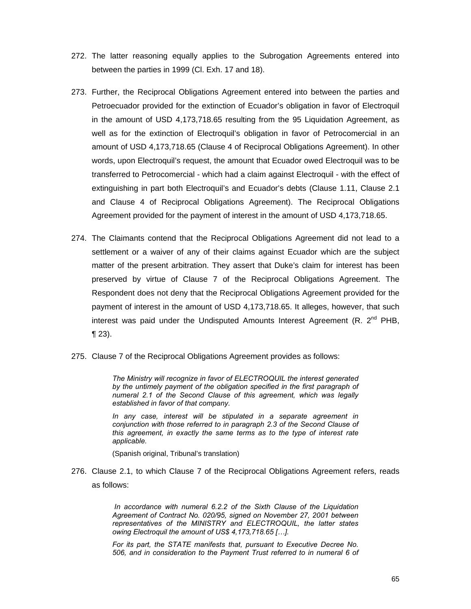- 272. The latter reasoning equally applies to the Subrogation Agreements entered into between the parties in 1999 (Cl. Exh. 17 and 18).
- 273. Further, the Reciprocal Obligations Agreement entered into between the parties and Petroecuador provided for the extinction of Ecuador's obligation in favor of Electroquil in the amount of USD 4,173,718.65 resulting from the 95 Liquidation Agreement, as well as for the extinction of Electroquil's obligation in favor of Petrocomercial in an amount of USD 4,173,718.65 (Clause 4 of Reciprocal Obligations Agreement). In other words, upon Electroquil's request, the amount that Ecuador owed Electroquil was to be transferred to Petrocomercial - which had a claim against Electroquil - with the effect of extinguishing in part both Electroquil's and Ecuador's debts (Clause 1.11, Clause 2.1 and Clause 4 of Reciprocal Obligations Agreement). The Reciprocal Obligations Agreement provided for the payment of interest in the amount of USD 4,173,718.65.
- 274. The Claimants contend that the Reciprocal Obligations Agreement did not lead to a settlement or a waiver of any of their claims against Ecuador which are the subject matter of the present arbitration. They assert that Duke's claim for interest has been preserved by virtue of Clause 7 of the Reciprocal Obligations Agreement. The Respondent does not deny that the Reciprocal Obligations Agreement provided for the payment of interest in the amount of USD 4,173,718.65. It alleges, however, that such interest was paid under the Undisputed Amounts Interest Agreement (R. 2<sup>nd</sup> PHB,  $\P$  23).
- 275. Clause 7 of the Reciprocal Obligations Agreement provides as follows:

*The Ministry will recognize in favor of ELECTROQUIL the interest generated by the untimely payment of the obligation specified in the first paragraph of numeral 2.1 of the Second Clause of this agreement, which was legally established in favor of that company.* 

*In any case, interest will be stipulated in a separate agreement in conjunction with those referred to in paragraph 2.3 of the Second Clause of this agreement, in exactly the same terms as to the type of interest rate applicable.* 

(Spanish original, Tribunal's translation)

276. Clause 2.1, to which Clause 7 of the Reciprocal Obligations Agreement refers, reads as follows:

> *In accordance with numeral 6.2.2 of the Sixth Clause of the Liquidation Agreement of Contract No. 020/95, signed on November 27, 2001 between representatives of the MINISTRY and ELECTROQUIL, the latter states owing Electroquil the amount of US\$ 4,173,718.65 […].*

> *For its part, the STATE manifests that, pursuant to Executive Decree No. 506, and in consideration to the Payment Trust referred to in numeral 6 of*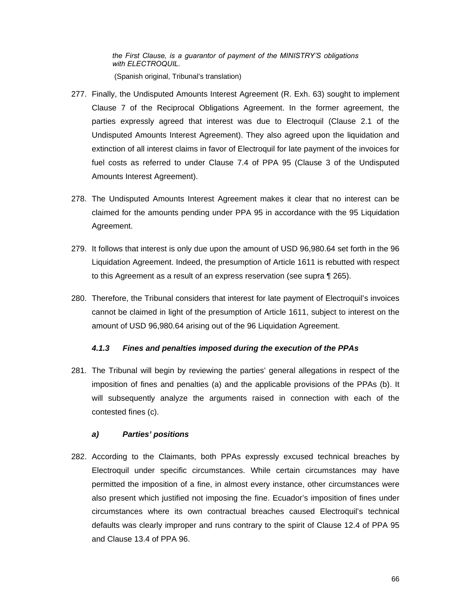*the First Clause, is a guarantor of payment of the MINISTRY'S obligations with ELECTROQUIL.*  (Spanish original, Tribunal's translation)

- 277. Finally, the Undisputed Amounts Interest Agreement (R. Exh. 63) sought to implement Clause 7 of the Reciprocal Obligations Agreement. In the former agreement, the parties expressly agreed that interest was due to Electroquil (Clause 2.1 of the Undisputed Amounts Interest Agreement). They also agreed upon the liquidation and extinction of all interest claims in favor of Electroquil for late payment of the invoices for fuel costs as referred to under Clause 7.4 of PPA 95 (Clause 3 of the Undisputed Amounts Interest Agreement).
- 278. The Undisputed Amounts Interest Agreement makes it clear that no interest can be claimed for the amounts pending under PPA 95 in accordance with the 95 Liquidation Agreement.
- 279. It follows that interest is only due upon the amount of USD 96,980.64 set forth in the 96 Liquidation Agreement. Indeed, the presumption of Article 1611 is rebutted with respect to this Agreement as a result of an express reservation (see supra ¶ 265).
- 280. Therefore, the Tribunal considers that interest for late payment of Electroquil's invoices cannot be claimed in light of the presumption of Article 1611, subject to interest on the amount of USD 96,980.64 arising out of the 96 Liquidation Agreement.

### *4.1.3 Fines and penalties imposed during the execution of the PPAs*

281. The Tribunal will begin by reviewing the parties' general allegations in respect of the imposition of fines and penalties (a) and the applicable provisions of the PPAs (b). It will subsequently analyze the arguments raised in connection with each of the contested fines (c).

### *a) Parties' positions*

282. According to the Claimants, both PPAs expressly excused technical breaches by Electroquil under specific circumstances. While certain circumstances may have permitted the imposition of a fine, in almost every instance, other circumstances were also present which justified not imposing the fine. Ecuador's imposition of fines under circumstances where its own contractual breaches caused Electroquil's technical defaults was clearly improper and runs contrary to the spirit of Clause 12.4 of PPA 95 and Clause 13.4 of PPA 96.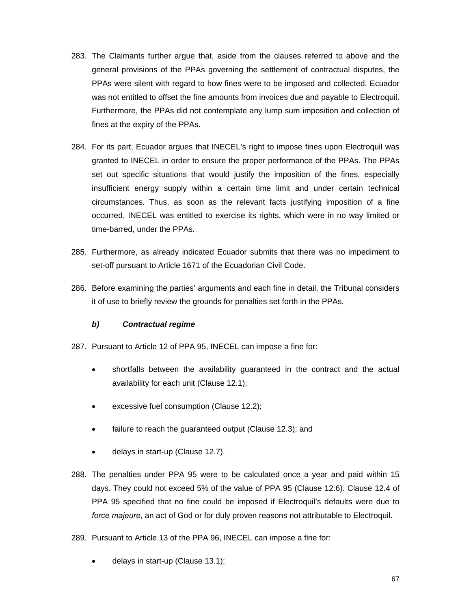- 283. The Claimants further argue that, aside from the clauses referred to above and the general provisions of the PPAs governing the settlement of contractual disputes, the PPAs were silent with regard to how fines were to be imposed and collected. Ecuador was not entitled to offset the fine amounts from invoices due and payable to Electroquil. Furthermore, the PPAs did not contemplate any lump sum imposition and collection of fines at the expiry of the PPAs.
- 284. For its part, Ecuador argues that INECEL's right to impose fines upon Electroquil was granted to INECEL in order to ensure the proper performance of the PPAs. The PPAs set out specific situations that would justify the imposition of the fines, especially insufficient energy supply within a certain time limit and under certain technical circumstances. Thus, as soon as the relevant facts justifying imposition of a fine occurred, INECEL was entitled to exercise its rights, which were in no way limited or time-barred, under the PPAs.
- 285. Furthermore, as already indicated Ecuador submits that there was no impediment to set-off pursuant to Article 1671 of the Ecuadorian Civil Code.
- 286. Before examining the parties' arguments and each fine in detail, the Tribunal considers it of use to briefly review the grounds for penalties set forth in the PPAs.

### *b) Contractual regime*

- 287. Pursuant to Article 12 of PPA 95, INECEL can impose a fine for:
	- shortfalls between the availability guaranteed in the contract and the actual availability for each unit (Clause 12.1);
	- excessive fuel consumption (Clause 12.2);
	- failure to reach the guaranteed output (Clause 12.3); and
	- delays in start-up (Clause 12.7).
- 288. The penalties under PPA 95 were to be calculated once a year and paid within 15 days. They could not exceed 5% of the value of PPA 95 (Clause 12.6). Clause 12.4 of PPA 95 specified that no fine could be imposed if Electroquil's defaults were due to *force majeure*, an act of God or for duly proven reasons not attributable to Electroquil.
- 289. Pursuant to Article 13 of the PPA 96, INECEL can impose a fine for:
	- delays in start-up (Clause 13.1);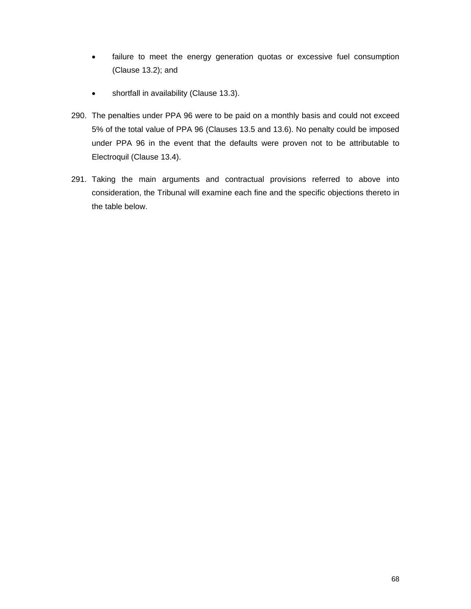- failure to meet the energy generation quotas or excessive fuel consumption (Clause 13.2); and
- shortfall in availability (Clause 13.3).
- 290. The penalties under PPA 96 were to be paid on a monthly basis and could not exceed 5% of the total value of PPA 96 (Clauses 13.5 and 13.6). No penalty could be imposed under PPA 96 in the event that the defaults were proven not to be attributable to Electroquil (Clause 13.4).
- 291. Taking the main arguments and contractual provisions referred to above into consideration, the Tribunal will examine each fine and the specific objections thereto in the table below.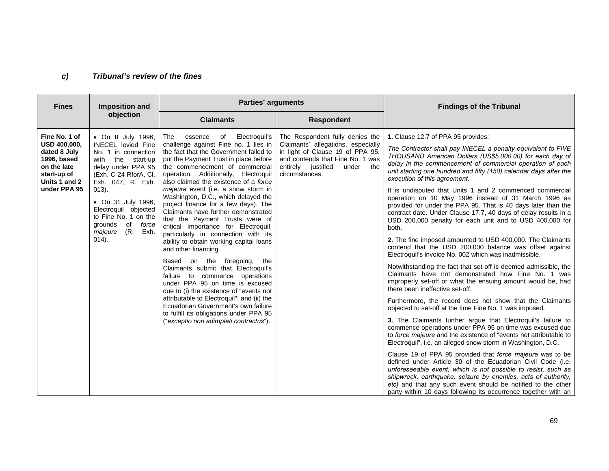# *c) Tribunal's review of the fines*

| <b>Fines</b>                                                                                                                | <b>Imposition and</b><br>objection                                                                                                                                                                                                                                                                                | <b>Parties' arguments</b>                                                                                                                                                                                                                                                                                                                                                                                                                                                                                                                                                                                                                                                                                                                                                                                                                                                                                                                                                                             |                                                                                                                                                                                                    | <b>Findings of the Tribunal</b>                                                                                                                                                                                                                                                                                                                                                                                                                                                                                                                                                                                                                                                                                                                                                                                                                                                                                                                                                                                                                                                                                                                                                                                                                                                                                                                                                                                                                                                                                                                                                                                                                                                                                                                                                                                                                                    |
|-----------------------------------------------------------------------------------------------------------------------------|-------------------------------------------------------------------------------------------------------------------------------------------------------------------------------------------------------------------------------------------------------------------------------------------------------------------|-------------------------------------------------------------------------------------------------------------------------------------------------------------------------------------------------------------------------------------------------------------------------------------------------------------------------------------------------------------------------------------------------------------------------------------------------------------------------------------------------------------------------------------------------------------------------------------------------------------------------------------------------------------------------------------------------------------------------------------------------------------------------------------------------------------------------------------------------------------------------------------------------------------------------------------------------------------------------------------------------------|----------------------------------------------------------------------------------------------------------------------------------------------------------------------------------------------------|--------------------------------------------------------------------------------------------------------------------------------------------------------------------------------------------------------------------------------------------------------------------------------------------------------------------------------------------------------------------------------------------------------------------------------------------------------------------------------------------------------------------------------------------------------------------------------------------------------------------------------------------------------------------------------------------------------------------------------------------------------------------------------------------------------------------------------------------------------------------------------------------------------------------------------------------------------------------------------------------------------------------------------------------------------------------------------------------------------------------------------------------------------------------------------------------------------------------------------------------------------------------------------------------------------------------------------------------------------------------------------------------------------------------------------------------------------------------------------------------------------------------------------------------------------------------------------------------------------------------------------------------------------------------------------------------------------------------------------------------------------------------------------------------------------------------------------------------------------------------|
|                                                                                                                             |                                                                                                                                                                                                                                                                                                                   | <b>Claimants</b>                                                                                                                                                                                                                                                                                                                                                                                                                                                                                                                                                                                                                                                                                                                                                                                                                                                                                                                                                                                      | <b>Respondent</b>                                                                                                                                                                                  |                                                                                                                                                                                                                                                                                                                                                                                                                                                                                                                                                                                                                                                                                                                                                                                                                                                                                                                                                                                                                                                                                                                                                                                                                                                                                                                                                                                                                                                                                                                                                                                                                                                                                                                                                                                                                                                                    |
| Fine No. 1 of<br>USD 400,000,<br>dated 8 July<br>1996, based<br>on the late<br>start-up of<br>Units 1 and 2<br>under PPA 95 | • On 8 July 1996.<br><b>INECEL levied Fine</b><br>No. 1 in connection<br>with the<br>start-up<br>delay under PPA 95<br>(Exh. C-24 RforA, Cl.<br>Exh. 047, R. Exh.<br>$013$ ).<br>• On 31 July 1996,<br>Electroquil objected<br>to Fine No. 1 on the<br>grounds of <i>force</i><br>(R. Exh.<br>majeure<br>$014$ ). | of<br>Electroquil's<br>The<br>essence<br>challenge against Fine no. 1 lies in<br>the fact that the Government failed to<br>put the Payment Trust in place before<br>the commencement of commercial<br>operation. Additionally, Electroquil<br>also claimed the existence of a force<br>majeure event (i.e. a snow storm in<br>Washington, D.C., which delayed the<br>project finance for a few days). The<br>Claimants have further demonstrated<br>that the Payment Trusts were of<br>critical importance for Electroquil,<br>particularly in connection with its<br>ability to obtain working capital loans<br>and other financing.<br>Based on the foregoing, the<br>Claimants submit that Electroquil's<br>failure to commence operations<br>under PPA 95 on time is excused<br>due to (i) the existence of "events not<br>attributable to Electroquil"; and (ii) the<br>Ecuadorian Government's own failure<br>to fulfill its obligations under PPA 95<br>("exceptio non adimpleti contractus"). | The Respondent fully denies the<br>Claimants' allegations, especially<br>in light of Clause 19 of PPA 95,<br>and contends that Fine No. 1 was<br>entirely justified<br>under the<br>circumstances. | 1. Clause 12.7 of PPA 95 provides:<br>The Contractor shall pay INECEL a penalty equivalent to FIVE<br>THOUSAND American Dollars (US\$5,000.00) for each day of<br>delay in the commencement of commercial operation of each<br>unit starting one hundred and fifty (150) calendar days after the<br>execution of this agreement.<br>It is undisputed that Units 1 and 2 commenced commercial<br>operation on 10 May 1996 instead of 31 March 1996 as<br>provided for under the PPA 95. That is 40 days later than the<br>contract date. Under Clause 17.7, 40 days of delay results in a<br>USD 200,000 penalty for each unit and to USD 400,000 for<br>both.<br>2. The fine imposed amounted to USD 400,000. The Claimants<br>contend that the USD 200,000 balance was offset against<br>Electroquil's invoice No. 002 which was inadmissible.<br>Notwithstanding the fact that set-off is deemed admissible, the<br>Claimants have not demonstrated how Fine No. 1 was<br>improperly set-off or what the ensuing amount would be, had<br>there been ineffective set-off.<br>Furthermore, the record does not show that the Claimants<br>objected to set-off at the time Fine No. 1 was imposed.<br>3. The Claimants further argue that Electroquil's failure to<br>commence operations under PPA 95 on time was excused due<br>to force majeure and the existence of "events not attributable to<br>Electroquil", i.e. an alleged snow storm in Washington, D.C.<br>Clause 19 of PPA 95 provided that force majeure was to be<br>defined under Article 30 of the Ecuadorian Civil Code (i.e.<br>unforeseeable event, which is not possible to resist, such as<br>shipwreck, earthquake, seizure by enemies, acts of authority,<br>etc) and that any such event should be notified to the other<br>party within 10 days following its occurrence together with an |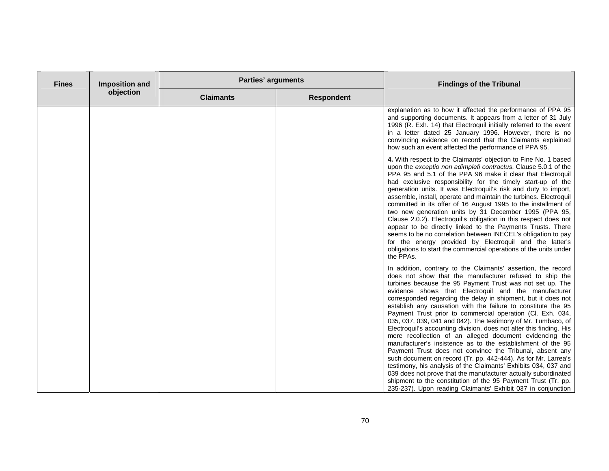| <b>Fines</b> | <b>Imposition and</b><br>objection | <b>Parties' arguments</b> |                   | <b>Findings of the Tribunal</b>                                                                                                                                                                                                                                                                                                                                                                                                                                                                                                                                                                                                                                                                                                                                                                                                                                                                                                                                                                                                                                                                                     |
|--------------|------------------------------------|---------------------------|-------------------|---------------------------------------------------------------------------------------------------------------------------------------------------------------------------------------------------------------------------------------------------------------------------------------------------------------------------------------------------------------------------------------------------------------------------------------------------------------------------------------------------------------------------------------------------------------------------------------------------------------------------------------------------------------------------------------------------------------------------------------------------------------------------------------------------------------------------------------------------------------------------------------------------------------------------------------------------------------------------------------------------------------------------------------------------------------------------------------------------------------------|
|              |                                    | <b>Claimants</b>          | <b>Respondent</b> |                                                                                                                                                                                                                                                                                                                                                                                                                                                                                                                                                                                                                                                                                                                                                                                                                                                                                                                                                                                                                                                                                                                     |
|              |                                    |                           |                   | explanation as to how it affected the performance of PPA 95<br>and supporting documents. It appears from a letter of 31 July<br>1996 (R. Exh. 14) that Electroquil initially referred to the event<br>in a letter dated 25 January 1996. However, there is no<br>convincing evidence on record that the Claimants explained<br>how such an event affected the performance of PPA 95.                                                                                                                                                                                                                                                                                                                                                                                                                                                                                                                                                                                                                                                                                                                                |
|              |                                    |                           |                   | 4. With respect to the Claimants' objection to Fine No. 1 based<br>upon the exceptio non adimpleti contractus, Clause 5.0.1 of the<br>PPA 95 and 5.1 of the PPA 96 make it clear that Electroquil<br>had exclusive responsibility for the timely start-up of the<br>generation units. It was Electroquil's risk and duty to import,<br>assemble, install, operate and maintain the turbines. Electroquil<br>committed in its offer of 16 August 1995 to the installment of<br>two new generation units by 31 December 1995 (PPA 95,<br>Clause 2.0.2). Electroquil's obligation in this respect does not<br>appear to be directly linked to the Payments Trusts. There<br>seems to be no correlation between INECEL's obligation to pay<br>for the energy provided by Electroquil and the latter's<br>obligations to start the commercial operations of the units under<br>the PPAs.                                                                                                                                                                                                                                 |
|              |                                    |                           |                   | In addition, contrary to the Claimants' assertion, the record<br>does not show that the manufacturer refused to ship the<br>turbines because the 95 Payment Trust was not set up. The<br>evidence shows that Electroquil and the manufacturer<br>corresponded regarding the delay in shipment, but it does not<br>establish any causation with the failure to constitute the 95<br>Payment Trust prior to commercial operation (CI. Exh. 034,<br>035, 037, 039, 041 and 042). The testimony of Mr. Tumbaco, of<br>Electroquil's accounting division, does not alter this finding. His<br>mere recollection of an alleged document evidencing the<br>manufacturer's insistence as to the establishment of the 95<br>Payment Trust does not convince the Tribunal, absent any<br>such document on record (Tr. pp. 442-444). As for Mr. Larrea's<br>testimony, his analysis of the Claimants' Exhibits 034, 037 and<br>039 does not prove that the manufacturer actually subordinated<br>shipment to the constitution of the 95 Payment Trust (Tr. pp.<br>235-237). Upon reading Claimants' Exhibit 037 in conjunction |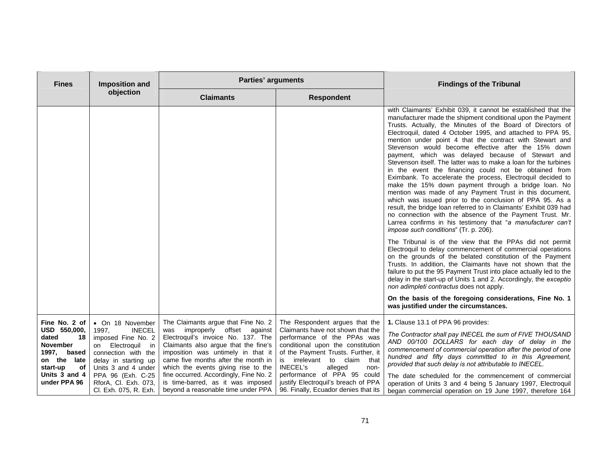| <b>Fines</b>                                                                                                                          | <b>Imposition and</b>                                                                                                                                                                                  | <b>Parties' arguments</b>                                                                                                                                                                                                                                                                                                                               |                                                                                                                                                                                                                                                                                                                                     | <b>Findings of the Tribunal</b>                                                                                                                                                                                                                                                                                                                                                                                                                                                                                                                                                                                                                                                                                                                                                                                                                                                                                                                                                                                                                                                                                                                                                                                                                                                                                                                                                                                                                                                                                                                                                                        |
|---------------------------------------------------------------------------------------------------------------------------------------|--------------------------------------------------------------------------------------------------------------------------------------------------------------------------------------------------------|---------------------------------------------------------------------------------------------------------------------------------------------------------------------------------------------------------------------------------------------------------------------------------------------------------------------------------------------------------|-------------------------------------------------------------------------------------------------------------------------------------------------------------------------------------------------------------------------------------------------------------------------------------------------------------------------------------|--------------------------------------------------------------------------------------------------------------------------------------------------------------------------------------------------------------------------------------------------------------------------------------------------------------------------------------------------------------------------------------------------------------------------------------------------------------------------------------------------------------------------------------------------------------------------------------------------------------------------------------------------------------------------------------------------------------------------------------------------------------------------------------------------------------------------------------------------------------------------------------------------------------------------------------------------------------------------------------------------------------------------------------------------------------------------------------------------------------------------------------------------------------------------------------------------------------------------------------------------------------------------------------------------------------------------------------------------------------------------------------------------------------------------------------------------------------------------------------------------------------------------------------------------------------------------------------------------------|
|                                                                                                                                       | objection                                                                                                                                                                                              | <b>Claimants</b>                                                                                                                                                                                                                                                                                                                                        | <b>Respondent</b>                                                                                                                                                                                                                                                                                                                   |                                                                                                                                                                                                                                                                                                                                                                                                                                                                                                                                                                                                                                                                                                                                                                                                                                                                                                                                                                                                                                                                                                                                                                                                                                                                                                                                                                                                                                                                                                                                                                                                        |
|                                                                                                                                       |                                                                                                                                                                                                        |                                                                                                                                                                                                                                                                                                                                                         |                                                                                                                                                                                                                                                                                                                                     | with Claimants' Exhibit 039, it cannot be established that the<br>manufacturer made the shipment conditional upon the Payment<br>Trusts. Actually, the Minutes of the Board of Directors of<br>Electroquil, dated 4 October 1995, and attached to PPA 95,<br>mention under point 4 that the contract with Stewart and<br>Stevenson would become effective after the 15% down<br>payment, which was delayed because of Stewart and<br>Stevenson itself. The latter was to make a loan for the turbines<br>in the event the financing could not be obtained from<br>Eximbank. To accelerate the process, Electroquil decided to<br>make the 15% down payment through a bridge loan. No<br>mention was made of any Payment Trust in this document,<br>which was issued prior to the conclusion of PPA 95. As a<br>result, the bridge loan referred to in Claimants' Exhibit 039 had<br>no connection with the absence of the Payment Trust. Mr.<br>Larrea confirms in his testimony that "a manufacturer can't<br>impose such conditions" (Tr. p. 206).<br>The Tribunal is of the view that the PPAs did not permit<br>Electroquil to delay commencement of commercial operations<br>on the grounds of the belated constitution of the Payment<br>Trusts. In addition, the Claimants have not shown that the<br>failure to put the 95 Payment Trust into place actually led to the<br>delay in the start-up of Units 1 and 2. Accordingly, the exceptio<br>non adimpleti contractus does not apply.<br>On the basis of the foregoing considerations, Fine No. 1<br>was justified under the circumstances. |
| Fine No. 2 of                                                                                                                         | • On 18 November                                                                                                                                                                                       | The Claimants argue that Fine No. 2                                                                                                                                                                                                                                                                                                                     | The Respondent argues that the                                                                                                                                                                                                                                                                                                      | 1. Clause 13.1 of PPA 96 provides:                                                                                                                                                                                                                                                                                                                                                                                                                                                                                                                                                                                                                                                                                                                                                                                                                                                                                                                                                                                                                                                                                                                                                                                                                                                                                                                                                                                                                                                                                                                                                                     |
| USD 550,000,<br>dated<br>18<br><b>November</b><br>1997.<br>based<br>on the<br>late<br>start-up<br>оf<br>Units 3 and 4<br>under PPA 96 | INECEL<br>1997,<br>imposed Fine No. 2<br>on Electroquil in<br>connection with the<br>delay in starting up<br>Units 3 and 4 under<br>PPA 96 (Exh. C-25<br>RforA, Cl. Exh. 073,<br>Cl. Exh. 075, R. Exh. | improperly offset against<br>was<br>Electroquil's invoice No. 137. The<br>Claimants also argue that the fine's<br>imposition was untimely in that it<br>came five months after the month in<br>which the events giving rise to the<br>fine occurred. Accordingly, Fine No. 2<br>is time-barred, as it was imposed<br>beyond a reasonable time under PPA | Claimants have not shown that the<br>performance of the PPAs was<br>conditional upon the constitution<br>of the Payment Trusts. Further, it<br>irrelevant<br>to<br>claim<br>is<br>that<br>INECEL's<br>alleged<br>non-<br>performance of PPA 95 could<br>justify Electroquil's breach of PPA<br>96. Finally, Ecuador denies that its | The Contractor shall pay INECEL the sum of FIVE THOUSAND<br>AND 00/100 DOLLARS for each day of delay in the<br>commencement of commercial operation after the period of one<br>hundred and fifty days committed to in this Agreement,<br>provided that such delay is not attributable to INECEL.<br>The date scheduled for the commencement of commercial<br>operation of Units 3 and 4 being 5 January 1997, Electroquil<br>began commercial operation on 19 June 1997, therefore 164                                                                                                                                                                                                                                                                                                                                                                                                                                                                                                                                                                                                                                                                                                                                                                                                                                                                                                                                                                                                                                                                                                                 |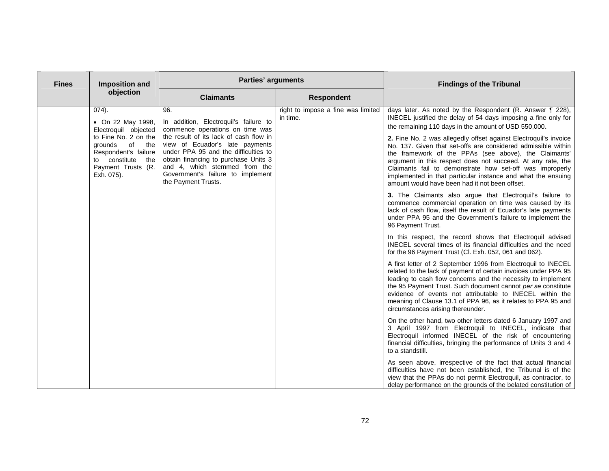| <b>Fines</b> | <b>Imposition and</b>                                                                                                                                                               | <b>Parties' arguments</b>                                                                                                                                                                                                                                                                                                                 |                                                | <b>Findings of the Tribunal</b>                                                                                                                                                                                                                                                                                                                                                                                                         |
|--------------|-------------------------------------------------------------------------------------------------------------------------------------------------------------------------------------|-------------------------------------------------------------------------------------------------------------------------------------------------------------------------------------------------------------------------------------------------------------------------------------------------------------------------------------------|------------------------------------------------|-----------------------------------------------------------------------------------------------------------------------------------------------------------------------------------------------------------------------------------------------------------------------------------------------------------------------------------------------------------------------------------------------------------------------------------------|
|              | objection                                                                                                                                                                           | <b>Claimants</b>                                                                                                                                                                                                                                                                                                                          | <b>Respondent</b>                              |                                                                                                                                                                                                                                                                                                                                                                                                                                         |
|              | 074).<br>• On 22 May 1998,<br>Electroquil objected<br>to Fine No. 2 on the<br>grounds of<br>the<br>Respondent's failure<br>to constitute<br>the<br>Payment Trusts (R.<br>Exh. 075). | 96.<br>In addition, Electroquil's failure to<br>commence operations on time was<br>the result of its lack of cash flow in<br>view of Ecuador's late payments<br>under PPA 95 and the difficulties to<br>obtain financing to purchase Units 3<br>and 4, which stemmed from the<br>Government's failure to implement<br>the Payment Trusts. | right to impose a fine was limited<br>in time. | days later. As noted by the Respondent (R. Answer $\P$ 228),<br>INECEL justified the delay of 54 days imposing a fine only for<br>the remaining 110 days in the amount of USD 550,000.                                                                                                                                                                                                                                                  |
|              |                                                                                                                                                                                     |                                                                                                                                                                                                                                                                                                                                           |                                                | 2. Fine No. 2 was allegedly offset against Electroquil's invoice<br>No. 137. Given that set-offs are considered admissible within<br>the framework of the PPAs (see above), the Claimants'<br>argument in this respect does not succeed. At any rate, the<br>Claimants fail to demonstrate how set-off was improperly<br>implemented in that particular instance and what the ensuing<br>amount would have been had it not been offset. |
|              |                                                                                                                                                                                     |                                                                                                                                                                                                                                                                                                                                           |                                                | 3. The Claimants also argue that Electroquil's failure to<br>commence commercial operation on time was caused by its<br>lack of cash flow, itself the result of Ecuador's late payments<br>under PPA 95 and the Government's failure to implement the<br>96 Payment Trust.                                                                                                                                                              |
|              |                                                                                                                                                                                     |                                                                                                                                                                                                                                                                                                                                           |                                                | In this respect, the record shows that Electroquil advised<br>INECEL several times of its financial difficulties and the need<br>for the 96 Payment Trust (CI. Exh. 052, 061 and 062).                                                                                                                                                                                                                                                  |
|              |                                                                                                                                                                                     |                                                                                                                                                                                                                                                                                                                                           |                                                | A first letter of 2 September 1996 from Electroquil to INECEL<br>related to the lack of payment of certain invoices under PPA 95<br>leading to cash flow concerns and the necessity to implement<br>the 95 Payment Trust. Such document cannot per se constitute<br>evidence of events not attributable to INECEL within the<br>meaning of Clause 13.1 of PPA 96, as it relates to PPA 95 and<br>circumstances arising thereunder.      |
|              |                                                                                                                                                                                     |                                                                                                                                                                                                                                                                                                                                           |                                                | On the other hand, two other letters dated 6 January 1997 and<br>3 April 1997 from Electroquil to INECEL, indicate that<br>Electroquil informed INECEL of the risk of encountering<br>financial difficulties, bringing the performance of Units 3 and 4<br>to a standstill.                                                                                                                                                             |
|              |                                                                                                                                                                                     |                                                                                                                                                                                                                                                                                                                                           |                                                | As seen above, irrespective of the fact that actual financial<br>difficulties have not been established, the Tribunal is of the<br>view that the PPAs do not permit Electroquil, as contractor, to<br>delay performance on the grounds of the belated constitution of                                                                                                                                                                   |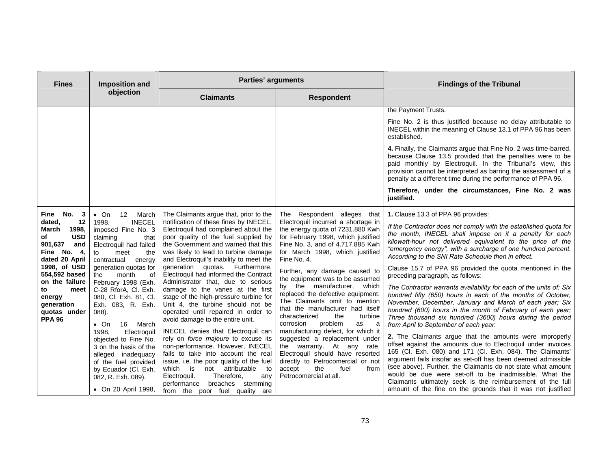| <b>Fines</b>                                                                                                                                                                                                                                                                     | Imposition and<br>objection                                                                                                                                                                                                                                                                                                                                                                                                                                                                                                                          | <b>Parties' arguments</b>                                                                                                                                                                                                                                                                                                                                                                                                                                                                                                                                                                                                                                                                                                                                                                                                                                                                                                                                       |                                                                                                                                                                                                                                                                                                                                                                                                                                                                                                                                                                                                                                                                                                                                                              | <b>Findings of the Tribunal</b>                                                                                                                                                                                                                                                                                                                                                                                                                                                                                                                                                                                                                                                                                                                                                                                                                                                                                                                                                                                                                                                                                                                                                                                                                                                                                                           |
|----------------------------------------------------------------------------------------------------------------------------------------------------------------------------------------------------------------------------------------------------------------------------------|------------------------------------------------------------------------------------------------------------------------------------------------------------------------------------------------------------------------------------------------------------------------------------------------------------------------------------------------------------------------------------------------------------------------------------------------------------------------------------------------------------------------------------------------------|-----------------------------------------------------------------------------------------------------------------------------------------------------------------------------------------------------------------------------------------------------------------------------------------------------------------------------------------------------------------------------------------------------------------------------------------------------------------------------------------------------------------------------------------------------------------------------------------------------------------------------------------------------------------------------------------------------------------------------------------------------------------------------------------------------------------------------------------------------------------------------------------------------------------------------------------------------------------|--------------------------------------------------------------------------------------------------------------------------------------------------------------------------------------------------------------------------------------------------------------------------------------------------------------------------------------------------------------------------------------------------------------------------------------------------------------------------------------------------------------------------------------------------------------------------------------------------------------------------------------------------------------------------------------------------------------------------------------------------------------|-------------------------------------------------------------------------------------------------------------------------------------------------------------------------------------------------------------------------------------------------------------------------------------------------------------------------------------------------------------------------------------------------------------------------------------------------------------------------------------------------------------------------------------------------------------------------------------------------------------------------------------------------------------------------------------------------------------------------------------------------------------------------------------------------------------------------------------------------------------------------------------------------------------------------------------------------------------------------------------------------------------------------------------------------------------------------------------------------------------------------------------------------------------------------------------------------------------------------------------------------------------------------------------------------------------------------------------------|
|                                                                                                                                                                                                                                                                                  |                                                                                                                                                                                                                                                                                                                                                                                                                                                                                                                                                      | <b>Claimants</b>                                                                                                                                                                                                                                                                                                                                                                                                                                                                                                                                                                                                                                                                                                                                                                                                                                                                                                                                                | <b>Respondent</b>                                                                                                                                                                                                                                                                                                                                                                                                                                                                                                                                                                                                                                                                                                                                            |                                                                                                                                                                                                                                                                                                                                                                                                                                                                                                                                                                                                                                                                                                                                                                                                                                                                                                                                                                                                                                                                                                                                                                                                                                                                                                                                           |
|                                                                                                                                                                                                                                                                                  |                                                                                                                                                                                                                                                                                                                                                                                                                                                                                                                                                      |                                                                                                                                                                                                                                                                                                                                                                                                                                                                                                                                                                                                                                                                                                                                                                                                                                                                                                                                                                 |                                                                                                                                                                                                                                                                                                                                                                                                                                                                                                                                                                                                                                                                                                                                                              | the Payment Trusts.<br>Fine No. 2 is thus justified because no delay attributable to<br>INECEL within the meaning of Clause 13.1 of PPA 96 has been<br>established.<br>4. Finally, the Claimants argue that Fine No. 2 was time-barred,<br>because Clause 13.5 provided that the penalties were to be<br>paid monthly by Electroquil. In the Tribunal's view, this<br>provision cannot be interpreted as barring the assessment of a<br>penalty at a different time during the performance of PPA 96.<br>Therefore, under the circumstances, Fine No. 2 was<br>justified.                                                                                                                                                                                                                                                                                                                                                                                                                                                                                                                                                                                                                                                                                                                                                                 |
| No.<br><b>Fine</b><br>$\overline{\mathbf{3}}$<br>dated,<br>12<br>1998,<br>March<br><b>USD</b><br>of<br>901,637<br>and<br>Fine No. 4.<br>dated 20 April<br>1998, of USD<br>554,592 based<br>on the failure<br>to<br>meet<br>energy<br>generation<br>quotas under<br><b>PPA 96</b> | $\bullet$ On<br>12 March<br><b>INECEL</b><br>1998.<br>imposed Fine No. 3<br>claiming<br>that<br>Electroquil had failed<br>meet<br>the<br>to<br>contractual<br>energy<br>generation quotas for<br>month<br>of<br>the<br>February 1998 (Exh.<br>C-28 RforA, Cl. Exh.<br>080, Cl. Exh. 81, Cl.<br>Exh. 083, R. Exh.<br>$088$ ).<br>16 March<br>$\bullet$ On<br>1998,<br>Electroquil<br>objected to Fine No.<br>3 on the basis of the<br>alleged inadequacy<br>of the fuel provided<br>by Ecuador (Cl. Exh.<br>082, R. Exh. 089).<br>• On 20 April 1998, | The Claimants argue that, prior to the<br>notification of these fines by INECEL,<br>Electroquil had complained about the<br>poor quality of the fuel supplied by<br>the Government and warned that this<br>was likely to lead to turbine damage<br>and Electroquil's inability to meet the<br>generation quotas. Furthermore,<br>Electroquil had informed the Contract<br>Administrator that, due to serious<br>damage to the vanes at the first<br>stage of the high-pressure turbine for<br>Unit 4, the turbine should not be<br>operated until repaired in order to<br>avoid damage to the entire unit.<br>INECEL denies that Electroquil can<br>rely on force majeure to excuse its<br>non-performance. However, INECEL<br>fails to take into account the real<br>issue, i.e. the poor quality of the fuel<br>which is<br>not attributable<br>to<br>Electroquil.<br>Therefore,<br>any<br>performance<br>breaches stemming<br>from the poor fuel quality are | The Respondent alleges that<br>Electroquil incurred a shortage in<br>the energy quota of 7231.880 Kwh<br>for February 1998, which justified<br>Fine No. 3, and of 4.717.885 Kwh<br>for March 1998, which justified<br>Fine No. 4.<br>Further, any damage caused to<br>the equipment was to be assumed<br>by the manufacturer, which<br>replaced the defective equipment.<br>The Claimants omit to mention<br>that the manufacturer had itself<br>characterized<br>the<br>turbine<br>corrosion<br>problem<br>as<br>a<br>manufacturing defect, for which it<br>suggested a replacement under<br>the warranty. At any rate,<br>Electroquil should have resorted<br>directly to Petrocomercial or not<br>the<br>fuel<br>accept<br>from<br>Petrocomercial at all. | 1. Clause 13.3 of PPA 96 provides:<br>If the Contractor does not comply with the established quota for<br>the month, INECEL shall impose on it a penalty for each<br>kilowatt-hour not delivered equivalent to the price of the<br>"emergency energy", with a surcharge of one hundred percent.<br>According to the SNI Rate Schedule then in effect.<br>Clause 15.7 of PPA 96 provided the quota mentioned in the<br>preceding paragraph, as follows:<br>The Contractor warrants availability for each of the units of: Six<br>hundred fifty (650) hours in each of the months of October,<br>November, December, January and March of each year; Six<br>hundred (600) hours in the month of February of each year;<br>Three thousand six hundred (3600) hours during the period<br>from April to September of each year.<br>2. The Claimants argue that the amounts were improperly<br>offset against the amounts due to Electroquil under invoices<br>165 (Cl. Exh. 080) and 171 (Cl. Exh. 084). The Claimants'<br>argument fails insofar as set-off has been deemed admissible<br>(see above). Further, the Claimants do not state what amount<br>would be due were set-off to be inadmissible. What the<br>Claimants ultimately seek is the reimbursement of the full<br>amount of the fine on the grounds that it was not justified |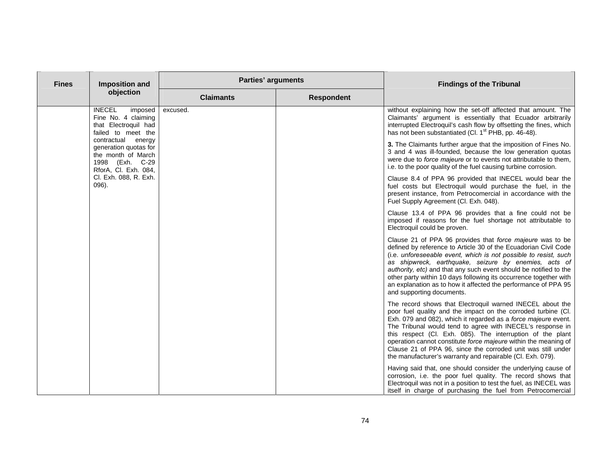| <b>Fines</b> | <b>Imposition and</b><br>objection                                                                               | <b>Parties' arguments</b> |                   | <b>Findings of the Tribunal</b>                                                                                                                                                                                                                                                                                                                                                                                                                                                                                                  |
|--------------|------------------------------------------------------------------------------------------------------------------|---------------------------|-------------------|----------------------------------------------------------------------------------------------------------------------------------------------------------------------------------------------------------------------------------------------------------------------------------------------------------------------------------------------------------------------------------------------------------------------------------------------------------------------------------------------------------------------------------|
|              |                                                                                                                  | <b>Claimants</b>          | <b>Respondent</b> |                                                                                                                                                                                                                                                                                                                                                                                                                                                                                                                                  |
|              | <b>INECEL</b><br>imposed<br>Fine No. 4 claiming<br>that Electroquil had<br>failed to meet the                    | excused.                  |                   | without explaining how the set-off affected that amount. The<br>Claimants' argument is essentially that Ecuador arbitrarily<br>interrupted Electroquil's cash flow by offsetting the fines, which<br>has not been substantiated (Cl. 1 <sup>st</sup> PHB, pp. 46-48).                                                                                                                                                                                                                                                            |
|              | contractual<br>energy<br>generation quotas for<br>the month of March<br>1998 (Exh. C-29)<br>RforA, Cl. Exh. 084, |                           |                   | 3. The Claimants further argue that the imposition of Fines No.<br>3 and 4 was ill-founded, because the low generation quotas<br>were due to <i>force majeure</i> or to events not attributable to them.<br>i.e. to the poor quality of the fuel causing turbine corrosion.                                                                                                                                                                                                                                                      |
|              | Cl. Exh. 088, R. Exh.<br>096).                                                                                   |                           |                   | Clause 8.4 of PPA 96 provided that INECEL would bear the<br>fuel costs but Electroquil would purchase the fuel, in the<br>present instance, from Petrocomercial in accordance with the<br>Fuel Supply Agreement (Cl. Exh. 048).                                                                                                                                                                                                                                                                                                  |
|              |                                                                                                                  |                           |                   | Clause 13.4 of PPA 96 provides that a fine could not be<br>imposed if reasons for the fuel shortage not attributable to<br>Electroquil could be proven.                                                                                                                                                                                                                                                                                                                                                                          |
|              |                                                                                                                  |                           |                   | Clause 21 of PPA 96 provides that force majeure was to be<br>defined by reference to Article 30 of the Ecuadorian Civil Code<br>(i.e. unforeseeable event, which is not possible to resist, such<br>as shipwreck, earthquake, seizure by enemies, acts of<br>authority, etc) and that any such event should be notified to the<br>other party within 10 days following its occurrence together with<br>an explanation as to how it affected the performance of PPA 95<br>and supporting documents.                               |
|              |                                                                                                                  |                           |                   | The record shows that Electroquil warned INECEL about the<br>poor fuel quality and the impact on the corroded turbine (Cl.<br>Exh. 079 and 082), which it regarded as a <i>force majeure</i> event.<br>The Tribunal would tend to agree with INECEL's response in<br>this respect (Cl. Exh. 085). The interruption of the plant<br>operation cannot constitute force majeure within the meaning of<br>Clause 21 of PPA 96, since the corroded unit was still under<br>the manufacturer's warranty and repairable (Cl. Exh. 079). |
|              |                                                                                                                  |                           |                   | Having said that, one should consider the underlying cause of<br>corrosion, i.e. the poor fuel quality. The record shows that<br>Electroquil was not in a position to test the fuel, as INECEL was<br>itself in charge of purchasing the fuel from Petrocomercial                                                                                                                                                                                                                                                                |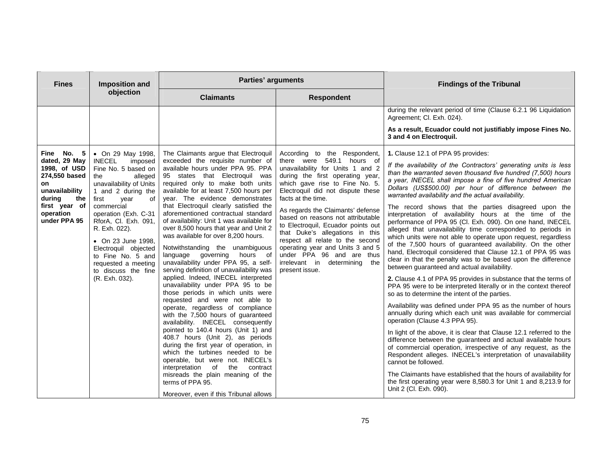| <b>Fines</b>                                                                                                                                        | Imposition and<br>objection                                                                                                                                                                                                                                                                                                                                                      | <b>Parties' arguments</b>                                                                                                                                                                                                                                                                                                                                                                                                                                                                                                                                                                                                                                                                                                                                                                                                                                                                                                                         |                                                                                                                                                                                                                                                                                                                                                                                                                                                                                                                                           | <b>Findings of the Tribunal</b>                                                                                                                                                                                                                                                                                                                                                                                                                                                                                                                                                                                                                                                                                                                                                                                                                                                                                                                                                                                                                                                                                                                                                                                                                                                                                                                                                                                                                                                                                                                   |
|-----------------------------------------------------------------------------------------------------------------------------------------------------|----------------------------------------------------------------------------------------------------------------------------------------------------------------------------------------------------------------------------------------------------------------------------------------------------------------------------------------------------------------------------------|---------------------------------------------------------------------------------------------------------------------------------------------------------------------------------------------------------------------------------------------------------------------------------------------------------------------------------------------------------------------------------------------------------------------------------------------------------------------------------------------------------------------------------------------------------------------------------------------------------------------------------------------------------------------------------------------------------------------------------------------------------------------------------------------------------------------------------------------------------------------------------------------------------------------------------------------------|-------------------------------------------------------------------------------------------------------------------------------------------------------------------------------------------------------------------------------------------------------------------------------------------------------------------------------------------------------------------------------------------------------------------------------------------------------------------------------------------------------------------------------------------|---------------------------------------------------------------------------------------------------------------------------------------------------------------------------------------------------------------------------------------------------------------------------------------------------------------------------------------------------------------------------------------------------------------------------------------------------------------------------------------------------------------------------------------------------------------------------------------------------------------------------------------------------------------------------------------------------------------------------------------------------------------------------------------------------------------------------------------------------------------------------------------------------------------------------------------------------------------------------------------------------------------------------------------------------------------------------------------------------------------------------------------------------------------------------------------------------------------------------------------------------------------------------------------------------------------------------------------------------------------------------------------------------------------------------------------------------------------------------------------------------------------------------------------------------|
|                                                                                                                                                     |                                                                                                                                                                                                                                                                                                                                                                                  | <b>Claimants</b>                                                                                                                                                                                                                                                                                                                                                                                                                                                                                                                                                                                                                                                                                                                                                                                                                                                                                                                                  | <b>Respondent</b>                                                                                                                                                                                                                                                                                                                                                                                                                                                                                                                         |                                                                                                                                                                                                                                                                                                                                                                                                                                                                                                                                                                                                                                                                                                                                                                                                                                                                                                                                                                                                                                                                                                                                                                                                                                                                                                                                                                                                                                                                                                                                                   |
| Fine No. 5<br>dated, 29 May<br>1998, of USD<br>274,550 based<br>on<br>unavailability<br>during<br>the<br>first year of<br>operation<br>under PPA 95 | • On 29 May 1998,<br><b>INECEL</b><br>imposed<br>Fine No. 5 based on<br>the<br>alleged<br>unavailability of Units<br>1 and 2 during the<br>first<br>of<br>year<br>commercial<br>operation (Exh. C-31<br>RforA, Cl. Exh. 091,<br>R. Exh. 022).<br>• On 23 June 1998,<br>Electroquil objected<br>to Fine No. 5 and<br>requested a meeting<br>to discuss the fine<br>(R. Exh. 032). | The Claimants argue that Electroquil<br>exceeded the requisite number of<br>available hours under PPA 95. PPA<br>95 states that Electroquil was<br>required only to make both units<br>available for at least 7,500 hours per<br>year. The evidence demonstrates<br>that Electroquil clearly satisfied the<br>aforementioned contractual standard<br>of availability: Unit 1 was available for<br>over 8,500 hours that year and Unit 2<br>was available for over 8,200 hours.<br>Notwithstanding the unambiguous<br>language governing<br>hours of<br>unavailability under PPA 95, a self-<br>serving definition of unavailability was<br>applied. Indeed, INECEL interpreted<br>unavailability under PPA 95 to be<br>those periods in which units were<br>requested and were not able to<br>operate, regardless of compliance<br>with the 7,500 hours of guaranteed<br>availability. INECEL consequently<br>pointed to 140.4 hours (Unit 1) and | According to the Respondent,<br>there were 549.1 hours of<br>unavailability for Units 1 and 2<br>during the first operating year,<br>which gave rise to Fine No. 5.<br>Electroquil did not dispute these<br>facts at the time.<br>As regards the Claimants' defense<br>based on reasons not attributable<br>to Electroquil, Ecuador points out<br>that Duke's allegations in this<br>respect all relate to the second<br>operating year and Units 3 and 5<br>under PPA 96 and are thus<br>irrelevant in determining the<br>present issue. | during the relevant period of time (Clause 6.2.1 96 Liquidation<br>Agreement; Cl. Exh. 024).<br>As a result, Ecuador could not justifiably impose Fines No.<br>3 and 4 on Electroquil.<br>1. Clause 12.1 of PPA 95 provides:<br>If the availability of the Contractors' generating units is less<br>than the warranted seven thousand five hundred (7,500) hours<br>a year, INECEL shall impose a fine of five hundred American<br>Dollars (US\$500.00) per hour of difference between the<br>warranted availability and the actual availability.<br>The record shows that the parties disagreed upon the<br>interpretation of availability hours at the time of the<br>performance of PPA 95 (Cl. Exh. 090). On one hand, INECEL<br>alleged that unavailability time corresponded to periods in<br>which units were not able to operate upon request, regardless<br>of the 7,500 hours of guaranteed availability. On the other<br>hand, Electroquil considered that Clause 12.1 of PPA 95 was<br>clear in that the penalty was to be based upon the difference<br>between guaranteed and actual availability.<br>2. Clause 4.1 of PPA 95 provides in substance that the terms of<br>PPA 95 were to be interpreted literally or in the context thereof<br>so as to determine the intent of the parties.<br>Availability was defined under PPA 95 as the number of hours<br>annually during which each unit was available for commercial<br>operation (Clause 4.3 PPA 95).<br>In light of the above, it is clear that Clause 12.1 referred to the |
|                                                                                                                                                     |                                                                                                                                                                                                                                                                                                                                                                                  | 408.7 hours (Unit 2), as periods<br>during the first year of operation, in<br>which the turbines needed to be<br>operable, but were not. INECEL's<br>the<br>interpretation of<br>contract<br>misreads the plain meaning of the<br>terms of PPA 95.                                                                                                                                                                                                                                                                                                                                                                                                                                                                                                                                                                                                                                                                                                |                                                                                                                                                                                                                                                                                                                                                                                                                                                                                                                                           | difference between the guaranteed and actual available hours<br>of commercial operation, irrespective of any request, as the<br>Respondent alleges. INECEL's interpretation of unavailability<br>cannot be followed.<br>The Claimants have established that the hours of availability for<br>the first operating year were 8,580.3 for Unit 1 and 8,213.9 for                                                                                                                                                                                                                                                                                                                                                                                                                                                                                                                                                                                                                                                                                                                                                                                                                                                                                                                                                                                                                                                                                                                                                                                     |
|                                                                                                                                                     |                                                                                                                                                                                                                                                                                                                                                                                  | Moreover, even if this Tribunal allows                                                                                                                                                                                                                                                                                                                                                                                                                                                                                                                                                                                                                                                                                                                                                                                                                                                                                                            |                                                                                                                                                                                                                                                                                                                                                                                                                                                                                                                                           | Unit 2 (Cl. Exh. 090).                                                                                                                                                                                                                                                                                                                                                                                                                                                                                                                                                                                                                                                                                                                                                                                                                                                                                                                                                                                                                                                                                                                                                                                                                                                                                                                                                                                                                                                                                                                            |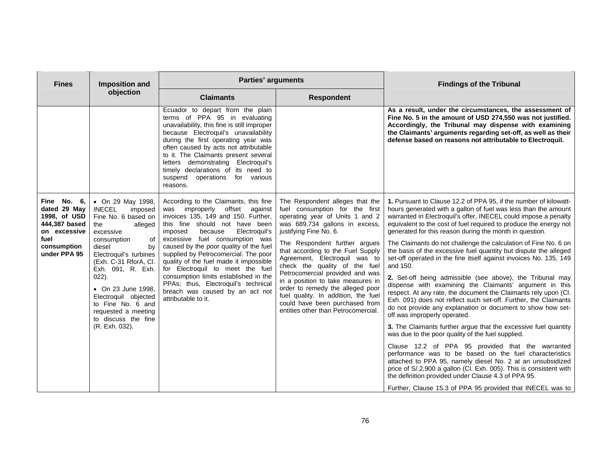| <b>Fines</b>                                                                                                        | <b>Imposition and</b><br>objection                                                                                                                                                                                                                                                                                                                              | <b>Parties' arguments</b>                                                                                                                                                                                                                                                                                                                                                                                                                                                                                                          |                                                                                                                                                                                                                                                                                                                                                                                                                                                                                                                                      | <b>Findings of the Tribunal</b>                                                                                                                                                                                                                                                                                                                                                                                                                                                                                                                                                                                                                                                                                                                                                                                                                                                                                                                                                                                                                                                                                                                                                                                                                                                                                                                                                                                             |
|---------------------------------------------------------------------------------------------------------------------|-----------------------------------------------------------------------------------------------------------------------------------------------------------------------------------------------------------------------------------------------------------------------------------------------------------------------------------------------------------------|------------------------------------------------------------------------------------------------------------------------------------------------------------------------------------------------------------------------------------------------------------------------------------------------------------------------------------------------------------------------------------------------------------------------------------------------------------------------------------------------------------------------------------|--------------------------------------------------------------------------------------------------------------------------------------------------------------------------------------------------------------------------------------------------------------------------------------------------------------------------------------------------------------------------------------------------------------------------------------------------------------------------------------------------------------------------------------|-----------------------------------------------------------------------------------------------------------------------------------------------------------------------------------------------------------------------------------------------------------------------------------------------------------------------------------------------------------------------------------------------------------------------------------------------------------------------------------------------------------------------------------------------------------------------------------------------------------------------------------------------------------------------------------------------------------------------------------------------------------------------------------------------------------------------------------------------------------------------------------------------------------------------------------------------------------------------------------------------------------------------------------------------------------------------------------------------------------------------------------------------------------------------------------------------------------------------------------------------------------------------------------------------------------------------------------------------------------------------------------------------------------------------------|
|                                                                                                                     |                                                                                                                                                                                                                                                                                                                                                                 | <b>Claimants</b>                                                                                                                                                                                                                                                                                                                                                                                                                                                                                                                   | <b>Respondent</b>                                                                                                                                                                                                                                                                                                                                                                                                                                                                                                                    |                                                                                                                                                                                                                                                                                                                                                                                                                                                                                                                                                                                                                                                                                                                                                                                                                                                                                                                                                                                                                                                                                                                                                                                                                                                                                                                                                                                                                             |
|                                                                                                                     |                                                                                                                                                                                                                                                                                                                                                                 | Ecuador to depart from the plain<br>terms of PPA 95 in evaluating<br>unavailability, this fine is still improper<br>because Electroquil's unavailability<br>during the first operating year was<br>often caused by acts not attributable<br>to it. The Claimants present several<br>letters demonstrating Electroquil's<br>timely declarations of its need to<br>suspend operations for various<br>reasons.                                                                                                                        |                                                                                                                                                                                                                                                                                                                                                                                                                                                                                                                                      | As a result, under the circumstances, the assessment of<br>Fine No. 5 in the amount of USD 274,550 was not justified.<br>Accordingly, the Tribunal may dispense with examining<br>the Claimants' arguments regarding set-off, as well as their<br>defense based on reasons not attributable to Electroquil.                                                                                                                                                                                                                                                                                                                                                                                                                                                                                                                                                                                                                                                                                                                                                                                                                                                                                                                                                                                                                                                                                                                 |
| Fine No. 6,<br>dated 29 May<br>1998, of USD<br>444,387 based<br>on excessive<br>fuel<br>consumption<br>under PPA 95 | • On 29 May 1998.<br><b>INECEL</b><br>imposed<br>Fine No. 6 based on<br>the<br>alleged<br>excessive<br>consumption<br>of<br>diesel<br>by<br>Electroquil's turbines<br>(Exh. C-31 RforA, Cl.<br>Exh. 091, R. Exh.<br>$022$ ).<br>• On 23 June 1998,<br>Electroquil objected<br>to Fine No. 6 and<br>requested a meeting<br>to discuss the fine<br>(R. Exh. 032). | According to the Claimants, this fine<br>was improperly offset against<br>invoices 135, 149 and 150. Further,<br>this fine should not have been<br>Electroquil's<br>imposed<br>because<br>excessive fuel consumption was<br>caused by the poor quality of the fuel<br>supplied by Petrocomercial. The poor<br>quality of the fuel made it impossible<br>for Electroquil to meet the fuel<br>consumption limits established in the<br>PPAs; thus, Electroquil's technical<br>breach was caused by an act not<br>attributable to it. | The Respondent alleges that the<br>fuel consumption for the first<br>operating year of Units 1 and 2<br>was 689,734 gallons in excess,<br>justifying Fine No. 6.<br>The Respondent further argues<br>that according to the Fuel Supply<br>Agreement, Electroquil was to<br>check the quality of the fuel<br>Petrocomercial provided and was<br>in a position to take measures in<br>order to remedy the alleged poor<br>fuel quality. In addition, the fuel<br>could have been purchased from<br>entities other than Petrocomercial. | 1. Pursuant to Clause 12.2 of PPA 95, if the number of kilowatt-<br>hours generated with a gallon of fuel was less than the amount<br>warranted in Electroquil's offer, INECEL could impose a penalty<br>equivalent to the cost of fuel required to produce the energy not<br>generated for this reason during the month in question.<br>The Claimants do not challenge the calculation of Fine No. 6 on<br>the basis of the excessive fuel quantity but dispute the alleged<br>set-off operated in the fine itself against invoices No. 135, 149<br>and 150.<br>2. Set-off being admissible (see above), the Tribunal may<br>dispense with examining the Claimants' argument in this<br>respect. At any rate, the document the Claimants rely upon (Cl.<br>Exh. 091) does not reflect such set-off. Further, the Claimants<br>do not provide any explanation or document to show how set-<br>off was improperly operated.<br>3. The Claimants further argue that the excessive fuel quantity<br>was due to the poor quality of the fuel supplied.<br>Clause 12.2 of PPA 95 provided that the warranted<br>performance was to be based on the fuel characteristics<br>attached to PPA 95, namely diesel No. 2 at an unsubsidized<br>price of S/.2,900 a gallon (Cl. Exh. 005). This is consistent with<br>the definition provided under Clause 4.3 of PPA 95.<br>Further, Clause 15.3 of PPA 95 provided that INECEL was to |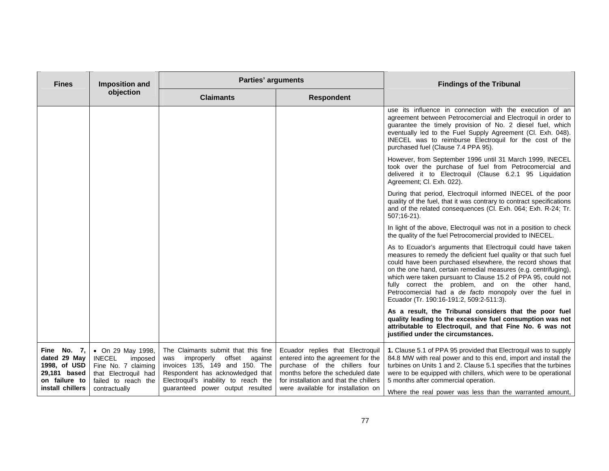| <b>Fines</b>                                                                                     | <b>Imposition and</b><br>objection                                                                                                   | <b>Parties' arguments</b>                                                                                                                                                                                                    |                                                                                                                                                                                                                             | <b>Findings of the Tribunal</b>                                                                                                                                                                                                                                                                                                                                                                                                                                                              |
|--------------------------------------------------------------------------------------------------|--------------------------------------------------------------------------------------------------------------------------------------|------------------------------------------------------------------------------------------------------------------------------------------------------------------------------------------------------------------------------|-----------------------------------------------------------------------------------------------------------------------------------------------------------------------------------------------------------------------------|----------------------------------------------------------------------------------------------------------------------------------------------------------------------------------------------------------------------------------------------------------------------------------------------------------------------------------------------------------------------------------------------------------------------------------------------------------------------------------------------|
|                                                                                                  |                                                                                                                                      | <b>Claimants</b>                                                                                                                                                                                                             | <b>Respondent</b>                                                                                                                                                                                                           |                                                                                                                                                                                                                                                                                                                                                                                                                                                                                              |
|                                                                                                  |                                                                                                                                      |                                                                                                                                                                                                                              |                                                                                                                                                                                                                             | use its influence in connection with the execution of an<br>agreement between Petrocomercial and Electroquil in order to<br>guarantee the timely provision of No. 2 diesel fuel, which<br>eventually led to the Fuel Supply Agreement (Cl. Exh. 048).<br>INECEL was to reimburse Electroquil for the cost of the<br>purchased fuel (Clause 7.4 PPA 95).                                                                                                                                      |
|                                                                                                  |                                                                                                                                      |                                                                                                                                                                                                                              |                                                                                                                                                                                                                             | However, from September 1996 until 31 March 1999, INECEL<br>took over the purchase of fuel from Petrocomercial and<br>delivered it to Electroquil (Clause 6.2.1 95 Liquidation<br>Agreement; Cl. Exh. 022).                                                                                                                                                                                                                                                                                  |
|                                                                                                  |                                                                                                                                      |                                                                                                                                                                                                                              |                                                                                                                                                                                                                             | During that period, Electroquil informed INECEL of the poor<br>quality of the fuel, that it was contrary to contract specifications<br>and of the related consequences (Cl. Exh. 064; Exh. R-24; Tr.<br>$507;16-21$ ).                                                                                                                                                                                                                                                                       |
|                                                                                                  |                                                                                                                                      |                                                                                                                                                                                                                              |                                                                                                                                                                                                                             | In light of the above, Electroquil was not in a position to check<br>the quality of the fuel Petrocomercial provided to INECEL.                                                                                                                                                                                                                                                                                                                                                              |
|                                                                                                  |                                                                                                                                      |                                                                                                                                                                                                                              |                                                                                                                                                                                                                             | As to Ecuador's arguments that Electroquil could have taken<br>measures to remedy the deficient fuel quality or that such fuel<br>could have been purchased elsewhere, the record shows that<br>on the one hand, certain remedial measures (e.g. centrifuging),<br>which were taken pursuant to Clause 15.2 of PPA 95, could not<br>fully correct the problem, and on the other hand,<br>Petrocomercial had a de facto monopoly over the fuel in<br>Ecuador (Tr. 190:16-191:2, 509:2-511:3). |
|                                                                                                  |                                                                                                                                      |                                                                                                                                                                                                                              |                                                                                                                                                                                                                             | As a result, the Tribunal considers that the poor fuel<br>quality leading to the excessive fuel consumption was not<br>attributable to Electroquil, and that Fine No. 6 was not<br>justified under the circumstances.                                                                                                                                                                                                                                                                        |
| Fine No. 7,<br>dated 29 May<br>1998, of USD<br>29,181 based<br>on failure to<br>install chillers | • On 29 May 1998,<br><b>INECEL</b><br>imposed<br>Fine No. 7 claiming<br>that Electroquil had<br>failed to reach the<br>contractually | The Claimants submit that this fine<br>against<br>improperly offset<br>was<br>invoices 135, 149 and 150. The<br>Respondent has acknowledged that<br>Electroquil's inability to reach the<br>guaranteed power output resulted | Ecuador replies that Electroquil<br>entered into the agreement for the<br>purchase of the chillers four<br>months before the scheduled date<br>for installation and that the chillers<br>were available for installation on | 1. Clause 5.1 of PPA 95 provided that Electroquil was to supply<br>84.8 MW with real power and to this end, import and install the<br>turbines on Units 1 and 2. Clause 5.1 specifies that the turbines<br>were to be equipped with chillers, which were to be operational<br>5 months after commercial operation.<br>Where the real power was less than the warranted amount,                                                                                                               |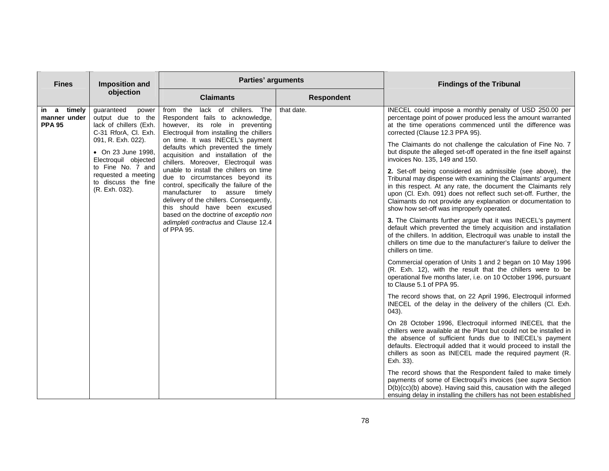| <b>Fines</b>                                 | <b>Imposition and</b><br>objection                                                                                                                                                                                                                  | <b>Parties' arguments</b>                                                                                                                                                                                                                                                                                                                                                                                                                                                                                                                                                                                                                       |                   | <b>Findings of the Tribunal</b>                                                                                                                                                                                                                                                                                                                                                                                                                                                                                                                                                                                                                                                                                                                                                                                                                                                                                                                                                                                                                                                                                                                                                                                                                                                                                                                                                                                                                                                                                                                                                                                                                                                                                                                                                                                                                                                                                                                                                                                                                                                   |
|----------------------------------------------|-----------------------------------------------------------------------------------------------------------------------------------------------------------------------------------------------------------------------------------------------------|-------------------------------------------------------------------------------------------------------------------------------------------------------------------------------------------------------------------------------------------------------------------------------------------------------------------------------------------------------------------------------------------------------------------------------------------------------------------------------------------------------------------------------------------------------------------------------------------------------------------------------------------------|-------------------|-----------------------------------------------------------------------------------------------------------------------------------------------------------------------------------------------------------------------------------------------------------------------------------------------------------------------------------------------------------------------------------------------------------------------------------------------------------------------------------------------------------------------------------------------------------------------------------------------------------------------------------------------------------------------------------------------------------------------------------------------------------------------------------------------------------------------------------------------------------------------------------------------------------------------------------------------------------------------------------------------------------------------------------------------------------------------------------------------------------------------------------------------------------------------------------------------------------------------------------------------------------------------------------------------------------------------------------------------------------------------------------------------------------------------------------------------------------------------------------------------------------------------------------------------------------------------------------------------------------------------------------------------------------------------------------------------------------------------------------------------------------------------------------------------------------------------------------------------------------------------------------------------------------------------------------------------------------------------------------------------------------------------------------------------------------------------------------|
|                                              |                                                                                                                                                                                                                                                     | <b>Claimants</b>                                                                                                                                                                                                                                                                                                                                                                                                                                                                                                                                                                                                                                | <b>Respondent</b> |                                                                                                                                                                                                                                                                                                                                                                                                                                                                                                                                                                                                                                                                                                                                                                                                                                                                                                                                                                                                                                                                                                                                                                                                                                                                                                                                                                                                                                                                                                                                                                                                                                                                                                                                                                                                                                                                                                                                                                                                                                                                                   |
| in a timely<br>manner under<br><b>PPA 95</b> | guaranteed<br>power<br>output due to the<br>lack of chillers (Exh.<br>C-31 RforA, Cl. Exh.<br>091, R. Exh. 022).<br>• On 23 June 1998,<br>Electroquil objected<br>to Fine No. 7 and<br>requested a meeting<br>to discuss the fine<br>(R. Exh. 032). | from the lack of chillers. The<br>Respondent fails to acknowledge,<br>however, its role in preventing<br>Electroquil from installing the chillers<br>on time. It was INECEL's payment<br>defaults which prevented the timely<br>acquisition and installation of the<br>chillers. Moreover, Electroquil was<br>unable to install the chillers on time<br>due to circumstances beyond its<br>control, specifically the failure of the<br>manufacturer to assure timely<br>delivery of the chillers. Consequently,<br>this should have been excused<br>based on the doctrine of exceptio non<br>adimpleti contractus and Clause 12.4<br>of PPA 95. | that date.        | INECEL could impose a monthly penalty of USD 250.00 per<br>percentage point of power produced less the amount warranted<br>at the time operations commenced until the difference was<br>corrected (Clause 12.3 PPA 95).<br>The Claimants do not challenge the calculation of Fine No. 7<br>but dispute the alleged set-off operated in the fine itself against<br>invoices No. 135, 149 and 150.<br>2. Set-off being considered as admissible (see above), the<br>Tribunal may dispense with examining the Claimants' argument<br>in this respect. At any rate, the document the Claimants rely<br>upon (Cl. Exh. 091) does not reflect such set-off. Further, the<br>Claimants do not provide any explanation or documentation to<br>show how set-off was improperly operated.<br>3. The Claimants further argue that it was INECEL's payment<br>default which prevented the timely acquisition and installation<br>of the chillers. In addition, Electroquil was unable to install the<br>chillers on time due to the manufacturer's failure to deliver the<br>chillers on time.<br>Commercial operation of Units 1 and 2 began on 10 May 1996<br>(R. Exh. 12), with the result that the chillers were to be<br>operational five months later, i.e. on 10 October 1996, pursuant<br>to Clause 5.1 of PPA 95.<br>The record shows that, on 22 April 1996, Electroquil informed<br>INECEL of the delay in the delivery of the chillers (Cl. Exh.<br>$(043)$ .<br>On 28 October 1996, Electroquil informed INECEL that the<br>chillers were available at the Plant but could not be installed in<br>the absence of sufficient funds due to INECEL's payment<br>defaults. Electroquil added that it would proceed to install the<br>chillers as soon as INECEL made the required payment (R.<br>Exh. 33).<br>The record shows that the Respondent failed to make timely<br>payments of some of Electroquil's invoices (see supra Section<br>$D(b)(cc)(b)$ above). Having said this, causation with the alleged<br>ensuing delay in installing the chillers has not been established |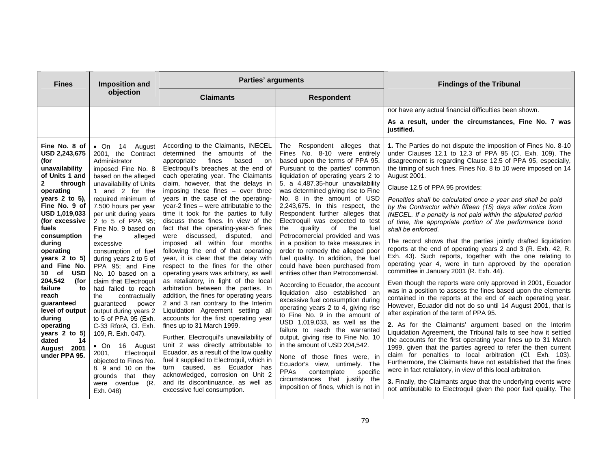| <b>Fines</b>                                                                                                                                                                                                                                                                                                                                                                                                                                                                               | Imposition and                                                                                                                                                                                                                                                                                                                                                                                                                                                                                                                                                                                                                                                                                                                                                        | <b>Parties' arguments</b>                                                                                                                                                                                                                                                                                                                                                                                                                                                                                                                                                                                                                                                                                                                                                                                                                                                                                                                                                                                                                                                                                                                                                                                                                                                                                                       |                                                                                                                                                                                                                                                                                                                                                                                                                                                                                                                                                                                                                                                                                                                                                                                                                                                                                                                                                                                                                                                                                                                                                                                  | <b>Findings of the Tribunal</b>                                                                                                                                                                                                                                                                                                                                                                                                                                                                                                                                                                                                                                                                                                                                                                                                                                                                                                                                                                                                                                                                                                                                                                                                                                                                                                                                                                                                                                                                                                                                                                                                                                                                                                                                                                                        |
|--------------------------------------------------------------------------------------------------------------------------------------------------------------------------------------------------------------------------------------------------------------------------------------------------------------------------------------------------------------------------------------------------------------------------------------------------------------------------------------------|-----------------------------------------------------------------------------------------------------------------------------------------------------------------------------------------------------------------------------------------------------------------------------------------------------------------------------------------------------------------------------------------------------------------------------------------------------------------------------------------------------------------------------------------------------------------------------------------------------------------------------------------------------------------------------------------------------------------------------------------------------------------------|---------------------------------------------------------------------------------------------------------------------------------------------------------------------------------------------------------------------------------------------------------------------------------------------------------------------------------------------------------------------------------------------------------------------------------------------------------------------------------------------------------------------------------------------------------------------------------------------------------------------------------------------------------------------------------------------------------------------------------------------------------------------------------------------------------------------------------------------------------------------------------------------------------------------------------------------------------------------------------------------------------------------------------------------------------------------------------------------------------------------------------------------------------------------------------------------------------------------------------------------------------------------------------------------------------------------------------|----------------------------------------------------------------------------------------------------------------------------------------------------------------------------------------------------------------------------------------------------------------------------------------------------------------------------------------------------------------------------------------------------------------------------------------------------------------------------------------------------------------------------------------------------------------------------------------------------------------------------------------------------------------------------------------------------------------------------------------------------------------------------------------------------------------------------------------------------------------------------------------------------------------------------------------------------------------------------------------------------------------------------------------------------------------------------------------------------------------------------------------------------------------------------------|------------------------------------------------------------------------------------------------------------------------------------------------------------------------------------------------------------------------------------------------------------------------------------------------------------------------------------------------------------------------------------------------------------------------------------------------------------------------------------------------------------------------------------------------------------------------------------------------------------------------------------------------------------------------------------------------------------------------------------------------------------------------------------------------------------------------------------------------------------------------------------------------------------------------------------------------------------------------------------------------------------------------------------------------------------------------------------------------------------------------------------------------------------------------------------------------------------------------------------------------------------------------------------------------------------------------------------------------------------------------------------------------------------------------------------------------------------------------------------------------------------------------------------------------------------------------------------------------------------------------------------------------------------------------------------------------------------------------------------------------------------------------------------------------------------------------|
|                                                                                                                                                                                                                                                                                                                                                                                                                                                                                            | objection                                                                                                                                                                                                                                                                                                                                                                                                                                                                                                                                                                                                                                                                                                                                                             | <b>Claimants</b>                                                                                                                                                                                                                                                                                                                                                                                                                                                                                                                                                                                                                                                                                                                                                                                                                                                                                                                                                                                                                                                                                                                                                                                                                                                                                                                | <b>Respondent</b>                                                                                                                                                                                                                                                                                                                                                                                                                                                                                                                                                                                                                                                                                                                                                                                                                                                                                                                                                                                                                                                                                                                                                                |                                                                                                                                                                                                                                                                                                                                                                                                                                                                                                                                                                                                                                                                                                                                                                                                                                                                                                                                                                                                                                                                                                                                                                                                                                                                                                                                                                                                                                                                                                                                                                                                                                                                                                                                                                                                                        |
|                                                                                                                                                                                                                                                                                                                                                                                                                                                                                            |                                                                                                                                                                                                                                                                                                                                                                                                                                                                                                                                                                                                                                                                                                                                                                       |                                                                                                                                                                                                                                                                                                                                                                                                                                                                                                                                                                                                                                                                                                                                                                                                                                                                                                                                                                                                                                                                                                                                                                                                                                                                                                                                 |                                                                                                                                                                                                                                                                                                                                                                                                                                                                                                                                                                                                                                                                                                                                                                                                                                                                                                                                                                                                                                                                                                                                                                                  | nor have any actual financial difficulties been shown.<br>As a result, under the circumstances, Fine No. 7 was<br>justified.                                                                                                                                                                                                                                                                                                                                                                                                                                                                                                                                                                                                                                                                                                                                                                                                                                                                                                                                                                                                                                                                                                                                                                                                                                                                                                                                                                                                                                                                                                                                                                                                                                                                                           |
| Fine No. 8 of<br>USD 2,243,675<br>(for<br>unavailability<br>of Units 1 and<br>$\mathbf{2}$<br>through<br>operating<br>years $2$ to $5$ ).<br>Fine No. 9 of<br><b>USD 1,019,033</b><br>(for excessive<br>fuels<br>consumption<br>during<br>operating<br>years $2$ to $5$ )<br>and Fine No.<br>10 of<br><b>USD</b><br>204,542<br>(for<br>failure<br>to<br>reach<br>guaranteed<br>level of output<br>during<br>operating<br>years $2$ to $5$ )<br>dated<br>14<br>August 2001<br>under PPA 95. | $\bullet$ On 14<br>August<br>2001, the Contract<br>Administrator<br>imposed Fine No. 8<br>based on the alleged<br>unavailability of Units<br>1 and 2 for the<br>required minimum of<br>7,500 hours per year<br>per unit during years<br>2 to 5 of PPA 95;<br>Fine No. 9 based on<br>the<br>alleged<br>excessive<br>consumption of fuel<br>during years 2 to 5 of<br>PPA 95; and Fine<br>No. 10 based on a<br>claim that Electroquil<br>had failed to reach<br>the<br>contractually<br>quaranteed<br>power<br>output during years 2<br>to 5 of PPA 95 (Exh.<br>C-33 RforA, Cl. Exh.<br>109, R. Exh. 047).<br>16 August<br>$\bullet$ On<br>Electroquil<br>2001.<br>objected to Fines No.<br>8, 9 and 10 on the<br>grounds that they<br>were overdue<br>(R.<br>Exh. 048) | According to the Claimants, INECEL<br>determined the amounts of the<br>fines<br>based<br>appropriate<br><b>on</b><br>Electroquil's breaches at the end of<br>each operating year. The Claimants<br>claim, however, that the delays in<br>imposing these fines $-$ over three<br>years in the case of the operating-<br>year-2 fines – were attributable to the<br>time it took for the parties to fully<br>discuss those fines. In view of the<br>fact that the operating-year-5 fines<br>were discussed, disputed, and<br>imposed all within four months<br>following the end of that operating<br>year, it is clear that the delay with<br>respect to the fines for the other<br>operating years was arbitrary, as well<br>as retaliatory, in light of the local<br>arbitration between the parties. In<br>addition, the fines for operating years<br>2 and 3 ran contrary to the Interim<br>Liquidation Agreement settling all<br>accounts for the first operating year<br>fines up to 31 March 1999.<br>Further, Electroquil's unavailability of<br>Unit 2 was directly attributable to<br>Ecuador, as a result of the low quality<br>fuel it supplied to Electroquil, which in<br>as Ecuador has<br>turn caused.<br>acknowledged, corrosion on Unit 2<br>and its discontinuance, as well as<br>excessive fuel consumption. | The Respondent alleges that<br>Fines No. 8-10 were entirely<br>based upon the terms of PPA 95.<br>Pursuant to the parties' common<br>liquidation of operating years 2 to<br>5, a 4,487.35-hour unavailability<br>was determined giving rise to Fine<br>No. 8 in the amount of USD<br>2,243,675. In this respect, the<br>Respondent further alleges that<br>Electroquil was expected to test<br>of the<br>quality<br>fuel<br>the<br>Petrocomercial provided and was<br>in a position to take measures in<br>order to remedy the alleged poor<br>fuel quality. In addition, the fuel<br>could have been purchased from<br>entities other than Petrocomercial.<br>According to Ecuador, the account<br>liquidation also established an<br>excessive fuel consumption during<br>operating years 2 to 4, giving rise<br>to Fine No. 9 in the amount of<br>USD 1,019,033, as well as the<br>failure to reach the warranted<br>output, giving rise to Fine No. 10<br>in the amount of USD 204,542.<br>None of those fines were, in<br>Ecuador's view, untimely. The<br><b>PPAs</b><br>specific<br>contemplate<br>circumstances that justify the<br>imposition of fines, which is not in | 1. The Parties do not dispute the imposition of Fines No. 8-10<br>under Clauses 12.1 to 12.3 of PPA 95 (Cl. Exh. 109). The<br>disagreement is regarding Clause 12.5 of PPA 95, especially,<br>the timing of such fines. Fines No. 8 to 10 were imposed on 14<br>August 2001.<br>Clause 12.5 of PPA 95 provides:<br>Penalties shall be calculated once a year and shall be paid<br>by the Contractor within fifteen (15) days after notice from<br>INECEL. If a penalty is not paid within the stipulated period<br>of time, the appropriate portion of the performance bond<br>shall be enforced.<br>The record shows that the parties jointly drafted liquidation<br>reports at the end of operating years 2 and 3 (R. Exh. 42, R.<br>Exh. 43). Such reports, together with the one relating to<br>operating year 4, were in turn approved by the operation<br>committee in January 2001 (R. Exh. 44).<br>Even though the reports were only approved in 2001, Ecuador<br>was in a position to assess the fines based upon the elements<br>contained in the reports at the end of each operating year.<br>However, Ecuador did not do so until 14 August 2001, that is<br>after expiration of the term of PPA 95.<br>2. As for the Claimants' argument based on the Interim<br>Liquidation Agreement, the Tribunal fails to see how it settled<br>the accounts for the first operating year fines up to 31 March<br>1999, given that the parties agreed to refer the then current<br>claim for penalties to local arbitration (Cl. Exh. 103).<br>Furthermore, the Claimants have not established that the fines<br>were in fact retaliatory, in view of this local arbitration.<br>3. Finally, the Claimants argue that the underlying events were<br>not attributable to Electroquil given the poor fuel quality. The |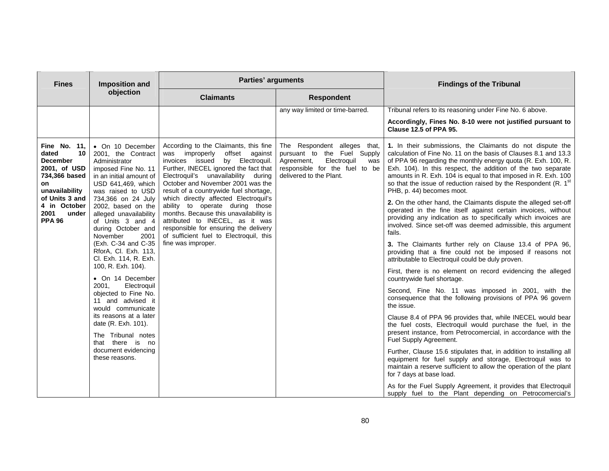| <b>Fines</b>                                                                                                                                                                | <b>Imposition and</b>                                                                                                                                                                                                                                                                                                                                                                                                                                                                                                                                                                                                                    | <b>Parties' arguments</b>                                                                                                                                                                                                                                                                                                                                                                                                                                                                                                                               |                                                                                                                                                              | <b>Findings of the Tribunal</b>                                                                                                                                                                                                                                                                                                                                                                                                                                                                                                                                                                                                                                                                                                                                                                                                                                                                                                                                                                                                                                                                                                                                                                                                                                                                                                                                                                                                        |
|-----------------------------------------------------------------------------------------------------------------------------------------------------------------------------|------------------------------------------------------------------------------------------------------------------------------------------------------------------------------------------------------------------------------------------------------------------------------------------------------------------------------------------------------------------------------------------------------------------------------------------------------------------------------------------------------------------------------------------------------------------------------------------------------------------------------------------|---------------------------------------------------------------------------------------------------------------------------------------------------------------------------------------------------------------------------------------------------------------------------------------------------------------------------------------------------------------------------------------------------------------------------------------------------------------------------------------------------------------------------------------------------------|--------------------------------------------------------------------------------------------------------------------------------------------------------------|----------------------------------------------------------------------------------------------------------------------------------------------------------------------------------------------------------------------------------------------------------------------------------------------------------------------------------------------------------------------------------------------------------------------------------------------------------------------------------------------------------------------------------------------------------------------------------------------------------------------------------------------------------------------------------------------------------------------------------------------------------------------------------------------------------------------------------------------------------------------------------------------------------------------------------------------------------------------------------------------------------------------------------------------------------------------------------------------------------------------------------------------------------------------------------------------------------------------------------------------------------------------------------------------------------------------------------------------------------------------------------------------------------------------------------------|
|                                                                                                                                                                             | objection                                                                                                                                                                                                                                                                                                                                                                                                                                                                                                                                                                                                                                | <b>Claimants</b>                                                                                                                                                                                                                                                                                                                                                                                                                                                                                                                                        | <b>Respondent</b>                                                                                                                                            |                                                                                                                                                                                                                                                                                                                                                                                                                                                                                                                                                                                                                                                                                                                                                                                                                                                                                                                                                                                                                                                                                                                                                                                                                                                                                                                                                                                                                                        |
|                                                                                                                                                                             |                                                                                                                                                                                                                                                                                                                                                                                                                                                                                                                                                                                                                                          |                                                                                                                                                                                                                                                                                                                                                                                                                                                                                                                                                         | any way limited or time-barred.                                                                                                                              | Tribunal refers to its reasoning under Fine No. 6 above.                                                                                                                                                                                                                                                                                                                                                                                                                                                                                                                                                                                                                                                                                                                                                                                                                                                                                                                                                                                                                                                                                                                                                                                                                                                                                                                                                                               |
|                                                                                                                                                                             |                                                                                                                                                                                                                                                                                                                                                                                                                                                                                                                                                                                                                                          |                                                                                                                                                                                                                                                                                                                                                                                                                                                                                                                                                         |                                                                                                                                                              | Accordingly, Fines No. 8-10 were not justified pursuant to<br><b>Clause 12.5 of PPA 95.</b>                                                                                                                                                                                                                                                                                                                                                                                                                                                                                                                                                                                                                                                                                                                                                                                                                                                                                                                                                                                                                                                                                                                                                                                                                                                                                                                                            |
| Fine No. 11,<br>dated<br>10<br><b>December</b><br>2001, of USD<br>734,366 based<br>on<br>unavailability<br>of Units 3 and<br>4 in October<br>2001<br>under<br><b>PPA 96</b> | • On 10 December<br>2001, the Contract<br>Administrator<br>imposed Fine No. 11<br>in an initial amount of<br>USD 641,469, which<br>was raised to USD<br>734,366 on 24 July<br>2002, based on the<br>alleged unavailability<br>of Units 3 and 4<br>during October and<br>November<br>2001<br>(Exh. C-34 and C-35<br>RforA, Cl. Exh. 113,<br>Cl. Exh. 114, R. Exh.<br>100, R. Exh. 104).<br>• On 14 December<br>2001.<br>Electroquil<br>objected to Fine No.<br>11 and advised it<br>would communicate<br>its reasons at a later<br>date (R. Exh. 101).<br>The Tribunal notes<br>that there is no<br>document evidencing<br>these reasons. | According to the Claimants, this fine<br>improperly<br>offset against<br>was<br>invoices issued<br>by Electroquil.<br>Further, INECEL ignored the fact that<br>Electroquil's unavailability<br>during<br>October and November 2001 was the<br>result of a countrywide fuel shortage,<br>which directly affected Electroquil's<br>ability to operate during those<br>months. Because this unavailability is<br>attributed to INECEL, as it was<br>responsible for ensuring the delivery<br>of sufficient fuel to Electroquil, this<br>fine was improper. | The Respondent alleges that,<br>pursuant to the Fuel Supply<br>Electroquil<br>Agreement,<br>was<br>responsible for the fuel to be<br>delivered to the Plant. | 1. In their submissions, the Claimants do not dispute the<br>calculation of Fine No. 11 on the basis of Clauses 8.1 and 13.3<br>of PPA 96 regarding the monthly energy quota (R. Exh. 100, R.<br>Exh. 104). In this respect, the addition of the two separate<br>amounts in R. Exh. 104 is equal to that imposed in R. Exh. 100<br>so that the issue of reduction raised by the Respondent (R. 1 <sup>st</sup><br>PHB, p. 44) becomes moot.<br>2. On the other hand, the Claimants dispute the alleged set-off<br>operated in the fine itself against certain invoices, without<br>providing any indication as to specifically which invoices are<br>involved. Since set-off was deemed admissible, this argument<br>fails.<br>3. The Claimants further rely on Clause 13.4 of PPA 96,<br>providing that a fine could not be imposed if reasons not<br>attributable to Electroquil could be duly proven.<br>First, there is no element on record evidencing the alleged<br>countrywide fuel shortage.<br>Second, Fine No. 11 was imposed in 2001, with the<br>consequence that the following provisions of PPA 96 govern<br>the issue.<br>Clause 8.4 of PPA 96 provides that, while INECEL would bear<br>the fuel costs, Electroquil would purchase the fuel, in the<br>present instance, from Petrocomercial, in accordance with the<br>Fuel Supply Agreement.<br>Further, Clause 15.6 stipulates that, in addition to installing all |
|                                                                                                                                                                             |                                                                                                                                                                                                                                                                                                                                                                                                                                                                                                                                                                                                                                          |                                                                                                                                                                                                                                                                                                                                                                                                                                                                                                                                                         |                                                                                                                                                              | equipment for fuel supply and storage, Electroquil was to<br>maintain a reserve sufficient to allow the operation of the plant<br>for 7 days at base load.<br>As for the Fuel Supply Agreement, it provides that Electroquil                                                                                                                                                                                                                                                                                                                                                                                                                                                                                                                                                                                                                                                                                                                                                                                                                                                                                                                                                                                                                                                                                                                                                                                                           |
|                                                                                                                                                                             |                                                                                                                                                                                                                                                                                                                                                                                                                                                                                                                                                                                                                                          |                                                                                                                                                                                                                                                                                                                                                                                                                                                                                                                                                         |                                                                                                                                                              | supply fuel to the Plant depending on Petrocomercial's                                                                                                                                                                                                                                                                                                                                                                                                                                                                                                                                                                                                                                                                                                                                                                                                                                                                                                                                                                                                                                                                                                                                                                                                                                                                                                                                                                                 |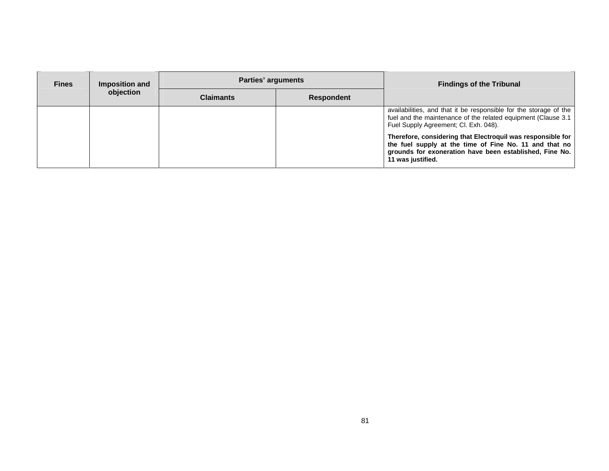| <b>Fines</b> | Imposition and<br>objection | <b>Parties' arguments</b> |                   | <b>Findings of the Tribunal</b>                                                                                                                                                                       |
|--------------|-----------------------------|---------------------------|-------------------|-------------------------------------------------------------------------------------------------------------------------------------------------------------------------------------------------------|
|              |                             | <b>Claimants</b>          | <b>Respondent</b> |                                                                                                                                                                                                       |
|              |                             |                           |                   | availabilities, and that it be responsible for the storage of the<br>fuel and the maintenance of the related equipment (Clause 3.1<br>Fuel Supply Agreement: Cl. Exh. 048).                           |
|              |                             |                           |                   | Therefore, considering that Electroquil was responsible for<br>the fuel supply at the time of Fine No. 11 and that no<br>grounds for exoneration have been established. Fine No.<br>11 was justified. |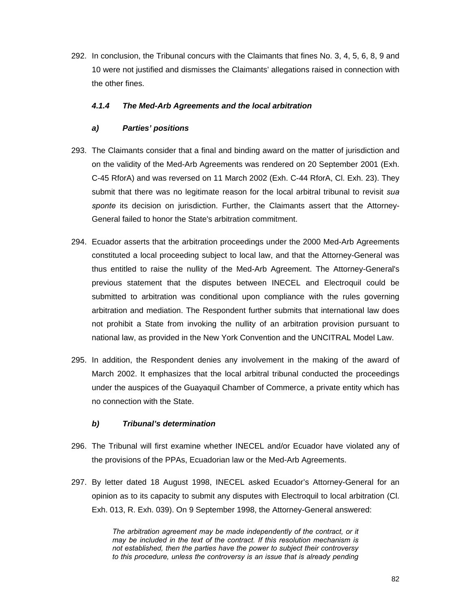292. In conclusion, the Tribunal concurs with the Claimants that fines No. 3, 4, 5, 6, 8, 9 and 10 were not justified and dismisses the Claimants' allegations raised in connection with the other fines.

#### *4.1.4 The Med-Arb Agreements and the local arbitration*

#### *a) Parties' positions*

- 293. The Claimants consider that a final and binding award on the matter of jurisdiction and on the validity of the Med-Arb Agreements was rendered on 20 September 2001 (Exh. C-45 RforA) and was reversed on 11 March 2002 (Exh. C-44 RforA, Cl. Exh. 23). They submit that there was no legitimate reason for the local arbitral tribunal to revisit *sua sponte* its decision on jurisdiction. Further, the Claimants assert that the Attorney-General failed to honor the State's arbitration commitment.
- 294. Ecuador asserts that the arbitration proceedings under the 2000 Med-Arb Agreements constituted a local proceeding subject to local law, and that the Attorney-General was thus entitled to raise the nullity of the Med-Arb Agreement. The Attorney-General's previous statement that the disputes between INECEL and Electroquil could be submitted to arbitration was conditional upon compliance with the rules governing arbitration and mediation. The Respondent further submits that international law does not prohibit a State from invoking the nullity of an arbitration provision pursuant to national law, as provided in the New York Convention and the UNCITRAL Model Law.
- 295. In addition, the Respondent denies any involvement in the making of the award of March 2002. It emphasizes that the local arbitral tribunal conducted the proceedings under the auspices of the Guayaquil Chamber of Commerce, a private entity which has no connection with the State.

#### *b) Tribunal's determination*

- 296. The Tribunal will first examine whether INECEL and/or Ecuador have violated any of the provisions of the PPAs, Ecuadorian law or the Med-Arb Agreements.
- 297. By letter dated 18 August 1998, INECEL asked Ecuador's Attorney-General for an opinion as to its capacity to submit any disputes with Electroquil to local arbitration (Cl. Exh. 013, R. Exh. 039). On 9 September 1998, the Attorney-General answered:

The arbitration agreement may be made independently of the contract, or it *may be included in the text of the contract. If this resolution mechanism is not established, then the parties have the power to subject their controversy to this procedure, unless the controversy is an issue that is already pending*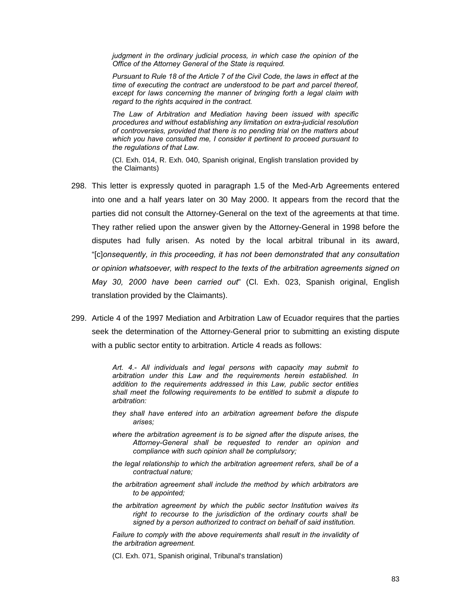*judgment in the ordinary judicial process, in which case the opinion of the Office of the Attorney General of the State is required.* 

*Pursuant to Rule 18 of the Article 7 of the Civil Code, the laws in effect at the time of executing the contract are understood to be part and parcel thereof, except for laws concerning the manner of bringing forth a legal claim with regard to the rights acquired in the contract.* 

*The Law of Arbitration and Mediation having been issued with specific procedures and without establishing any limitation on extra-judicial resolution of controversies, provided that there is no pending trial on the matters about which you have consulted me, I consider it pertinent to proceed pursuant to the regulations of that Law.* 

(Cl. Exh. 014, R. Exh. 040, Spanish original, English translation provided by the Claimants)

- 298. This letter is expressly quoted in paragraph 1.5 of the Med-Arb Agreements entered into one and a half years later on 30 May 2000. It appears from the record that the parties did not consult the Attorney-General on the text of the agreements at that time. They rather relied upon the answer given by the Attorney-General in 1998 before the disputes had fully arisen. As noted by the local arbitral tribunal in its award, "[c]*onsequently, in this proceeding, it has not been demonstrated that any consultation or opinion whatsoever, with respect to the texts of the arbitration agreements signed on May 30, 2000 have been carried out*" (Cl. Exh. 023, Spanish original, English translation provided by the Claimants).
- 299. Article 4 of the 1997 Mediation and Arbitration Law of Ecuador requires that the parties seek the determination of the Attorney-General prior to submitting an existing dispute with a public sector entity to arbitration. Article 4 reads as follows:

*Art. 4.- All individuals and legal persons with capacity may submit to arbitration under this Law and the requirements herein established. In addition to the requirements addressed in this Law, public sector entities shall meet the following requirements to be entitled to submit a dispute to arbitration:* 

- *they shall have entered into an arbitration agreement before the dispute arises;*
- *where the arbitration agreement is to be signed after the dispute arises, the Attorney-General shall be requested to render an opinion and compliance with such opinion shall be complulsory;*
- *the legal relationship to which the arbitration agreement refers, shall be of a contractual nature;*
- *the arbitration agreement shall include the method by which arbitrators are to be appointed;*
- *the arbitration agreement by which the public sector Institution waives its right to recourse to the jurisdiction of the ordinary courts shall be signed by a person authorized to contract on behalf of said institution.*

*Failure to comply with the above requirements shall result in the invalidity of the arbitration agreement.* 

(Cl. Exh. 071, Spanish original, Tribunal's translation)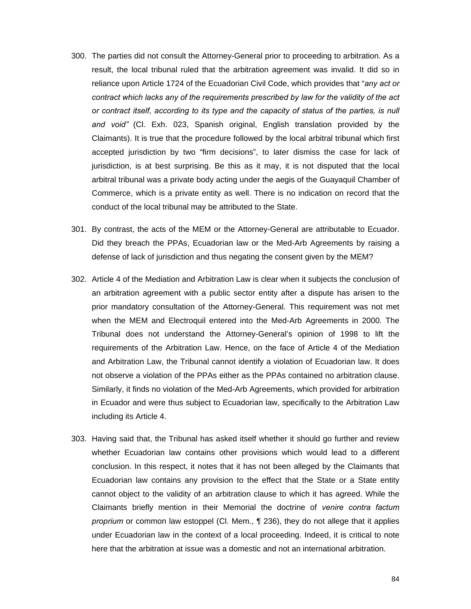- 300. The parties did not consult the Attorney-General prior to proceeding to arbitration. As a result, the local tribunal ruled that the arbitration agreement was invalid. It did so in reliance upon Article 1724 of the Ecuadorian Civil Code, which provides that "*any act or contract which lacks any of the requirements prescribed by law for the validity of the act or contract itself, according to its type and the capacity of status of the parties, is null and void"* (Cl. Exh. 023, Spanish original, English translation provided by the Claimants). It is true that the procedure followed by the local arbitral tribunal which first accepted jurisdiction by two "firm decisions", to later dismiss the case for lack of jurisdiction, is at best surprising. Be this as it may, it is not disputed that the local arbitral tribunal was a private body acting under the aegis of the Guayaquil Chamber of Commerce, which is a private entity as well. There is no indication on record that the conduct of the local tribunal may be attributed to the State.
- 301. By contrast, the acts of the MEM or the Attorney-General are attributable to Ecuador. Did they breach the PPAs, Ecuadorian law or the Med-Arb Agreements by raising a defense of lack of jurisdiction and thus negating the consent given by the MEM?
- 302. Article 4 of the Mediation and Arbitration Law is clear when it subjects the conclusion of an arbitration agreement with a public sector entity after a dispute has arisen to the prior mandatory consultation of the Attorney-General. This requirement was not met when the MEM and Electroquil entered into the Med-Arb Agreements in 2000. The Tribunal does not understand the Attorney-General's opinion of 1998 to lift the requirements of the Arbitration Law. Hence, on the face of Article 4 of the Mediation and Arbitration Law, the Tribunal cannot identify a violation of Ecuadorian law. It does not observe a violation of the PPAs either as the PPAs contained no arbitration clause. Similarly, it finds no violation of the Med-Arb Agreements, which provided for arbitration in Ecuador and were thus subject to Ecuadorian law, specifically to the Arbitration Law including its Article 4.
- 303. Having said that, the Tribunal has asked itself whether it should go further and review whether Ecuadorian law contains other provisions which would lead to a different conclusion. In this respect, it notes that it has not been alleged by the Claimants that Ecuadorian law contains any provision to the effect that the State or a State entity cannot object to the validity of an arbitration clause to which it has agreed. While the Claimants briefly mention in their Memorial the doctrine of *venire contra factum proprium* or common law estoppel (Cl. Mem., ¶ 236), they do not allege that it applies under Ecuadorian law in the context of a local proceeding. Indeed, it is critical to note here that the arbitration at issue was a domestic and not an international arbitration.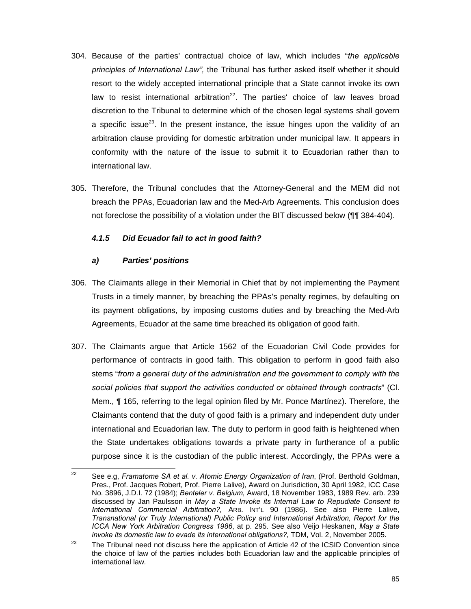- 304. Because of the parties' contractual choice of law, which includes "*the applicable principles of International Law",* the Tribunal has further asked itself whether it should resort to the widely accepted international principle that a State cannot invoke its own law to resist international arbitration<sup>22</sup>. The parties' choice of law leaves broad discretion to the Tribunal to determine which of the chosen legal systems shall govern a specific issue<sup>23</sup>. In the present instance, the issue hinges upon the validity of an arbitration clause providing for domestic arbitration under municipal law. It appears in conformity with the nature of the issue to submit it to Ecuadorian rather than to international law.
- 305. Therefore, the Tribunal concludes that the Attorney-General and the MEM did not breach the PPAs, Ecuadorian law and the Med-Arb Agreements. This conclusion does not foreclose the possibility of a violation under the BIT discussed below (¶¶ 384-404).

### *4.1.5 Did Ecuador fail to act in good faith?*

#### *a) Parties' positions*

- 306. The Claimants allege in their Memorial in Chief that by not implementing the Payment Trusts in a timely manner, by breaching the PPAs's penalty regimes, by defaulting on its payment obligations, by imposing customs duties and by breaching the Med-Arb Agreements, Ecuador at the same time breached its obligation of good faith.
- 307. The Claimants argue that Article 1562 of the Ecuadorian Civil Code provides for performance of contracts in good faith. This obligation to perform in good faith also stems "*from a general duty of the administration and the government to comply with the social policies that support the activities conducted or obtained through contracts*" (Cl. Mem., ¶ 165, referring to the legal opinion filed by Mr. Ponce Martínez). Therefore, the Claimants contend that the duty of good faith is a primary and independent duty under international and Ecuadorian law. The duty to perform in good faith is heightened when the State undertakes obligations towards a private party in furtherance of a public purpose since it is the custodian of the public interest. Accordingly, the PPAs were a

 $22$ 22 See e.g, *Framatome SA et al. v. Atomic Energy Organization of Iran*, (Prof. Berthold Goldman, Pres., Prof. Jacques Robert, Prof. Pierre Lalive), Award on Jurisdiction, 30 April 1982, ICC Case No. 3896, J.D.I. 72 (1984); *Benteler v. Belgium*, Award, 18 November 1983, 1989 Rev. arb. 239 discussed by Jan Paulsson in *May a State Invoke its Internal Law to Repudiate Consent to International Commercial Arbitration?,* ARB. INT'L 90 (1986). See also Pierre Lalive, *Transnational (or Truly International) Public Policy and International Arbitration, Report for the ICCA New York Arbitration Congress 1986*, at p. 295. See also Veijo Heskanen, *May a State invoke its domestic law to evade its international obligations?,* TDM, Vol. 2, November 2005.<br><sup>23</sup> The Tribunal need not discuss here the application of Article 42 of the ICSID Convention since

the choice of law of the parties includes both Ecuadorian law and the applicable principles of international law.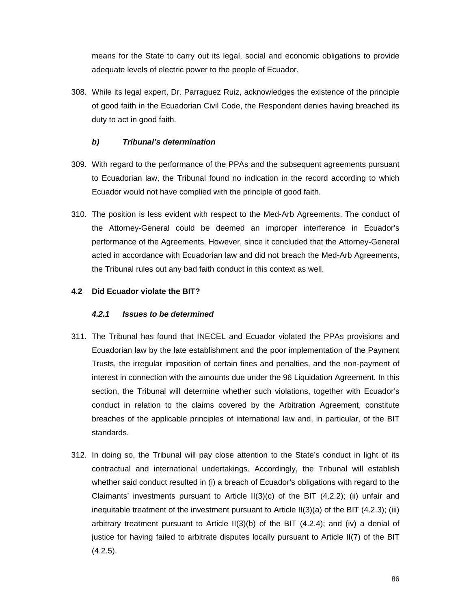means for the State to carry out its legal, social and economic obligations to provide adequate levels of electric power to the people of Ecuador.

308. While its legal expert, Dr. Parraguez Ruiz, acknowledges the existence of the principle of good faith in the Ecuadorian Civil Code, the Respondent denies having breached its duty to act in good faith.

## *b) Tribunal's determination*

- 309. With regard to the performance of the PPAs and the subsequent agreements pursuant to Ecuadorian law, the Tribunal found no indication in the record according to which Ecuador would not have complied with the principle of good faith.
- 310. The position is less evident with respect to the Med-Arb Agreements. The conduct of the Attorney-General could be deemed an improper interference in Ecuador's performance of the Agreements. However, since it concluded that the Attorney-General acted in accordance with Ecuadorian law and did not breach the Med-Arb Agreements, the Tribunal rules out any bad faith conduct in this context as well.

### **4.2 Did Ecuador violate the BIT?**

#### *4.2.1 Issues to be determined*

- 311. The Tribunal has found that INECEL and Ecuador violated the PPAs provisions and Ecuadorian law by the late establishment and the poor implementation of the Payment Trusts, the irregular imposition of certain fines and penalties, and the non-payment of interest in connection with the amounts due under the 96 Liquidation Agreement. In this section, the Tribunal will determine whether such violations, together with Ecuador's conduct in relation to the claims covered by the Arbitration Agreement, constitute breaches of the applicable principles of international law and, in particular, of the BIT standards.
- 312. In doing so, the Tribunal will pay close attention to the State's conduct in light of its contractual and international undertakings. Accordingly, the Tribunal will establish whether said conduct resulted in (i) a breach of Ecuador's obligations with regard to the Claimants' investments pursuant to Article II(3)(c) of the BIT  $(4.2.2)$ ; (ii) unfair and inequitable treatment of the investment pursuant to Article II(3)(a) of the BIT (4.2.3); (iii) arbitrary treatment pursuant to Article  $II(3)(b)$  of the BIT (4.2.4); and (iv) a denial of justice for having failed to arbitrate disputes locally pursuant to Article II(7) of the BIT  $(4.2.5)$ .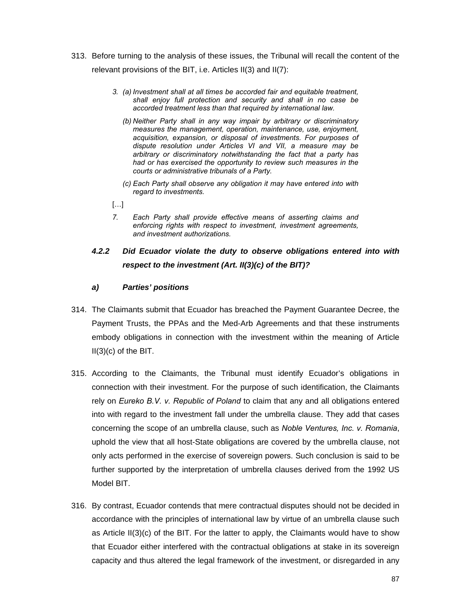- 313. Before turning to the analysis of these issues, the Tribunal will recall the content of the relevant provisions of the BIT, i.e. Articles II(3) and II(7):
	- *3. (a) Investment shall at all times be accorded fair and equitable treatment, shall enjoy full protection and security and shall in no case be accorded treatment less than that required by international law.* 
		- *(b) Neither Party shall in any way impair by arbitrary or discriminatory measures the management, operation, maintenance, use, enjoyment, acquisition, expansion, or disposal of investments. For purposes of dispute resolution under Articles VI and VII, a measure may be arbitrary or discriminatory notwithstanding the fact that a party has had or has exercised the opportunity to review such measures in the courts or administrative tribunals of a Party.*
		- *(c) Each Party shall observe any obligation it may have entered into with regard to investments.*
	- $\lceil$ ...]
	- *7. Each Party shall provide effective means of asserting claims and enforcing rights with respect to investment, investment agreements, and investment authorizations.*

# *4.2.2 Did Ecuador violate the duty to observe obligations entered into with respect to the investment (Art. II(3)(c) of the BIT)?*

### *a) Parties' positions*

- 314. The Claimants submit that Ecuador has breached the Payment Guarantee Decree, the Payment Trusts, the PPAs and the Med-Arb Agreements and that these instruments embody obligations in connection with the investment within the meaning of Article II(3)(c) of the BIT.
- 315. According to the Claimants, the Tribunal must identify Ecuador's obligations in connection with their investment. For the purpose of such identification, the Claimants rely on *Eureko B.V. v. Republic of Poland* to claim that any and all obligations entered into with regard to the investment fall under the umbrella clause. They add that cases concerning the scope of an umbrella clause, such as *Noble Ventures, Inc. v. Romania*, uphold the view that all host-State obligations are covered by the umbrella clause, not only acts performed in the exercise of sovereign powers. Such conclusion is said to be further supported by the interpretation of umbrella clauses derived from the 1992 US Model BIT.
- 316. By contrast, Ecuador contends that mere contractual disputes should not be decided in accordance with the principles of international law by virtue of an umbrella clause such as Article II(3)(c) of the BIT. For the latter to apply, the Claimants would have to show that Ecuador either interfered with the contractual obligations at stake in its sovereign capacity and thus altered the legal framework of the investment, or disregarded in any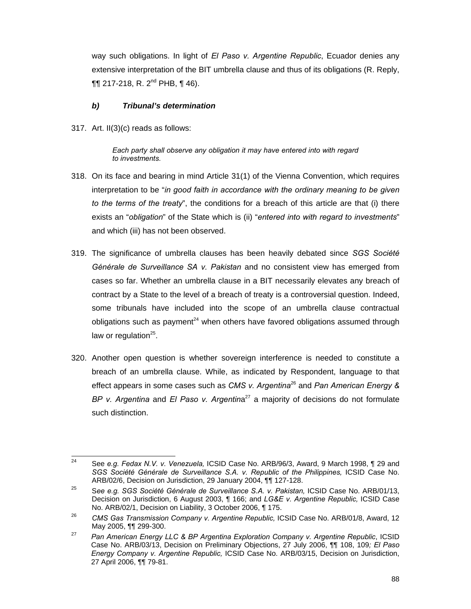way such obligations. In light of *El Paso v. Argentine Republic*, Ecuador denies any extensive interpretation of the BIT umbrella clause and thus of its obligations (R. Reply,  $\P\P$  217-218, R. 2<sup>nd</sup> PHB,  $\P$  46).

#### *b) Tribunal's determination*

317. Art. II(3)(c) reads as follows:

*Each party shall observe any obligation it may have entered into with regard to investments.* 

- 318. On its face and bearing in mind Article 31(1) of the Vienna Convention, which requires interpretation to be "*in good faith in accordance with the ordinary meaning to be given to the terms of the treaty*", the conditions for a breach of this article are that (i) there exists an "*obligation*" of the State which is (ii) "*entered into with regard to investments*" and which (iii) has not been observed.
- 319. The significance of umbrella clauses has been heavily debated since *SGS Société Générale de Surveillance SA v. Pakistan* and no consistent view has emerged from cases so far. Whether an umbrella clause in a BIT necessarily elevates any breach of contract by a State to the level of a breach of treaty is a controversial question. Indeed, some tribunals have included into the scope of an umbrella clause contractual obligations such as payment $24$  when others have favored obligations assumed through law or regulation $^{25}$ .
- 320. Another open question is whether sovereign interference is needed to constitute a breach of an umbrella clause. While, as indicated by Respondent, language to that effect appears in some cases such as *CMS v. Argentina*26 and *Pan American Energy & BP v. Argentina* and *El Paso v. Argentina*<sup>27</sup> a majority of decisions do not formulate such distinction.

 $24$ 24 See *e.g. Fedax N.V. v. Venezuela,* ICSID Case No. ARB/96/3, Award, 9 March 1998, ¶ 29 and *SGS Société Générale de Surveillance S.A. v. Republic of the Philippines,* ICSID Case No.

ARB/02/6, Decision on Jurisdiction, 29 January 2004, ¶¶ 127-128.<br><sup>25</sup> See e.g. *SGS Société Générale de Surveillance S.A. v. Pakistan,* ICSID Case No. ARB/01/13, Decision on Jurisdiction, 6 August 2003, ¶ 166; and *LG&E v. Argentine Republic,* ICSID Case No. ARB/02/1, Decision on Liability, 3 October 2006, ¶ 175. 26 *CMS Gas Transmission Company v. Argentine Republic,* ICSID Case No. ARB/01/8, Award, 12

May 2005, ¶¶ 299-300.<br><sup>27</sup> *Pan American Energy LLC & BP Argentina Exploration Company v. Argentine Republic, ICSID* Case No. ARB/03/13, Decision on Preliminary Objections, 27 July 2006, ¶¶ 108, 109*; El Paso Energy Company v. Argentine Republic,* ICSID Case No. ARB/03/15, Decision on Jurisdiction, 27 April 2006, ¶¶ 79-81.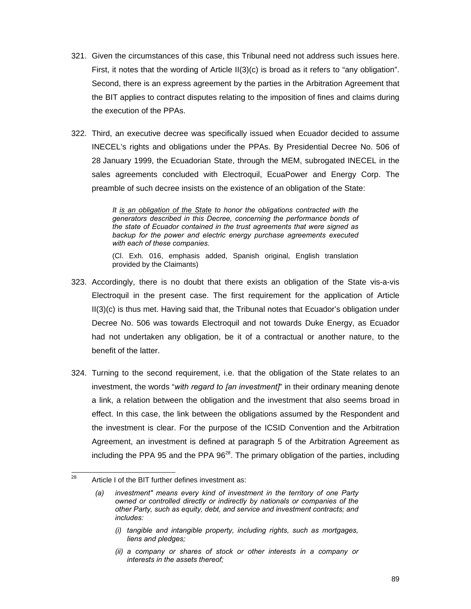- 321. Given the circumstances of this case, this Tribunal need not address such issues here. First, it notes that the wording of Article II(3)(c) is broad as it refers to "any obligation". Second, there is an express agreement by the parties in the Arbitration Agreement that the BIT applies to contract disputes relating to the imposition of fines and claims during the execution of the PPAs.
- 322. Third, an executive decree was specifically issued when Ecuador decided to assume INECEL's rights and obligations under the PPAs. By Presidential Decree No. 506 of 28 January 1999, the Ecuadorian State, through the MEM, subrogated INECEL in the sales agreements concluded with Electroquil, EcuaPower and Energy Corp. The preamble of such decree insists on the existence of an obligation of the State:

*It is an obligation of the State to honor the obligations contracted with the generators described in this Decree, concerning the performance bonds of the state of Ecuador contained in the trust agreements that were signed as backup for the power and electric energy purchase agreements executed with each of these companies.* 

(Cl. Exh. 016, emphasis added, Spanish original, English translation provided by the Claimants)

- 323. Accordingly, there is no doubt that there exists an obligation of the State vis-a-vis Electroquil in the present case. The first requirement for the application of Article II(3)(c) is thus met. Having said that, the Tribunal notes that Ecuador's obligation under Decree No. 506 was towards Electroquil and not towards Duke Energy, as Ecuador had not undertaken any obligation, be it of a contractual or another nature, to the benefit of the latter.
- 324. Turning to the second requirement, i.e. that the obligation of the State relates to an investment, the words "*with regard to [an investment]*" in their ordinary meaning denote a link, a relation between the obligation and the investment that also seems broad in effect. In this case, the link between the obligations assumed by the Respondent and the investment is clear. For the purpose of the ICSID Convention and the Arbitration Agreement, an investment is defined at paragraph 5 of the Arbitration Agreement as including the PPA 95 and the PPA  $96^{28}$ . The primary obligation of the parties, including

<sup>28</sup> Article I of the BIT further defines investment as:

*<sup>(</sup>a) investment" means every kind of investment in the territory of one Party owned or controlled directly or indirectly by nationals or companies of the other Party, such as equity, debt, and service and investment contracts; and includes:* 

*<sup>(</sup>i) tangible and intangible property, including rights, such as mortgages, liens and pledges;* 

*<sup>(</sup>ii) a company or shares of stock or other interests in a company or interests in the assets thereof;*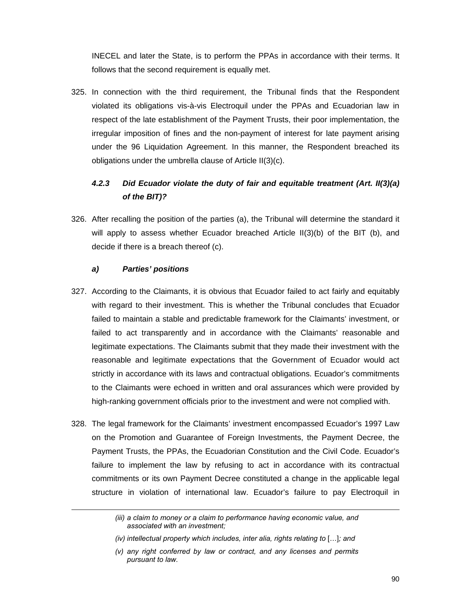INECEL and later the State, is to perform the PPAs in accordance with their terms. It follows that the second requirement is equally met.

325. In connection with the third requirement, the Tribunal finds that the Respondent violated its obligations vis-à-vis Electroquil under the PPAs and Ecuadorian law in respect of the late establishment of the Payment Trusts, their poor implementation, the irregular imposition of fines and the non-payment of interest for late payment arising under the 96 Liquidation Agreement. In this manner, the Respondent breached its obligations under the umbrella clause of Article II(3)(c).

# *4.2.3 Did Ecuador violate the duty of fair and equitable treatment (Art. II(3)(a) of the BIT)?*

326. After recalling the position of the parties (a), the Tribunal will determine the standard it will apply to assess whether Ecuador breached Article II(3)(b) of the BIT (b), and decide if there is a breach thereof (c).

#### *a) Parties' positions*

l

- 327. According to the Claimants, it is obvious that Ecuador failed to act fairly and equitably with regard to their investment. This is whether the Tribunal concludes that Ecuador failed to maintain a stable and predictable framework for the Claimants' investment, or failed to act transparently and in accordance with the Claimants' reasonable and legitimate expectations. The Claimants submit that they made their investment with the reasonable and legitimate expectations that the Government of Ecuador would act strictly in accordance with its laws and contractual obligations. Ecuador's commitments to the Claimants were echoed in written and oral assurances which were provided by high-ranking government officials prior to the investment and were not complied with.
- 328. The legal framework for the Claimants' investment encompassed Ecuador's 1997 Law on the Promotion and Guarantee of Foreign Investments, the Payment Decree, the Payment Trusts, the PPAs, the Ecuadorian Constitution and the Civil Code. Ecuador's failure to implement the law by refusing to act in accordance with its contractual commitments or its own Payment Decree constituted a change in the applicable legal structure in violation of international law. Ecuador's failure to pay Electroquil in

- *(iv) intellectual property which includes, inter alia, rights relating to* […]*; and*
- *(v) any right conferred by law or contract, and any licenses and permits pursuant to law.*

*<sup>(</sup>iii) a claim to money or a claim to performance having economic value, and associated with an investment;*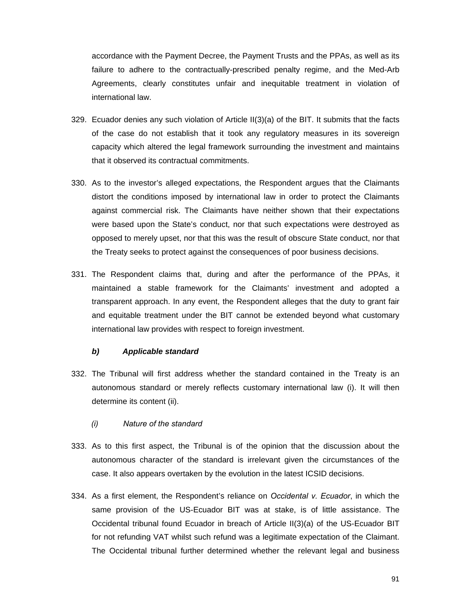accordance with the Payment Decree, the Payment Trusts and the PPAs, as well as its failure to adhere to the contractually-prescribed penalty regime, and the Med-Arb Agreements, clearly constitutes unfair and inequitable treatment in violation of international law.

- 329. Ecuador denies any such violation of Article II(3)(a) of the BIT. It submits that the facts of the case do not establish that it took any regulatory measures in its sovereign capacity which altered the legal framework surrounding the investment and maintains that it observed its contractual commitments.
- 330. As to the investor's alleged expectations, the Respondent argues that the Claimants distort the conditions imposed by international law in order to protect the Claimants against commercial risk. The Claimants have neither shown that their expectations were based upon the State's conduct, nor that such expectations were destroyed as opposed to merely upset, nor that this was the result of obscure State conduct, nor that the Treaty seeks to protect against the consequences of poor business decisions.
- 331. The Respondent claims that, during and after the performance of the PPAs, it maintained a stable framework for the Claimants' investment and adopted a transparent approach. In any event, the Respondent alleges that the duty to grant fair and equitable treatment under the BIT cannot be extended beyond what customary international law provides with respect to foreign investment.

#### *b) Applicable standard*

- 332. The Tribunal will first address whether the standard contained in the Treaty is an autonomous standard or merely reflects customary international law (i). It will then determine its content (ii).
	- *(i) Nature of the standard*
- 333. As to this first aspect, the Tribunal is of the opinion that the discussion about the autonomous character of the standard is irrelevant given the circumstances of the case. It also appears overtaken by the evolution in the latest ICSID decisions.
- 334. As a first element, the Respondent's reliance on *Occidental v. Ecuador*, in which the same provision of the US-Ecuador BIT was at stake, is of little assistance. The Occidental tribunal found Ecuador in breach of Article II(3)(a) of the US-Ecuador BIT for not refunding VAT whilst such refund was a legitimate expectation of the Claimant. The Occidental tribunal further determined whether the relevant legal and business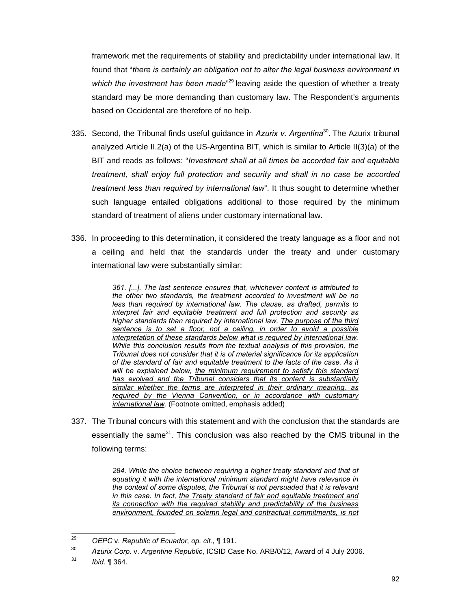framework met the requirements of stability and predictability under international law. It found that "*there is certainly an obligation not to alter the legal business environment in*  which the investment has been made<sup>"29</sup> leaving aside the question of whether a treaty standard may be more demanding than customary law. The Respondent's arguments based on Occidental are therefore of no help.

- 335. Second, the Tribunal finds useful guidance in *Azurix v. Argentina*<sup>30</sup>*.* The Azurix tribunal analyzed Article II.2(a) of the US-Argentina BIT, which is similar to Article II(3)(a) of the BIT and reads as follows: "*Investment shall at all times be accorded fair and equitable treatment, shall enjoy full protection and security and shall in no case be accorded treatment less than required by international law*". It thus sought to determine whether such language entailed obligations additional to those required by the minimum standard of treatment of aliens under customary international law.
- 336. In proceeding to this determination, it considered the treaty language as a floor and not a ceiling and held that the standards under the treaty and under customary international law were substantially similar:

*361. [...]. The last sentence ensures that, whichever content is attributed to the other two standards, the treatment accorded to investment will be no less than required by international law. The clause, as drafted, permits to interpret fair and equitable treatment and full protection and security as higher standards than required by international law. The purpose of the third sentence is to set a floor, not a ceiling, in order to avoid a possible interpretation of these standards below what is required by international law. While this conclusion results from the textual analysis of this provision, the Tribunal does not consider that it is of material significance for its application of the standard of fair and equitable treatment to the facts of the case. As it*  will be explained below, the minimum requirement to satisfy this standard *has evolved and the Tribunal considers that its content is substantially similar whether the terms are interpreted in their ordinary meaning, as required by the Vienna Convention, or in accordance with customary international law.* (Footnote omitted, emphasis added)

337. The Tribunal concurs with this statement and with the conclusion that the standards are essentially the same<sup>31</sup>. This conclusion was also reached by the CMS tribunal in the following terms:

> *284. While the choice between requiring a higher treaty standard and that of equating it with the international minimum standard might have relevance in the context of some disputes, the Tribunal is not persuaded that it is relevant in this case. In fact, the Treaty standard of fair and equitable treatment and its connection with the required stability and predictability of the business environment, founded on solemn legal and contractual commitments, is not*

<sup>29</sup> 

<sup>29</sup>*OEPC* v*. Republic of Ecuador*, *op. cit.*, ¶ 191. 30 *Azurix Corp.* v. *Argentine Republic*, ICSID Case No. ARB/0/12, Award of 4 July 2006. 31 *Ibid.* ¶ 364.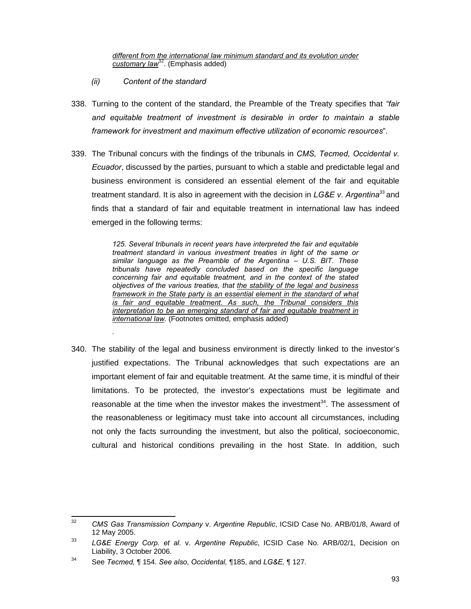*different from the international law minimum standard and its evolution under customary law*<sup>32</sup>*.* (Emphasis added)

*(ii) Content of the standard* 

*.* 

- 338. Turning to the content of the standard, the Preamble of the Treaty specifies that *"fair and equitable treatment of investment is desirable in order to maintain a stable framework for investment and maximum effective utilization of economic resources*".
- 339. The Tribunal concurs with the findings of the tribunals in *CMS, Tecmed, Occidental v. Ecuador*, discussed by the parties, pursuant to which a stable and predictable legal and business environment is considered an essential element of the fair and equitable treatment standard. It is also in agreement with the decision in *LG&E v. Argentina*<sup>33</sup> and finds that a standard of fair and equitable treatment in international law has indeed emerged in the following terms:

*125. Several tribunals in recent years have interpreted the fair and equitable treatment standard in various investment treaties in light of the same or similar language as the Preamble of the Argentina – U.S. BIT. These tribunals have repeatedly concluded based on the specific language concerning fair and equitable treatment, and in the context of the stated objectives of the various treaties, that the stability of the legal and business framework in the State party is an essential element in the standard of what is fair and equitable treatment. As such, the Tribunal considers this interpretation to be an emerging standard of fair and equitable treatment in international law.* (Footnotes omitted, emphasis added)

340. The stability of the legal and business environment is directly linked to the investor's justified expectations. The Tribunal acknowledges that such expectations are an important element of fair and equitable treatment. At the same time, it is mindful of their limitations. To be protected, the investor's expectations must be legitimate and reasonable at the time when the investor makes the investment $3<sup>4</sup>$ . The assessment of the reasonableness or legitimacy must take into account all circumstances, including not only the facts surrounding the investment, but also the political, socioeconomic, cultural and historical conditions prevailing in the host State. In addition, such

 $32$ 32 *CMS Gas Transmission Company* v. *Argentine Republic*, ICSID Case No. ARB/01/8, Award of 12 May 2005. 33 *LG&E Energy Corp. et al.* v. *Argentine Republic*, ICSID Case No. ARB/02/1, Decision on

Liability, 3 October 2006. 34 See *Tecmed,* ¶ 154. *See also*, *Occidental,* ¶185, and *LG&E,* ¶ 127*.*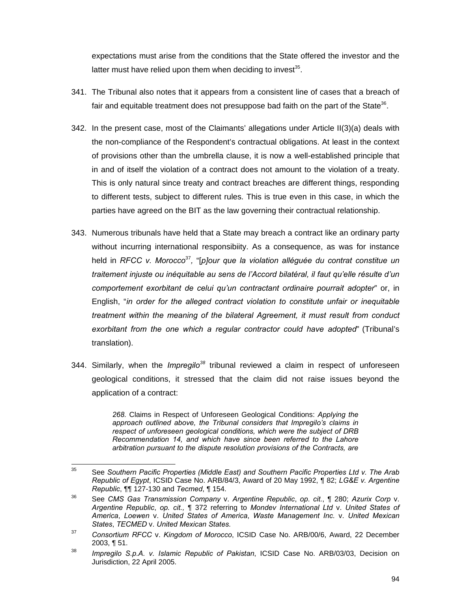expectations must arise from the conditions that the State offered the investor and the latter must have relied upon them when deciding to invest $35$ .

- 341. The Tribunal also notes that it appears from a consistent line of cases that a breach of fair and equitable treatment does not presuppose bad faith on the part of the State $36$ .
- 342. In the present case, most of the Claimants' allegations under Article II(3)(a) deals with the non-compliance of the Respondent's contractual obligations. At least in the context of provisions other than the umbrella clause, it is now a well-established principle that in and of itself the violation of a contract does not amount to the violation of a treaty. This is only natural since treaty and contract breaches are different things, responding to different tests, subject to different rules. This is true even in this case, in which the parties have agreed on the BIT as the law governing their contractual relationship.
- 343. Numerous tribunals have held that a State may breach a contract like an ordinary party without incurring international responsibiity. As a consequence, as was for instance held in *RFCC v. Morocco*<sup>37</sup>*,* "[*p]our que la violation alléguée du contrat constitue un traitement injuste ou inéquitable au sens de l'Accord bilatéral, il faut qu'elle résulte d'un comportement exorbitant de celui qu'un contractant ordinaire pourrait adopter*" or, in English, "*in order for the alleged contract violation to constitute unfair or inequitable treatment within the meaning of the bilateral Agreement, it must result from conduct exorbitant from the one which a regular contractor could have adopted*" (Tribunal's translation).
- 344. Similarly, when the *Impregilo<sup>38</sup>* tribunal reviewed a claim in respect of unforeseen geological conditions, it stressed that the claim did not raise issues beyond the application of a contract:

*268.* Claims in Respect of Unforeseen Geological Conditions: *Applying the approach outlined above, the Tribunal considers that Impregilo's claims in respect of unforeseen geological conditions, which were the subject of DRB Recommendation 14, and which have since been referred to the Lahore arbitration pursuant to the dispute resolution provisions of the Contracts, are* 

<sup>35</sup> 35 See *Southern Pacific Properties (Middle East) and Southern Pacific Properties Ltd v. The Arab Republic of Egypt*, ICSID Case No. ARB/84/3, Award of 20 May 1992, ¶ 82; *LG&E v. Argentine Republic*, ¶¶ 127-130 and *Tecmed*, ¶ 154.<br><sup>36</sup> See *CMS Gas Transmission Company v. Argentine Republic, op. cit., ¶ 280; Azurix Corp v.* 

*Argentine Republic*, *op. cit.,* ¶ 372 referring to *Mondev International Ltd* v. *United States of America*, *Loewen* v. *United States of America*, *Waste Management Inc.* v. *United Mexican States*, *TECMED* v. *United Mexican States.* 

<sup>37</sup> *Consortium RFCC* v. *Kingdom of Morocco*, ICSID Case No. ARB/00/6, Award, 22 December 2003, ¶ 51. 38 *Impregilo S.p.A. v. Islamic Republic of Pakistan*, ICSID Case No. ARB/03/03, Decision on

Jurisdiction, 22 April 2005.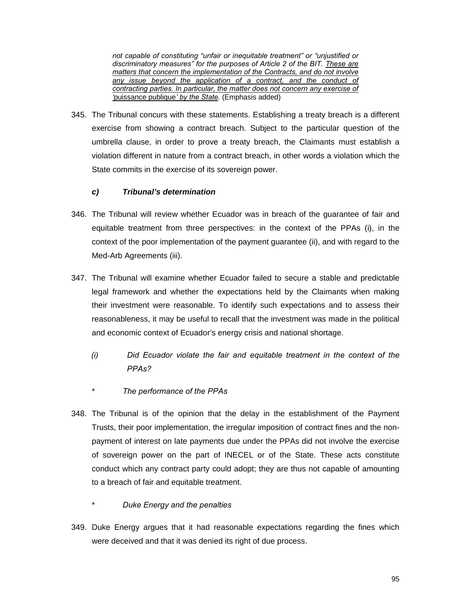*not capable of constituting "unfair or inequitable treatment" or "unjustified or discriminatory measures" for the purposes of Article 2 of the BIT. These are matters that concern the implementation of the Contracts, and do not involve*  any issue beyond the application of a contract, and the conduct of *contracting parties. In particular, the matter does not concern any exercise of '*puissance publique*' by the State.* (Emphasis added)

345. The Tribunal concurs with these statements. Establishing a treaty breach is a different exercise from showing a contract breach. Subject to the particular question of the umbrella clause, in order to prove a treaty breach, the Claimants must establish a violation different in nature from a contract breach, in other words a violation which the State commits in the exercise of its sovereign power.

#### *c) Tribunal's determination*

- 346. The Tribunal will review whether Ecuador was in breach of the guarantee of fair and equitable treatment from three perspectives: in the context of the PPAs (i), in the context of the poor implementation of the payment guarantee (ii), and with regard to the Med-Arb Agreements (iii).
- 347. The Tribunal will examine whether Ecuador failed to secure a stable and predictable legal framework and whether the expectations held by the Claimants when making their investment were reasonable. To identify such expectations and to assess their reasonableness, it may be useful to recall that the investment was made in the political and economic context of Ecuador's energy crisis and national shortage.
	- *(i) Did Ecuador violate the fair and equitable treatment in the context of the PPAs?*
	- **The performance of the PPAs**
- 348. The Tribunal is of the opinion that the delay in the establishment of the Payment Trusts, their poor implementation, the irregular imposition of contract fines and the nonpayment of interest on late payments due under the PPAs did not involve the exercise of sovereign power on the part of INECEL or of the State. These acts constitute conduct which any contract party could adopt; they are thus not capable of amounting to a breach of fair and equitable treatment.
	- \* *Duke Energy and the penalties*
- 349. Duke Energy argues that it had reasonable expectations regarding the fines which were deceived and that it was denied its right of due process.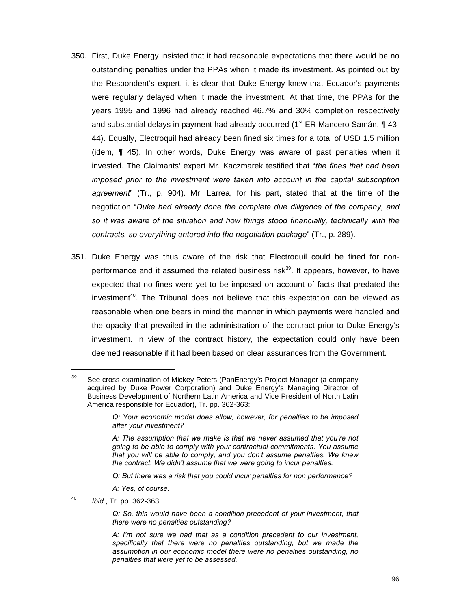- 350. First, Duke Energy insisted that it had reasonable expectations that there would be no outstanding penalties under the PPAs when it made its investment. As pointed out by the Respondent's expert, it is clear that Duke Energy knew that Ecuador's payments were regularly delayed when it made the investment. At that time, the PPAs for the years 1995 and 1996 had already reached 46.7% and 30% completion respectively and substantial delays in payment had already occurred ( $1<sup>st</sup> ER$  Mancero Samán,  $\P$  43-44). Equally, Electroquil had already been fined six times for a total of USD 1.5 million (idem, ¶ 45). In other words, Duke Energy was aware of past penalties when it invested. The Claimants' expert Mr. Kaczmarek testified that "*the fines that had been imposed prior to the investment were taken into account in the capital subscription agreement*" (Tr., p. 904). Mr. Larrea, for his part, stated that at the time of the negotiation "*Duke had already done the complete due diligence of the company, and so it was aware of the situation and how things stood financially, technically with the contracts, so everything entered into the negotiation package*" (Tr., p. 289).
- 351. Duke Energy was thus aware of the risk that Electroquil could be fined for nonperformance and it assumed the related business risk $^{39}$ . It appears, however, to have expected that no fines were yet to be imposed on account of facts that predated the investment<sup>40</sup>. The Tribunal does not believe that this expectation can be viewed as reasonable when one bears in mind the manner in which payments were handled and the opacity that prevailed in the administration of the contract prior to Duke Energy's investment. In view of the contract history, the expectation could only have been deemed reasonable if it had been based on clear assurances from the Government.

*Q: But there was a risk that you could incur penalties for non performance?* 

*A: Yes, of course.* 

40 *Ibid.*, Tr. pp. 362-363:

 $\overline{a}$ 

*Q: So, this would have been a condition precedent of your investment, that there were no penalties outstanding?* 

*<sup>39</sup>* See cross-examination of Mickey Peters (PanEnergy's Project Manager (a company acquired by Duke Power Corporation) and Duke Energy's Managing Director of Business Development of Northern Latin America and Vice President of North Latin America responsible for Ecuador), Tr. pp. 362-363:

*Q: Your economic model does allow, however, for penalties to be imposed after your investment?* 

*A: The assumption that we make is that we never assumed that you're not going to be able to comply with your contractual commitments. You assume that you will be able to comply, and you don't assume penalties. We knew the contract. We didn't assume that we were going to incur penalties.* 

*A: I'm not sure we had that as a condition precedent to our investment, specifically that there were no penalties outstanding, but we made the assumption in our economic model there were no penalties outstanding, no penalties that were yet to be assessed.*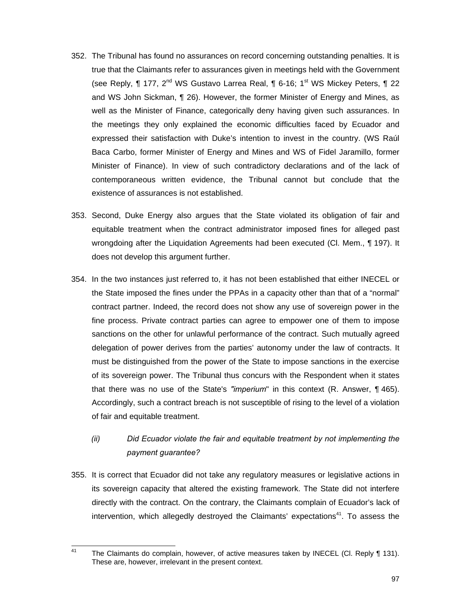- 352. The Tribunal has found no assurances on record concerning outstanding penalties. It is true that the Claimants refer to assurances given in meetings held with the Government (see Reply,  $\P$  177, 2<sup>nd</sup> WS Gustavo Larrea Real,  $\P$  6-16; 1<sup>st</sup> WS Mickey Peters,  $\P$  22 and WS John Sickman, ¶ 26). However, the former Minister of Energy and Mines, as well as the Minister of Finance, categorically deny having given such assurances. In the meetings they only explained the economic difficulties faced by Ecuador and expressed their satisfaction with Duke's intention to invest in the country. (WS Raúl Baca Carbo, former Minister of Energy and Mines and WS of Fidel Jaramillo, former Minister of Finance). In view of such contradictory declarations and of the lack of contemporaneous written evidence, the Tribunal cannot but conclude that the existence of assurances is not established.
- 353. Second, Duke Energy also argues that the State violated its obligation of fair and equitable treatment when the contract administrator imposed fines for alleged past wrongdoing after the Liquidation Agreements had been executed (Cl. Mem., ¶ 197). It does not develop this argument further.
- 354. In the two instances just referred to, it has not been established that either INECEL or the State imposed the fines under the PPAs in a capacity other than that of a "normal" contract partner. Indeed, the record does not show any use of sovereign power in the fine process. Private contract parties can agree to empower one of them to impose sanctions on the other for unlawful performance of the contract. Such mutually agreed delegation of power derives from the parties' autonomy under the law of contracts. It must be distinguished from the power of the State to impose sanctions in the exercise of its sovereign power. The Tribunal thus concurs with the Respondent when it states that there was no use of the State's *"imperium*" in this context (R. Answer, ¶ 465). Accordingly, such a contract breach is not susceptible of rising to the level of a violation of fair and equitable treatment.

# *(ii) Did Ecuador violate the fair and equitable treatment by not implementing the payment guarantee?*

355. It is correct that Ecuador did not take any regulatory measures or legislative actions in its sovereign capacity that altered the existing framework. The State did not interfere directly with the contract. On the contrary, the Claimants complain of Ecuador's lack of intervention, which allegedly destroyed the Claimants' expectations<sup>41</sup>. To assess the

 $41$ The Claimants do complain, however, of active measures taken by INECEL (Cl. Reply ¶ 131). These are, however, irrelevant in the present context.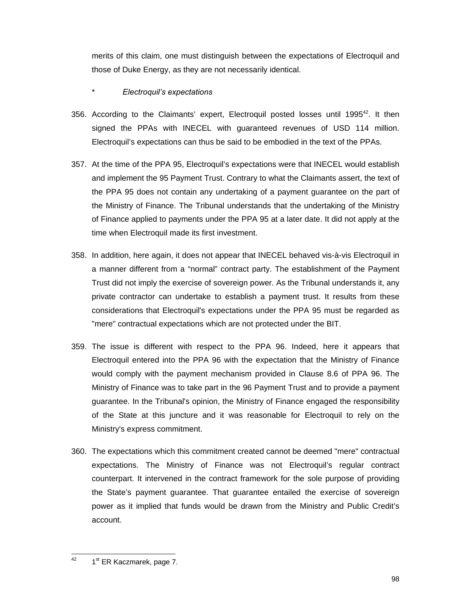merits of this claim, one must distinguish between the expectations of Electroquil and those of Duke Energy, as they are not necessarily identical.

## $E$ *lectroquil's expectations*

- 356. According to the Claimants' expert, Electroquil posted losses until  $1995^{42}$ . It then signed the PPAs with INECEL with guaranteed revenues of USD 114 million. Electroquil's expectations can thus be said to be embodied in the text of the PPAs.
- 357. At the time of the PPA 95, Electroquil's expectations were that INECEL would establish and implement the 95 Payment Trust. Contrary to what the Claimants assert, the text of the PPA 95 does not contain any undertaking of a payment guarantee on the part of the Ministry of Finance. The Tribunal understands that the undertaking of the Ministry of Finance applied to payments under the PPA 95 at a later date. It did not apply at the time when Electroquil made its first investment.
- 358. In addition, here again, it does not appear that INECEL behaved vis-à-vis Electroquil in a manner different from a "normal" contract party. The establishment of the Payment Trust did not imply the exercise of sovereign power. As the Tribunal understands it, any private contractor can undertake to establish a payment trust. It results from these considerations that Electroquil's expectations under the PPA 95 must be regarded as "mere" contractual expectations which are not protected under the BIT.
- 359. The issue is different with respect to the PPA 96. Indeed, here it appears that Electroquil entered into the PPA 96 with the expectation that the Ministry of Finance would comply with the payment mechanism provided in Clause 8.6 of PPA 96. The Ministry of Finance was to take part in the 96 Payment Trust and to provide a payment guarantee. In the Tribunal's opinion, the Ministry of Finance engaged the responsibility of the State at this juncture and it was reasonable for Electroquil to rely on the Ministry's express commitment.
- 360. The expectations which this commitment created cannot be deemed "mere" contractual expectations. The Ministry of Finance was not Electroquil's regular contract counterpart. It intervened in the contract framework for the sole purpose of providing the State's payment guarantee. That guarantee entailed the exercise of sovereign power as it implied that funds would be drawn from the Ministry and Public Credit's account.

 $42$ 1st ER Kaczmarek, page 7.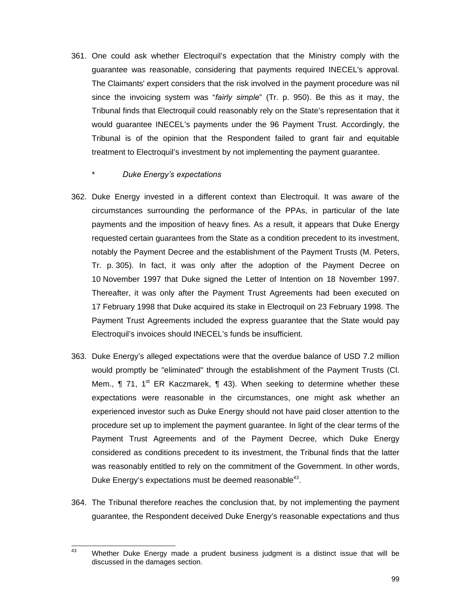- 361. One could ask whether Electroquil's expectation that the Ministry comply with the guarantee was reasonable, considering that payments required INECEL's approval. The Claimants' expert considers that the risk involved in the payment procedure was nil since the invoicing system was "*fairly simple*" (Tr. p. 950). Be this as it may, the Tribunal finds that Electroquil could reasonably rely on the State's representation that it would guarantee INECEL's payments under the 96 Payment Trust. Accordingly, the Tribunal is of the opinion that the Respondent failed to grant fair and equitable treatment to Electroquil's investment by not implementing the payment guarantee.
	- \* *Duke Energy's expectations*
- 362. Duke Energy invested in a different context than Electroquil. It was aware of the circumstances surrounding the performance of the PPAs, in particular of the late payments and the imposition of heavy fines. As a result, it appears that Duke Energy requested certain guarantees from the State as a condition precedent to its investment, notably the Payment Decree and the establishment of the Payment Trusts (M. Peters, Tr. p. 305). In fact, it was only after the adoption of the Payment Decree on 10 November 1997 that Duke signed the Letter of Intention on 18 November 1997. Thereafter, it was only after the Payment Trust Agreements had been executed on 17 February 1998 that Duke acquired its stake in Electroquil on 23 February 1998. The Payment Trust Agreements included the express guarantee that the State would pay Electroquil's invoices should INECEL's funds be insufficient.
- 363. Duke Energy's alleged expectations were that the overdue balance of USD 7.2 million would promptly be "eliminated" through the establishment of the Payment Trusts (Cl. Mem.,  $\P$  71, 1<sup>st</sup> ER Kaczmarek,  $\P$  43). When seeking to determine whether these expectations were reasonable in the circumstances, one might ask whether an experienced investor such as Duke Energy should not have paid closer attention to the procedure set up to implement the payment guarantee. In light of the clear terms of the Payment Trust Agreements and of the Payment Decree, which Duke Energy considered as conditions precedent to its investment, the Tribunal finds that the latter was reasonably entitled to rely on the commitment of the Government. In other words, Duke Energy's expectations must be deemed reasonable<sup>43</sup>.
- 364. The Tribunal therefore reaches the conclusion that, by not implementing the payment guarantee, the Respondent deceived Duke Energy's reasonable expectations and thus

 $43$ Whether Duke Energy made a prudent business judgment is a distinct issue that will be discussed in the damages section.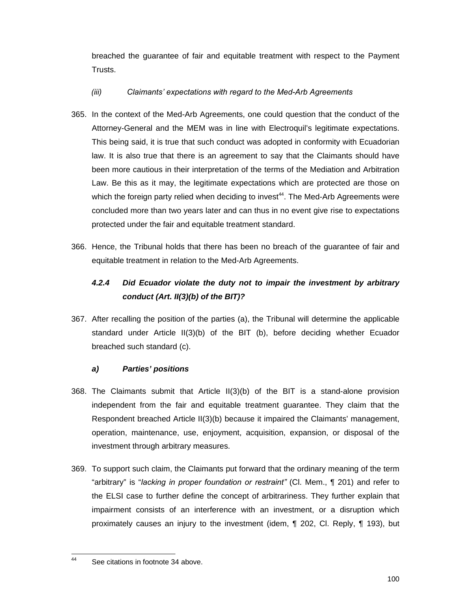breached the guarantee of fair and equitable treatment with respect to the Payment Trusts.

## *(iii) Claimants' expectations with regard to the Med-Arb Agreements*

- 365. In the context of the Med-Arb Agreements, one could question that the conduct of the Attorney-General and the MEM was in line with Electroquil's legitimate expectations. This being said, it is true that such conduct was adopted in conformity with Ecuadorian law. It is also true that there is an agreement to say that the Claimants should have been more cautious in their interpretation of the terms of the Mediation and Arbitration Law. Be this as it may, the legitimate expectations which are protected are those on which the foreign party relied when deciding to invest $44$ . The Med-Arb Agreements were concluded more than two years later and can thus in no event give rise to expectations protected under the fair and equitable treatment standard.
- 366. Hence, the Tribunal holds that there has been no breach of the guarantee of fair and equitable treatment in relation to the Med-Arb Agreements.

# *4.2.4 Did Ecuador violate the duty not to impair the investment by arbitrary conduct (Art. II(3)(b) of the BIT)?*

367. After recalling the position of the parties (a), the Tribunal will determine the applicable standard under Article II(3)(b) of the BIT (b), before deciding whether Ecuador breached such standard (c).

## *a) Parties' positions*

- 368. The Claimants submit that Article II(3)(b) of the BIT is a stand-alone provision independent from the fair and equitable treatment guarantee. They claim that the Respondent breached Article II(3)(b) because it impaired the Claimants' management, operation, maintenance, use, enjoyment, acquisition, expansion, or disposal of the investment through arbitrary measures.
- 369. To support such claim, the Claimants put forward that the ordinary meaning of the term "arbitrary" is "*lacking in proper foundation or restraint"* (Cl. Mem., ¶ 201) and refer to the ELSI case to further define the concept of arbitrariness. They further explain that impairment consists of an interference with an investment, or a disruption which proximately causes an injury to the investment (idem, ¶ 202, Cl. Reply, ¶ 193), but

 $44$ See citations in footnote 34 above.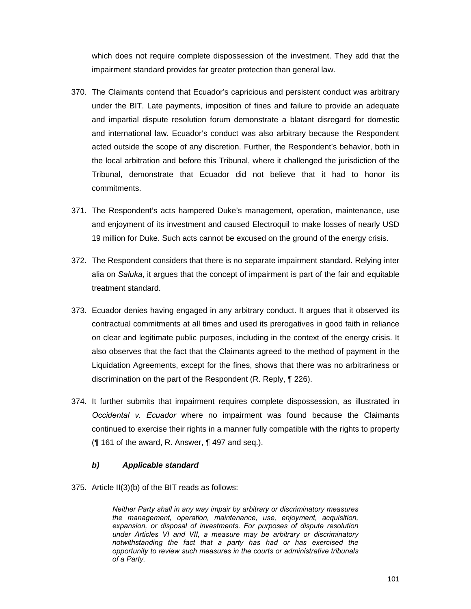which does not require complete dispossession of the investment. They add that the impairment standard provides far greater protection than general law.

- 370. The Claimants contend that Ecuador's capricious and persistent conduct was arbitrary under the BIT. Late payments, imposition of fines and failure to provide an adequate and impartial dispute resolution forum demonstrate a blatant disregard for domestic and international law. Ecuador's conduct was also arbitrary because the Respondent acted outside the scope of any discretion. Further, the Respondent's behavior, both in the local arbitration and before this Tribunal, where it challenged the jurisdiction of the Tribunal, demonstrate that Ecuador did not believe that it had to honor its commitments.
- 371. The Respondent's acts hampered Duke's management, operation, maintenance, use and enjoyment of its investment and caused Electroquil to make losses of nearly USD 19 million for Duke. Such acts cannot be excused on the ground of the energy crisis.
- 372. The Respondent considers that there is no separate impairment standard. Relying inter alia on *Saluka*, it argues that the concept of impairment is part of the fair and equitable treatment standard.
- 373. Ecuador denies having engaged in any arbitrary conduct. It argues that it observed its contractual commitments at all times and used its prerogatives in good faith in reliance on clear and legitimate public purposes, including in the context of the energy crisis. It also observes that the fact that the Claimants agreed to the method of payment in the Liquidation Agreements, except for the fines, shows that there was no arbitrariness or discrimination on the part of the Respondent (R. Reply, ¶ 226).
- 374. It further submits that impairment requires complete dispossession, as illustrated in *Occidental v. Ecuador* where no impairment was found because the Claimants continued to exercise their rights in a manner fully compatible with the rights to property ( $\P$  161 of the award, R. Answer,  $\P$  497 and seq.).

#### *b) Applicable standard*

375. Article II(3)(b) of the BIT reads as follows:

*Neither Party shall in any way impair by arbitrary or discriminatory measures the management, operation, maintenance, use, enjoyment, acquisition, expansion, or disposal of investments. For purposes of dispute resolution under Articles VI and VII, a measure may be arbitrary or discriminatory notwithstanding the fact that a party has had or has exercised the opportunity to review such measures in the courts or administrative tribunals of a Party.*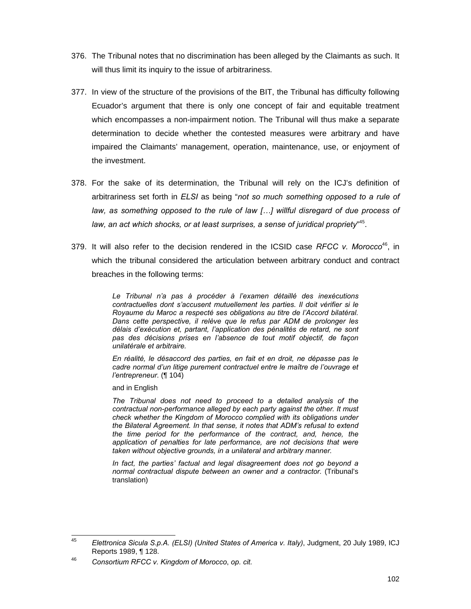- 376. The Tribunal notes that no discrimination has been alleged by the Claimants as such. It will thus limit its inquiry to the issue of arbitrariness.
- 377. In view of the structure of the provisions of the BIT, the Tribunal has difficulty following Ecuador's argument that there is only one concept of fair and equitable treatment which encompasses a non-impairment notion. The Tribunal will thus make a separate determination to decide whether the contested measures were arbitrary and have impaired the Claimants' management, operation, maintenance, use, or enjoyment of the investment.
- 378. For the sake of its determination, the Tribunal will rely on the ICJ's definition of arbitrariness set forth in *ELSI* as being "*not so much something opposed to a rule of law, as something opposed to the rule of law […] willful disregard of due process of law, an act which shocks, or at least surprises, a sense of juridical propriety*" 45.
- 379. It will also refer to the decision rendered in the ICSID case *RFCC v. Morocco*46, in which the tribunal considered the articulation between arbitrary conduct and contract breaches in the following terms:

*Le Tribunal n'a pas à procéder à l'examen détaillé des inexécutions contractuelles dont s'accusent mutuellement les parties. Il doit vérifier si le Royaume du Maroc a respecté ses obligations au titre de l'Accord bilatéral. Dans cette perspective, il relève que le refus par ADM de prolonger les délais d'exécution et, partant, l'application des pénalités de retard, ne sont pas des décisions prises en l'absence de tout motif objectif, de façon unilatérale et arbitraire.* 

*En réalité, le désaccord des parties, en fait et en droit, ne dépasse pas le cadre normal d'un litige purement contractuel entre le maître de l'ouvrage et l'entrepreneur*. (¶ 104)

and in English

*The Tribunal does not need to proceed to a detailed analysis of the contractual non-performance alleged by each party against the other. It must check whether the Kingdom of Morocco complied with its obligations under the Bilateral Agreement. In that sense, it notes that ADM's refusal to extend the time period for the performance of the contract, and, hence, the application of penalties for late performance, are not decisions that were taken without objective grounds, in a unilateral and arbitrary manner.* 

In fact, the parties' factual and legal disagreement does not go beyond a *normal contractual dispute between an owner and a contractor.* (Tribunal's translation)

 $45$ 45 *Elettronica Sicula S.p.A. (ELSI) (United States of America v. Italy)*, Judgment, 20 July 1989, ICJ Reports 1989, ¶ 128. 46 *Consortium RFCC v. Kingdom of Morocco*, *op. cit*.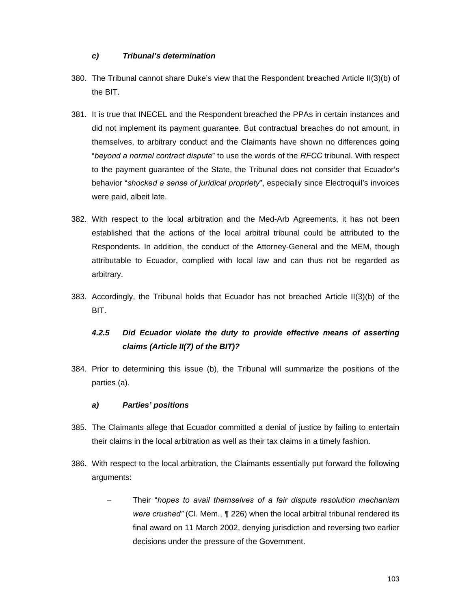#### *c) Tribunal's determination*

- 380. The Tribunal cannot share Duke's view that the Respondent breached Article II(3)(b) of the BIT.
- 381. It is true that INECEL and the Respondent breached the PPAs in certain instances and did not implement its payment guarantee. But contractual breaches do not amount, in themselves, to arbitrary conduct and the Claimants have shown no differences going "*beyond a normal contract dispute*" to use the words of the *RFCC* tribunal. With respect to the payment guarantee of the State, the Tribunal does not consider that Ecuador's behavior "*shocked a sense of juridical propriety*", especially since Electroquil's invoices were paid, albeit late.
- 382. With respect to the local arbitration and the Med-Arb Agreements, it has not been established that the actions of the local arbitral tribunal could be attributed to the Respondents. In addition, the conduct of the Attorney-General and the MEM, though attributable to Ecuador, complied with local law and can thus not be regarded as arbitrary.
- 383. Accordingly, the Tribunal holds that Ecuador has not breached Article II(3)(b) of the BIT.

# *4.2.5 Did Ecuador violate the duty to provide effective means of asserting claims (Article II(7) of the BIT)?*

384. Prior to determining this issue (b), the Tribunal will summarize the positions of the parties (a).

#### *a) Parties' positions*

- 385. The Claimants allege that Ecuador committed a denial of justice by failing to entertain their claims in the local arbitration as well as their tax claims in a timely fashion.
- 386. With respect to the local arbitration, the Claimants essentially put forward the following arguments:
	- − Their "*hopes to avail themselves of a fair dispute resolution mechanism were crushed"* (Cl. Mem., ¶ 226) when the local arbitral tribunal rendered its final award on 11 March 2002, denying jurisdiction and reversing two earlier decisions under the pressure of the Government.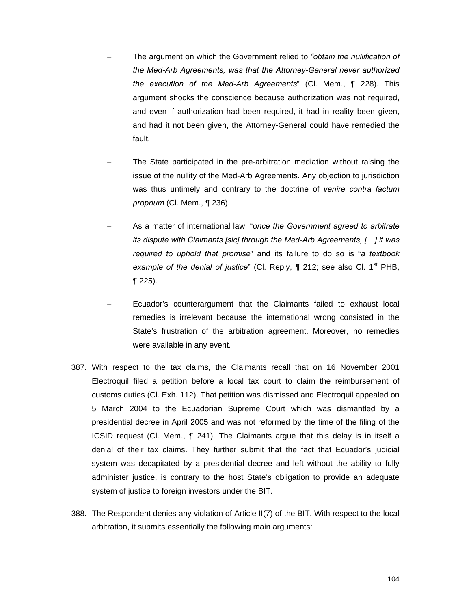- − The argument on which the Government relied to *"obtain the nullification of the Med-Arb Agreements, was that the Attorney-General never authorized the execution of the Med-Arb Agreements*" (Cl. Mem., ¶ 228). This argument shocks the conscience because authorization was not required, and even if authorization had been required, it had in reality been given, and had it not been given, the Attorney-General could have remedied the fault.
- The State participated in the pre-arbitration mediation without raising the issue of the nullity of the Med-Arb Agreements. Any objection to jurisdiction was thus untimely and contrary to the doctrine of *venire contra factum proprium* (Cl. Mem., ¶ 236).
- − As a matter of international law, "*once the Government agreed to arbitrate its dispute with Claimants [sic] through the Med-Arb Agreements, […] it was required to uphold that promise*" and its failure to do so is "*a textbook*  example of the denial of justice" (Cl. Reply, ¶ 212; see also Cl. 1<sup>st</sup> PHB, ¶ 225).
- Ecuador's counterargument that the Claimants failed to exhaust local remedies is irrelevant because the international wrong consisted in the State's frustration of the arbitration agreement. Moreover, no remedies were available in any event.
- 387. With respect to the tax claims, the Claimants recall that on 16 November 2001 Electroquil filed a petition before a local tax court to claim the reimbursement of customs duties (Cl. Exh. 112). That petition was dismissed and Electroquil appealed on 5 March 2004 to the Ecuadorian Supreme Court which was dismantled by a presidential decree in April 2005 and was not reformed by the time of the filing of the ICSID request (Cl. Mem., ¶ 241). The Claimants argue that this delay is in itself a denial of their tax claims. They further submit that the fact that Ecuador's judicial system was decapitated by a presidential decree and left without the ability to fully administer justice, is contrary to the host State's obligation to provide an adequate system of justice to foreign investors under the BIT.
- 388. The Respondent denies any violation of Article II(7) of the BIT. With respect to the local arbitration, it submits essentially the following main arguments: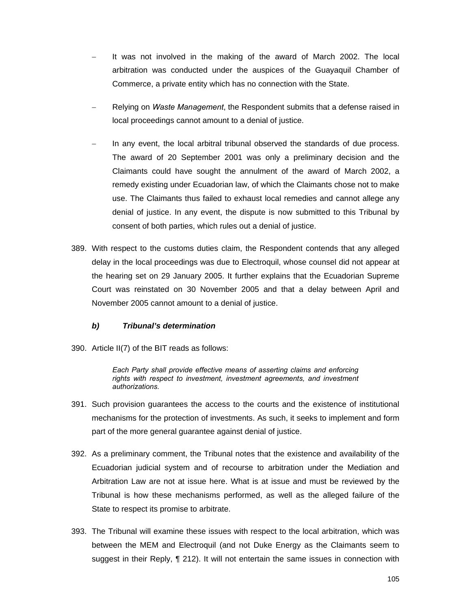- It was not involved in the making of the award of March 2002. The local arbitration was conducted under the auspices of the Guayaquil Chamber of Commerce, a private entity which has no connection with the State.
- − Relying on *Waste Management*, the Respondent submits that a defense raised in local proceedings cannot amount to a denial of justice.
- In any event, the local arbitral tribunal observed the standards of due process. The award of 20 September 2001 was only a preliminary decision and the Claimants could have sought the annulment of the award of March 2002, a remedy existing under Ecuadorian law, of which the Claimants chose not to make use. The Claimants thus failed to exhaust local remedies and cannot allege any denial of justice. In any event, the dispute is now submitted to this Tribunal by consent of both parties, which rules out a denial of justice.
- 389. With respect to the customs duties claim, the Respondent contends that any alleged delay in the local proceedings was due to Electroquil, whose counsel did not appear at the hearing set on 29 January 2005. It further explains that the Ecuadorian Supreme Court was reinstated on 30 November 2005 and that a delay between April and November 2005 cannot amount to a denial of justice.

#### *b) Tribunal's determination*

390. Article II(7) of the BIT reads as follows:

*Each Party shall provide effective means of asserting claims and enforcing rights with respect to investment, investment agreements, and investment authorizations.* 

- 391. Such provision guarantees the access to the courts and the existence of institutional mechanisms for the protection of investments. As such, it seeks to implement and form part of the more general guarantee against denial of justice.
- 392. As a preliminary comment, the Tribunal notes that the existence and availability of the Ecuadorian judicial system and of recourse to arbitration under the Mediation and Arbitration Law are not at issue here. What is at issue and must be reviewed by the Tribunal is how these mechanisms performed, as well as the alleged failure of the State to respect its promise to arbitrate.
- 393. The Tribunal will examine these issues with respect to the local arbitration, which was between the MEM and Electroquil (and not Duke Energy as the Claimants seem to suggest in their Reply, ¶ 212). It will not entertain the same issues in connection with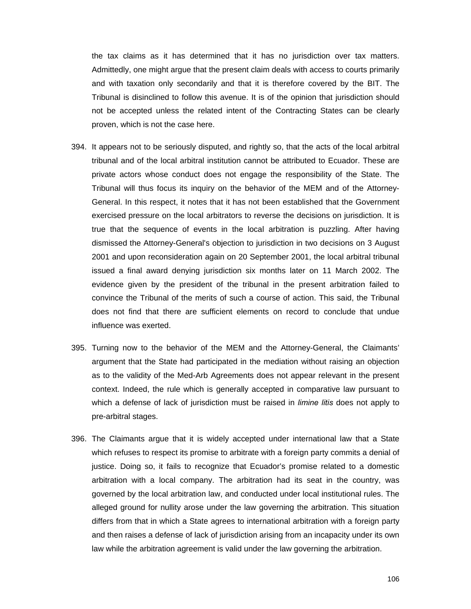the tax claims as it has determined that it has no jurisdiction over tax matters. Admittedly, one might argue that the present claim deals with access to courts primarily and with taxation only secondarily and that it is therefore covered by the BIT. The Tribunal is disinclined to follow this avenue. It is of the opinion that jurisdiction should not be accepted unless the related intent of the Contracting States can be clearly proven, which is not the case here.

- 394. It appears not to be seriously disputed, and rightly so, that the acts of the local arbitral tribunal and of the local arbitral institution cannot be attributed to Ecuador. These are private actors whose conduct does not engage the responsibility of the State. The Tribunal will thus focus its inquiry on the behavior of the MEM and of the Attorney-General. In this respect, it notes that it has not been established that the Government exercised pressure on the local arbitrators to reverse the decisions on jurisdiction. It is true that the sequence of events in the local arbitration is puzzling. After having dismissed the Attorney-General's objection to jurisdiction in two decisions on 3 August 2001 and upon reconsideration again on 20 September 2001, the local arbitral tribunal issued a final award denying jurisdiction six months later on 11 March 2002. The evidence given by the president of the tribunal in the present arbitration failed to convince the Tribunal of the merits of such a course of action. This said, the Tribunal does not find that there are sufficient elements on record to conclude that undue influence was exerted.
- 395. Turning now to the behavior of the MEM and the Attorney-General, the Claimants' argument that the State had participated in the mediation without raising an objection as to the validity of the Med-Arb Agreements does not appear relevant in the present context. Indeed, the rule which is generally accepted in comparative law pursuant to which a defense of lack of jurisdiction must be raised in *limine litis* does not apply to pre-arbitral stages.
- 396. The Claimants argue that it is widely accepted under international law that a State which refuses to respect its promise to arbitrate with a foreign party commits a denial of justice. Doing so, it fails to recognize that Ecuador's promise related to a domestic arbitration with a local company. The arbitration had its seat in the country, was governed by the local arbitration law, and conducted under local institutional rules. The alleged ground for nullity arose under the law governing the arbitration. This situation differs from that in which a State agrees to international arbitration with a foreign party and then raises a defense of lack of jurisdiction arising from an incapacity under its own law while the arbitration agreement is valid under the law governing the arbitration.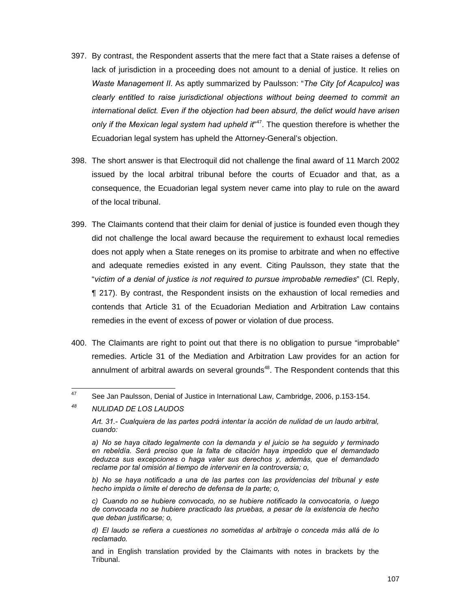- 397. By contrast, the Respondent asserts that the mere fact that a State raises a defense of lack of jurisdiction in a proceeding does not amount to a denial of justice. It relies on *Waste Management II*. As aptly summarized by Paulsson: "*The City [of Acapulco] was clearly entitled to raise jurisdictional objections without being deemed to commit an international delict. Even if the objection had been absurd, the delict would have arisen*  only if the Mexican legal system had upheld it<sup>\*47</sup>. The question therefore is whether the Ecuadorian legal system has upheld the Attorney-General's objection.
- 398. The short answer is that Electroquil did not challenge the final award of 11 March 2002 issued by the local arbitral tribunal before the courts of Ecuador and that, as a consequence, the Ecuadorian legal system never came into play to rule on the award of the local tribunal.
- 399. The Claimants contend that their claim for denial of justice is founded even though they did not challenge the local award because the requirement to exhaust local remedies does not apply when a State reneges on its promise to arbitrate and when no effective and adequate remedies existed in any event. Citing Paulsson, they state that the "*victim of a denial of justice is not required to pursue improbable remedies*" (Cl. Reply, ¶ 217). By contrast, the Respondent insists on the exhaustion of local remedies and contends that Article 31 of the Ecuadorian Mediation and Arbitration Law contains remedies in the event of excess of power or violation of due process.
- 400. The Claimants are right to point out that there is no obligation to pursue "improbable" remedies. Article 31 of the Mediation and Arbitration Law provides for an action for annulment of arbitral awards on several grounds $48$ . The Respondent contends that this

 $47$ 47 See Jan Paulsson, Denial of Justice in International Law, Cambridge, 2006, p.153-154.

*<sup>48</sup> NULIDAD DE LOS LAUDOS* 

*Art. 31.- Cualquiera de las partes podrá intentar la acción de nulidad de un laudo arbitral, cuando:* 

*a) No se haya citado legalmente con la demanda y el juicio se ha seguido y terminado en rebeldía. Será preciso que la falta de citación haya impedido que el demandado deduzca sus excepciones o haga valer sus derechos y, además, que el demandado reclame por tal omisión al tiempo de intervenir en la controversia; o,* 

*b) No se haya notificado a una de las partes con las providencias del tribunal y este hecho impida o limite el derecho de defensa de la parte; o,* 

*c) Cuando no se hubiere convocado, no se hubiere notificado la convocatoria, o luego de convocada no se hubiere practicado las pruebas, a pesar de la existencia de hecho que deban justificarse; o,* 

*d) El laudo se refiera a cuestiones no sometidas al arbitraje o conceda más allá de lo reclamado.* 

and in English translation provided by the Claimants with notes in brackets by the Tribunal.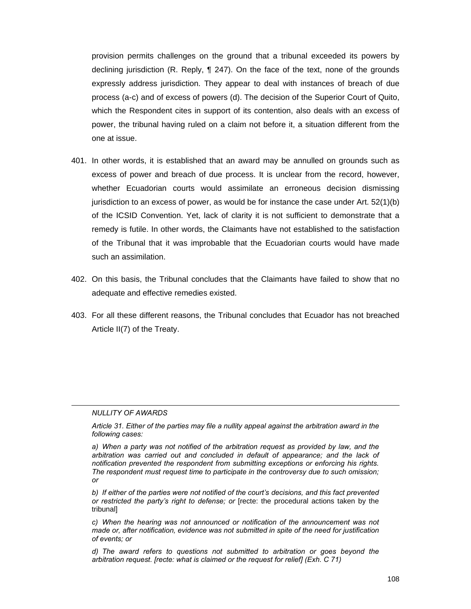provision permits challenges on the ground that a tribunal exceeded its powers by declining jurisdiction (R. Reply, ¶ 247). On the face of the text, none of the grounds expressly address jurisdiction. They appear to deal with instances of breach of due process (a-c) and of excess of powers (d). The decision of the Superior Court of Quito, which the Respondent cites in support of its contention, also deals with an excess of power, the tribunal having ruled on a claim not before it, a situation different from the one at issue.

- 401. In other words, it is established that an award may be annulled on grounds such as excess of power and breach of due process. It is unclear from the record, however, whether Ecuadorian courts would assimilate an erroneous decision dismissing jurisdiction to an excess of power, as would be for instance the case under Art. 52(1)(b) of the ICSID Convention. Yet, lack of clarity it is not sufficient to demonstrate that a remedy is futile. In other words, the Claimants have not established to the satisfaction of the Tribunal that it was improbable that the Ecuadorian courts would have made such an assimilation.
- 402. On this basis, the Tribunal concludes that the Claimants have failed to show that no adequate and effective remedies existed.
- 403. For all these different reasons, the Tribunal concludes that Ecuador has not breached Article II(7) of the Treaty.

#### *NULLITY OF AWARDS*

 $\overline{a}$ 

 *Article 31. Either of the parties may file a nullity appeal against the arbitration award in the following cases:* 

 *a) When a party was not notified of the arbitration request as provided by law, and the arbitration was carried out and concluded in default of appearance; and the lack of notification prevented the respondent from submitting exceptions or enforcing his rights. The respondent must request time to participate in the controversy due to such omission; or* 

 *b) If either of the parties were not notified of the court's decisions, and this fact prevented or restricted the party's right to defense; or* [recte: the procedural actions taken by the tribunal]

 *c) When the hearing was not announced or notification of the announcement was not made or, after notification, evidence was not submitted in spite of the need for justification of events; or* 

 *d) The award refers to questions not submitted to arbitration or goes beyond the arbitration request. [recte: what is claimed or the request for relief] (Exh. C 71)*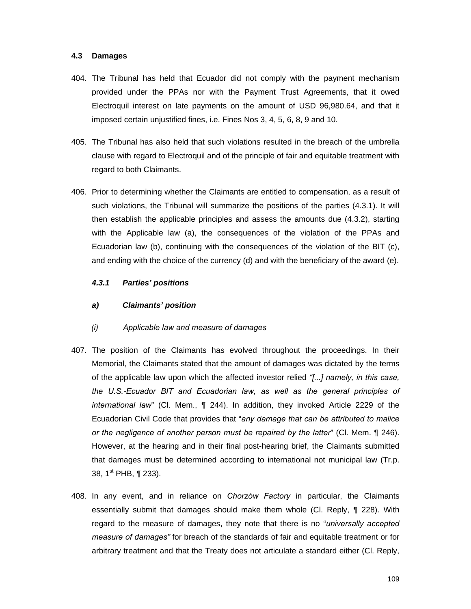#### **4.3 Damages**

- 404. The Tribunal has held that Ecuador did not comply with the payment mechanism provided under the PPAs nor with the Payment Trust Agreements, that it owed Electroquil interest on late payments on the amount of USD 96,980.64, and that it imposed certain unjustified fines, i.e. Fines Nos 3, 4, 5, 6, 8, 9 and 10.
- 405. The Tribunal has also held that such violations resulted in the breach of the umbrella clause with regard to Electroquil and of the principle of fair and equitable treatment with regard to both Claimants.
- 406. Prior to determining whether the Claimants are entitled to compensation, as a result of such violations, the Tribunal will summarize the positions of the parties (4.3.1). It will then establish the applicable principles and assess the amounts due (4.3.2), starting with the Applicable law (a), the consequences of the violation of the PPAs and Ecuadorian law (b), continuing with the consequences of the violation of the BIT (c), and ending with the choice of the currency (d) and with the beneficiary of the award (e).

# *4.3.1 Parties' positions*

## *a) Claimants' position*

#### *(i) Applicable law and measure of damages*

- 407. The position of the Claimants has evolved throughout the proceedings. In their Memorial, the Claimants stated that the amount of damages was dictated by the terms of the applicable law upon which the affected investor relied *"[...] namely, in this case, the U.S.-Ecuador BIT and Ecuadorian law, as well as the general principles of international law*" (Cl. Mem., ¶ 244). In addition, they invoked Article 2229 of the Ecuadorian Civil Code that provides that "*any damage that can be attributed to malice or the negligence of another person must be repaired by the latter*" (Cl. Mem. ¶ 246). However, at the hearing and in their final post-hearing brief, the Claimants submitted that damages must be determined according to international not municipal law (Tr.p. 38, 1st PHB, ¶ 233).
- 408. In any event, and in reliance on *Chorzów Factory* in particular, the Claimants essentially submit that damages should make them whole (Cl. Reply, ¶ 228). With regard to the measure of damages, they note that there is no "*universally accepted measure of damages"* for breach of the standards of fair and equitable treatment or for arbitrary treatment and that the Treaty does not articulate a standard either (Cl. Reply,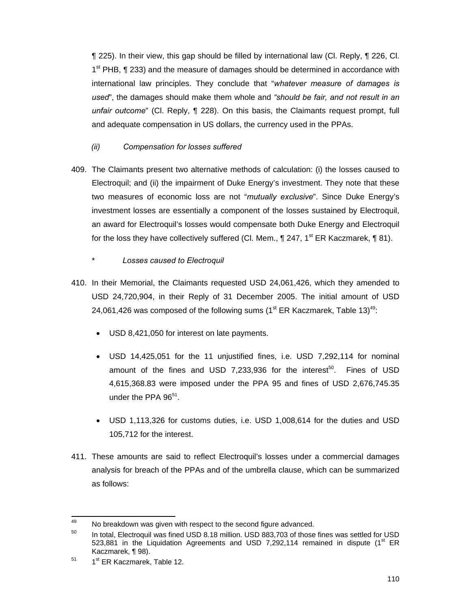¶ 225). In their view, this gap should be filled by international law (Cl. Reply, ¶ 226, Cl. 1<sup>st</sup> PHB, ¶ 233) and the measure of damages should be determined in accordance with international law principles. They conclude that "*whatever measure of damages is used*", the damages should make them whole and *"should be fair, and not result in an unfair outcome*" (Cl. Reply, ¶ 228). On this basis, the Claimants request prompt, full and adequate compensation in US dollars, the currency used in the PPAs.

- *(ii) Compensation for losses suffered*
- 409. The Claimants present two alternative methods of calculation: (i) the losses caused to Electroquil; and (ii) the impairment of Duke Energy's investment. They note that these two measures of economic loss are not "*mutually exclusive*". Since Duke Energy's investment losses are essentially a component of the losses sustained by Electroquil, an award for Electroquil's losses would compensate both Duke Energy and Electroquil for the loss they have collectively suffered (Cl. Mem.,  $\P$  247, 1<sup>st</sup> ER Kaczmarek,  $\P$  81).
	- \* *Losses caused to Electroquil*
- 410. In their Memorial, the Claimants requested USD 24,061,426, which they amended to USD 24,720,904, in their Reply of 31 December 2005. The initial amount of USD 24,061,426 was composed of the following sums ( $1<sup>st</sup> ER Kaczmarek$ , Table 13)<sup>49</sup>:
	- USD 8,421,050 for interest on late payments.
	- USD 14,425,051 for the 11 unjustified fines, i.e. USD 7,292,114 for nominal amount of the fines and USD 7.233,936 for the interest<sup>50</sup>. Fines of USD 4,615,368.83 were imposed under the PPA 95 and fines of USD 2,676,745.35 under the PPA  $96^{51}$ .
	- USD 1,113,326 for customs duties, i.e. USD 1,008,614 for the duties and USD 105,712 for the interest.
- 411. These amounts are said to reflect Electroquil's losses under a commercial damages analysis for breach of the PPAs and of the umbrella clause, which can be summarized as follows:

<sup>49</sup> <sup>49</sup> No breakdown was given with respect to the second figure advanced.

<sup>50</sup> In total, Electroquil was fined USD 8.18 million. USD 883,703 of those fines was settled for USD 523,881 in the Liquidation Agreements and USD 7,292,114 remained in dispute  $(1<sup>st</sup> ER)$ Kaczmarek, ¶ 98).<br> $51$  1<sup>st</sup> ER Kaczmarek, Table 12.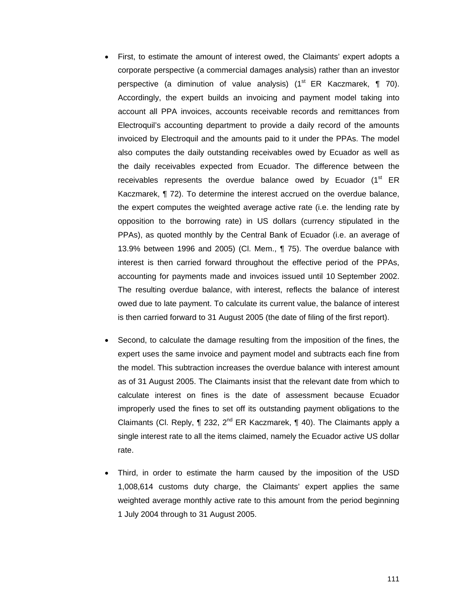- First, to estimate the amount of interest owed, the Claimants' expert adopts a corporate perspective (a commercial damages analysis) rather than an investor perspective (a diminution of value analysis) ( $1<sup>st</sup> ER Kaczmarek, \t{17}$  70). Accordingly, the expert builds an invoicing and payment model taking into account all PPA invoices, accounts receivable records and remittances from Electroquil's accounting department to provide a daily record of the amounts invoiced by Electroquil and the amounts paid to it under the PPAs. The model also computes the daily outstanding receivables owed by Ecuador as well as the daily receivables expected from Ecuador. The difference between the receivables represents the overdue balance owed by Ecuador  $(1<sup>st</sup> ER)$ Kaczmarek, ¶ 72). To determine the interest accrued on the overdue balance, the expert computes the weighted average active rate (i.e. the lending rate by opposition to the borrowing rate) in US dollars (currency stipulated in the PPAs), as quoted monthly by the Central Bank of Ecuador (i.e. an average of 13.9% between 1996 and 2005) (Cl. Mem., ¶ 75). The overdue balance with interest is then carried forward throughout the effective period of the PPAs, accounting for payments made and invoices issued until 10 September 2002. The resulting overdue balance, with interest, reflects the balance of interest owed due to late payment. To calculate its current value, the balance of interest is then carried forward to 31 August 2005 (the date of filing of the first report).
- Second, to calculate the damage resulting from the imposition of the fines, the expert uses the same invoice and payment model and subtracts each fine from the model. This subtraction increases the overdue balance with interest amount as of 31 August 2005. The Claimants insist that the relevant date from which to calculate interest on fines is the date of assessment because Ecuador improperly used the fines to set off its outstanding payment obligations to the Claimants (Cl. Reply,  $\P$  232, 2<sup>nd</sup> ER Kaczmarek,  $\P$  40). The Claimants apply a single interest rate to all the items claimed, namely the Ecuador active US dollar rate.
- Third, in order to estimate the harm caused by the imposition of the USD 1,008,614 customs duty charge, the Claimants' expert applies the same weighted average monthly active rate to this amount from the period beginning 1 July 2004 through to 31 August 2005.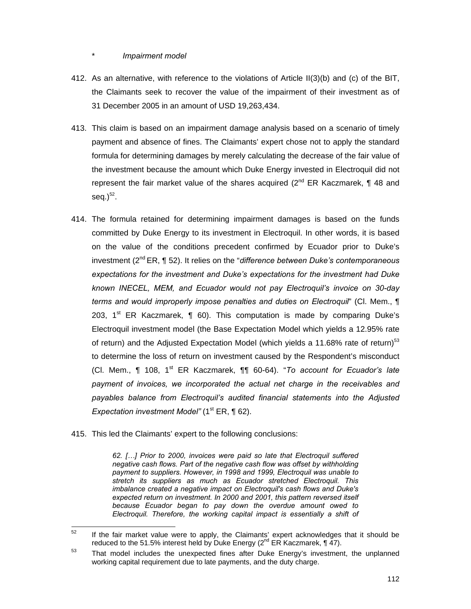# *Impairment model*

- 412. As an alternative, with reference to the violations of Article II(3)(b) and (c) of the BIT, the Claimants seek to recover the value of the impairment of their investment as of 31 December 2005 in an amount of USD 19,263,434.
- 413. This claim is based on an impairment damage analysis based on a scenario of timely payment and absence of fines. The Claimants' expert chose not to apply the standard formula for determining damages by merely calculating the decrease of the fair value of the investment because the amount which Duke Energy invested in Electroquil did not represent the fair market value of the shares acquired ( $2<sup>nd</sup> ER Kaczmarek$ , 148 and seq.) $52$ .
- 414. The formula retained for determining impairment damages is based on the funds committed by Duke Energy to its investment in Electroquil. In other words, it is based on the value of the conditions precedent confirmed by Ecuador prior to Duke's investment (2nd ER, ¶ 52). It relies on the "*difference between Duke's contemporaneous expectations for the investment and Duke's expectations for the investment had Duke known INECEL, MEM, and Ecuador would not pay Electroquil's invoice on 30-day terms and would improperly impose penalties and duties on Electroquil*" (Cl. Mem., ¶ 203,  $1<sup>st</sup>$  ER Kaczmarek,  $\P$  60). This computation is made by comparing Duke's Electroquil investment model (the Base Expectation Model which yields a 12.95% rate of return) and the Adjusted Expectation Model (which yields a 11.68% rate of return) $53$ to determine the loss of return on investment caused by the Respondent's misconduct (Cl. Mem., ¶ 108, 1st ER Kaczmarek, ¶¶ 60-64). "*To account for Ecuador's late payment of invoices, we incorporated the actual net charge in the receivables and payables balance from Electroquil's audited financial statements into the Adjusted Expectation investment Model"* (1<sup>st</sup> ER, ¶ 62).
- 415. This led the Claimants' expert to the following conclusions:

*62. […] Prior to 2000, invoices were paid so late that Electroquil suffered negative cash flows. Part of the negative cash flow was offset by withholding payment to suppliers. However, in 1998 and 1999, Electroquil was unable to stretch its suppliers as much as Ecuador stretched Electroquil. This imbalance created a negative impact on Electroquil's cash flows and Duke's expected return on investment. In 2000 and 2001, this pattern reversed itself because Ecuador began to pay down the overdue amount owed to Electroquil. Therefore, the working capital impact is essentially a shift of* 

<sup>52</sup> If the fair market value were to apply, the Claimants' expert acknowledges that it should be reduced to the 51.5% interest held by Duke Energy ( $2^{nd}$  ER Kaczmarek,  $\P$  47).<br><sup>53</sup> That model includes the unexpected fines after Duke Energy's investment, the unplanned

working capital requirement due to late payments, and the duty charge.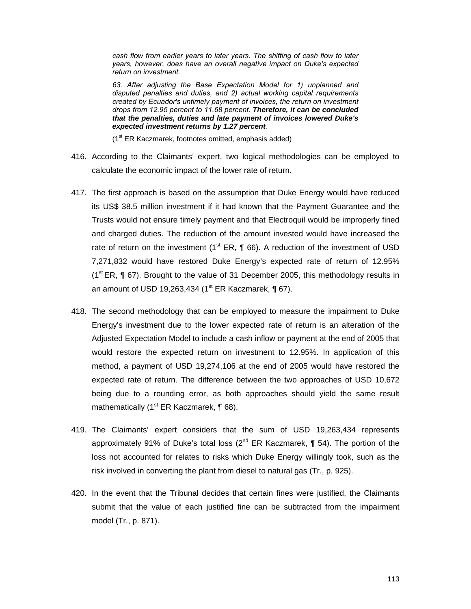*cash flow from earlier years to later years. The shifting of cash flow to later years, however, does have an overall negative impact on Duke's expected return on investment.* 

*63. After adjusting the Base Expectation Model for 1) unplanned and disputed penalties and duties, and 2) actual working capital requirements created by Ecuador's untimely payment of invoices, the return on investment drops from 12.95 percent to 11.68 percent. Therefore, it can be concluded that the penalties, duties and late payment of invoices lowered Duke's expected investment returns by 1.27 percent.* 

(1<sup>st</sup> ER Kaczmarek, footnotes omitted, emphasis added)

- 416. According to the Claimants' expert, two logical methodologies can be employed to calculate the economic impact of the lower rate of return.
- 417. The first approach is based on the assumption that Duke Energy would have reduced its US\$ 38.5 million investment if it had known that the Payment Guarantee and the Trusts would not ensure timely payment and that Electroquil would be improperly fined and charged duties. The reduction of the amount invested would have increased the rate of return on the investment ( $1<sup>st</sup> ER$ , **[** 66). A reduction of the investment of USD 7,271,832 would have restored Duke Energy's expected rate of return of 12.95% ( $1<sup>st</sup> ER$ ,  $\P$  67). Brought to the value of 31 December 2005, this methodology results in an amount of USD 19,263,434 ( $1<sup>st</sup> ER Kaczmarek, \P 67$ ).
- 418. The second methodology that can be employed to measure the impairment to Duke Energy's investment due to the lower expected rate of return is an alteration of the Adjusted Expectation Model to include a cash inflow or payment at the end of 2005 that would restore the expected return on investment to 12.95%. In application of this method, a payment of USD 19,274,106 at the end of 2005 would have restored the expected rate of return. The difference between the two approaches of USD 10,672 being due to a rounding error, as both approaches should yield the same result mathematically ( $1<sup>st</sup> ER Kaczmarek, \P 68$ ).
- 419. The Claimants' expert considers that the sum of USD 19,263,434 represents approximately 91% of Duke's total loss ( $2^{nd}$  ER Kaczmarek, ¶ 54). The portion of the loss not accounted for relates to risks which Duke Energy willingly took, such as the risk involved in converting the plant from diesel to natural gas (Tr., p. 925).
- 420. In the event that the Tribunal decides that certain fines were justified, the Claimants submit that the value of each justified fine can be subtracted from the impairment model (Tr., p. 871).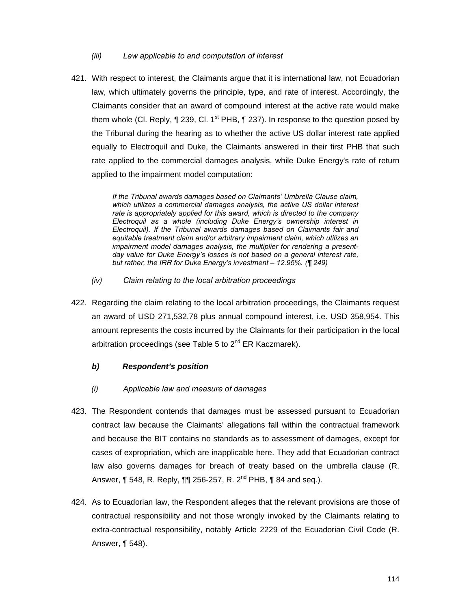#### *(iii) Law applicable to and computation of interest*

421. With respect to interest, the Claimants argue that it is international law, not Ecuadorian law, which ultimately governs the principle, type, and rate of interest. Accordingly, the Claimants consider that an award of compound interest at the active rate would make them whole (Cl. Reply,  $\P$  239, Cl. 1<sup>st</sup> PHB,  $\P$  237). In response to the question posed by the Tribunal during the hearing as to whether the active US dollar interest rate applied equally to Electroquil and Duke, the Claimants answered in their first PHB that such rate applied to the commercial damages analysis, while Duke Energy's rate of return applied to the impairment model computation:

> *If the Tribunal awards damages based on Claimants' Umbrella Clause claim, which utilizes a commercial damages analysis, the active US dollar interest rate is appropriately applied for this award, which is directed to the company Electroquil as a whole (including Duke Energy's ownership interest in Electroquil). If the Tribunal awards damages based on Claimants fair and equitable treatment claim and/or arbitrary impairment claim, which utilizes an impairment model damages analysis, the multiplier for rendering a presentday value for Duke Energy's losses is not based on a general interest rate, but rather, the IRR for Duke Energy's investment – 12.95%. (¶ 249)*

- *(iv) Claim relating to the local arbitration proceedings*
- 422. Regarding the claim relating to the local arbitration proceedings, the Claimants request an award of USD 271,532.78 plus annual compound interest, i.e. USD 358,954. This amount represents the costs incurred by the Claimants for their participation in the local arbitration proceedings (see Table 5 to  $2^{nd}$  ER Kaczmarek).

# *b) Respondent's position*

- *(i) Applicable law and measure of damages*
- 423. The Respondent contends that damages must be assessed pursuant to Ecuadorian contract law because the Claimants' allegations fall within the contractual framework and because the BIT contains no standards as to assessment of damages, except for cases of expropriation, which are inapplicable here. They add that Ecuadorian contract law also governs damages for breach of treaty based on the umbrella clause (R. Answer,  $\P$  548, R. Reply,  $\P$  $\P$  256-257, R. 2<sup>nd</sup> PHB,  $\P$  84 and seq.).
- 424. As to Ecuadorian law, the Respondent alleges that the relevant provisions are those of contractual responsibility and not those wrongly invoked by the Claimants relating to extra-contractual responsibility, notably Article 2229 of the Ecuadorian Civil Code (R. Answer, ¶ 548).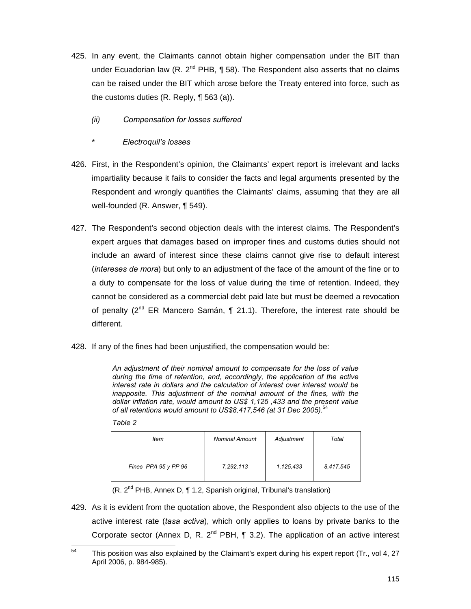- 425. In any event, the Claimants cannot obtain higher compensation under the BIT than under Ecuadorian law (R.  $2^{nd}$  PHB, ¶ 58). The Respondent also asserts that no claims can be raised under the BIT which arose before the Treaty entered into force, such as the customs duties (R. Reply, ¶ 563 (a)).
	- *(ii) Compensation for losses suffered*
	- $E$ *lectroquil's losses*
- 426. First, in the Respondent's opinion, the Claimants' expert report is irrelevant and lacks impartiality because it fails to consider the facts and legal arguments presented by the Respondent and wrongly quantifies the Claimants' claims, assuming that they are all well-founded (R. Answer, ¶ 549).
- 427. The Respondent's second objection deals with the interest claims. The Respondent's expert argues that damages based on improper fines and customs duties should not include an award of interest since these claims cannot give rise to default interest (*intereses de mora*) but only to an adjustment of the face of the amount of the fine or to a duty to compensate for the loss of value during the time of retention. Indeed, they cannot be considered as a commercial debt paid late but must be deemed a revocation of penalty ( $2<sup>nd</sup>$  ER Mancero Samán,  $\P$  21.1). Therefore, the interest rate should be different.
- 428. If any of the fines had been unjustified, the compensation would be:

*An adjustment of their nominal amount to compensate for the loss of value during the time of retention, and, accordingly, the application of the active interest rate in dollars and the calculation of interest over interest would be inapposite. This adjustment of the nominal amount of the fines, with the dollar inflation rate, would amount to US\$ 1,125 ,433 and the present value of all retentions would amount to US\$8,417,546 (at 31 Dec 2005)*. 54

| ltem                 | <b>Nominal Amount</b> | Adjustment | Total     |
|----------------------|-----------------------|------------|-----------|
| Fines PPA 95 y PP 96 | 7,292,113             | 1,125,433  | 8,417,545 |

*Table 2* 

(R. 2nd PHB, Annex D, ¶ 1.2, Spanish original, Tribunal's translation)

429. As it is evident from the quotation above, the Respondent also objects to the use of the active interest rate (*tasa activa*), which only applies to loans by private banks to the Corporate sector (Annex D, R.  $2^{nd}$  PBH, ¶ 3.2). The application of an active interest

<sup>54</sup> This position was also explained by the Claimant's expert during his expert report (Tr., vol 4, 27 April 2006, p. 984-985).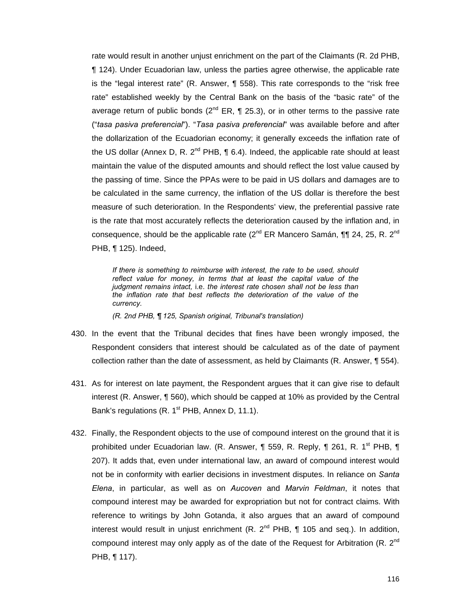rate would result in another unjust enrichment on the part of the Claimants (R. 2d PHB, ¶ 124). Under Ecuadorian law, unless the parties agree otherwise, the applicable rate is the "legal interest rate" (R. Answer, ¶ 558). This rate corresponds to the "risk free rate" established weekly by the Central Bank on the basis of the "basic rate" of the average return of public bonds ( $2^{nd}$  ER, ¶ 25.3), or in other terms to the passive rate ("*tasa pasiva preferencial*"). "*Tasa pasiva preferencial*" was available before and after the dollarization of the Ecuadorian economy; it generally exceeds the inflation rate of the US dollar (Annex D, R.  $2^{nd}$  PHB,  $\P$  6.4). Indeed, the applicable rate should at least maintain the value of the disputed amounts and should reflect the lost value caused by the passing of time. Since the PPAs were to be paid in US dollars and damages are to be calculated in the same currency, the inflation of the US dollar is therefore the best measure of such deterioration. In the Respondents' view, the preferential passive rate is the rate that most accurately reflects the deterioration caused by the inflation and, in consequence, should be the applicable rate  $(2^{nd}$  ER Mancero Samán,  $\P\P$  24, 25, R.  $2^{nd}$ PHB, ¶ 125). Indeed,

*If there is something to reimburse with interest, the rate to be used, should reflect value for money, in terms that at least the capital value of the judgment remains intact,* i.e. *the interest rate chosen shall not be less than the inflation rate that best reflects the deterioration of the value of the currency.* 

*(R. 2nd PHB, ¶ 125, Spanish original, Tribunal's translation)* 

- 430. In the event that the Tribunal decides that fines have been wrongly imposed, the Respondent considers that interest should be calculated as of the date of payment collection rather than the date of assessment, as held by Claimants (R. Answer, ¶ 554).
- 431. As for interest on late payment, the Respondent argues that it can give rise to default interest (R. Answer, ¶ 560), which should be capped at 10% as provided by the Central Bank's regulations (R.  $1<sup>st</sup>$  PHB, Annex D, 11.1).
- 432. Finally, the Respondent objects to the use of compound interest on the ground that it is prohibited under Ecuadorian law. (R. Answer, ¶ 559, R. Reply, ¶ 261, R. 1<sup>st</sup> PHB, ¶ 207). It adds that, even under international law, an award of compound interest would not be in conformity with earlier decisions in investment disputes. In reliance on *Santa Elena*, in particular, as well as on *Aucoven* and *Marvin Feldman*, it notes that compound interest may be awarded for expropriation but not for contract claims. With reference to writings by John Gotanda, it also argues that an award of compound interest would result in unjust enrichment  $(R, 2<sup>nd</sup> PHB, \P 105$  and seq.). In addition, compound interest may only apply as of the date of the Request for Arbitration (R.  $2<sup>nd</sup>$ PHB, ¶ 117).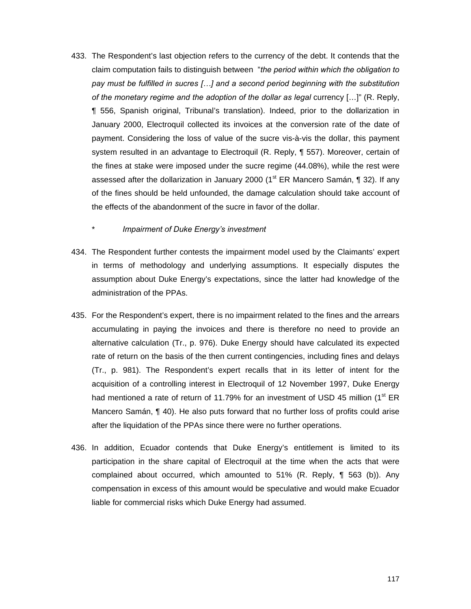433. The Respondent's last objection refers to the currency of the debt. It contends that the claim computation fails to distinguish between "*the period within which the obligation to pay must be fulfilled in sucres […] and a second period beginning with the substitution of the monetary regime and the adoption of the dollar as legal currency* [...]" (R. Reply, ¶ 556, Spanish original, Tribunal's translation). Indeed, prior to the dollarization in January 2000, Electroquil collected its invoices at the conversion rate of the date of payment. Considering the loss of value of the sucre vis-à-vis the dollar, this payment system resulted in an advantage to Electroquil (R. Reply, ¶ 557). Moreover, certain of the fines at stake were imposed under the sucre regime (44.08%), while the rest were assessed after the dollarization in January 2000 ( $1<sup>st</sup> ER$  Mancero Samán, ¶ 32). If any of the fines should be held unfounded, the damage calculation should take account of the effects of the abandonment of the sucre in favor of the dollar.

**Impairment of Duke Energy's investment** 

- 434. The Respondent further contests the impairment model used by the Claimants' expert in terms of methodology and underlying assumptions. It especially disputes the assumption about Duke Energy's expectations, since the latter had knowledge of the administration of the PPAs.
- 435. For the Respondent's expert, there is no impairment related to the fines and the arrears accumulating in paying the invoices and there is therefore no need to provide an alternative calculation (Tr., p. 976). Duke Energy should have calculated its expected rate of return on the basis of the then current contingencies, including fines and delays (Tr., p. 981). The Respondent's expert recalls that in its letter of intent for the acquisition of a controlling interest in Electroquil of 12 November 1997, Duke Energy had mentioned a rate of return of 11.79% for an investment of USD 45 million ( $1<sup>st</sup> ER$ Mancero Samán, ¶ 40). He also puts forward that no further loss of profits could arise after the liquidation of the PPAs since there were no further operations.
- 436. In addition, Ecuador contends that Duke Energy's entitlement is limited to its participation in the share capital of Electroquil at the time when the acts that were complained about occurred, which amounted to 51% (R. Reply, ¶ 563 (b)). Any compensation in excess of this amount would be speculative and would make Ecuador liable for commercial risks which Duke Energy had assumed.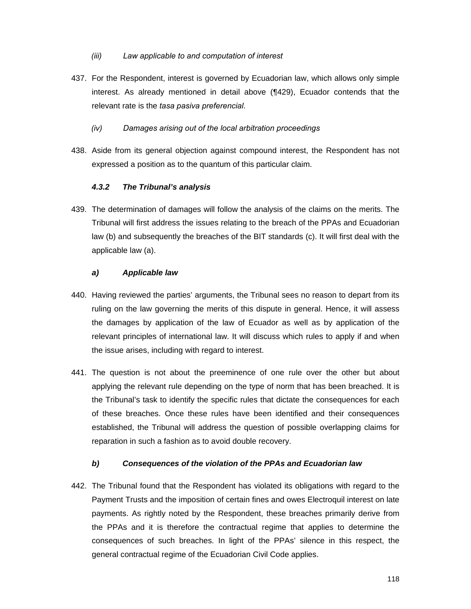- *(iii) Law applicable to and computation of interest*
- 437. For the Respondent, interest is governed by Ecuadorian law, which allows only simple interest. As already mentioned in detail above (¶429), Ecuador contends that the relevant rate is the *tasa pasiva preferencial*.
	- *(iv) Damages arising out of the local arbitration proceedings*
- 438. Aside from its general objection against compound interest, the Respondent has not expressed a position as to the quantum of this particular claim.

## *4.3.2 The Tribunal's analysis*

439. The determination of damages will follow the analysis of the claims on the merits. The Tribunal will first address the issues relating to the breach of the PPAs and Ecuadorian law (b) and subsequently the breaches of the BIT standards (c). It will first deal with the applicable law (a).

## *a) Applicable law*

- 440. Having reviewed the parties' arguments, the Tribunal sees no reason to depart from its ruling on the law governing the merits of this dispute in general. Hence, it will assess the damages by application of the law of Ecuador as well as by application of the relevant principles of international law. It will discuss which rules to apply if and when the issue arises, including with regard to interest.
- 441. The question is not about the preeminence of one rule over the other but about applying the relevant rule depending on the type of norm that has been breached. It is the Tribunal's task to identify the specific rules that dictate the consequences for each of these breaches. Once these rules have been identified and their consequences established, the Tribunal will address the question of possible overlapping claims for reparation in such a fashion as to avoid double recovery.

# *b) Consequences of the violation of the PPAs and Ecuadorian law*

442. The Tribunal found that the Respondent has violated its obligations with regard to the Payment Trusts and the imposition of certain fines and owes Electroquil interest on late payments. As rightly noted by the Respondent, these breaches primarily derive from the PPAs and it is therefore the contractual regime that applies to determine the consequences of such breaches. In light of the PPAs' silence in this respect, the general contractual regime of the Ecuadorian Civil Code applies.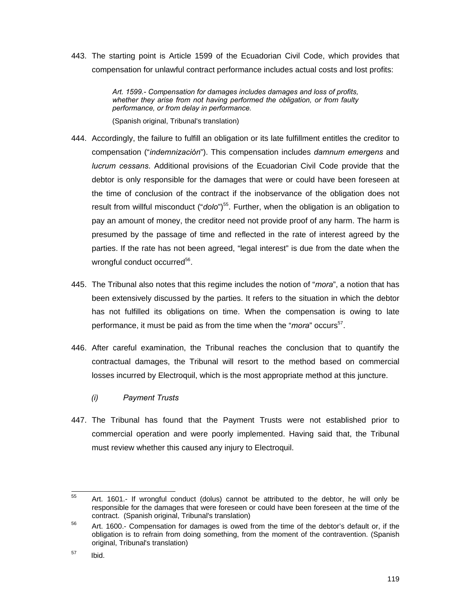443. The starting point is Article 1599 of the Ecuadorian Civil Code, which provides that compensation for unlawful contract performance includes actual costs and lost profits:

> *Art. 1599.- Compensation for damages includes damages and loss of profits, whether they arise from not having performed the obligation, or from faulty performance, or from delay in performance.*

(Spanish original, Tribunal's translation)

- 444. Accordingly, the failure to fulfill an obligation or its late fulfillment entitles the creditor to compensation ("*indemnización*"). This compensation includes *damnum emergens* and *lucrum cessans*. Additional provisions of the Ecuadorian Civil Code provide that the debtor is only responsible for the damages that were or could have been foreseen at the time of conclusion of the contract if the inobservance of the obligation does not result from willful misconduct ("*dolo*")<sup>55</sup>. Further, when the obligation is an obligation to pay an amount of money, the creditor need not provide proof of any harm. The harm is presumed by the passage of time and reflected in the rate of interest agreed by the parties. If the rate has not been agreed, "legal interest" is due from the date when the wrongful conduct occurred<sup>56</sup>.
- 445. The Tribunal also notes that this regime includes the notion of "*mora*", a notion that has been extensively discussed by the parties. It refers to the situation in which the debtor has not fulfilled its obligations on time. When the compensation is owing to late performance, it must be paid as from the time when the "*mora*" occurs<sup>57</sup>.
- 446. After careful examination, the Tribunal reaches the conclusion that to quantify the contractual damages, the Tribunal will resort to the method based on commercial losses incurred by Electroquil, which is the most appropriate method at this juncture.
	- *(i) Payment Trusts*
- 447. The Tribunal has found that the Payment Trusts were not established prior to commercial operation and were poorly implemented. Having said that, the Tribunal must review whether this caused any injury to Electroquil.

<sup>55</sup> Art. 1601.- If wrongful conduct (dolus) cannot be attributed to the debtor, he will only be responsible for the damages that were foreseen or could have been foreseen at the time of the contract. (Spanish original, Tribunal's translation)<br><sup>56</sup> Art. 1600.- Compensation for damages is owed from the time of the debtor's default or, if the

obligation is to refrain from doing something, from the moment of the contravention. (Spanish original, Tribunal's translation)

<sup>57</sup> Ibid.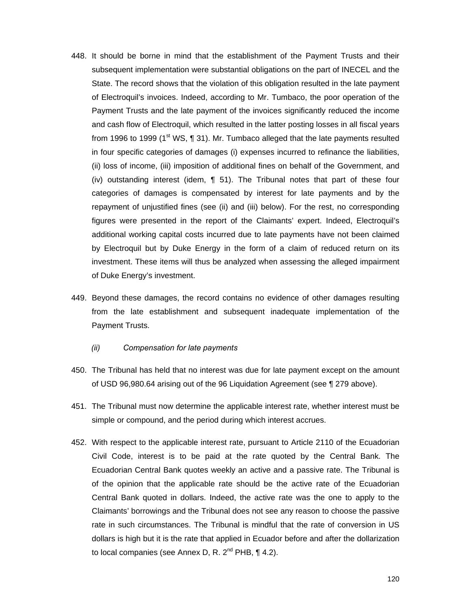- 448. It should be borne in mind that the establishment of the Payment Trusts and their subsequent implementation were substantial obligations on the part of INECEL and the State. The record shows that the violation of this obligation resulted in the late payment of Electroquil's invoices. Indeed, according to Mr. Tumbaco, the poor operation of the Payment Trusts and the late payment of the invoices significantly reduced the income and cash flow of Electroquil, which resulted in the latter posting losses in all fiscal years from 1996 to 1999 (1<sup>st</sup> WS,  $\P$  31). Mr. Tumbaco alleged that the late payments resulted in four specific categories of damages (i) expenses incurred to refinance the liabilities, (ii) loss of income, (iii) imposition of additional fines on behalf of the Government, and (iv) outstanding interest (idem, ¶ 51). The Tribunal notes that part of these four categories of damages is compensated by interest for late payments and by the repayment of unjustified fines (see (ii) and (iii) below). For the rest, no corresponding figures were presented in the report of the Claimants' expert. Indeed, Electroquil's additional working capital costs incurred due to late payments have not been claimed by Electroquil but by Duke Energy in the form of a claim of reduced return on its investment. These items will thus be analyzed when assessing the alleged impairment of Duke Energy's investment.
- 449. Beyond these damages, the record contains no evidence of other damages resulting from the late establishment and subsequent inadequate implementation of the Payment Trusts.
	- *(ii) Compensation for late payments*
- 450. The Tribunal has held that no interest was due for late payment except on the amount of USD 96,980.64 arising out of the 96 Liquidation Agreement (see ¶ 279 above).
- 451. The Tribunal must now determine the applicable interest rate, whether interest must be simple or compound, and the period during which interest accrues.
- 452. With respect to the applicable interest rate, pursuant to Article 2110 of the Ecuadorian Civil Code, interest is to be paid at the rate quoted by the Central Bank. The Ecuadorian Central Bank quotes weekly an active and a passive rate. The Tribunal is of the opinion that the applicable rate should be the active rate of the Ecuadorian Central Bank quoted in dollars. Indeed, the active rate was the one to apply to the Claimants' borrowings and the Tribunal does not see any reason to choose the passive rate in such circumstances. The Tribunal is mindful that the rate of conversion in US dollars is high but it is the rate that applied in Ecuador before and after the dollarization to local companies (see Annex D, R.  $2^{nd}$  PHB,  $\P$  4.2).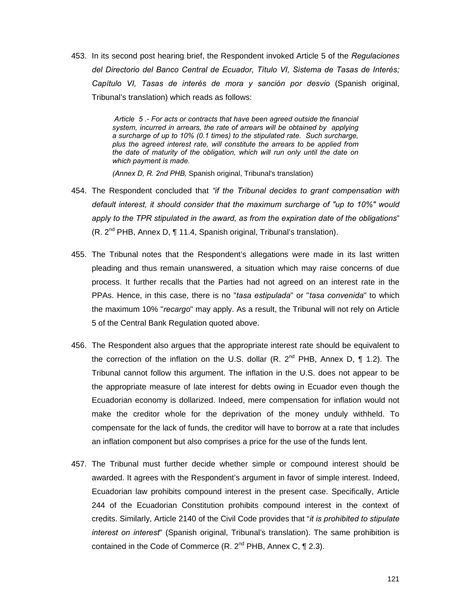453. In its second post hearing brief, the Respondent invoked Article 5 of the *Regulaciones del Directorio del Banco Central de Ecuador, Título VI, Sistema de Tasas de Interés; Capítulo VI, Tasas de interés de mora y sanción por desvio* (Spanish original, Tribunal's translation) which reads as follows:

> *Article 5 .- For acts or contracts that have been agreed outside the financial system, incurred in arrears, the rate of arrears will be obtained by applying a surcharge of up to 10% (0.1 times) to the stipulated rate. Such surcharge, plus the agreed interest rate, will constitute the arrears to be applied from the date of maturity of the obligation, which will run only until the date on which payment is made.*

*(Annex D, R. 2nd PHB,* Spanish original, Tribunal's translation)

- 454. The Respondent concluded that *"if the Tribunal decides to grant compensation with default interest, it should consider that the maximum surcharge of "up to 10%" would apply to the TPR stipulated in the award, as from the expiration date of the obligations*" (R. 2nd PHB, Annex D, ¶ 11.4, Spanish original, Tribunal's translation).
- 455. The Tribunal notes that the Respondent's allegations were made in its last written pleading and thus remain unanswered, a situation which may raise concerns of due process. It further recalls that the Parties had not agreed on an interest rate in the PPAs. Hence, in this case, there is no "*tasa estipulada*" or "*tasa convenida*" to which the maximum 10% "*recargo*" may apply. As a result, the Tribunal will not rely on Article 5 of the Central Bank Regulation quoted above.
- 456. The Respondent also argues that the appropriate interest rate should be equivalent to the correction of the inflation on the U.S. dollar  $(R. 2<sup>nd</sup> PHB, Annex D, \P 1.2)$ . The Tribunal cannot follow this argument. The inflation in the U.S. does not appear to be the appropriate measure of late interest for debts owing in Ecuador even though the Ecuadorian economy is dollarized. Indeed, mere compensation for inflation would not make the creditor whole for the deprivation of the money unduly withheld. To compensate for the lack of funds, the creditor will have to borrow at a rate that includes an inflation component but also comprises a price for the use of the funds lent.
- 457. The Tribunal must further decide whether simple or compound interest should be awarded. It agrees with the Respondent's argument in favor of simple interest. Indeed, Ecuadorian law prohibits compound interest in the present case. Specifically, Article 244 of the Ecuadorian Constitution prohibits compound interest in the context of credits. Similarly, Article 2140 of the Civil Code provides that "*it is prohibited to stipulate interest on interest*" (Spanish original, Tribunal's translation). The same prohibition is contained in the Code of Commerce (R. 2<sup>nd</sup> PHB, Annex C, ¶ 2.3).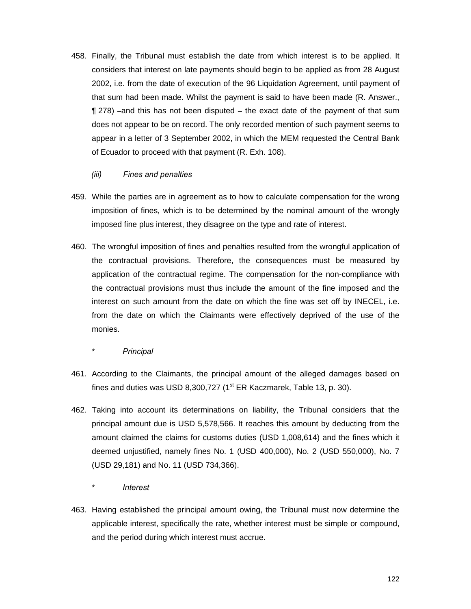- 458. Finally, the Tribunal must establish the date from which interest is to be applied. It considers that interest on late payments should begin to be applied as from 28 August 2002, i.e. from the date of execution of the 96 Liquidation Agreement, until payment of that sum had been made. Whilst the payment is said to have been made (R. Answer., ¶ 278) –and this has not been disputed – the exact date of the payment of that sum does not appear to be on record. The only recorded mention of such payment seems to appear in a letter of 3 September 2002, in which the MEM requested the Central Bank of Ecuador to proceed with that payment (R. Exh. 108).
	- *(iii) Fines and penalties*
- 459. While the parties are in agreement as to how to calculate compensation for the wrong imposition of fines, which is to be determined by the nominal amount of the wrongly imposed fine plus interest, they disagree on the type and rate of interest.
- 460. The wrongful imposition of fines and penalties resulted from the wrongful application of the contractual provisions. Therefore, the consequences must be measured by application of the contractual regime. The compensation for the non-compliance with the contractual provisions must thus include the amount of the fine imposed and the interest on such amount from the date on which the fine was set off by INECEL, i.e. from the date on which the Claimants were effectively deprived of the use of the monies.
	- $Principle$
- 461. According to the Claimants, the principal amount of the alleged damages based on fines and duties was USD 8,300,727 ( $1<sup>st</sup> ER Kaczmarek$ , Table 13, p. 30).
- 462. Taking into account its determinations on liability, the Tribunal considers that the principal amount due is USD 5,578,566. It reaches this amount by deducting from the amount claimed the claims for customs duties (USD 1,008,614) and the fines which it deemed unjustified, namely fines No. 1 (USD 400,000), No. 2 (USD 550,000), No. 7 (USD 29,181) and No. 11 (USD 734,366).
	- $Interest$
- 463. Having established the principal amount owing, the Tribunal must now determine the applicable interest, specifically the rate, whether interest must be simple or compound, and the period during which interest must accrue.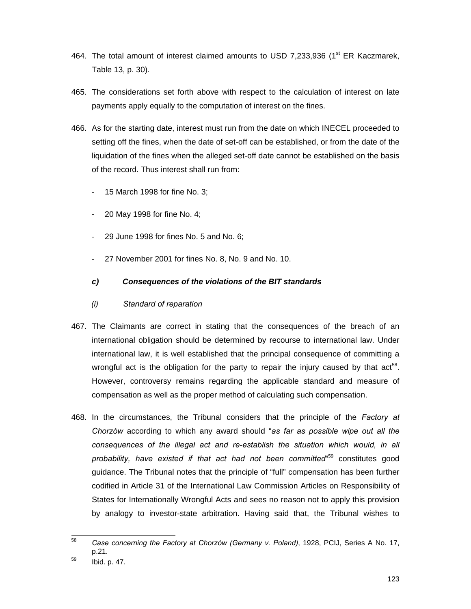- 464. The total amount of interest claimed amounts to USD 7,233,936 ( $1<sup>st</sup> ER Kaczmarek$ , Table 13, p. 30).
- 465. The considerations set forth above with respect to the calculation of interest on late payments apply equally to the computation of interest on the fines.
- 466. As for the starting date, interest must run from the date on which INECEL proceeded to setting off the fines, when the date of set-off can be established, or from the date of the liquidation of the fines when the alleged set-off date cannot be established on the basis of the record. Thus interest shall run from:
	- 15 March 1998 for fine No. 3;
	- 20 May 1998 for fine No. 4;
	- 29 June 1998 for fines No. 5 and No. 6;
	- 27 November 2001 for fines No. 8, No. 9 and No. 10.

# *c) Consequences of the violations of the BIT standards*

- *(i) Standard of reparation*
- 467. The Claimants are correct in stating that the consequences of the breach of an international obligation should be determined by recourse to international law. Under international law, it is well established that the principal consequence of committing a wrongful act is the obligation for the party to repair the injury caused by that  $act^{58}$ . However, controversy remains regarding the applicable standard and measure of compensation as well as the proper method of calculating such compensation.
- 468. In the circumstances, the Tribunal considers that the principle of the *Factory at Chorzów* according to which any award should "*as far as possible wipe out all the consequences of the illegal act and re-establish the situation which would, in all probability, have existed if that act had not been committed*" 59 constitutes good guidance. The Tribunal notes that the principle of "full" compensation has been further codified in Article 31 of the International Law Commission Articles on Responsibility of States for Internationally Wrongful Acts and sees no reason not to apply this provision by analogy to investor-state arbitration. Having said that, the Tribunal wishes to

<sup>58</sup> 58 *Case concerning the Factory at Chorzów (Germany v. Poland)*, 1928, PCIJ, Series A No. 17,  $p.21.$ <sup>59</sup> Ibid. p. 47.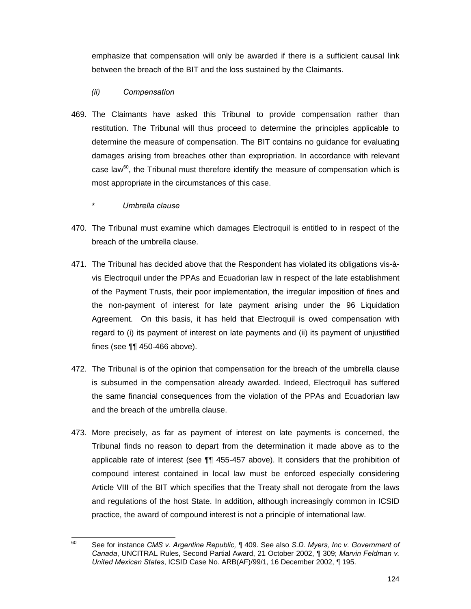emphasize that compensation will only be awarded if there is a sufficient causal link between the breach of the BIT and the loss sustained by the Claimants.

# *(ii) Compensation*

- 469. The Claimants have asked this Tribunal to provide compensation rather than restitution. The Tribunal will thus proceed to determine the principles applicable to determine the measure of compensation. The BIT contains no guidance for evaluating damages arising from breaches other than expropriation. In accordance with relevant case law<sup>60</sup>, the Tribunal must therefore identify the measure of compensation which is most appropriate in the circumstances of this case.
	- \* *Umbrella clause*
- 470. The Tribunal must examine which damages Electroquil is entitled to in respect of the breach of the umbrella clause.
- 471. The Tribunal has decided above that the Respondent has violated its obligations vis-àvis Electroquil under the PPAs and Ecuadorian law in respect of the late establishment of the Payment Trusts, their poor implementation, the irregular imposition of fines and the non-payment of interest for late payment arising under the 96 Liquidation Agreement. On this basis, it has held that Electroquil is owed compensation with regard to (i) its payment of interest on late payments and (ii) its payment of unjustified fines (see ¶¶ 450-466 above).
- 472. The Tribunal is of the opinion that compensation for the breach of the umbrella clause is subsumed in the compensation already awarded. Indeed, Electroquil has suffered the same financial consequences from the violation of the PPAs and Ecuadorian law and the breach of the umbrella clause.
- 473. More precisely, as far as payment of interest on late payments is concerned, the Tribunal finds no reason to depart from the determination it made above as to the applicable rate of interest (see ¶¶ 455-457 above). It considers that the prohibition of compound interest contained in local law must be enforced especially considering Article VIII of the BIT which specifies that the Treaty shall not derogate from the laws and regulations of the host State. In addition, although increasingly common in ICSID practice, the award of compound interest is not a principle of international law.

<sup>60</sup> 60 See for instance *CMS v. Argentine Republic,* ¶ 409. See also *S.D. Myers, Inc v. Government of Canada*, UNCITRAL Rules, Second Partial Award, 21 October 2002, ¶ 309; *Marvin Feldman v. United Mexican States*, ICSID Case No. ARB(AF)/99/1*,* 16 December 2002, ¶ 195.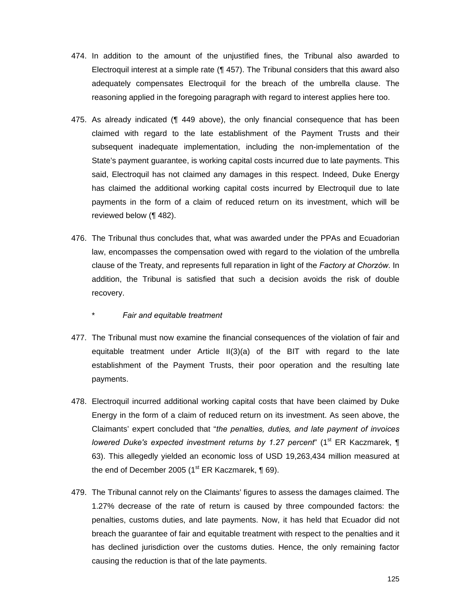- 474. In addition to the amount of the unjustified fines, the Tribunal also awarded to Electroquil interest at a simple rate (¶ 457). The Tribunal considers that this award also adequately compensates Electroquil for the breach of the umbrella clause. The reasoning applied in the foregoing paragraph with regard to interest applies here too.
- 475. As already indicated (¶ 449 above), the only financial consequence that has been claimed with regard to the late establishment of the Payment Trusts and their subsequent inadequate implementation, including the non-implementation of the State's payment guarantee, is working capital costs incurred due to late payments. This said, Electroquil has not claimed any damages in this respect. Indeed, Duke Energy has claimed the additional working capital costs incurred by Electroquil due to late payments in the form of a claim of reduced return on its investment, which will be reviewed below (¶ 482).
- 476. The Tribunal thus concludes that, what was awarded under the PPAs and Ecuadorian law, encompasses the compensation owed with regard to the violation of the umbrella clause of the Treaty, and represents full reparation in light of the *Factory at Chorzów*. In addition, the Tribunal is satisfied that such a decision avoids the risk of double recovery.
	- $$
- 477. The Tribunal must now examine the financial consequences of the violation of fair and equitable treatment under Article II(3)(a) of the BIT with regard to the late establishment of the Payment Trusts, their poor operation and the resulting late payments.
- 478. Electroquil incurred additional working capital costs that have been claimed by Duke Energy in the form of a claim of reduced return on its investment. As seen above, the Claimants' expert concluded that "*the penalties, duties, and late payment of invoices lowered Duke's expected investment returns by 1.27 percent*" (1<sup>st</sup> ER Kaczmarek, ¶ 63). This allegedly yielded an economic loss of USD 19,263,434 million measured at the end of December 2005 ( $1<sup>st</sup> ER Kaczmarek, \P 69$ ).
- 479. The Tribunal cannot rely on the Claimants' figures to assess the damages claimed. The 1.27% decrease of the rate of return is caused by three compounded factors: the penalties, customs duties, and late payments. Now, it has held that Ecuador did not breach the guarantee of fair and equitable treatment with respect to the penalties and it has declined jurisdiction over the customs duties. Hence, the only remaining factor causing the reduction is that of the late payments.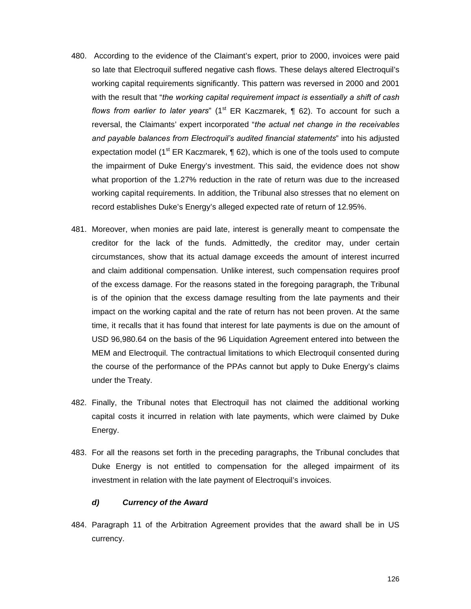- 480. According to the evidence of the Claimant's expert, prior to 2000, invoices were paid so late that Electroquil suffered negative cash flows. These delays altered Electroquil's working capital requirements significantly. This pattern was reversed in 2000 and 2001 with the result that "*the working capital requirement impact is essentially a shift of cash flows from earlier to later years*" (1<sup>st</sup> ER Kaczmarek, ¶ 62). To account for such a reversal, the Claimants' expert incorporated "*the actual net change in the receivables and payable balances from Electroquil's audited financial statements*" into his adjusted expectation model ( $1<sup>st</sup>$  ER Kaczmarek,  $\P$  62), which is one of the tools used to compute the impairment of Duke Energy's investment. This said, the evidence does not show what proportion of the 1.27% reduction in the rate of return was due to the increased working capital requirements. In addition, the Tribunal also stresses that no element on record establishes Duke's Energy's alleged expected rate of return of 12.95%.
- 481. Moreover, when monies are paid late, interest is generally meant to compensate the creditor for the lack of the funds. Admittedly, the creditor may, under certain circumstances, show that its actual damage exceeds the amount of interest incurred and claim additional compensation. Unlike interest, such compensation requires proof of the excess damage. For the reasons stated in the foregoing paragraph, the Tribunal is of the opinion that the excess damage resulting from the late payments and their impact on the working capital and the rate of return has not been proven. At the same time, it recalls that it has found that interest for late payments is due on the amount of USD 96,980.64 on the basis of the 96 Liquidation Agreement entered into between the MEM and Electroquil. The contractual limitations to which Electroquil consented during the course of the performance of the PPAs cannot but apply to Duke Energy's claims under the Treaty.
- 482. Finally, the Tribunal notes that Electroquil has not claimed the additional working capital costs it incurred in relation with late payments, which were claimed by Duke Energy.
- 483. For all the reasons set forth in the preceding paragraphs, the Tribunal concludes that Duke Energy is not entitled to compensation for the alleged impairment of its investment in relation with the late payment of Electroquil's invoices.

#### *d) Currency of the Award*

484. Paragraph 11 of the Arbitration Agreement provides that the award shall be in US currency.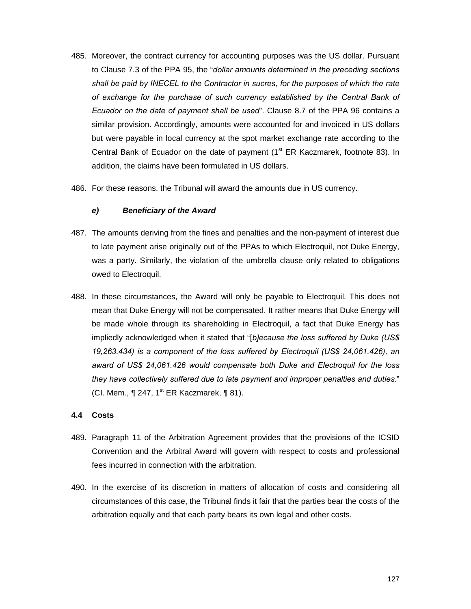- 485. Moreover, the contract currency for accounting purposes was the US dollar. Pursuant to Clause 7.3 of the PPA 95, the "*dollar amounts determined in the preceding sections shall be paid by INECEL to the Contractor in sucres, for the purposes of which the rate of exchange for the purchase of such currency established by the Central Bank of Ecuador on the date of payment shall be used*". Clause 8.7 of the PPA 96 contains a similar provision. Accordingly, amounts were accounted for and invoiced in US dollars but were payable in local currency at the spot market exchange rate according to the Central Bank of Ecuador on the date of payment (1<sup>st</sup> ER Kaczmarek, footnote 83). In addition, the claims have been formulated in US dollars.
- 486. For these reasons, the Tribunal will award the amounts due in US currency.

## *e) Beneficiary of the Award*

- 487. The amounts deriving from the fines and penalties and the non-payment of interest due to late payment arise originally out of the PPAs to which Electroquil, not Duke Energy, was a party. Similarly, the violation of the umbrella clause only related to obligations owed to Electroquil.
- 488. In these circumstances, the Award will only be payable to Electroquil. This does not mean that Duke Energy will not be compensated. It rather means that Duke Energy will be made whole through its shareholding in Electroquil, a fact that Duke Energy has impliedly acknowledged when it stated that "[*b]ecause the loss suffered by Duke (US\$ 19,263.434) is a component of the loss suffered by Electroquil (US\$ 24,061.426), an award of US\$ 24,061.426 would compensate both Duke and Electroquil for the loss they have collectively suffered due to late payment and improper penalties and duties*." (CI. Mem.,  $\P$  247, 1<sup>st</sup> ER Kaczmarek,  $\P$  81).

## **4.4 Costs**

- 489. Paragraph 11 of the Arbitration Agreement provides that the provisions of the ICSID Convention and the Arbitral Award will govern with respect to costs and professional fees incurred in connection with the arbitration.
- 490. In the exercise of its discretion in matters of allocation of costs and considering all circumstances of this case, the Tribunal finds it fair that the parties bear the costs of the arbitration equally and that each party bears its own legal and other costs.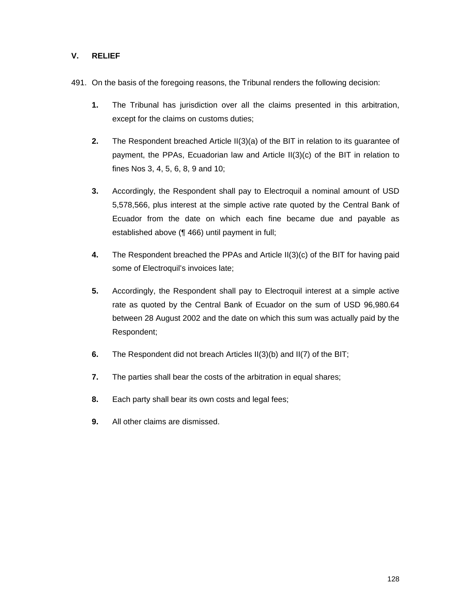# **V. RELIEF**

- 491. On the basis of the foregoing reasons, the Tribunal renders the following decision:
	- **1.** The Tribunal has jurisdiction over all the claims presented in this arbitration, except for the claims on customs duties;
	- **2.** The Respondent breached Article II(3)(a) of the BIT in relation to its guarantee of payment, the PPAs, Ecuadorian law and Article II(3)(c) of the BIT in relation to fines Nos 3, 4, 5, 6, 8, 9 and 10;
	- **3.** Accordingly, the Respondent shall pay to Electroquil a nominal amount of USD 5,578,566, plus interest at the simple active rate quoted by the Central Bank of Ecuador from the date on which each fine became due and payable as established above (¶ 466) until payment in full;
	- **4.** The Respondent breached the PPAs and Article II(3)(c) of the BIT for having paid some of Electroquil's invoices late;
	- **5.** Accordingly, the Respondent shall pay to Electroquil interest at a simple active rate as quoted by the Central Bank of Ecuador on the sum of USD 96,980.64 between 28 August 2002 and the date on which this sum was actually paid by the Respondent;
	- **6.** The Respondent did not breach Articles II(3)(b) and II(7) of the BIT;
	- **7.** The parties shall bear the costs of the arbitration in equal shares;
	- **8.** Each party shall bear its own costs and legal fees;
	- **9.** All other claims are dismissed.